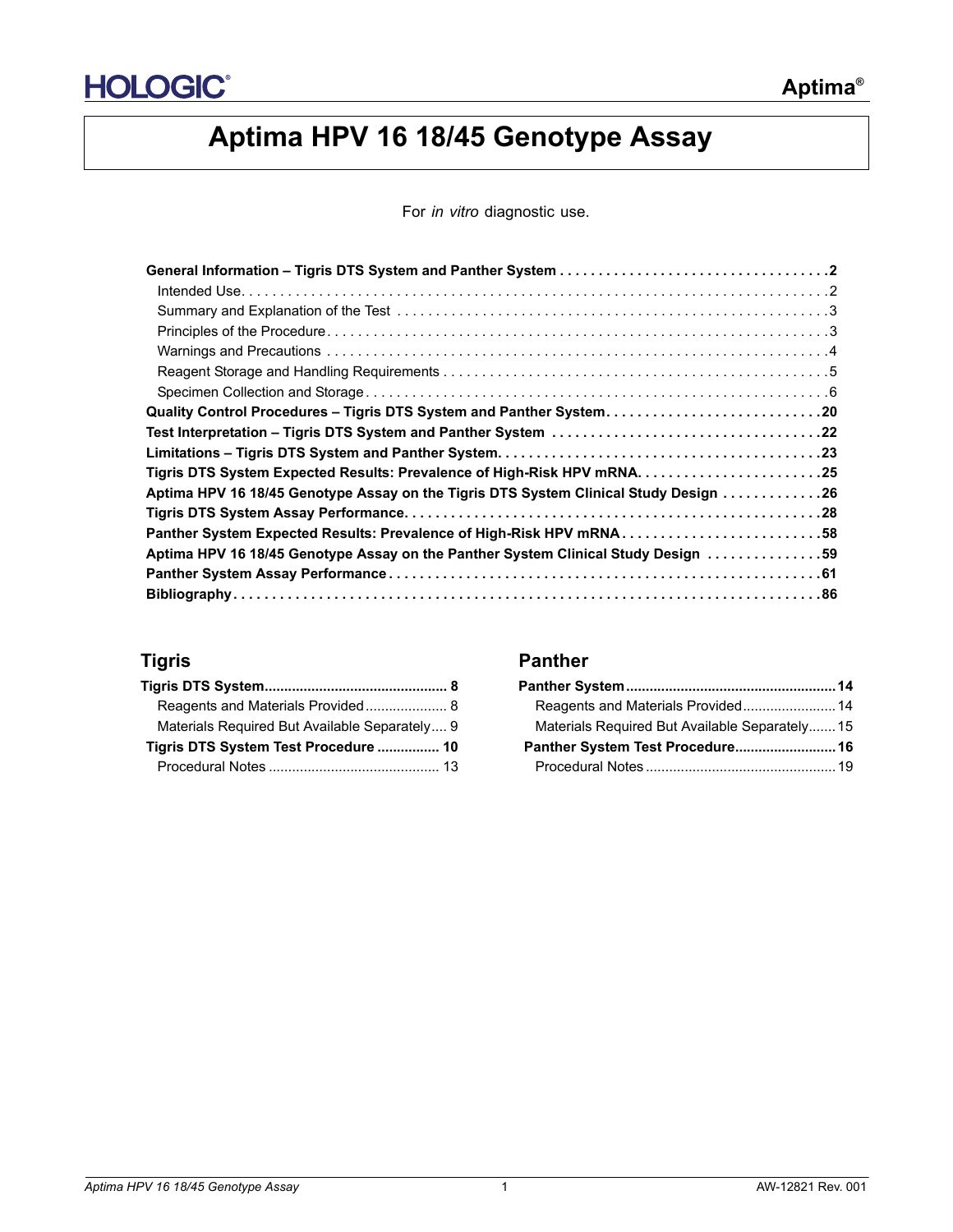

# **Aptima HPV 16 18/45 Genotype Assay**

For *in vitro* diagnostic use.

| Quality Control Procedures - Tigris DTS System and Panther System20                  |  |
|--------------------------------------------------------------------------------------|--|
|                                                                                      |  |
|                                                                                      |  |
|                                                                                      |  |
| Aptima HPV 16 18/45 Genotype Assay on the Tigris DTS System Clinical Study Design 26 |  |
|                                                                                      |  |
| Panther System Expected Results: Prevalence of High-Risk HPV mRNA58                  |  |
| Aptima HPV 16 18/45 Genotype Assay on the Panther System Clinical Study Design 59    |  |
|                                                                                      |  |
|                                                                                      |  |

| Reagents and Materials Provided 8             |
|-----------------------------------------------|
| Materials Required But Available Separately 9 |
| Tigris DTS System Test Procedure  10          |
|                                               |

## **Tigris Panther**

| Materials Required But Available Separately 15 |  |
|------------------------------------------------|--|
|                                                |  |
|                                                |  |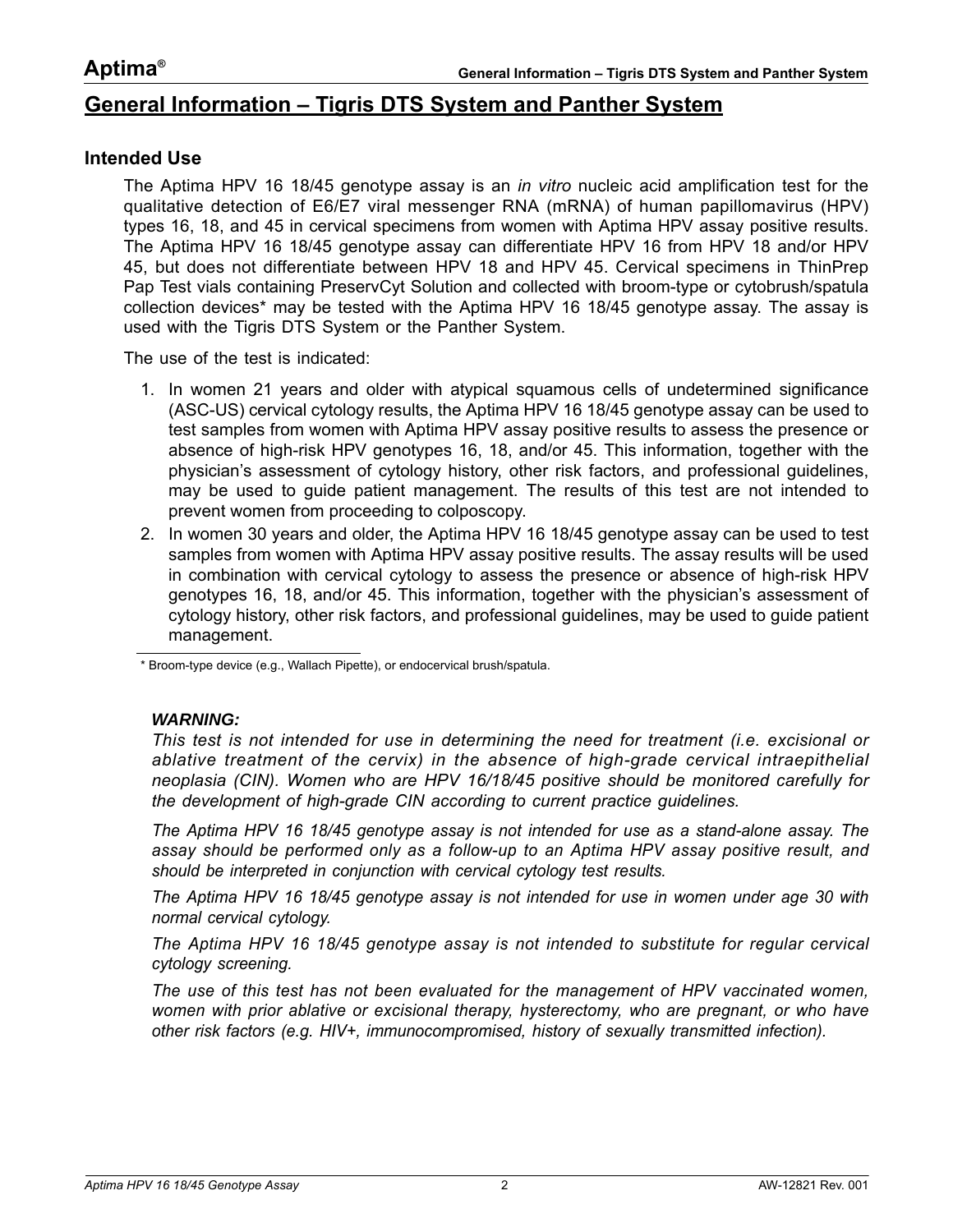# <span id="page-1-0"></span>**General Information – Tigris DTS System and Panther System**

#### <span id="page-1-1"></span>**Intended Use**

The Aptima HPV 16 18/45 genotype assay is an *in vitro* nucleic acid amplification test for the qualitative detection of E6/E7 viral messenger RNA (mRNA) of human papillomavirus (HPV) types 16, 18, and 45 in cervical specimens from women with Aptima HPV assay positive results. The Aptima HPV 16 18/45 genotype assay can differentiate HPV 16 from HPV 18 and/or HPV 45, but does not differentiate between HPV 18 and HPV 45. Cervical specimens in ThinPrep Pap Test vials containing PreservCyt Solution and collected with broom-type or cytobrush/spatula collection devices\* may be tested with the Aptima HPV 16 18/45 genotype assay. The assay is used with the Tigris DTS System or the Panther System.

The use of the test is indicated:

- 1. In women 21 years and older with atypical squamous cells of undetermined significance (ASC-US) cervical cytology results, the Aptima HPV 16 18/45 genotype assay can be used to test samples from women with Aptima HPV assay positive results to assess the presence or absence of high-risk HPV genotypes 16, 18, and/or 45. This information, together with the physician's assessment of cytology history, other risk factors, and professional guidelines, may be used to guide patient management. The results of this test are not intended to prevent women from proceeding to colposcopy.
- 2. In women 30 years and older, the Aptima HPV 16 18/45 genotype assay can be used to test samples from women with Aptima HPV assay positive results. The assay results will be used in combination with cervical cytology to assess the presence or absence of high-risk HPV genotypes 16, 18, and/or 45. This information, together with the physician's assessment of cytology history, other risk factors, and professional guidelines, may be used to guide patient management.

\* Broom-type device (e.g., Wallach Pipette), or endocervical brush/spatula.

#### *WARNING:*

*This test is not intended for use in determining the need for treatment (i.e. excisional or ablative treatment of the cervix) in the absence of high-grade cervical intraepithelial neoplasia (CIN). Women who are HPV 16/18/45 positive should be monitored carefully for the development of high-grade CIN according to current practice guidelines.*

*The Aptima HPV 16 18/45 genotype assay is not intended for use as a stand-alone assay. The assay should be performed only as a follow-up to an Aptima HPV assay positive result, and should be interpreted in conjunction with cervical cytology test results.*

*The Aptima HPV 16 18/45 genotype assay is not intended for use in women under age 30 with normal cervical cytology.*

*The Aptima HPV 16 18/45 genotype assay is not intended to substitute for regular cervical cytology screening.*

*The use of this test has not been evaluated for the management of HPV vaccinated women, women with prior ablative or excisional therapy, hysterectomy, who are pregnant, or who have other risk factors (e.g. HIV+, immunocompromised, history of sexually transmitted infection).*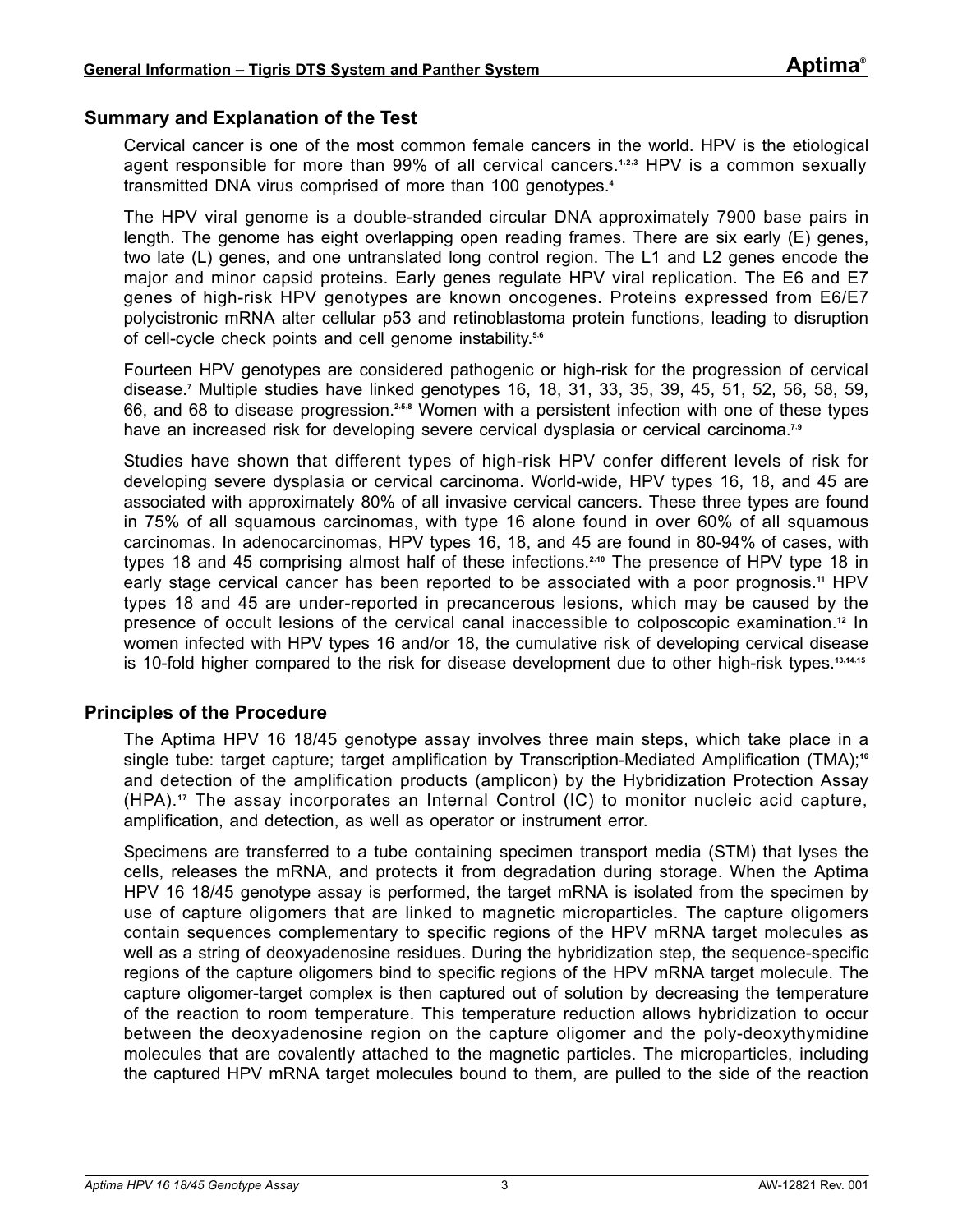#### <span id="page-2-0"></span>**Summary and Explanation of the Test**

Cervical cancer is one of the most common female cancers in the world. HPV is the etiological agent responsible for more than 99% of all cervical cancers.**[1](#page-85-1)**,**[2](#page-85-2)**,**[3](#page-85-3)** HPV is a common sexually transmitted DNA virus comprised of more than 100 genotypes.**[4](#page-85-4)**

The HPV viral genome is a double-stranded circular DNA approximately 7900 base pairs in length. The genome has eight overlapping open reading frames. There are six early (E) genes, two late (L) genes, and one untranslated long control region. The L1 and L2 genes encode the major and minor capsid proteins. Early genes regulate HPV viral replication. The E6 and E7 genes of high-risk HPV genotypes are known oncogenes. Proteins expressed from E6/E7 polycistronic mRNA alter cellular p53 and retinoblastoma protein functions, leading to disruption of cell-cycle check points and cell genome instability.**[5](#page-85-5)**,**[6](#page-85-6)**

Fourteen HPV genotypes are considered pathogenic or high-risk for the progression of cervical disease.**[7](#page-85-7)** Multiple studies have linked genotypes 16, 18, 31, 33, 35, 39, 45, 51, 52, 56, 58, 59, 66, and 68 to disease progression.**[2](#page-85-2)**,**[5](#page-85-5)**,**[8](#page-85-8)** Women with a persistent infection with one of these types have an increased risk for developing severe cervical dysplasia or cervical carcinoma.<sup>[7](#page-85-7)[9](#page-85-9)</sup>

Studies have shown that different types of high-risk HPV confer different levels of risk for developing severe dysplasia or cervical carcinoma. World-wide, HPV types 16, 18, and 45 are associated with approximately 80% of all invasive cervical cancers. These three types are found in 75% of all squamous carcinomas, with type 16 alone found in over 60% of all squamous carcinomas. In adenocarcinomas, HPV types 16, 18, and 45 are found in 80-94% of cases, with types 18 and 45 comprising almost half of these infections.**[2](#page-85-2)**,**[10](#page-85-10)** The presence of HPV type 18 in early stage cervical cancer has been reported to be associated with a poor prognosis.**[11](#page-85-11)** HPV types 18 and 45 are under-reported in precancerous lesions, which may be caused by the presence of occult lesions of the cervical canal inaccessible to colposcopic examination.**[12](#page-85-12)** In women infected with HPV types 16 and/or 18, the cumulative risk of developing cervical disease is 10-fold higher compared to the risk for disease development due to other high-risk types.**[13](#page-85-13)**,**[14](#page-85-14)**,**[15](#page-85-15)**

#### <span id="page-2-1"></span>**Principles of the Procedure**

The Aptima HPV 16 18/45 genotype assay involves three main steps, which take place in a single tube: target capture; target amplification by Transcription-Mediated Amplification (TMA);**[16](#page-85-16)** and detection of the amplification products (amplicon) by the Hybridization Protection Assay (HPA).**[17](#page-85-17)** The assay incorporates an Internal Control (IC) to monitor nucleic acid capture, amplification, and detection, as well as operator or instrument error.

Specimens are transferred to a tube containing specimen transport media (STM) that lyses the cells, releases the mRNA, and protects it from degradation during storage. When the Aptima HPV 16 18/45 genotype assay is performed, the target mRNA is isolated from the specimen by use of capture oligomers that are linked to magnetic microparticles. The capture oligomers contain sequences complementary to specific regions of the HPV mRNA target molecules as well as a string of deoxyadenosine residues. During the hybridization step, the sequence-specific regions of the capture oligomers bind to specific regions of the HPV mRNA target molecule. The capture oligomer-target complex is then captured out of solution by decreasing the temperature of the reaction to room temperature. This temperature reduction allows hybridization to occur between the deoxyadenosine region on the capture oligomer and the poly-deoxythymidine molecules that are covalently attached to the magnetic particles. The microparticles, including the captured HPV mRNA target molecules bound to them, are pulled to the side of the reaction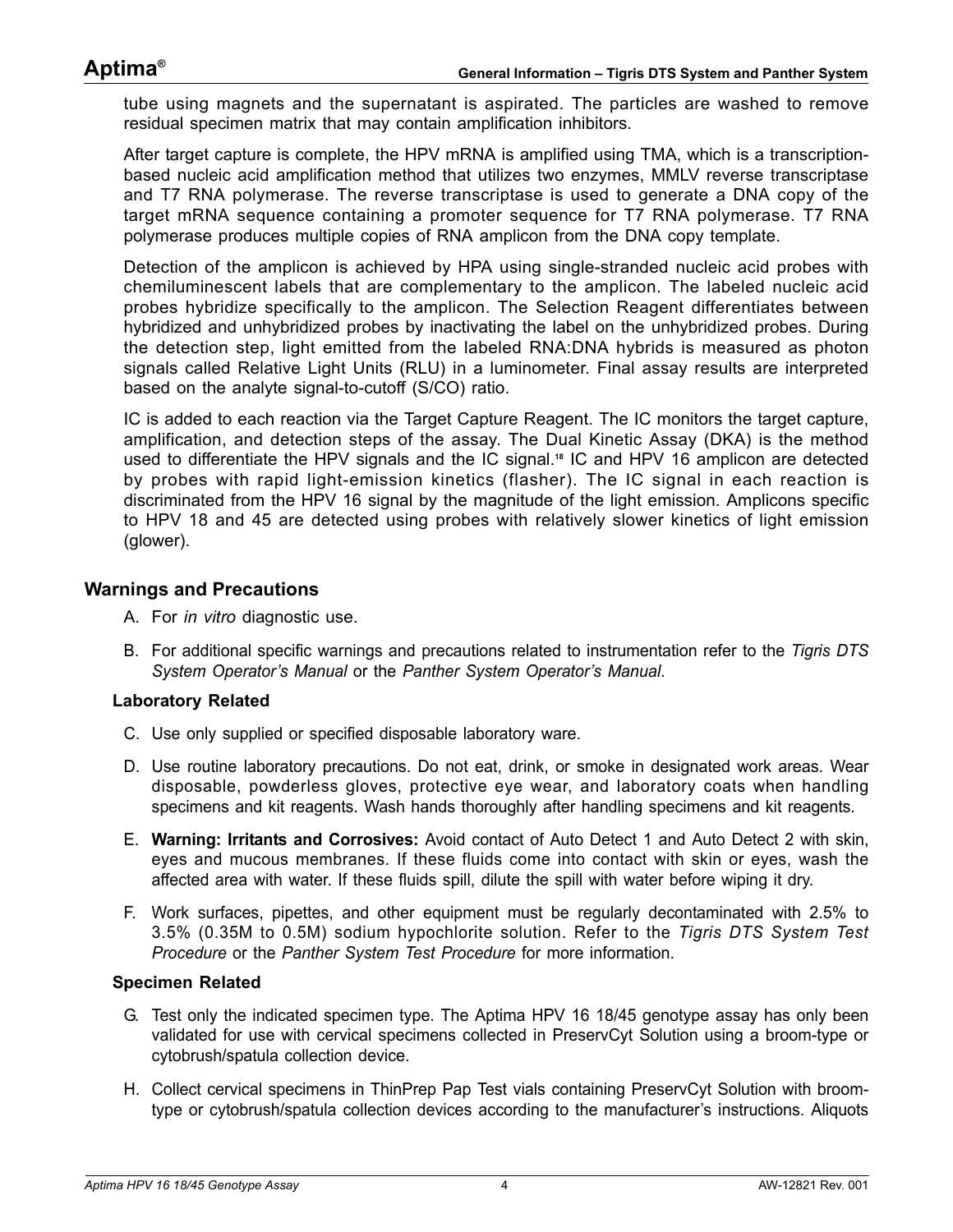tube using magnets and the supernatant is aspirated. The particles are washed to remove residual specimen matrix that may contain amplification inhibitors.

After target capture is complete, the HPV mRNA is amplified using TMA, which is a transcriptionbased nucleic acid amplification method that utilizes two enzymes, MMLV reverse transcriptase and T7 RNA polymerase. The reverse transcriptase is used to generate a DNA copy of the target mRNA sequence containing a promoter sequence for T7 RNA polymerase. T7 RNA polymerase produces multiple copies of RNA amplicon from the DNA copy template.

Detection of the amplicon is achieved by HPA using single-stranded nucleic acid probes with chemiluminescent labels that are complementary to the amplicon. The labeled nucleic acid probes hybridize specifically to the amplicon. The Selection Reagent differentiates between hybridized and unhybridized probes by inactivating the label on the unhybridized probes. During the detection step, light emitted from the labeled RNA:DNA hybrids is measured as photon signals called Relative Light Units (RLU) in a luminometer. Final assay results are interpreted based on the analyte signal-to-cutoff (S/CO) ratio.

IC is added to each reaction via the Target Capture Reagent. The IC monitors the target capture, amplification, and detection steps of the assay. The Dual Kinetic Assay (DKA) is the method used to differentiate the HPV signals and the IC signal.**[18](#page-85-18)** IC and HPV 16 amplicon are detected by probes with rapid light-emission kinetics (flasher). The IC signal in each reaction is discriminated from the HPV 16 signal by the magnitude of the light emission. Amplicons specific to HPV 18 and 45 are detected using probes with relatively slower kinetics of light emission (glower).

#### <span id="page-3-0"></span>**Warnings and Precautions**

- A. For *in vitro* diagnostic use.
- B. For additional specific warnings and precautions related to instrumentation refer to the *Tigris DTS System Operator's Manual* or the *Panther System Operator's Manual*.

#### **Laboratory Related**

- C. Use only supplied or specified disposable laboratory ware.
- D. Use routine laboratory precautions. Do not eat, drink, or smoke in designated work areas. Wear disposable, powderless gloves, protective eye wear, and laboratory coats when handling specimens and kit reagents. Wash hands thoroughly after handling specimens and kit reagents.
- E. **Warning: Irritants and Corrosives:** Avoid contact of Auto Detect 1 and Auto Detect 2 with skin, eyes and mucous membranes. If these fluids come into contact with skin or eyes, wash the affected area with water. If these fluids spill, dilute the spill with water before wiping it dry.
- F. Work surfaces, pipettes, and other equipment must be regularly decontaminated with 2.5% to 3.5% (0.35M to 0.5M) sodium hypochlorite solution. Refer to the *[Tigris DTS System Test](#page-9-0) [Procedure](#page-9-0)* or the *[Panther System Test Procedure](#page-15-0)* for more information.

#### **Specimen Related**

- G. Test only the indicated specimen type. The Aptima HPV 16 18/45 genotype assay has only been validated for use with cervical specimens collected in PreservCyt Solution using a broom-type or cytobrush/spatula collection device.
- H. Collect cervical specimens in ThinPrep Pap Test vials containing PreservCyt Solution with broomtype or cytobrush/spatula collection devices according to the manufacturer's instructions. Aliquots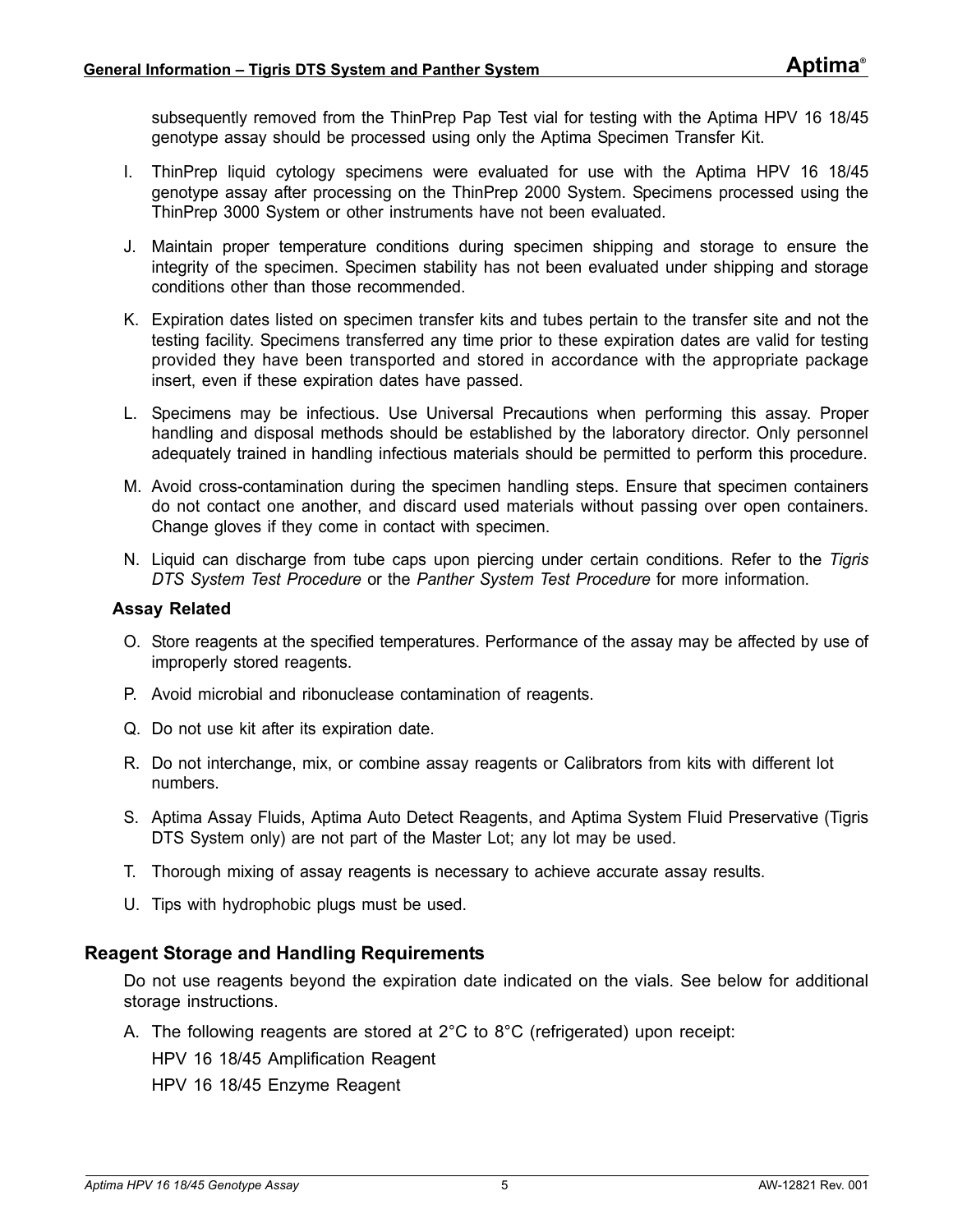subsequently removed from the ThinPrep Pap Test vial for testing with the Aptima HPV 16 18/45 genotype assay should be processed using only the Aptima Specimen Transfer Kit.

- I. ThinPrep liquid cytology specimens were evaluated for use with the Aptima HPV 16 18/45 genotype assay after processing on the ThinPrep 2000 System. Specimens processed using the ThinPrep 3000 System or other instruments have not been evaluated.
- J. Maintain proper temperature conditions during specimen shipping and storage to ensure the integrity of the specimen. Specimen stability has not been evaluated under shipping and storage conditions other than those recommended.
- K. Expiration dates listed on specimen transfer kits and tubes pertain to the transfer site and not the testing facility. Specimens transferred any time prior to these expiration dates are valid for testing provided they have been transported and stored in accordance with the appropriate package insert, even if these expiration dates have passed.
- L. Specimens may be infectious. Use Universal Precautions when performing this assay. Proper handling and disposal methods should be established by the laboratory director. Only personnel adequately trained in handling infectious materials should be permitted to perform this procedure.
- M. Avoid cross-contamination during the specimen handling steps. Ensure that specimen containers do not contact one another, and discard used materials without passing over open containers. Change gloves if they come in contact with specimen.
- N. Liquid can discharge from tube caps upon piercing under certain conditions. Refer to the *[Tigris](#page-9-0) [DTS System Test Procedure](#page-9-0)* or the *[Panther System Test Procedure](#page-15-0)* for more information.

#### **Assay Related**

- O. Store reagents at the specified temperatures. Performance of the assay may be affected by use of improperly stored reagents.
- P. Avoid microbial and ribonuclease contamination of reagents.
- Q. Do not use kit after its expiration date.
- R. Do not interchange, mix, or combine assay reagents or Calibrators from kits with different lot numbers.
- S. Aptima Assay Fluids, Aptima Auto Detect Reagents, and Aptima System Fluid Preservative (Tigris DTS System only) are not part of the Master Lot; any lot may be used.
- T. Thorough mixing of assay reagents is necessary to achieve accurate assay results.
- U. Tips with hydrophobic plugs must be used.

#### <span id="page-4-0"></span>**Reagent Storage and Handling Requirements**

Do not use reagents beyond the expiration date indicated on the vials. See below for additional storage instructions.

A. The following reagents are stored at 2°C to 8°C (refrigerated) upon receipt: HPV 16 18/45 Amplification Reagent HPV 16 18/45 Enzyme Reagent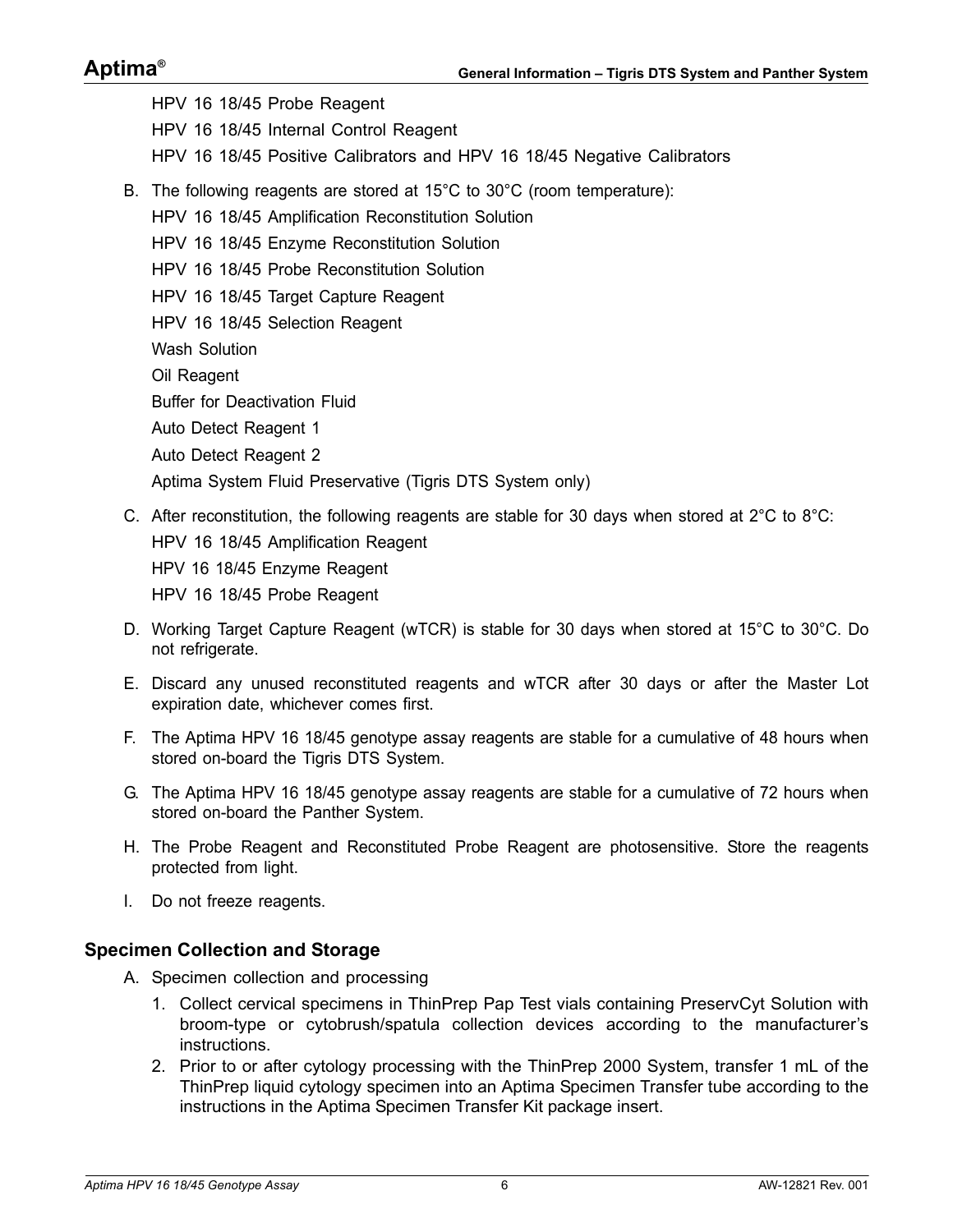# **Aptima®**

HPV 16 18/45 Probe Reagent HPV 16 18/45 Internal Control Reagent HPV 16 18/45 Positive Calibrators and HPV 16 18/45 Negative Calibrators B. The following reagents are stored at 15°C to 30°C (room temperature): HPV 16 18/45 Amplification Reconstitution Solution HPV 16 18/45 Enzyme Reconstitution Solution HPV 16 18/45 Probe Reconstitution Solution HPV 16 18/45 Target Capture Reagent HPV 16 18/45 Selection Reagent Wash Solution Oil Reagent Buffer for Deactivation Fluid Auto Detect Reagent 1 Auto Detect Reagent 2 Aptima System Fluid Preservative (Tigris DTS System only)

- C. After reconstitution, the following reagents are stable for 30 days when stored at  $2^{\circ}$ C to  $8^{\circ}$ C: HPV 16 18/45 Amplification Reagent HPV 16 18/45 Enzyme Reagent HPV 16 18/45 Probe Reagent
- D. Working Target Capture Reagent (wTCR) is stable for 30 days when stored at 15°C to 30°C. Do not refrigerate.
- E. Discard any unused reconstituted reagents and wTCR after 30 days or after the Master Lot expiration date, whichever comes first.
- F. The Aptima HPV 16 18/45 genotype assay reagents are stable for a cumulative of 48 hours when stored on-board the Tigris DTS System.
- G. The Aptima HPV 16 18/45 genotype assay reagents are stable for a cumulative of 72 hours when stored on-board the Panther System.
- H. The Probe Reagent and Reconstituted Probe Reagent are photosensitive. Store the reagents protected from light.
- I. Do not freeze reagents.

#### <span id="page-5-0"></span>**Specimen Collection and Storage**

- A. Specimen collection and processing
	- 1. Collect cervical specimens in ThinPrep Pap Test vials containing PreservCyt Solution with broom-type or cytobrush/spatula collection devices according to the manufacturer's instructions.
	- 2. Prior to or after cytology processing with the ThinPrep 2000 System, transfer 1 mL of the ThinPrep liquid cytology specimen into an Aptima Specimen Transfer tube according to the instructions in the Aptima Specimen Transfer Kit package insert.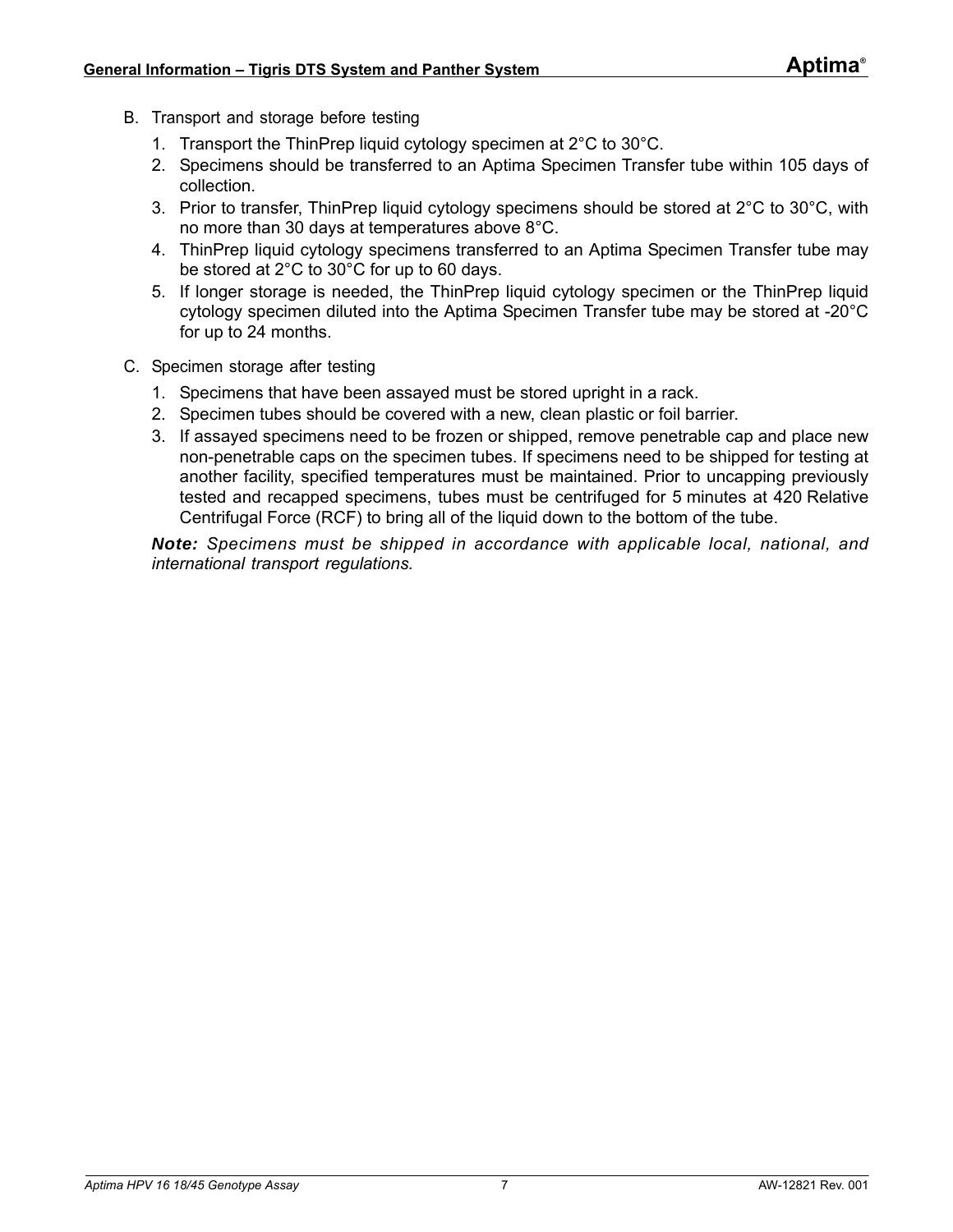- B. Transport and storage before testing
	- 1. Transport the ThinPrep liquid cytology specimen at 2°C to 30°C.
	- 2. Specimens should be transferred to an Aptima Specimen Transfer tube within 105 days of collection.
	- 3. Prior to transfer, ThinPrep liquid cytology specimens should be stored at 2°C to 30°C, with no more than 30 days at temperatures above 8°C.
	- 4. ThinPrep liquid cytology specimens transferred to an Aptima Specimen Transfer tube may be stored at 2°C to 30°C for up to 60 days.
	- 5. If longer storage is needed, the ThinPrep liquid cytology specimen or the ThinPrep liquid cytology specimen diluted into the Aptima Specimen Transfer tube may be stored at -20°C for up to 24 months.
- C. Specimen storage after testing
	- 1. Specimens that have been assayed must be stored upright in a rack.
	- 2. Specimen tubes should be covered with a new, clean plastic or foil barrier.
	- 3. If assayed specimens need to be frozen or shipped, remove penetrable cap and place new non-penetrable caps on the specimen tubes. If specimens need to be shipped for testing at another facility, specified temperatures must be maintained. Prior to uncapping previously tested and recapped specimens, tubes must be centrifuged for 5 minutes at 420 Relative Centrifugal Force (RCF) to bring all of the liquid down to the bottom of the tube.

*Note: Specimens must be shipped in accordance with applicable local, national, and international transport regulations.*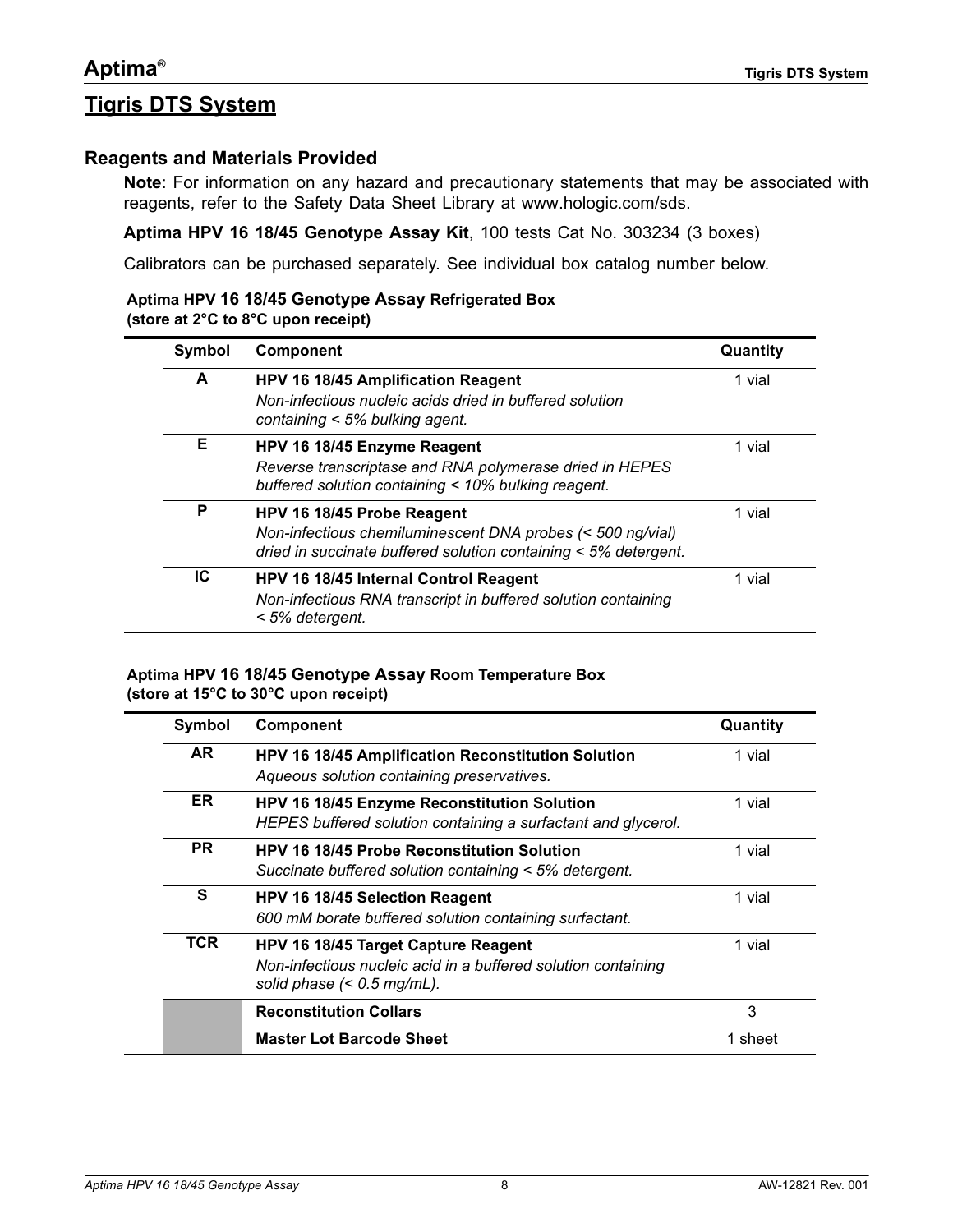# <span id="page-7-0"></span>**Tigris DTS System**

#### <span id="page-7-1"></span>**Reagents and Materials Provided**

**Note**: For information on any hazard and precautionary statements that may be associated with reagents, refer to the Safety Data Sheet Library at [www.hologic.com/sds.](http://www.hologic.com/sds)

**Aptima HPV 16 18/45 Genotype Assay Kit**, 100 tests Cat No. 303234 (3 boxes)

Calibrators can be purchased separately. See individual box catalog number below.

#### **Aptima HPV 16 18/45 Genotype Assay Refrigerated Box (store at 2°C to 8°C upon receipt)**

| Symbol<br>Component |                                                                                                                                                               | Quantity |  |
|---------------------|---------------------------------------------------------------------------------------------------------------------------------------------------------------|----------|--|
| A                   | HPV 16 18/45 Amplification Reagent<br>Non-infectious nucleic acids dried in buffered solution<br>containing $<$ 5% bulking agent.                             | 1 vial   |  |
| Е                   | HPV 16 18/45 Enzyme Reagent<br>Reverse transcriptase and RNA polymerase dried in HEPES<br>buffered solution containing < 10% bulking reagent.                 | 1 vial   |  |
| P                   | HPV 16 18/45 Probe Reagent<br>Non-infectious chemiluminescent DNA probes (< 500 ng/vial)<br>dried in succinate buffered solution containing $<$ 5% detergent. | 1 vial   |  |
| IC                  | HPV 16 18/45 Internal Control Reagent<br>Non-infectious RNA transcript in buffered solution containing<br>< 5% detergent.                                     | 1 vial   |  |

#### **Aptima HPV 16 18/45 Genotype Assay Room Temperature Box (store at 15°C to 30°C upon receipt)**

| Symbol     | <b>Component</b>                                                                                                                     | Quantity |
|------------|--------------------------------------------------------------------------------------------------------------------------------------|----------|
| AR.        | HPV 16 18/45 Amplification Reconstitution Solution<br>Aqueous solution containing preservatives.                                     | 1 vial   |
| ER.        | HPV 16 18/45 Enzyme Reconstitution Solution<br>HEPES buffered solution containing a surfactant and glycerol.                         | 1 vial   |
| <b>PR</b>  | <b>HPV 16 18/45 Probe Reconstitution Solution</b><br>Succinate buffered solution containing < 5% detergent.                          | 1 vial   |
| S          | HPV 16 18/45 Selection Reagent<br>600 mM borate buffered solution containing surfactant.                                             | 1 vial   |
| <b>TCR</b> | HPV 16 18/45 Target Capture Reagent<br>Non-infectious nucleic acid in a buffered solution containing<br>solid phase $(< 0.5$ mg/mL). | 1 vial   |
|            | <b>Reconstitution Collars</b>                                                                                                        | 3        |
|            | <b>Master Lot Barcode Sheet</b>                                                                                                      | 1 sheet  |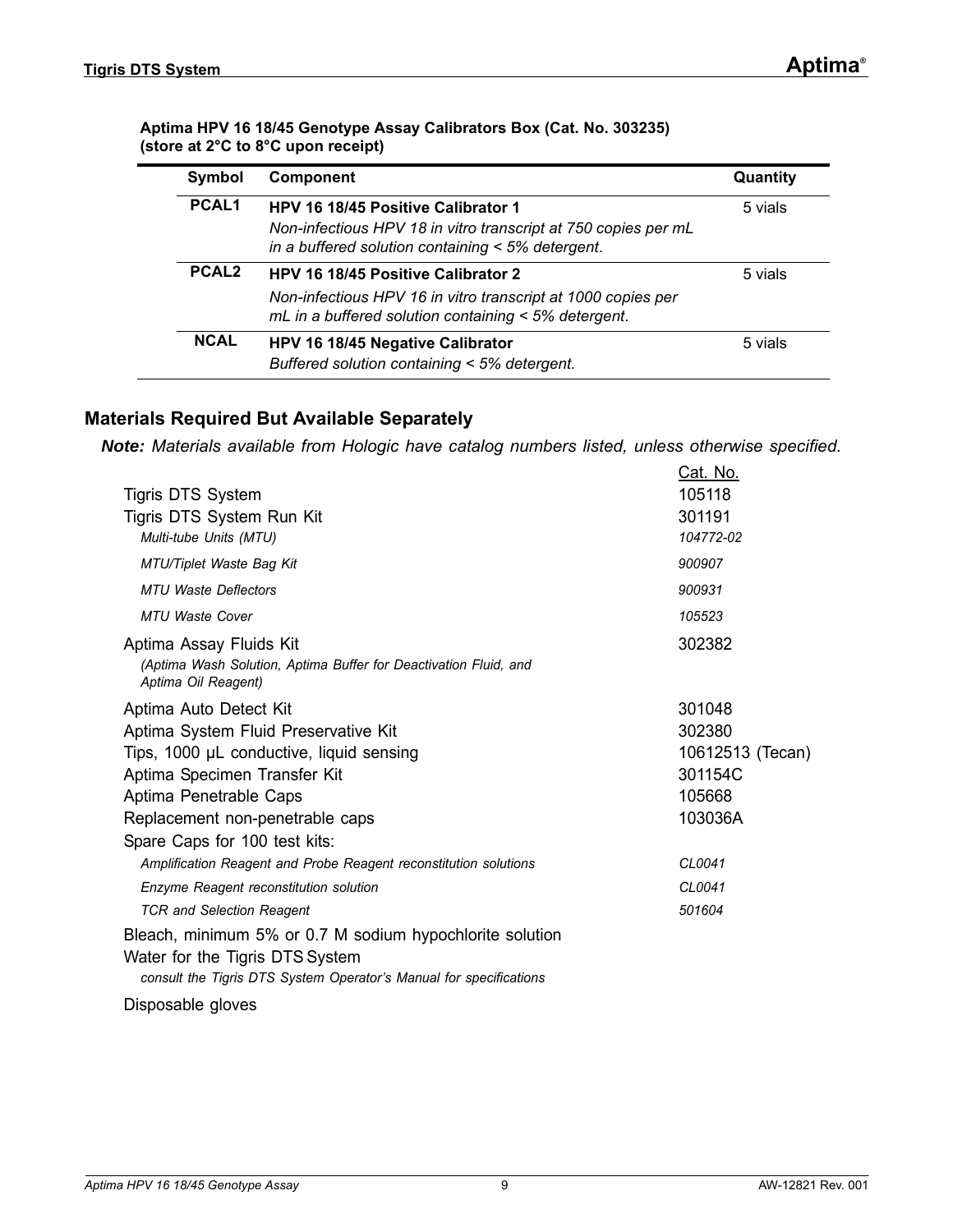#### **Aptima HPV 16 18/45 Genotype Assay Calibrators Box (Cat. No. 303235) (store at 2°C to 8°C upon receipt)**

| Symbol            | <b>Component</b>                                                                                                                                                  | Quantity |
|-------------------|-------------------------------------------------------------------------------------------------------------------------------------------------------------------|----------|
| PCAL <sub>1</sub> | HPV 16 18/45 Positive Calibrator 1<br>Non-infectious HPV 18 in vitro transcript at 750 copies per mL<br>in a buffered solution containing < 5% detergent.         | 5 vials  |
| PCAL <sub>2</sub> | <b>HPV 16 18/45 Positive Calibrator 2</b><br>Non-infectious HPV 16 in vitro transcript at 1000 copies per<br>mL in a buffered solution containing < 5% detergent. | 5 vials  |
| <b>NCAL</b>       | HPV 16 18/45 Negative Calibrator<br>Buffered solution containing < 5% detergent.                                                                                  | 5 vials  |

### <span id="page-8-0"></span>**Materials Required But Available Separately**

*Note: Materials available from Hologic have catalog numbers listed, unless otherwise specified.*

| Tigris DTS System<br>Tigris DTS System Run Kit<br>Multi-tube Units (MTU)                                                                                          | Cat. No.<br>105118<br>301191<br>104772-02 |
|-------------------------------------------------------------------------------------------------------------------------------------------------------------------|-------------------------------------------|
| MTU/Tiplet Waste Bag Kit                                                                                                                                          | 900907                                    |
| <b>MTU Waste Deflectors</b>                                                                                                                                       | 900931                                    |
| <b>MTU Waste Cover</b>                                                                                                                                            | 105523                                    |
| Aptima Assay Fluids Kit<br>(Aptima Wash Solution, Aptima Buffer for Deactivation Fluid, and<br>Aptima Oil Reagent)                                                | 302382                                    |
| Aptima Auto Detect Kit                                                                                                                                            | 301048                                    |
| Aptima System Fluid Preservative Kit                                                                                                                              | 302380                                    |
| Tips, 1000 µL conductive, liquid sensing                                                                                                                          | 10612513 (Tecan)                          |
| Aptima Specimen Transfer Kit                                                                                                                                      | 301154C                                   |
| Aptima Penetrable Caps                                                                                                                                            | 105668                                    |
| Replacement non-penetrable caps                                                                                                                                   | 103036A                                   |
| Spare Caps for 100 test kits:                                                                                                                                     |                                           |
| Amplification Reagent and Probe Reagent reconstitution solutions                                                                                                  | CL0041                                    |
| Enzyme Reagent reconstitution solution                                                                                                                            | CL0041                                    |
| <b>TCR and Selection Reagent</b>                                                                                                                                  | 501604                                    |
| Bleach, minimum 5% or 0.7 M sodium hypochlorite solution<br>Water for the Tigris DTS System<br>consult the Tigris DTS System Operator's Manual for specifications |                                           |
| Disposable gloves                                                                                                                                                 |                                           |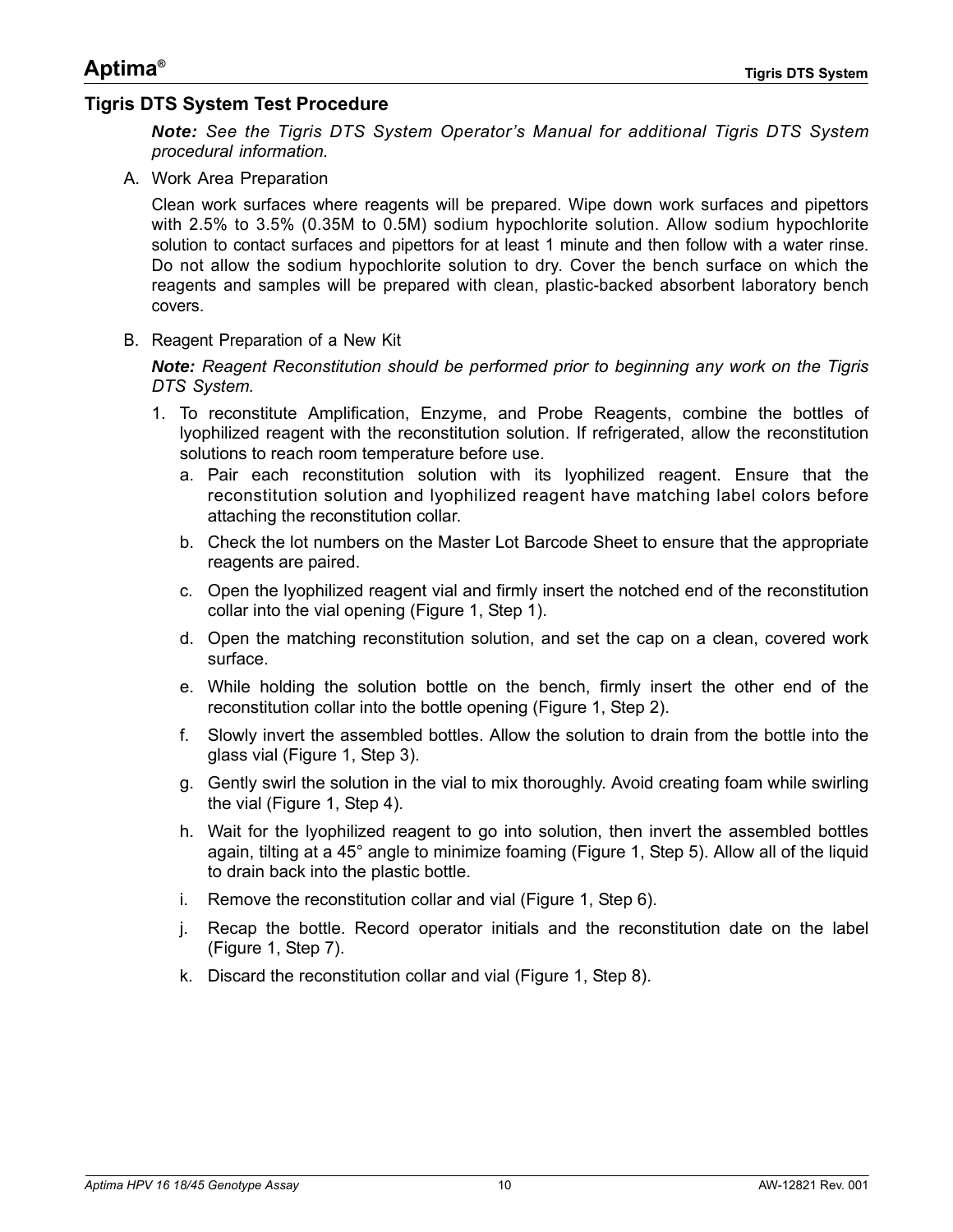#### <span id="page-9-0"></span>**Tigris DTS System Test Procedure**

*Note: See the Tigris DTS System Operator's Manual for additional Tigris DTS System procedural information.*

A. Work Area Preparation

Clean work surfaces where reagents will be prepared. Wipe down work surfaces and pipettors with 2.5% to 3.5% (0.35M to 0.5M) sodium hypochlorite solution. Allow sodium hypochlorite solution to contact surfaces and pipettors for at least 1 minute and then follow with a water rinse. Do not allow the sodium hypochlorite solution to dry. Cover the bench surface on which the reagents and samples will be prepared with clean, plastic-backed absorbent laboratory bench covers.

B. Reagent Preparation of a New Kit

*Note: Reagent Reconstitution should be performed prior to beginning any work on the Tigris DTS System.*

- 1. To reconstitute Amplification, Enzyme, and Probe Reagents, combine the bottles of lyophilized reagent with the reconstitution solution. If refrigerated, allow the reconstitution solutions to reach room temperature before use.
	- a. Pair each reconstitution solution with its lyophilized reagent. Ensure that the reconstitution solution and lyophilized reagent have matching label colors before attaching the reconstitution collar.
	- b. Check the lot numbers on the Master Lot Barcode Sheet to ensure that the appropriate reagents are paired.
	- c. Open the lyophilized reagent vial and firmly insert the notched end of the reconstitution collar into the vial opening [\(Figure 1,](#page-10-0) Step 1).
	- d. Open the matching reconstitution solution, and set the cap on a clean, covered work surface.
	- e. While holding the solution bottle on the bench, firmly insert the other end of the reconstitution collar into the bottle opening [\(Figure 1](#page-10-0), Step 2).
	- f. Slowly invert the assembled bottles. Allow the solution to drain from the bottle into the glass vial [\(Figure 1,](#page-10-0) Step 3).
	- g. Gently swirl the solution in the vial to mix thoroughly. Avoid creating foam while swirling the vial ([Figure 1](#page-10-0), Step 4).
	- h. Wait for the lyophilized reagent to go into solution, then invert the assembled bottles again, tilting at a 45° angle to minimize foaming ([Figure 1](#page-10-0), Step 5). Allow all of the liquid to drain back into the plastic bottle.
	- i. Remove the reconstitution collar and vial [\(Figure 1](#page-10-0), Step 6).
	- j. Recap the bottle. Record operator initials and the reconstitution date on the label [\(Figure 1](#page-10-0), Step 7).
	- k. Discard the reconstitution collar and vial [\(Figure 1,](#page-10-0) Step 8).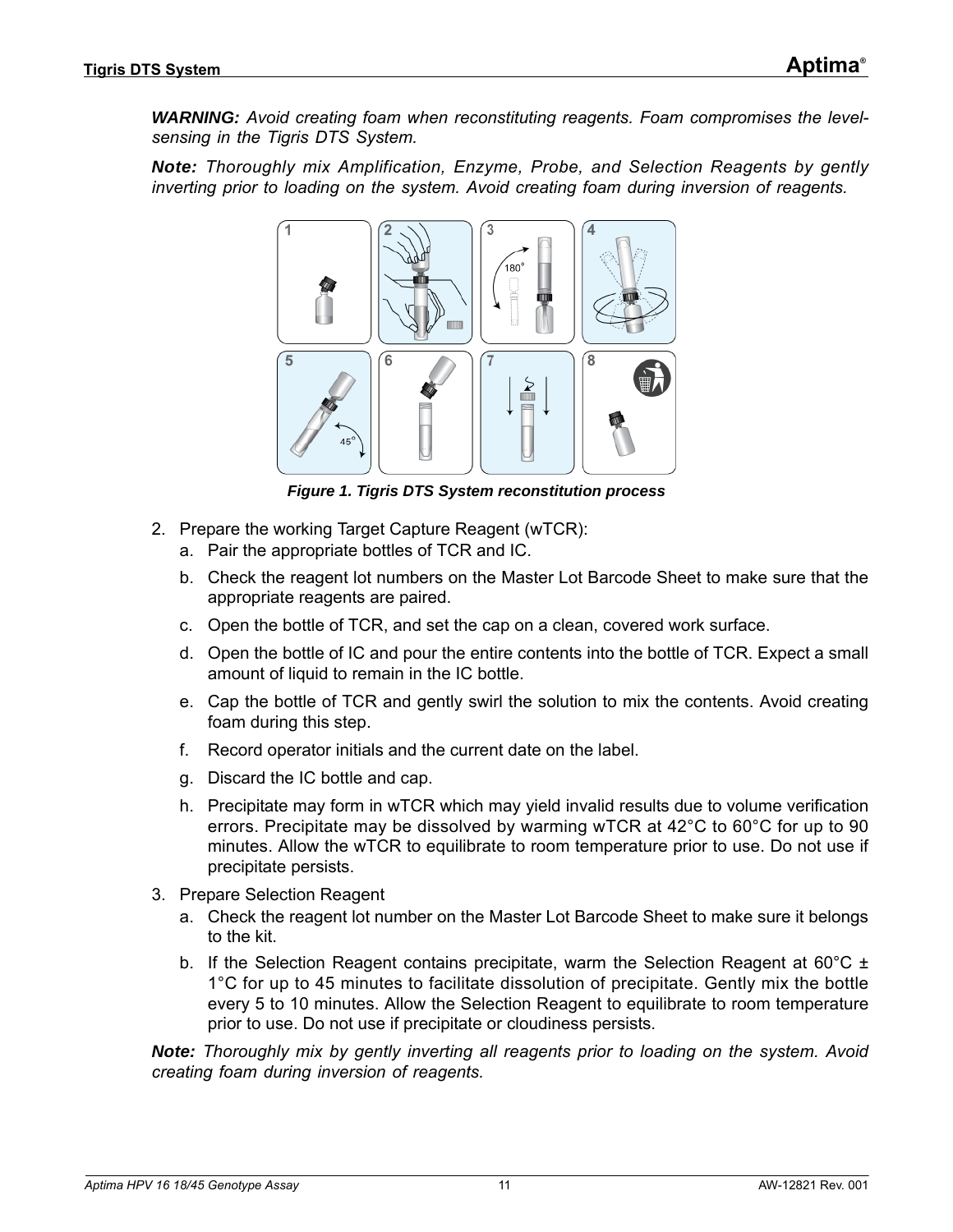*WARNING: Avoid creating foam when reconstituting reagents. Foam compromises the levelsensing in the Tigris DTS System.*

*Note: Thoroughly mix Amplification, Enzyme, Probe, and Selection Reagents by gently inverting prior to loading on the system. Avoid creating foam during inversion of reagents.*



*Figure 1. Tigris DTS System reconstitution process*

- <span id="page-10-0"></span>2. Prepare the working Target Capture Reagent (wTCR):
	- a. Pair the appropriate bottles of TCR and IC.
	- b. Check the reagent lot numbers on the Master Lot Barcode Sheet to make sure that the appropriate reagents are paired.
	- c. Open the bottle of TCR, and set the cap on a clean, covered work surface.
	- d. Open the bottle of IC and pour the entire contents into the bottle of TCR. Expect a small amount of liquid to remain in the IC bottle.
	- e. Cap the bottle of TCR and gently swirl the solution to mix the contents. Avoid creating foam during this step.
	- f. Record operator initials and the current date on the label.
	- g. Discard the IC bottle and cap.
	- h. Precipitate may form in wTCR which may yield invalid results due to volume verification errors. Precipitate may be dissolved by warming wTCR at 42°C to 60°C for up to 90 minutes. Allow the wTCR to equilibrate to room temperature prior to use. Do not use if precipitate persists.
- 3. Prepare Selection Reagent
	- a. Check the reagent lot number on the Master Lot Barcode Sheet to make sure it belongs to the kit.
	- b. If the Selection Reagent contains precipitate, warm the Selection Reagent at 60°C  $\pm$ 1°C for up to 45 minutes to facilitate dissolution of precipitate. Gently mix the bottle every 5 to 10 minutes. Allow the Selection Reagent to equilibrate to room temperature prior to use. Do not use if precipitate or cloudiness persists.

*Note: Thoroughly mix by gently inverting all reagents prior to loading on the system. Avoid creating foam during inversion of reagents.*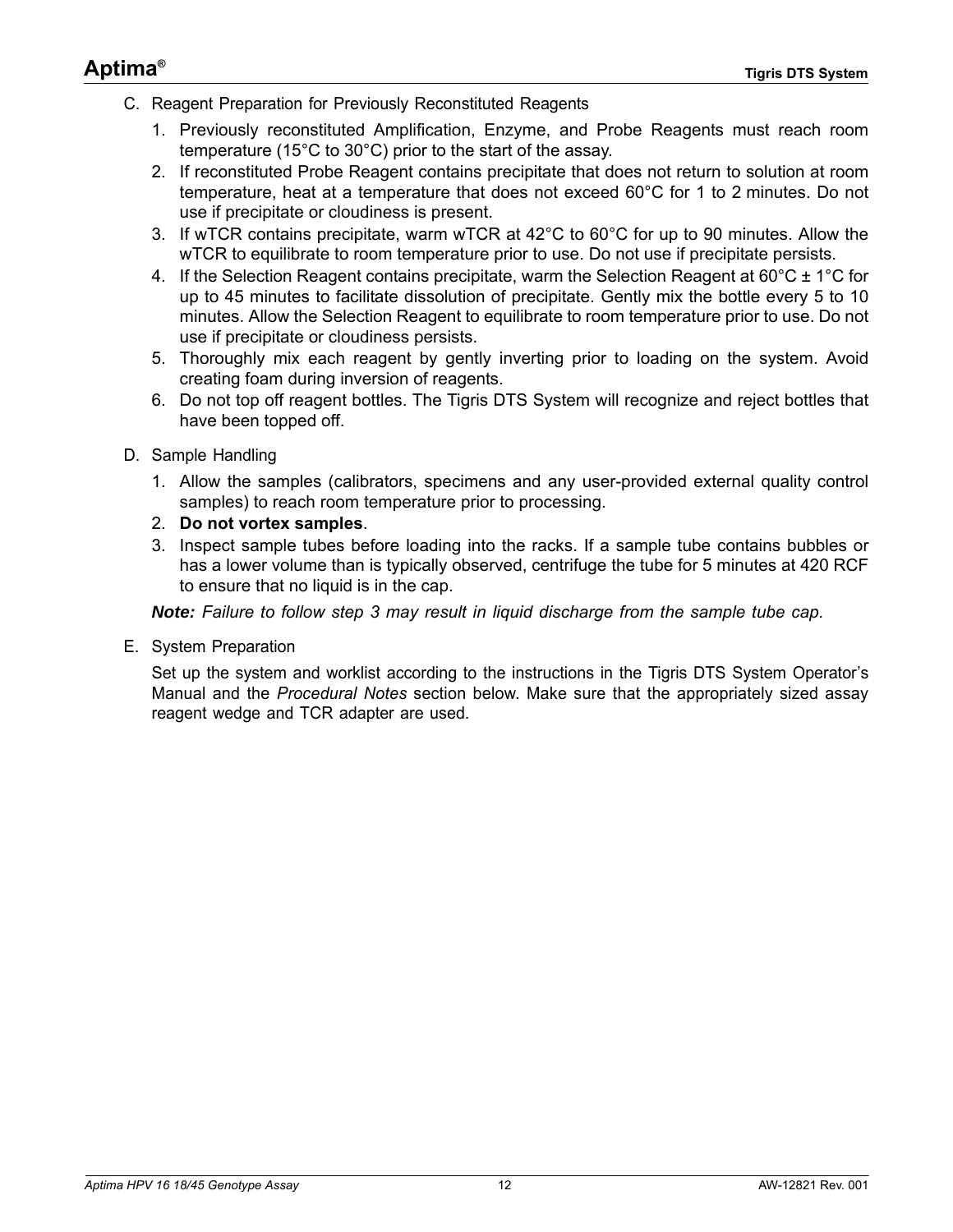- C. Reagent Preparation for Previously Reconstituted Reagents
	- 1. Previously reconstituted Amplification, Enzyme, and Probe Reagents must reach room temperature (15°C to 30°C) prior to the start of the assay.
	- 2. If reconstituted Probe Reagent contains precipitate that does not return to solution at room temperature, heat at a temperature that does not exceed 60°C for 1 to 2 minutes. Do not use if precipitate or cloudiness is present.
	- 3. If wTCR contains precipitate, warm wTCR at 42°C to 60°C for up to 90 minutes. Allow the wTCR to equilibrate to room temperature prior to use. Do not use if precipitate persists.
	- 4. If the Selection Reagent contains precipitate, warm the Selection Reagent at  $60^{\circ}$ C  $\pm$  1<sup>o</sup>C for up to 45 minutes to facilitate dissolution of precipitate. Gently mix the bottle every 5 to 10 minutes. Allow the Selection Reagent to equilibrate to room temperature prior to use. Do not use if precipitate or cloudiness persists.
	- 5. Thoroughly mix each reagent by gently inverting prior to loading on the system. Avoid creating foam during inversion of reagents.
	- 6. Do not top off reagent bottles. The Tigris DTS System will recognize and reject bottles that have been topped off.
- D. Sample Handling
	- 1. Allow the samples (calibrators, specimens and any user-provided external quality control samples) to reach room temperature prior to processing.
	- 2. **Do not vortex samples**.
	- 3. Inspect sample tubes before loading into the racks. If a sample tube contains bubbles or has a lower volume than is typically observed, centrifuge the tube for 5 minutes at 420 RCF to ensure that no liquid is in the cap.

*Note: Failure to follow step 3 may result in liquid discharge from the sample tube cap.*

E. System Preparation

Set up the system and worklist according to the instructions in the Tigris DTS System Operator's Manual and the *[Procedural Notes](#page-12-0)* section below. Make sure that the appropriately sized assay reagent wedge and TCR adapter are used.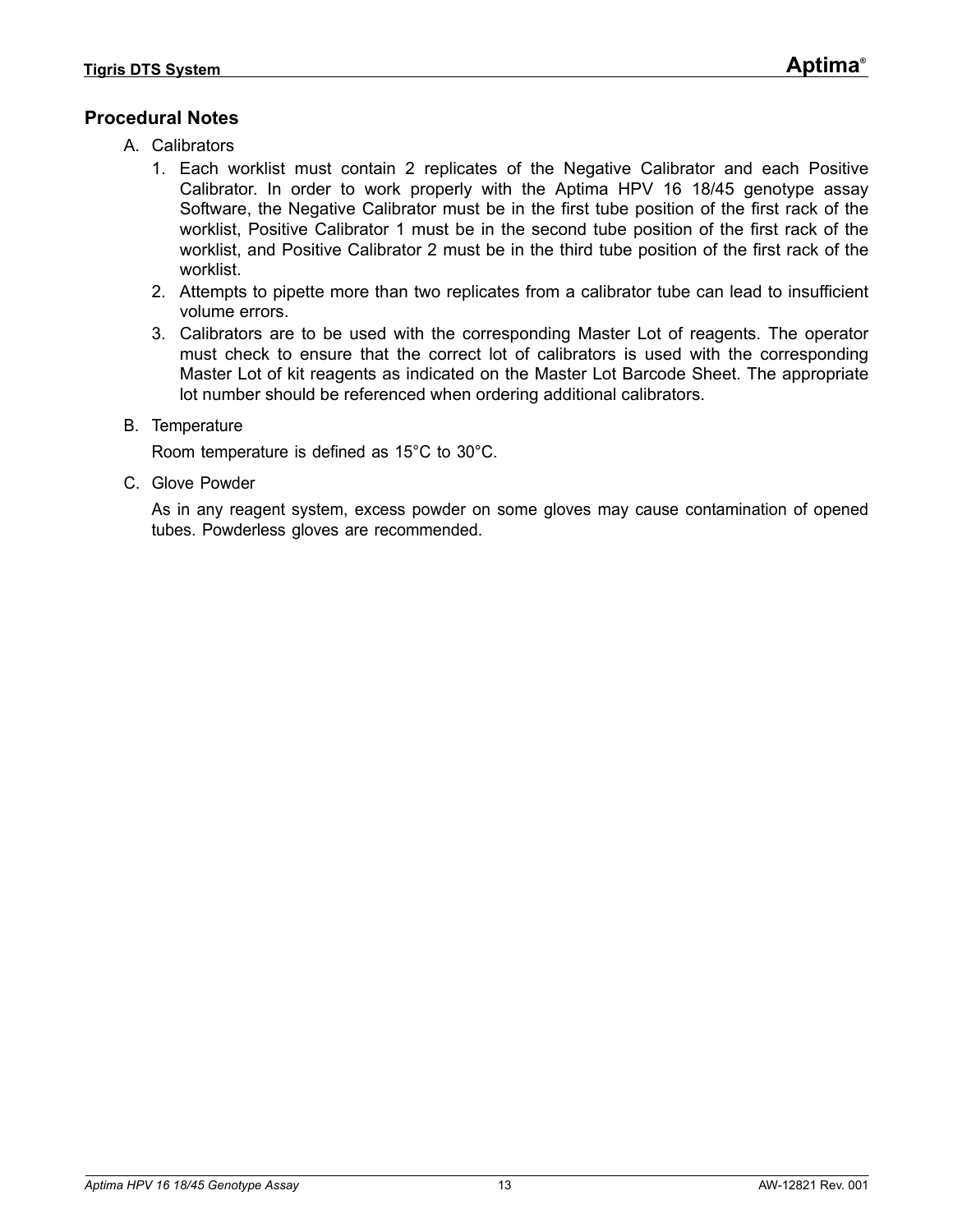### <span id="page-12-0"></span>**Procedural Notes**

- A. Calibrators
	- 1. Each worklist must contain 2 replicates of the Negative Calibrator and each Positive Calibrator. In order to work properly with the Aptima HPV 16 18/45 genotype assay Software, the Negative Calibrator must be in the first tube position of the first rack of the worklist, Positive Calibrator 1 must be in the second tube position of the first rack of the worklist, and Positive Calibrator 2 must be in the third tube position of the first rack of the worklist.
	- 2. Attempts to pipette more than two replicates from a calibrator tube can lead to insufficient volume errors.
	- 3. Calibrators are to be used with the corresponding Master Lot of reagents. The operator must check to ensure that the correct lot of calibrators is used with the corresponding Master Lot of kit reagents as indicated on the Master Lot Barcode Sheet. The appropriate lot number should be referenced when ordering additional calibrators.
- B. Temperature

Room temperature is defined as 15°C to 30°C.

C. Glove Powder

As in any reagent system, excess powder on some gloves may cause contamination of opened tubes. Powderless gloves are recommended.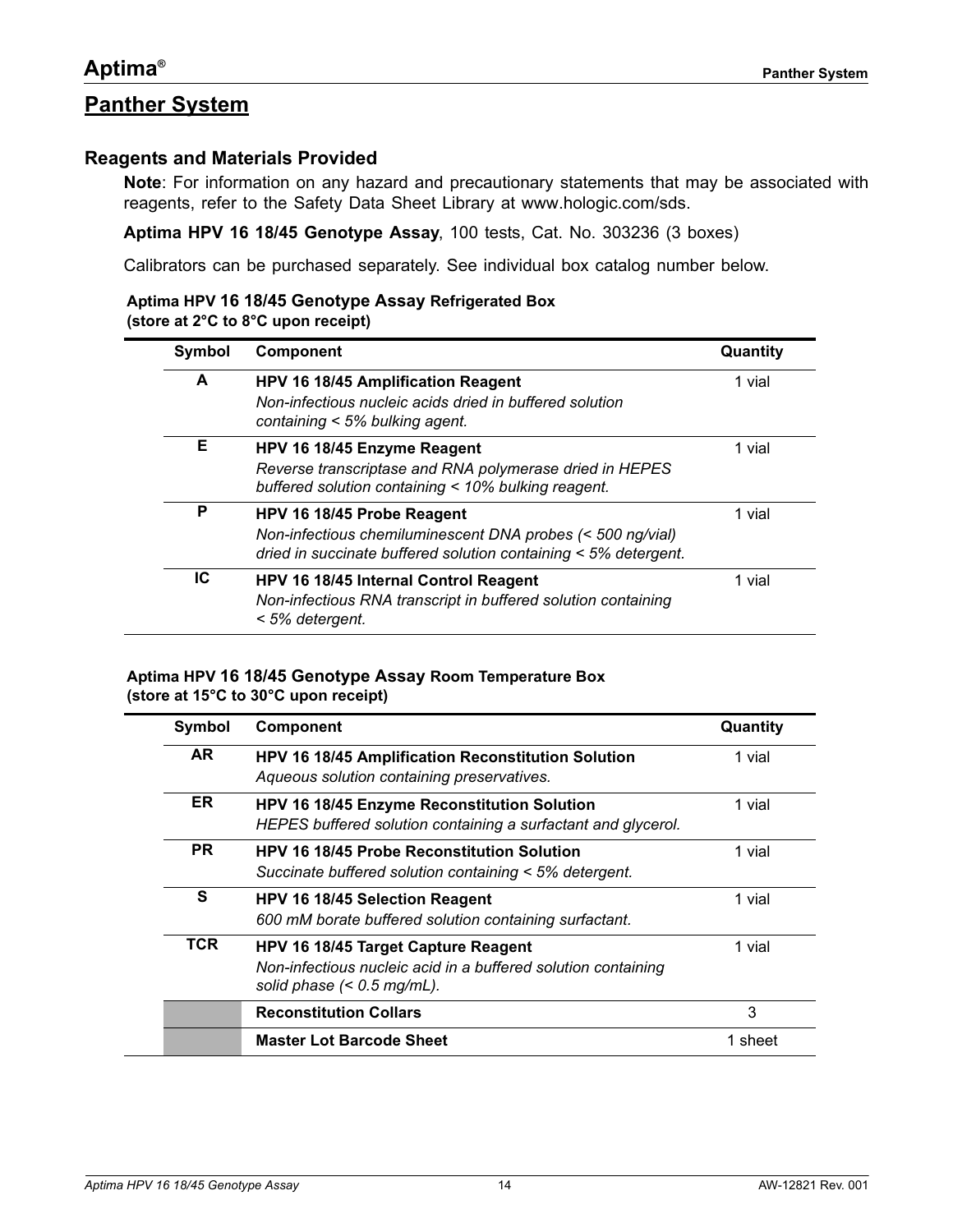#### <span id="page-13-1"></span><span id="page-13-0"></span>**Reagents and Materials Provided**

**Note**: For information on any hazard and precautionary statements that may be associated with reagents, refer to the Safety Data Sheet Library at [www.hologic.com/sds.](http://www.hologic.com/sds)

**Aptima HPV 16 18/45 Genotype Assay**, 100 tests, Cat. No. 303236 (3 boxes)

Calibrators can be purchased separately. See individual box catalog number below.

#### **Aptima HPV 16 18/45 Genotype Assay Refrigerated Box (store at 2°C to 8°C upon receipt)**

| Symbol<br><b>Component</b> |                                                                                                                                                             | Quantity |  |
|----------------------------|-------------------------------------------------------------------------------------------------------------------------------------------------------------|----------|--|
| A                          | HPV 16 18/45 Amplification Reagent<br>Non-infectious nucleic acids dried in buffered solution<br>containing $<$ 5% bulking agent.                           | 1 vial   |  |
| Е                          | HPV 16 18/45 Enzyme Reagent<br>Reverse transcriptase and RNA polymerase dried in HEPES<br>buffered solution containing < 10% bulking reagent.               | 1 vial   |  |
| P                          | HPV 16 18/45 Probe Reagent<br>Non-infectious chemiluminescent DNA probes (< 500 ng/vial)<br>dried in succinate buffered solution containing < 5% detergent. | 1 vial   |  |
| IC                         | <b>HPV 16 18/45 Internal Control Reagent</b><br>Non-infectious RNA transcript in buffered solution containing<br>< 5% detergent.                            | 1 vial   |  |

#### **Aptima HPV 16 18/45 Genotype Assay Room Temperature Box (store at 15°C to 30°C upon receipt)**

| Symbol    | <b>Component</b>                                                                                                                     | Quantity |
|-----------|--------------------------------------------------------------------------------------------------------------------------------------|----------|
| AR.       | HPV 16 18/45 Amplification Reconstitution Solution<br>Aqueous solution containing preservatives.                                     | 1 vial   |
| ER.       | HPV 16 18/45 Enzyme Reconstitution Solution<br>HEPES buffered solution containing a surfactant and glycerol.                         | 1 vial   |
| <b>PR</b> | <b>HPV 16 18/45 Probe Reconstitution Solution</b><br>Succinate buffered solution containing < 5% detergent.                          | 1 vial   |
| S         | HPV 16 18/45 Selection Reagent<br>600 mM borate buffered solution containing surfactant.                                             | 1 vial   |
| TCR       | HPV 16 18/45 Target Capture Reagent<br>Non-infectious nucleic acid in a buffered solution containing<br>solid phase $(< 0.5$ mg/mL). | 1 vial   |
|           | <b>Reconstitution Collars</b>                                                                                                        | 3        |
|           | <b>Master Lot Barcode Sheet</b>                                                                                                      | 1 sheet  |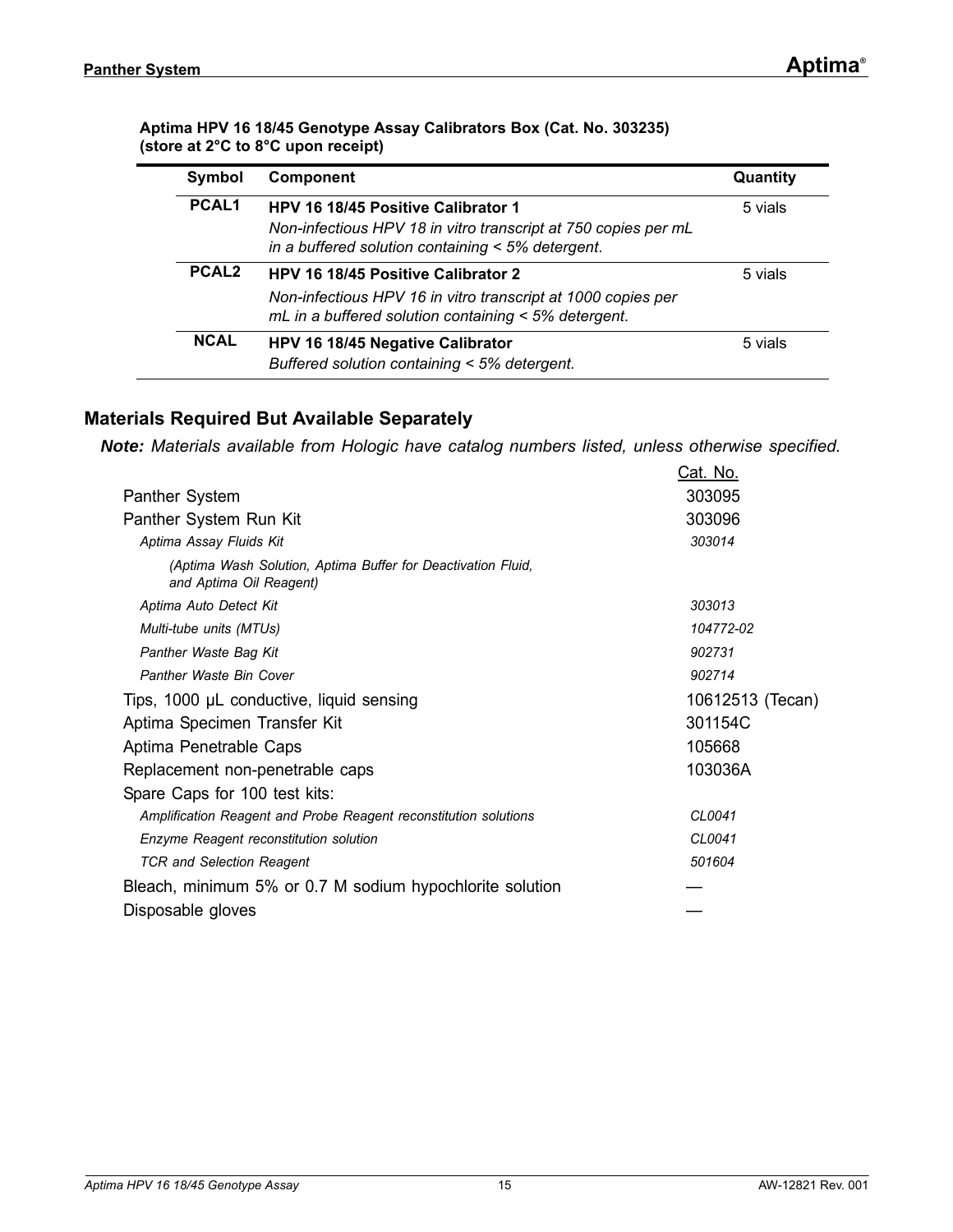#### **Aptima HPV 16 18/45 Genotype Assay Calibrators Box (Cat. No. 303235) (store at 2°C to 8°C upon receipt)**

| Symbol            | <b>Component</b>                                                                                                                                                    | Quantity |
|-------------------|---------------------------------------------------------------------------------------------------------------------------------------------------------------------|----------|
| PCAL <sub>1</sub> | HPV 16 18/45 Positive Calibrator 1<br>Non-infectious HPV 18 in vitro transcript at 750 copies per mL<br>in a buffered solution containing < 5% detergent.           | 5 vials  |
| PCAL <sub>2</sub> | <b>HPV 16 18/45 Positive Calibrator 2</b><br>Non-infectious HPV 16 in vitro transcript at 1000 copies per<br>$mL$ in a buffered solution containing < 5% detergent. | 5 vials  |
| <b>NCAL</b>       | HPV 16 18/45 Negative Calibrator<br>Buffered solution containing < 5% detergent.                                                                                    | 5 vials  |

#### <span id="page-14-0"></span>**Materials Required But Available Separately**

*Note: Materials available from Hologic have catalog numbers listed, unless otherwise specified.*

|                                                                                         | <u>Cat. No.</u>  |
|-----------------------------------------------------------------------------------------|------------------|
| Panther System                                                                          | 303095           |
| Panther System Run Kit                                                                  | 303096           |
| Aptima Assay Fluids Kit                                                                 | 303014           |
| (Aptima Wash Solution, Aptima Buffer for Deactivation Fluid,<br>and Aptima Oil Reagent) |                  |
| Aptima Auto Detect Kit                                                                  | 303013           |
| Multi-tube units (MTUs)                                                                 | 104772-02        |
| Panther Waste Bag Kit                                                                   | 902731           |
| Panther Waste Bin Cover                                                                 | 902714           |
| Tips, 1000 µL conductive, liquid sensing                                                | 10612513 (Tecan) |
| Aptima Specimen Transfer Kit                                                            | 301154C          |
| Aptima Penetrable Caps                                                                  | 105668           |
| Replacement non-penetrable caps                                                         | 103036A          |
| Spare Caps for 100 test kits:                                                           |                  |
| Amplification Reagent and Probe Reagent reconstitution solutions                        | CL0041           |
| Enzyme Reagent reconstitution solution                                                  | CL0041           |
| <b>TCR and Selection Reagent</b>                                                        | 501604           |
| Bleach, minimum 5% or 0.7 M sodium hypochlorite solution                                |                  |
| Disposable gloves                                                                       |                  |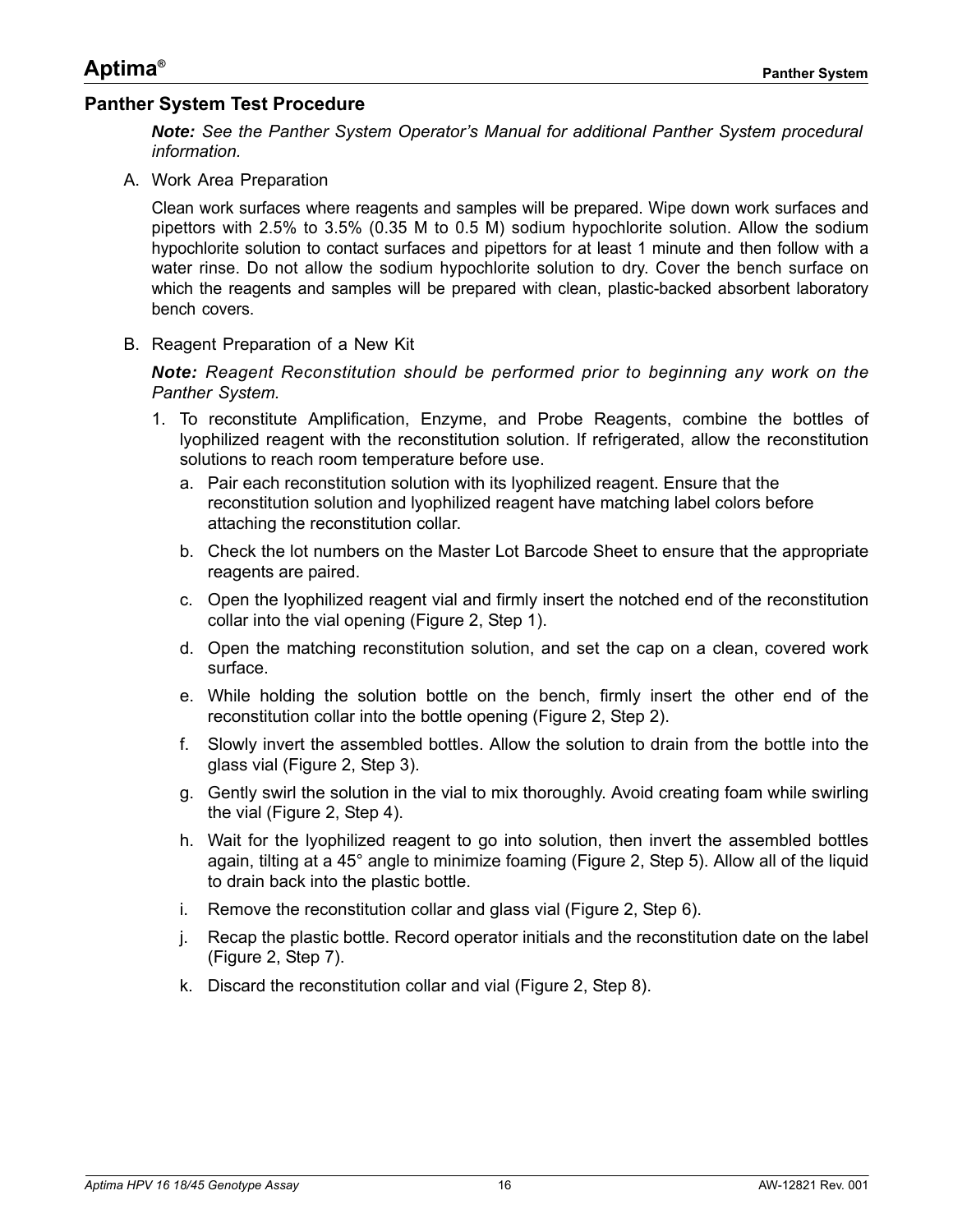#### <span id="page-15-0"></span>**Panther System Test Procedure**

*Note: See the Panther System Operator's Manual for additional Panther System procedural information.*

A. Work Area Preparation

Clean work surfaces where reagents and samples will be prepared. Wipe down work surfaces and pipettors with 2.5% to 3.5% (0.35 M to 0.5 M) sodium hypochlorite solution. Allow the sodium hypochlorite solution to contact surfaces and pipettors for at least 1 minute and then follow with a water rinse. Do not allow the sodium hypochlorite solution to dry. Cover the bench surface on which the reagents and samples will be prepared with clean, plastic-backed absorbent laboratory bench covers.

B. Reagent Preparation of a New Kit

*Note: Reagent Reconstitution should be performed prior to beginning any work on the Panther System.*

- 1. To reconstitute Amplification, Enzyme, and Probe Reagents, combine the bottles of lyophilized reagent with the reconstitution solution. If refrigerated, allow the reconstitution solutions to reach room temperature before use.
	- a. Pair each reconstitution solution with its lyophilized reagent. Ensure that the reconstitution solution and lyophilized reagent have matching label colors before attaching the reconstitution collar.
	- b. Check the lot numbers on the Master Lot Barcode Sheet to ensure that the appropriate reagents are paired.
	- c. Open the lyophilized reagent vial and firmly insert the notched end of the reconstitution collar into the vial opening [\(Figure 2,](#page-16-0) Step 1).
	- d. Open the matching reconstitution solution, and set the cap on a clean, covered work surface.
	- e. While holding the solution bottle on the bench, firmly insert the other end of the reconstitution collar into the bottle opening [\(Figure 2](#page-16-0), Step 2).
	- f. Slowly invert the assembled bottles. Allow the solution to drain from the bottle into the glass vial [\(Figure 2,](#page-16-0) Step 3).
	- g. Gently swirl the solution in the vial to mix thoroughly. Avoid creating foam while swirling the vial ([Figure 2](#page-16-0), Step 4).
	- h. Wait for the lyophilized reagent to go into solution, then invert the assembled bottles again, tilting at a 45° angle to minimize foaming ([Figure 2](#page-16-0), Step 5). Allow all of the liquid to drain back into the plastic bottle.
	- i. Remove the reconstitution collar and glass vial ([Figure 2](#page-16-0), Step 6).
	- j. Recap the plastic bottle. Record operator initials and the reconstitution date on the label [\(Figure 2](#page-16-0), Step 7).
	- k. Discard the reconstitution collar and vial [\(Figure 2,](#page-16-0) Step 8).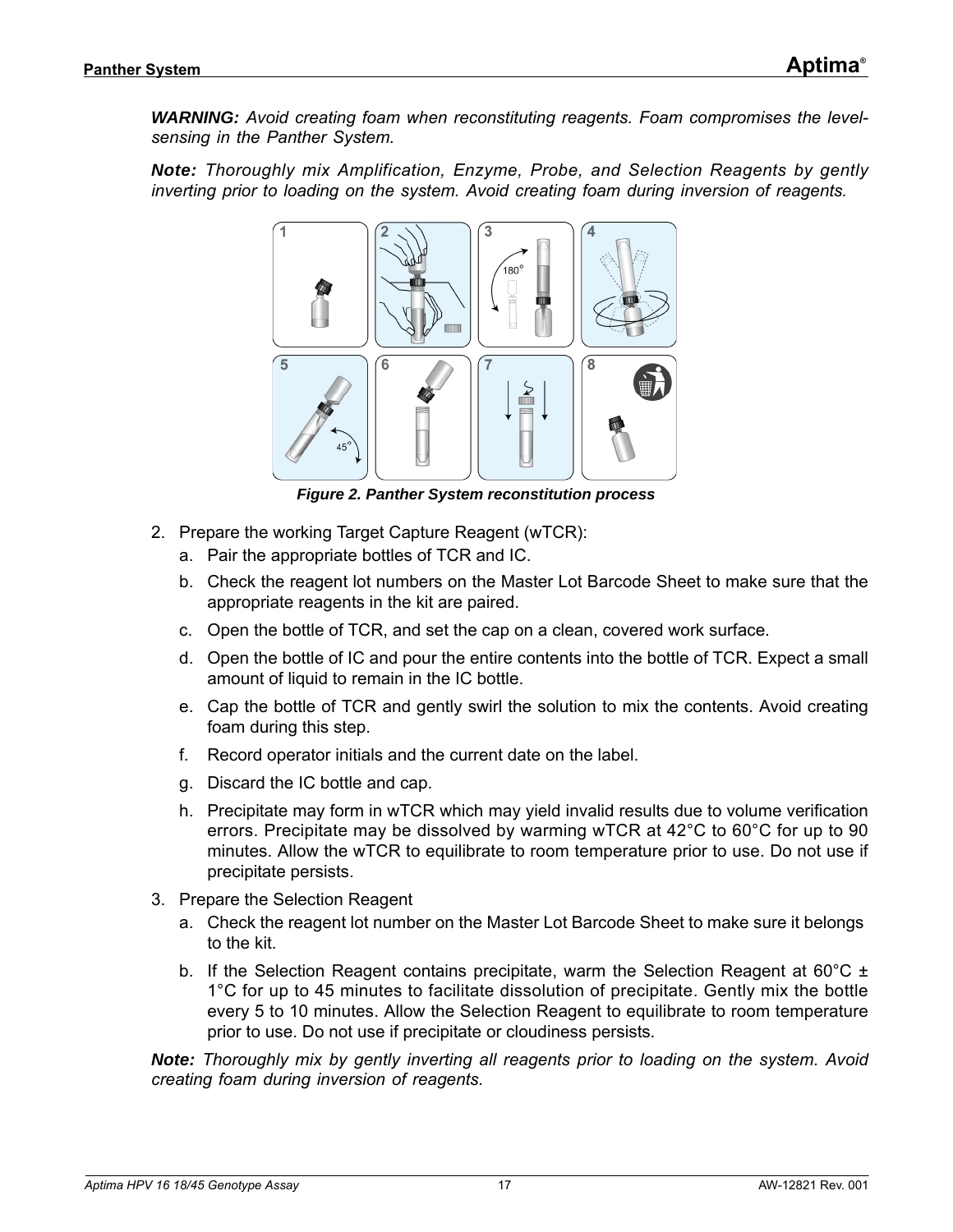*WARNING:* Avoid creating foam when reconstituting reagents. Foam compromises the level*sensing in the Panther System.*

*Note: Thoroughly mix Amplification, Enzyme, Probe, and Selection Reagents by gently inverting prior to loading on the system. Avoid creating foam during inversion of reagents.*



*Figure 2. Panther System reconstitution process*

- <span id="page-16-0"></span>2. Prepare the working Target Capture Reagent (wTCR):
	- a. Pair the appropriate bottles of TCR and IC.
	- b. Check the reagent lot numbers on the Master Lot Barcode Sheet to make sure that the appropriate reagents in the kit are paired.
	- c. Open the bottle of TCR, and set the cap on a clean, covered work surface.
	- d. Open the bottle of IC and pour the entire contents into the bottle of TCR. Expect a small amount of liquid to remain in the IC bottle.
	- e. Cap the bottle of TCR and gently swirl the solution to mix the contents. Avoid creating foam during this step.
	- f. Record operator initials and the current date on the label.
	- g. Discard the IC bottle and cap.
	- h. Precipitate may form in wTCR which may yield invalid results due to volume verification errors. Precipitate may be dissolved by warming wTCR at 42°C to 60°C for up to 90 minutes. Allow the wTCR to equilibrate to room temperature prior to use. Do not use if precipitate persists.
- 3. Prepare the Selection Reagent
	- a. Check the reagent lot number on the Master Lot Barcode Sheet to make sure it belongs to the kit.
	- b. If the Selection Reagent contains precipitate, warm the Selection Reagent at 60°C  $\pm$ 1°C for up to 45 minutes to facilitate dissolution of precipitate. Gently mix the bottle every 5 to 10 minutes. Allow the Selection Reagent to equilibrate to room temperature prior to use. Do not use if precipitate or cloudiness persists.

*Note: Thoroughly mix by gently inverting all reagents prior to loading on the system. Avoid creating foam during inversion of reagents.*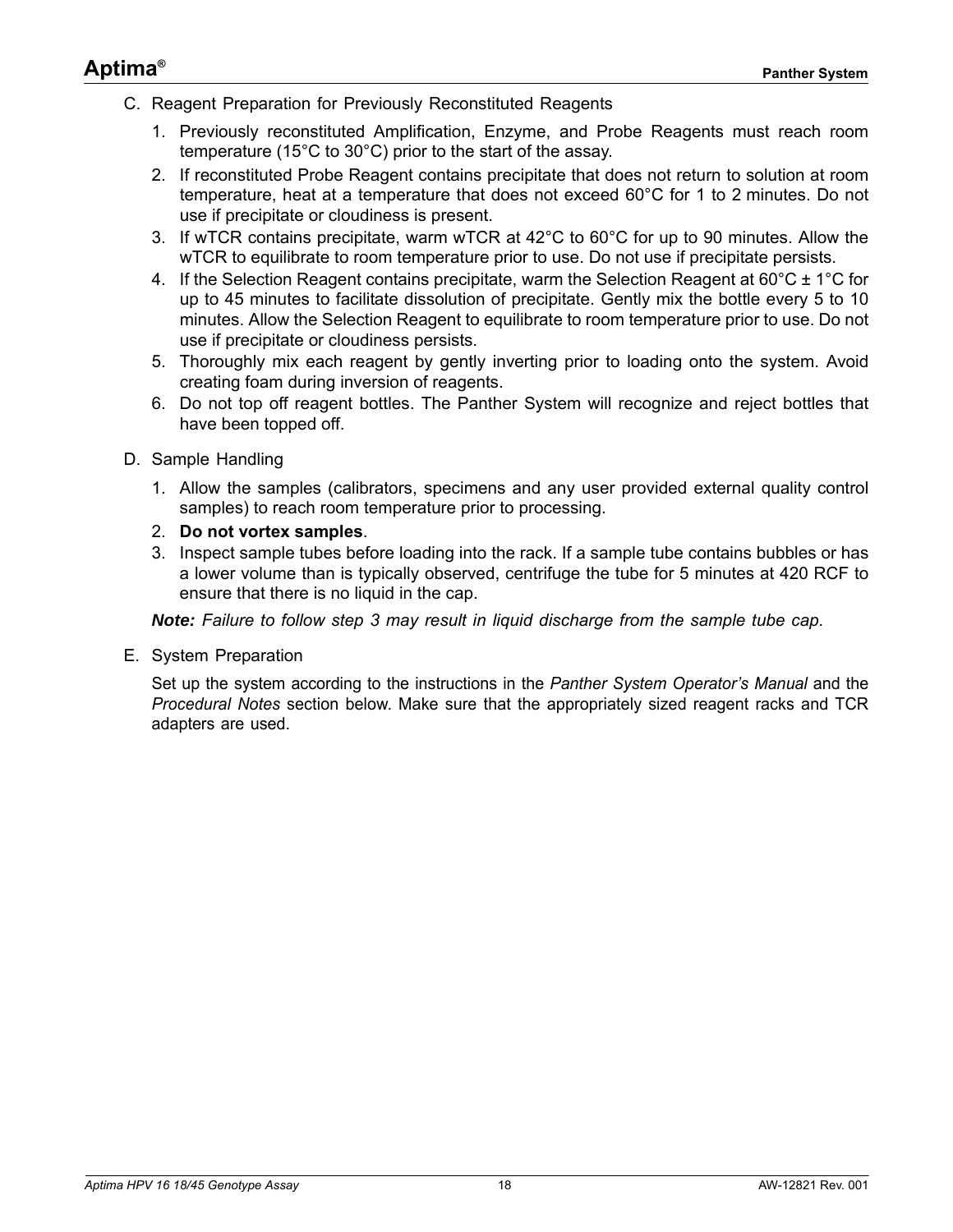- C. Reagent Preparation for Previously Reconstituted Reagents
	- 1. Previously reconstituted Amplification, Enzyme, and Probe Reagents must reach room temperature (15°C to 30°C) prior to the start of the assay.
	- 2. If reconstituted Probe Reagent contains precipitate that does not return to solution at room temperature, heat at a temperature that does not exceed 60°C for 1 to 2 minutes. Do not use if precipitate or cloudiness is present.
	- 3. If wTCR contains precipitate, warm wTCR at 42°C to 60°C for up to 90 minutes. Allow the wTCR to equilibrate to room temperature prior to use. Do not use if precipitate persists.
	- 4. If the Selection Reagent contains precipitate, warm the Selection Reagent at 60 $^{\circ}$ C  $\pm$  1 $^{\circ}$ C for up to 45 minutes to facilitate dissolution of precipitate. Gently mix the bottle every 5 to 10 minutes. Allow the Selection Reagent to equilibrate to room temperature prior to use. Do not use if precipitate or cloudiness persists.
	- 5. Thoroughly mix each reagent by gently inverting prior to loading onto the system. Avoid creating foam during inversion of reagents.
	- 6. Do not top off reagent bottles. The Panther System will recognize and reject bottles that have been topped off.
- D. Sample Handling
	- 1. Allow the samples (calibrators, specimens and any user provided external quality control samples) to reach room temperature prior to processing.
	- 2. **Do not vortex samples**.
	- 3. Inspect sample tubes before loading into the rack. If a sample tube contains bubbles or has a lower volume than is typically observed, centrifuge the tube for 5 minutes at 420 RCF to ensure that there is no liquid in the cap.

*Note: Failure to follow step 3 may result in liquid discharge from the sample tube cap.*

E. System Preparation

Set up the system according to the instructions in the *Panther System Operator's Manual* and the *[Procedural Notes](#page-18-0)* section below. Make sure that the appropriately sized reagent racks and TCR adapters are used.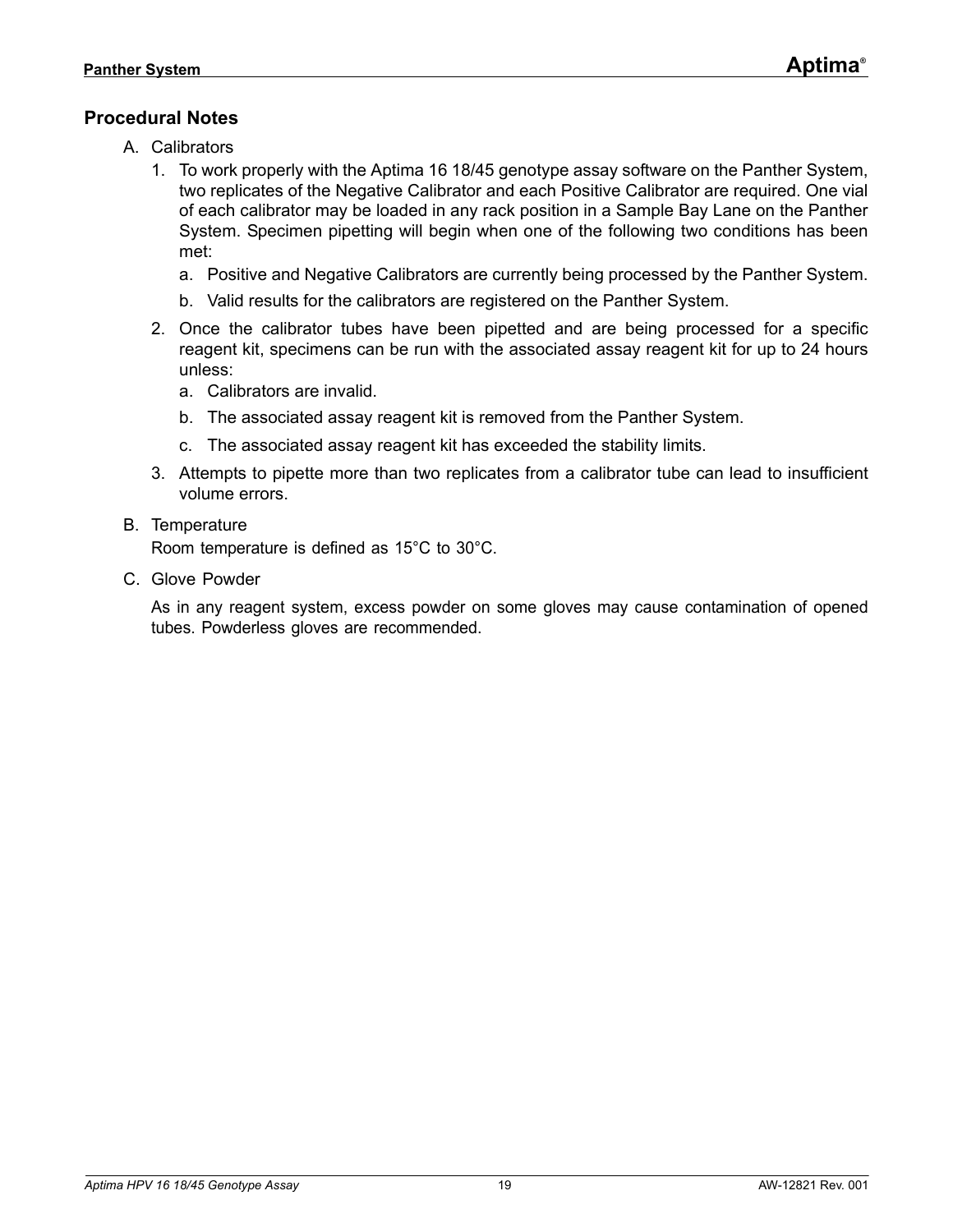### <span id="page-18-0"></span>**Procedural Notes**

- A. Calibrators
	- 1. To work properly with the Aptima 16 18/45 genotype assay software on the Panther System, two replicates of the Negative Calibrator and each Positive Calibrator are required. One vial of each calibrator may be loaded in any rack position in a Sample Bay Lane on the Panther System. Specimen pipetting will begin when one of the following two conditions has been met:
		- a. Positive and Negative Calibrators are currently being processed by the Panther System.
		- b. Valid results for the calibrators are registered on the Panther System.
	- 2. Once the calibrator tubes have been pipetted and are being processed for a specific reagent kit, specimens can be run with the associated assay reagent kit for up to 24 hours unless:
		- a. Calibrators are invalid.
		- b. The associated assay reagent kit is removed from the Panther System.
		- c. The associated assay reagent kit has exceeded the stability limits.
	- 3. Attempts to pipette more than two replicates from a calibrator tube can lead to insufficient volume errors.
- B. Temperature

Room temperature is defined as 15°C to 30°C.

C. Glove Powder

As in any reagent system, excess powder on some gloves may cause contamination of opened tubes. Powderless gloves are recommended.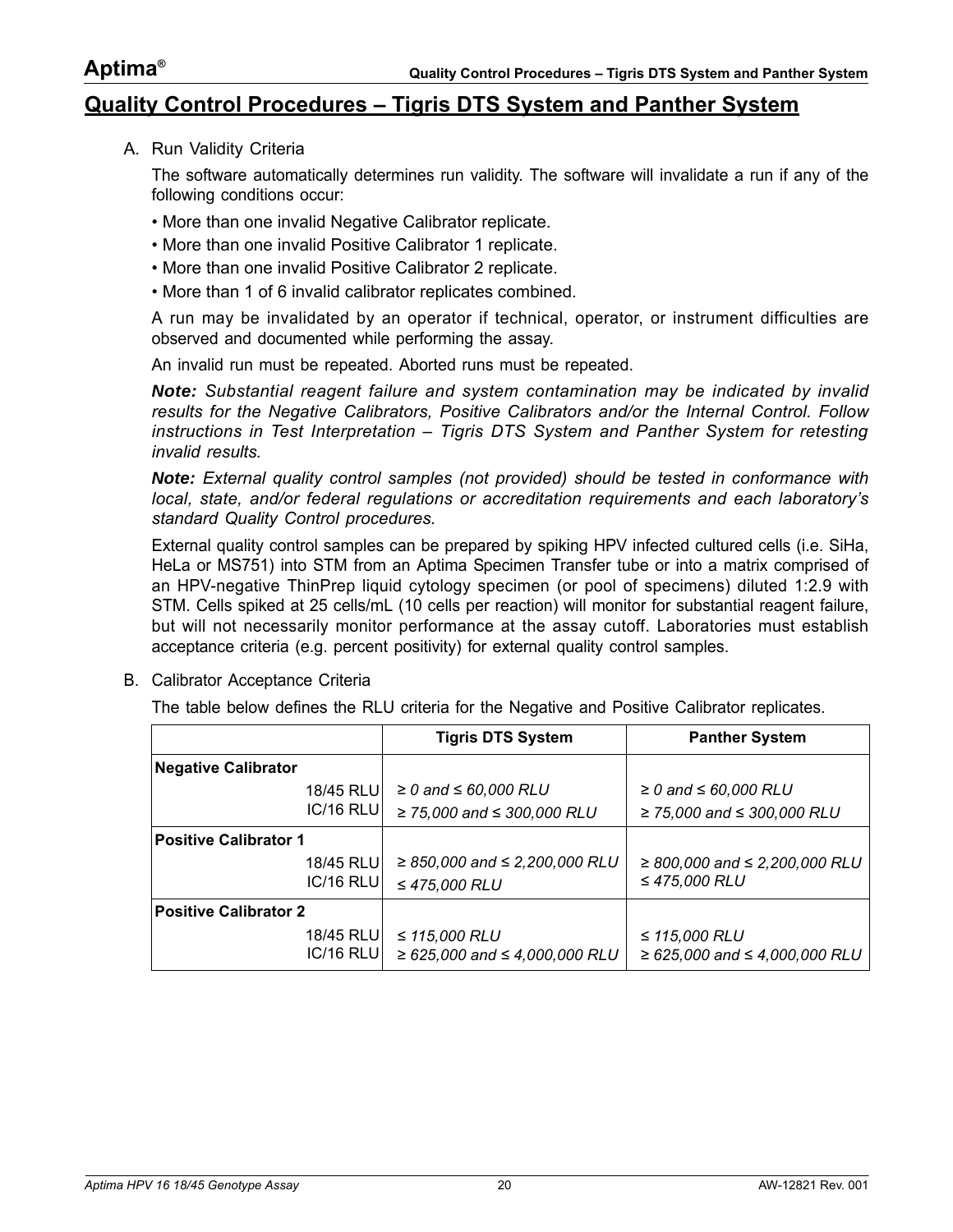#### <span id="page-19-0"></span>**Quality Control Procedures – Tigris DTS System and Panther System**

A. Run Validity Criteria

The software automatically determines run validity. The software will invalidate a run if any of the following conditions occur:

- More than one invalid Negative Calibrator replicate.
- More than one invalid Positive Calibrator 1 replicate.
- More than one invalid Positive Calibrator 2 replicate.
- More than 1 of 6 invalid calibrator replicates combined.

A run may be invalidated by an operator if technical, operator, or instrument difficulties are observed and documented while performing the assay.

An invalid run must be repeated. Aborted runs must be repeated.

*Note: Substantial reagent failure and system contamination may be indicated by invalid results for the Negative Calibrators, Positive Calibrators and/or the Internal Control. Follow instructions in [Test Interpretation – Tigris DTS System and Panther System](#page-21-0) for retesting invalid results.*

*Note: External quality control samples (not provided) should be tested in conformance with local, state, and/or federal regulations or accreditation requirements and each laboratory's standard Quality Control procedures.*

External quality control samples can be prepared by spiking HPV infected cultured cells (i.e. SiHa, HeLa or MS751) into STM from an Aptima Specimen Transfer tube or into a matrix comprised of an HPV-negative ThinPrep liquid cytology specimen (or pool of specimens) diluted 1:2.9 with STM. Cells spiked at 25 cells/mL (10 cells per reaction) will monitor for substantial reagent failure, but will not necessarily monitor performance at the assay cutoff. Laboratories must establish acceptance criteria (e.g. percent positivity) for external quality control samples.

B. Calibrator Acceptance Criteria

The table below defines the RLU criteria for the Negative and Positive Calibrator replicates.

|                              | <b>Tigris DTS System</b>                                   | <b>Panther System</b>                                      |
|------------------------------|------------------------------------------------------------|------------------------------------------------------------|
| <b>Negative Calibrator</b>   |                                                            |                                                            |
| 18/45 RLU                    | $\geq$ 0 and $\leq$ 60,000 RLU                             | $\geq$ 0 and $\leq$ 60,000 RLU                             |
| IC/16 RLU                    | ≥ 75,000 and ≤ 300,000 RLU                                 | ≥ 75,000 and ≤ 300,000 RLU                                 |
| <b>Positive Calibrator 1</b> |                                                            |                                                            |
| 18/45 RLU                    | $\geq$ 850,000 and $\leq$ 2,200,000 RLU                    | $\geq$ 800,000 and $\leq$ 2,200,000 RLU                    |
| IC/16 RLU                    | $≤ 475,000$ RLU                                            | ≤ 475,000 RLU                                              |
| <b>Positive Calibrator 2</b> |                                                            |                                                            |
| 18/45 RLU<br>$IC/16$ RLU     | ≤ $115,000$ RLU<br>$\geq 625,000$ and $\leq 4,000,000$ RLU | ≤ $115,000$ RLU<br>$\geq 625,000$ and $\leq 4,000,000$ RLU |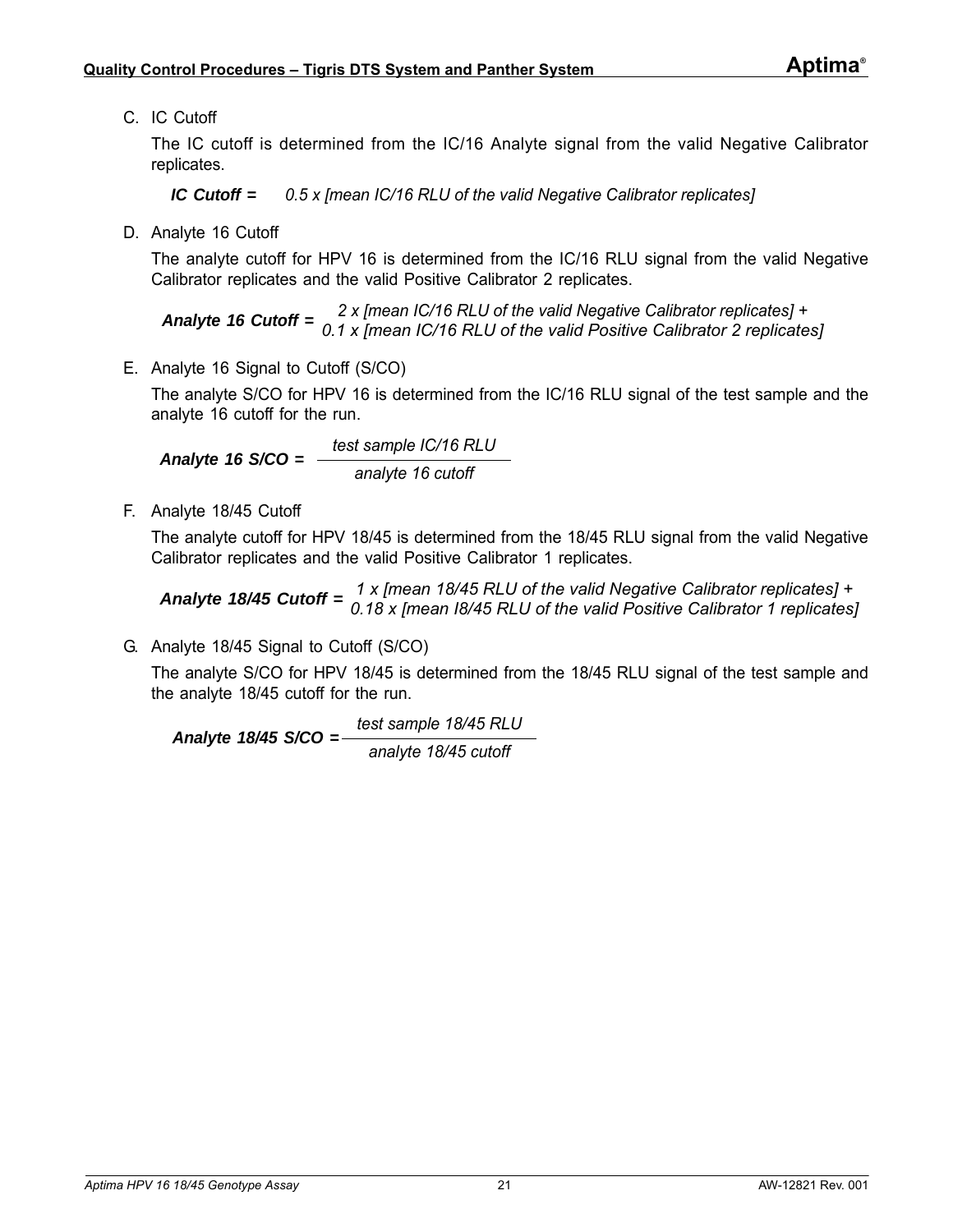C. IC Cutoff

The IC cutoff is determined from the IC/16 Analyte signal from the valid Negative Calibrator replicates.

*IC Cutoff = 0.5 x [mean IC/16 RLU of the valid Negative Calibrator replicates]*

D. Analyte 16 Cutoff

The analyte cutoff for HPV 16 is determined from the IC/16 RLU signal from the valid Negative Calibrator replicates and the valid Positive Calibrator 2 replicates.

*Analyte 16 Cutoff = 2 x [mean IC/16 RLU of the valid Negative Calibrator replicates] + 0.1 x [mean IC/16 RLU of the valid Positive Calibrator 2 replicates]*

E. Analyte 16 Signal to Cutoff (S/CO)

The analyte S/CO for HPV 16 is determined from the IC/16 RLU signal of the test sample and the analyte 16 cutoff for the run.

*Analyte 16 S/CO = test sample IC/16 RLU analyte 16 cutoff*

F. Analyte 18/45 Cutoff

The analyte cutoff for HPV 18/45 is determined from the 18/45 RLU signal from the valid Negative Calibrator replicates and the valid Positive Calibrator 1 replicates.

*Analyte 18/45 Cutoff = 1 x [mean 18/45 RLU of the valid Negative Calibrator replicates] + 0.18 x [mean I8/45 RLU of the valid Positive Calibrator 1 replicates]*

G. Analyte 18/45 Signal to Cutoff (S/CO)

The analyte S/CO for HPV 18/45 is determined from the 18/45 RLU signal of the test sample and the analyte 18/45 cutoff for the run.

*Analyte 18/45 S/CO = test sample 18/45 RLU analyte 18/45 cutoff*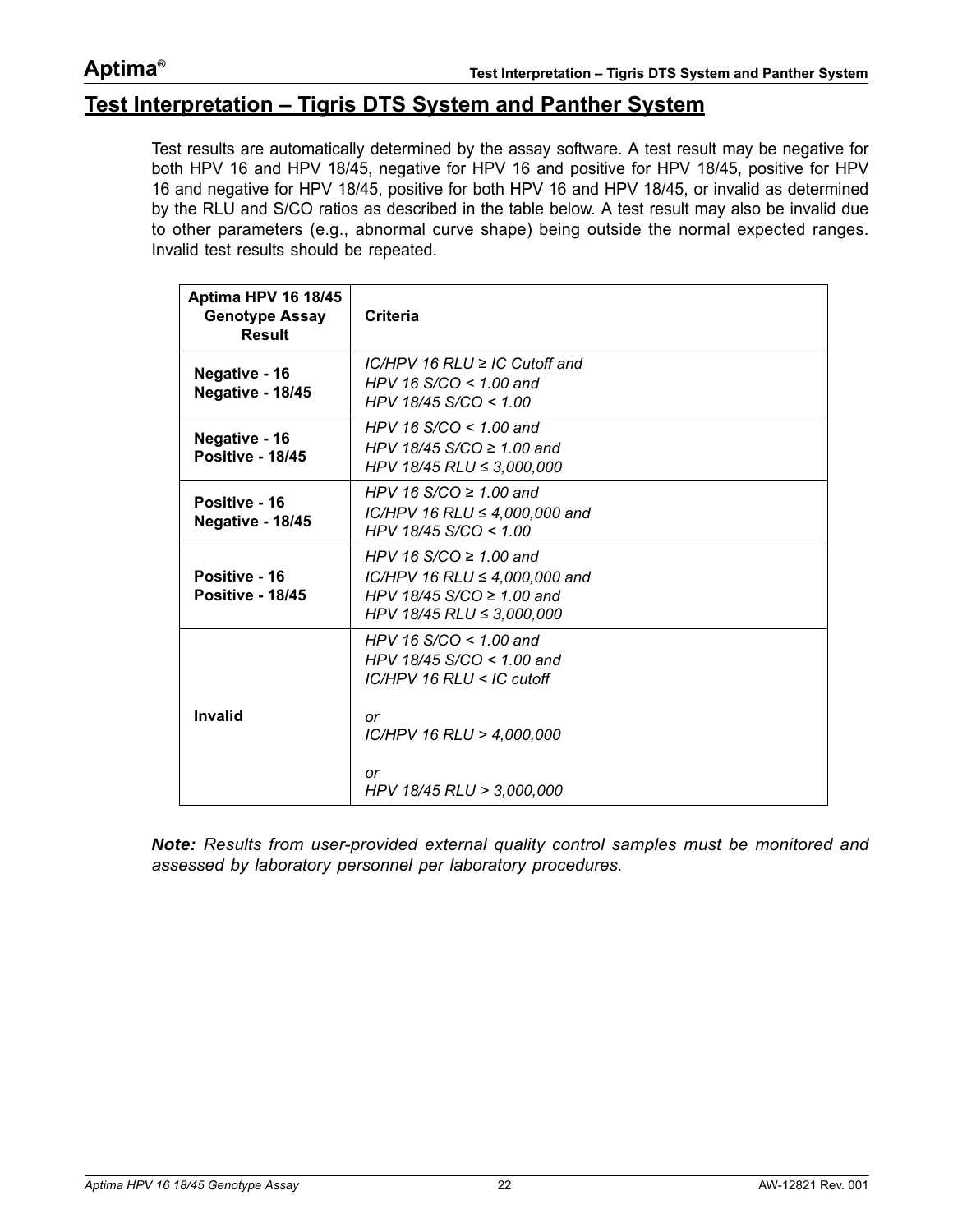# <span id="page-21-0"></span>**Test Interpretation – Tigris DTS System and Panther System**

Test results are automatically determined by the assay software. A test result may be negative for both HPV 16 and HPV 18/45, negative for HPV 16 and positive for HPV 18/45, positive for HPV 16 and negative for HPV 18/45, positive for both HPV 16 and HPV 18/45, or invalid as determined by the RLU and S/CO ratios as described in the table below. A test result may also be invalid due to other parameters (e.g., abnormal curve shape) being outside the normal expected ranges. Invalid test results should be repeated.

| <b>Aptima HPV 16 18/45</b><br><b>Genotype Assay</b><br><b>Result</b> | <b>Criteria</b>                                                                                                             |
|----------------------------------------------------------------------|-----------------------------------------------------------------------------------------------------------------------------|
| Negative - 16<br>Negative - 18/45                                    | $IC/HPV$ 16 RLU $\geq$ IC Cutoff and<br>HPV 16 $S/CO < 1.00$ and<br>HPV 18/45 S/CO < 1.00                                   |
| Negative - 16<br>Positive - 18/45                                    | HPV 16 $S/CO < 1.00$ and<br>HPV 18/45 S/CO $\geq$ 1.00 and<br>HPV 18/45 RLU $\leq$ 3,000,000                                |
| Positive - 16<br>Negative - 18/45                                    | HPV 16 S/CO $\geq$ 1.00 and<br>$IC/HPV$ 16 RLU $\leq$ 4,000,000 and<br>HPV 18/45 $S/CO < 1.00$                              |
| Positive - 16<br>Positive - 18/45                                    | HPV 16 S/CO $\geq$ 1.00 and<br>IC/HPV 16 RLU ≤ 4,000,000 and<br>HPV 18/45 S/CO $\geq$ 1.00 and<br>HPV 18/45 RLU ≤ 3,000,000 |
| Invalid                                                              | HPV 16 $S/CO < 1.00$ and<br>HPV 18/45 S/CO < 1.00 and<br>$IC/HPV$ 16 RLU < $IC$ cutoff<br>or<br>IC/HPV 16 RLU > 4,000,000   |
|                                                                      | or<br>HPV 18/45 RLU > 3,000,000                                                                                             |

*Note: Results from user-provided external quality control samples must be monitored and assessed by laboratory personnel per laboratory procedures.*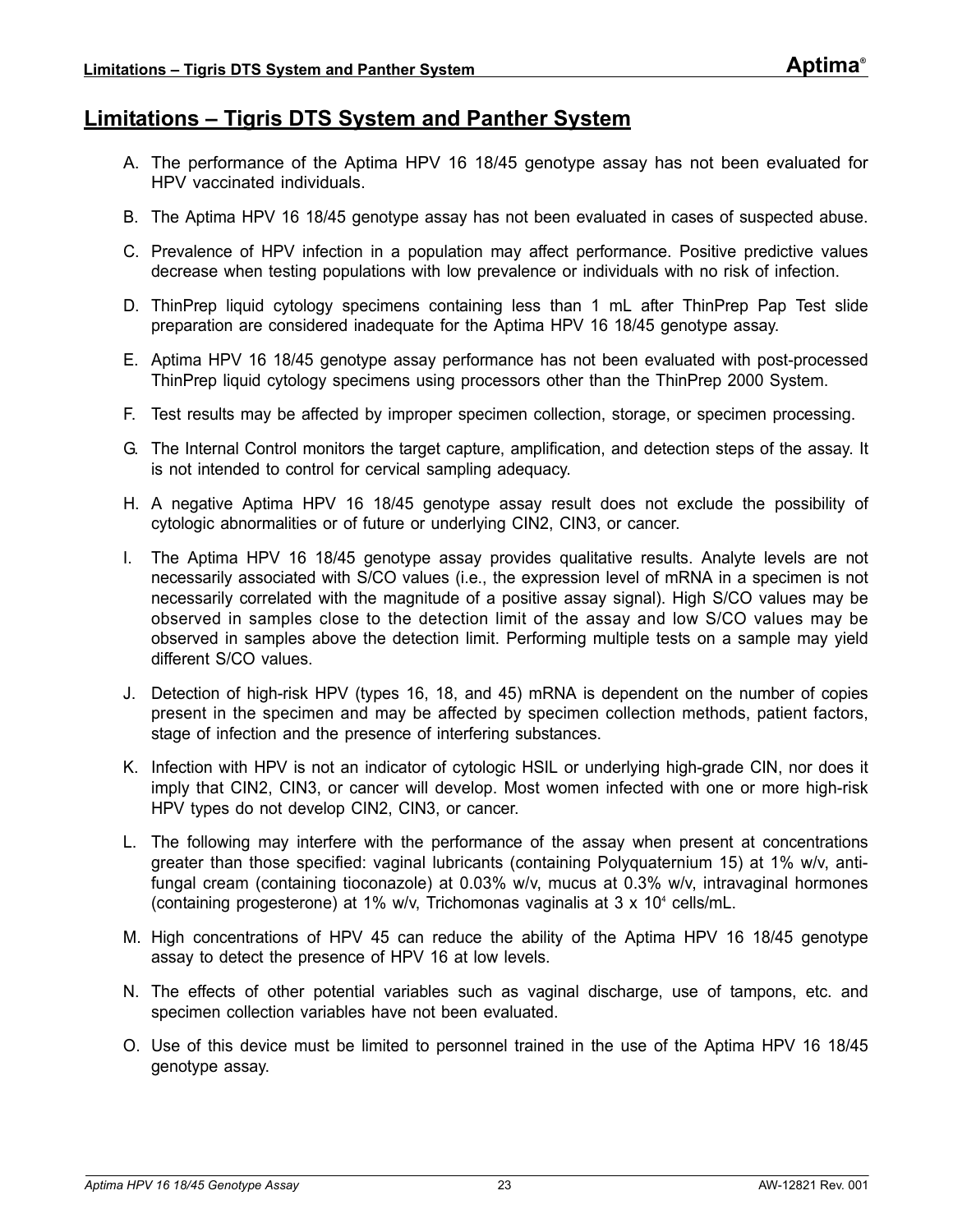# <span id="page-22-0"></span>**Limitations – Tigris DTS System and Panther System**

- A. The performance of the Aptima HPV 16 18/45 genotype assay has not been evaluated for HPV vaccinated individuals.
- B. The Aptima HPV 16 18/45 genotype assay has not been evaluated in cases of suspected abuse.
- C. Prevalence of HPV infection in a population may affect performance. Positive predictive values decrease when testing populations with low prevalence or individuals with no risk of infection.
- D. ThinPrep liquid cytology specimens containing less than 1 mL after ThinPrep Pap Test slide preparation are considered inadequate for the Aptima HPV 16 18/45 genotype assay.
- E. Aptima HPV 16 18/45 genotype assay performance has not been evaluated with post-processed ThinPrep liquid cytology specimens using processors other than the ThinPrep 2000 System.
- F. Test results may be affected by improper specimen collection, storage, or specimen processing.
- G. The Internal Control monitors the target capture, amplification, and detection steps of the assay. It is not intended to control for cervical sampling adequacy.
- H. A negative Aptima HPV 16 18/45 genotype assay result does not exclude the possibility of cytologic abnormalities or of future or underlying CIN2, CIN3, or cancer.
- I. The Aptima HPV 16 18/45 genotype assay provides qualitative results. Analyte levels are not necessarily associated with S/CO values (i.e., the expression level of mRNA in a specimen is not necessarily correlated with the magnitude of a positive assay signal). High S/CO values may be observed in samples close to the detection limit of the assay and low S/CO values may be observed in samples above the detection limit. Performing multiple tests on a sample may yield different S/CO values.
- J. Detection of high-risk HPV (types 16, 18, and 45) mRNA is dependent on the number of copies present in the specimen and may be affected by specimen collection methods, patient factors, stage of infection and the presence of interfering substances.
- K. Infection with HPV is not an indicator of cytologic HSIL or underlying high-grade CIN, nor does it imply that CIN2, CIN3, or cancer will develop. Most women infected with one or more high-risk HPV types do not develop CIN2, CIN3, or cancer.
- L. The following may interfere with the performance of the assay when present at concentrations greater than those specified: vaginal lubricants (containing Polyquaternium 15) at 1% w/v, antifungal cream (containing tioconazole) at 0.03% w/v, mucus at 0.3% w/v, intravaginal hormones (containing progesterone) at 1% w/v, Trichomonas vaginalis at 3 x 104 cells/mL.
- M. High concentrations of HPV 45 can reduce the ability of the Aptima HPV 16 18/45 genotype assay to detect the presence of HPV 16 at low levels.
- N. The effects of other potential variables such as vaginal discharge, use of tampons, etc. and specimen collection variables have not been evaluated.
- O. Use of this device must be limited to personnel trained in the use of the Aptima HPV 16 18/45 genotype assay.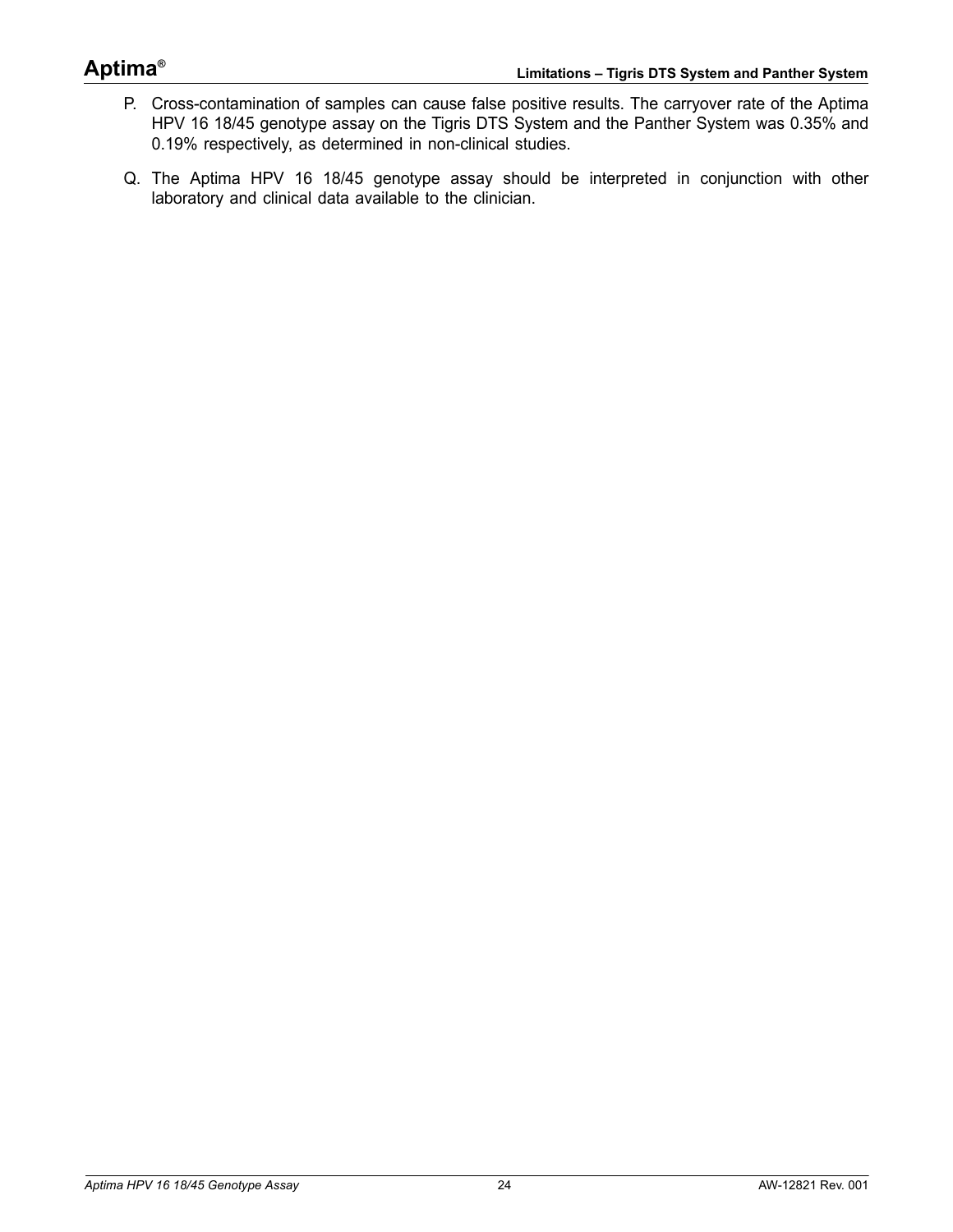# **Aptima®**

- P. Cross-contamination of samples can cause false positive results. The carryover rate of the Aptima HPV 16 18/45 genotype assay on the Tigris DTS System and the Panther System was 0.35% and 0.19% respectively, as determined in non-clinical studies.
- Q. The Aptima HPV 16 18/45 genotype assay should be interpreted in conjunction with other laboratory and clinical data available to the clinician.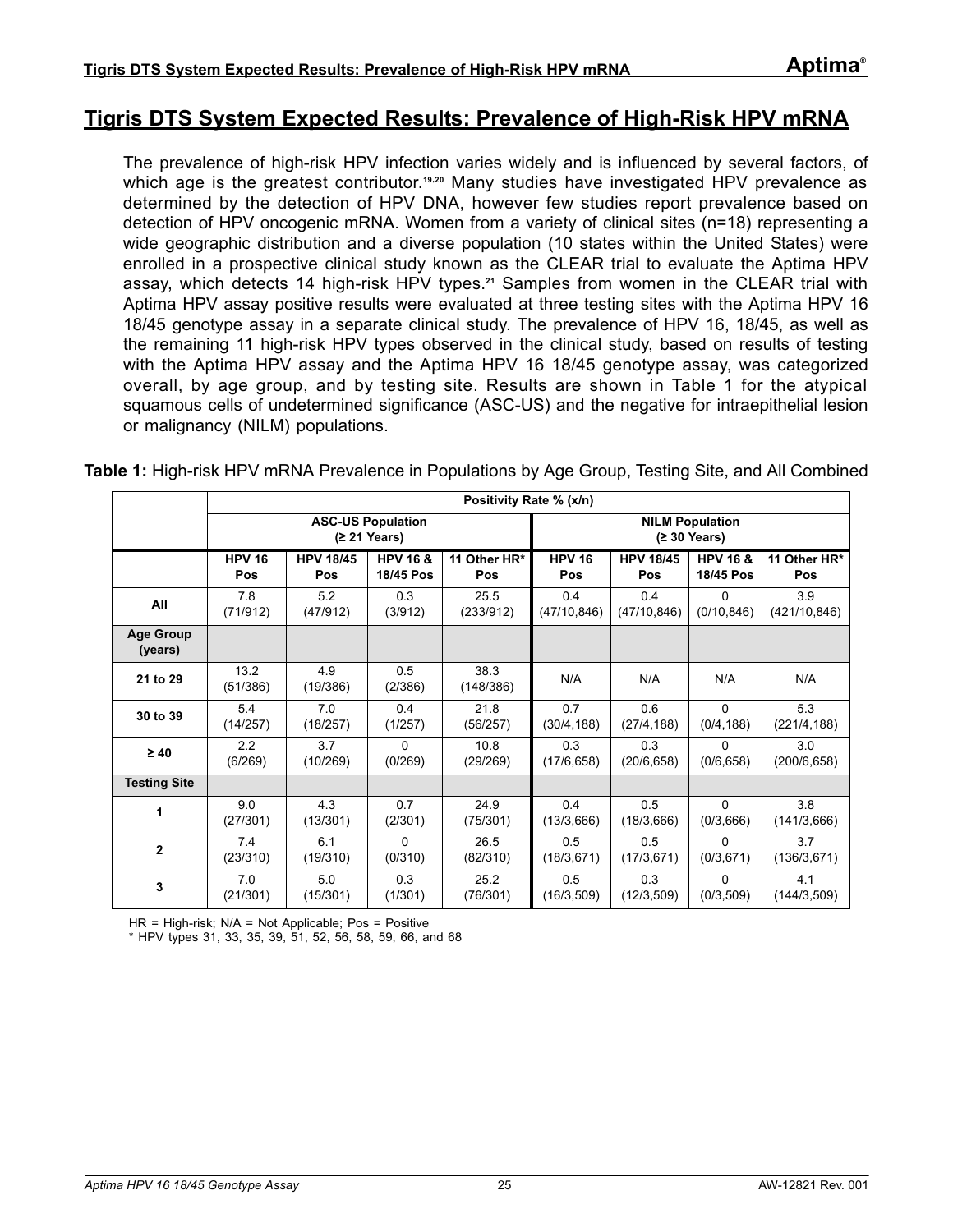# <span id="page-24-0"></span>**Tigris DTS System Expected Results: Prevalence of High-Risk HPV mRNA**

The prevalence of high-risk HPV infection varies widely and is influenced by several factors, of which age is the greatest contributor.<sup>[19](#page-85-19),[20](#page-85-20)</sup> Many studies have investigated HPV prevalence as determined by the detection of HPV DNA, however few studies report prevalence based on detection of HPV oncogenic mRNA. Women from a variety of clinical sites (n=18) representing a wide geographic distribution and a diverse population (10 states within the United States) were enrolled in a prospective clinical study known as the CLEAR trial to evaluate the Aptima HPV assay, which detects 14 high-risk HPV types.**[21](#page-85-21)** Samples from women in the CLEAR trial with Aptima HPV assay positive results were evaluated at three testing sites with the Aptima HPV 16 18/45 genotype assay in a separate clinical study. The prevalence of HPV 16, 18/45, as well as the remaining 11 high-risk HPV types observed in the clinical study, based on results of testing with the Aptima HPV assay and the Aptima HPV 16 18/45 genotype assay, was categorized overall, by age group, and by testing site. Results are shown in [Table 1](#page-24-1) for the atypical squamous cells of undetermined significance (ASC-US) and the negative for intraepithelial lesion or malignancy (NILM) populations.

<span id="page-24-1"></span>**Table 1:** High-risk HPV mRNA Prevalence in Populations by Age Group, Testing Site, and All Combined

|                             | Positivity Rate % (x/n)                  |                  |                     |                   |                                                  |                  |                     |               |
|-----------------------------|------------------------------------------|------------------|---------------------|-------------------|--------------------------------------------------|------------------|---------------------|---------------|
|                             | <b>ASC-US Population</b><br>(≥ 21 Years) |                  |                     |                   | <b>NILM Population</b><br>$(2 30 \text{ Years})$ |                  |                     |               |
|                             | <b>HPV 16</b>                            | <b>HPV 18/45</b> | <b>HPV 16 &amp;</b> | 11 Other HR*      | <b>HPV 16</b>                                    | <b>HPV 18/45</b> | <b>HPV 16 &amp;</b> | 11 Other HR*  |
|                             | Pos                                      | Pos              | 18/45 Pos           | Pos               | Pos                                              | Pos              | 18/45 Pos           | Pos           |
| All                         | 7.8                                      | 5.2              | 0.3                 | 25.5              | 0.4                                              | 0.4              | $\Omega$            | 3.9           |
|                             | (71/912)                                 | (47/912)         | (3/912)             | (233/912)         | (47/10, 846)                                     | (47/10, 846)     | (0/10, 846)         | (421/10, 846) |
| <b>Age Group</b><br>(years) |                                          |                  |                     |                   |                                                  |                  |                     |               |
| 21 to 29                    | 13.2<br>(51/386)                         | 4.9<br>(19/386)  | 0.5<br>(2/386)      | 38.3<br>(148/386) | N/A                                              | N/A              | N/A                 | N/A           |
| 30 to 39                    | 5.4                                      | 7.0              | 0.4                 | 21.8              | 0.7                                              | 0.6              | $\Omega$            | 5.3           |
|                             | (14/257)                                 | (18/257)         | (1/257)             | (56/257)          | (30/4, 188)                                      | (27/4, 188)      | (0/4, 188)          | (221/4, 188)  |
| $\geq 40$                   | 2.2                                      | 3.7              | 0                   | 10.8              | 0.3                                              | 0.3              | 0                   | 3.0           |
|                             | (6/269)                                  | (10/269)         | (0/269)             | (29/269)          | (17/6, 658)                                      | (20/6, 658)      | (0/6, 658)          | (200/6, 658)  |
| <b>Testing Site</b>         |                                          |                  |                     |                   |                                                  |                  |                     |               |
| 1                           | 9.0                                      | 4.3              | 0.7                 | 24.9              | 0.4                                              | 0.5              | 0                   | 3.8           |
|                             | (27/301)                                 | (13/301)         | (2/301)             | (75/301)          | (13/3,666)                                       | (18/3,666)       | (0/3,666)           | (141/3,666)   |
| $\mathbf{2}$                | 7.4                                      | 6.1              | $\Omega$            | 26.5              | 0.5                                              | 0.5              | $\Omega$            | 3.7           |
|                             | (23/310)                                 | (19/310)         | (0/310)             | (82/310)          | (18/3, 671)                                      | (17/3, 671)      | (0/3, 671)          | (136/3,671)   |
| 3                           | 7.0                                      | 5.0              | 0.3                 | 25.2              | 0.5                                              | 0.3              | $\Omega$            | 4.1           |
|                             | (21/301)                                 | (15/301)         | (1/301)             | (76/301)          | (16/3,509)                                       | (12/3, 509)      | (0/3, 509)          | (144/3,509)   |

HR = High-risk; N/A = Not Applicable; Pos = Positive

\* HPV types 31, 33, 35, 39, 51, 52, 56, 58, 59, 66, and 68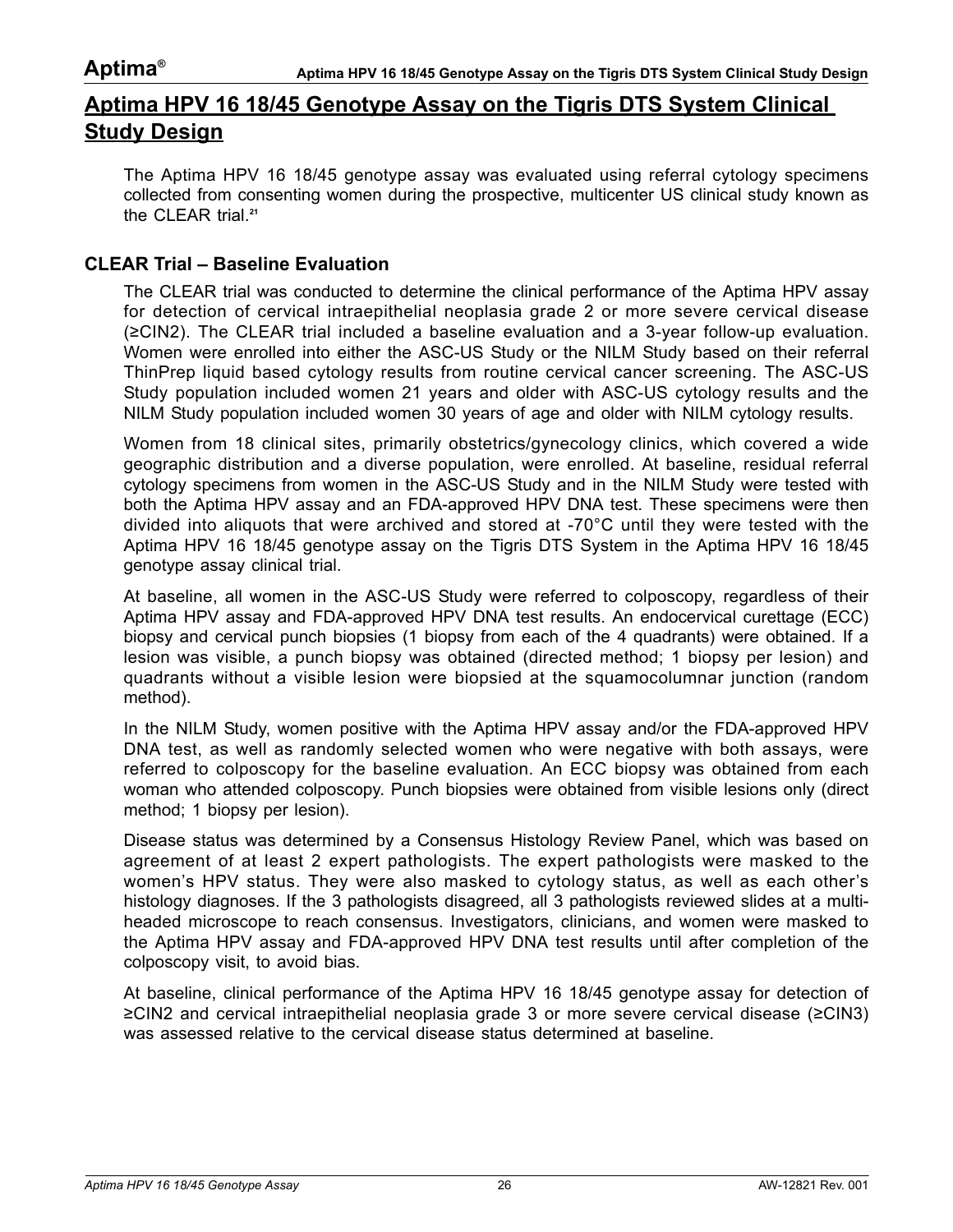# <span id="page-25-0"></span>**Aptima HPV 16 18/45 Genotype Assay on the Tigris DTS System Clinical Study Design**

The Aptima HPV 16 18/45 genotype assay was evaluated using referral cytology specimens collected from consenting women during the prospective, multicenter US clinical study known as the CLEAR trial.**[21](#page-85-21)**

#### **CLEAR Trial – Baseline Evaluation**

The CLEAR trial was conducted to determine the clinical performance of the Aptima HPV assay for detection of cervical intraepithelial neoplasia grade 2 or more severe cervical disease (≥CIN2). The CLEAR trial included a baseline evaluation and a 3-year follow-up evaluation. Women were enrolled into either the ASC-US Study or the NILM Study based on their referral ThinPrep liquid based cytology results from routine cervical cancer screening. The ASC-US Study population included women 21 years and older with ASC-US cytology results and the NILM Study population included women 30 years of age and older with NILM cytology results.

Women from 18 clinical sites, primarily obstetrics/gynecology clinics, which covered a wide geographic distribution and a diverse population, were enrolled. At baseline, residual referral cytology specimens from women in the ASC-US Study and in the NILM Study were tested with both the Aptima HPV assay and an FDA-approved HPV DNA test. These specimens were then divided into aliquots that were archived and stored at -70°C until they were tested with the Aptima HPV 16 18/45 genotype assay on the Tigris DTS System in the Aptima HPV 16 18/45 genotype assay clinical trial.

At baseline, all women in the ASC-US Study were referred to colposcopy, regardless of their Aptima HPV assay and FDA-approved HPV DNA test results. An endocervical curettage (ECC) biopsy and cervical punch biopsies (1 biopsy from each of the 4 quadrants) were obtained. If a lesion was visible, a punch biopsy was obtained (directed method; 1 biopsy per lesion) and quadrants without a visible lesion were biopsied at the squamocolumnar junction (random method).

In the NILM Study, women positive with the Aptima HPV assay and/or the FDA-approved HPV DNA test, as well as randomly selected women who were negative with both assays, were referred to colposcopy for the baseline evaluation. An ECC biopsy was obtained from each woman who attended colposcopy. Punch biopsies were obtained from visible lesions only (direct method; 1 biopsy per lesion).

Disease status was determined by a Consensus Histology Review Panel, which was based on agreement of at least 2 expert pathologists. The expert pathologists were masked to the women's HPV status. They were also masked to cytology status, as well as each other's histology diagnoses. If the 3 pathologists disagreed, all 3 pathologists reviewed slides at a multiheaded microscope to reach consensus. Investigators, clinicians, and women were masked to the Aptima HPV assay and FDA-approved HPV DNA test results until after completion of the colposcopy visit, to avoid bias.

At baseline, clinical performance of the Aptima HPV 16 18/45 genotype assay for detection of ≥CIN2 and cervical intraepithelial neoplasia grade 3 or more severe cervical disease (≥CIN3) was assessed relative to the cervical disease status determined at baseline.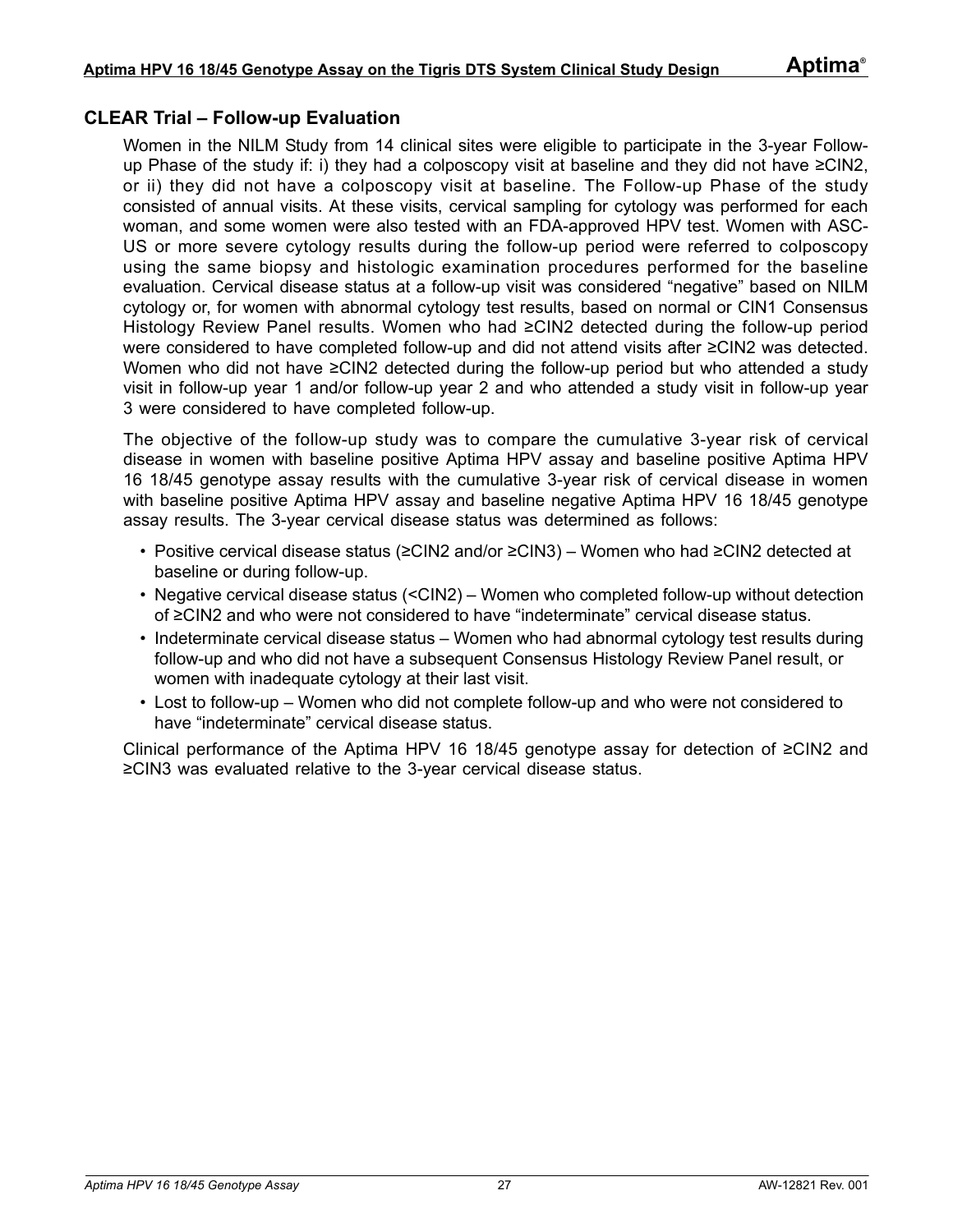### **CLEAR Trial – Follow-up Evaluation**

Women in the NILM Study from 14 clinical sites were eligible to participate in the 3-year Followup Phase of the study if: i) they had a colposcopy visit at baseline and they did not have ≥CIN2, or ii) they did not have a colposcopy visit at baseline. The Follow-up Phase of the study consisted of annual visits. At these visits, cervical sampling for cytology was performed for each woman, and some women were also tested with an FDA-approved HPV test. Women with ASC-US or more severe cytology results during the follow-up period were referred to colposcopy using the same biopsy and histologic examination procedures performed for the baseline evaluation. Cervical disease status at a follow-up visit was considered "negative" based on NILM cytology or, for women with abnormal cytology test results, based on normal or CIN1 Consensus Histology Review Panel results. Women who had ≥CIN2 detected during the follow-up period were considered to have completed follow-up and did not attend visits after ≥CIN2 was detected. Women who did not have ≥CIN2 detected during the follow-up period but who attended a study visit in follow-up year 1 and/or follow-up year 2 and who attended a study visit in follow-up year 3 were considered to have completed follow-up.

The objective of the follow-up study was to compare the cumulative 3-year risk of cervical disease in women with baseline positive Aptima HPV assay and baseline positive Aptima HPV 16 18/45 genotype assay results with the cumulative 3-year risk of cervical disease in women with baseline positive Aptima HPV assay and baseline negative Aptima HPV 16 18/45 genotype assay results. The 3-year cervical disease status was determined as follows:

- Positive cervical disease status (≥CIN2 and/or ≥CIN3) Women who had ≥CIN2 detected at baseline or during follow-up.
- Negative cervical disease status (<CIN2) Women who completed follow-up without detection of ≥CIN2 and who were not considered to have "indeterminate" cervical disease status.
- Indeterminate cervical disease status Women who had abnormal cytology test results during follow-up and who did not have a subsequent Consensus Histology Review Panel result, or women with inadequate cytology at their last visit.
- Lost to follow-up Women who did not complete follow-up and who were not considered to have "indeterminate" cervical disease status.

Clinical performance of the Aptima HPV 16 18/45 genotype assay for detection of ≥CIN2 and ≥CIN3 was evaluated relative to the 3-year cervical disease status.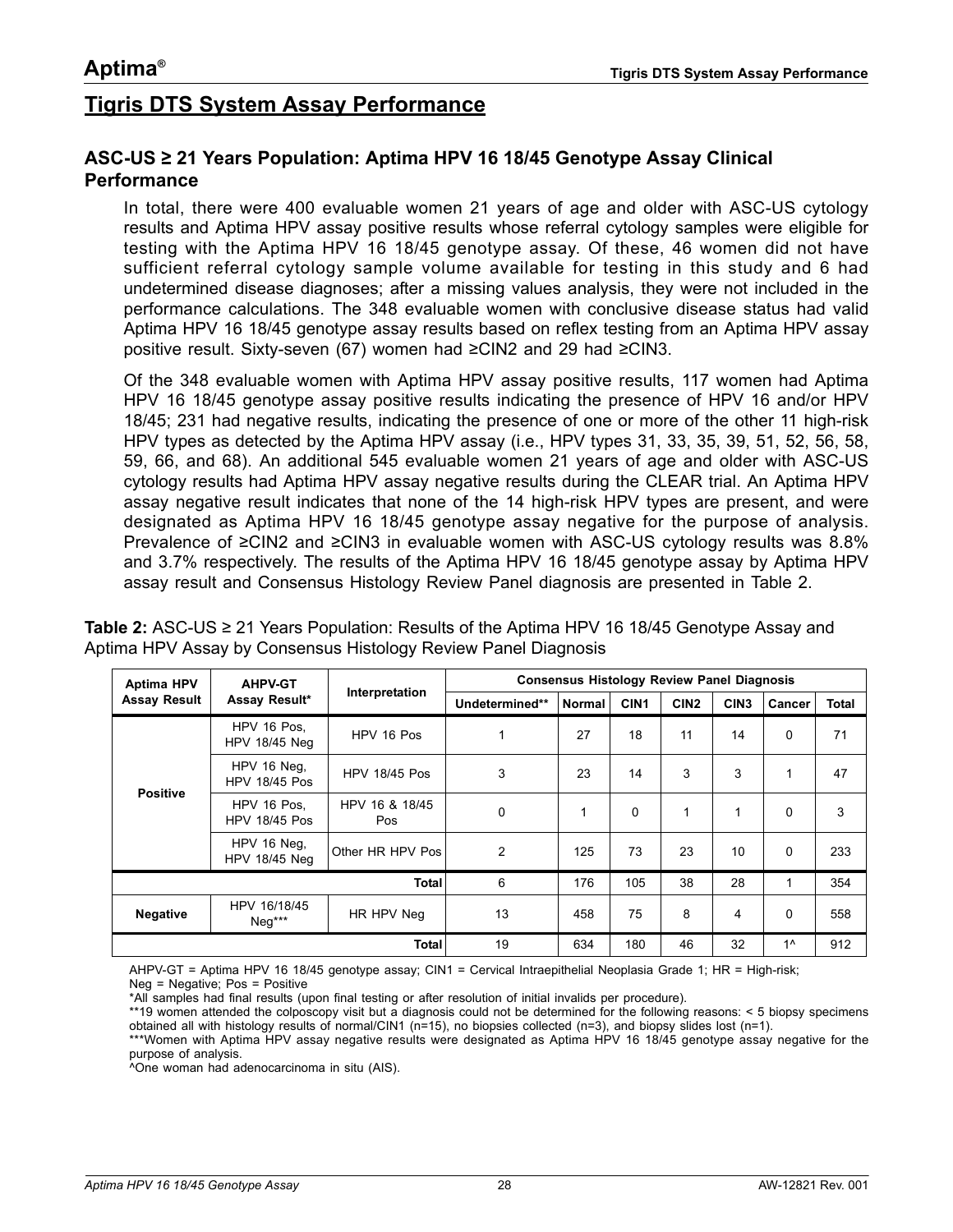# <span id="page-27-0"></span>**Tigris DTS System Assay Performance**

#### **ASC-US ≥ 21 Years Population: Aptima HPV 16 18/45 Genotype Assay Clinical Performance**

In total, there were 400 evaluable women 21 years of age and older with ASC-US cytology results and Aptima HPV assay positive results whose referral cytology samples were eligible for testing with the Aptima HPV 16 18/45 genotype assay. Of these, 46 women did not have sufficient referral cytology sample volume available for testing in this study and 6 had undetermined disease diagnoses; after a missing values analysis, they were not included in the performance calculations. The 348 evaluable women with conclusive disease status had valid Aptima HPV 16 18/45 genotype assay results based on reflex testing from an Aptima HPV assay positive result. Sixty-seven (67) women had ≥CIN2 and 29 had ≥CIN3.

Of the 348 evaluable women with Aptima HPV assay positive results, 117 women had Aptima HPV 16 18/45 genotype assay positive results indicating the presence of HPV 16 and/or HPV 18/45; 231 had negative results, indicating the presence of one or more of the other 11 high-risk HPV types as detected by the Aptima HPV assay (i.e., HPV types 31, 33, 35, 39, 51, 52, 56, 58, 59, 66, and 68). An additional 545 evaluable women 21 years of age and older with ASC-US cytology results had Aptima HPV assay negative results during the CLEAR trial. An Aptima HPV assay negative result indicates that none of the 14 high-risk HPV types are present, and were designated as Aptima HPV 16 18/45 genotype assay negative for the purpose of analysis. Prevalence of ≥CIN2 and ≥CIN3 in evaluable women with ASC-US cytology results was 8.8% and 3.7% respectively. The results of the Aptima HPV 16 18/45 genotype assay by Aptima HPV assay result and Consensus Histology Review Panel diagnosis are presented in [Table 2](#page-27-1).

<span id="page-27-1"></span>**Table 2:** ASC-US ≥ 21 Years Population: Results of the Aptima HPV 16 18/45 Genotype Assay and Aptima HPV Assay by Consensus Histology Review Panel Diagnosis

| <b>AHPV-GT</b><br><b>Aptima HPV</b> |                                     |                       | <b>Consensus Histology Review Panel Diagnosis</b><br>Interpretation |               |                  |                  |                  |          |              |
|-------------------------------------|-------------------------------------|-----------------------|---------------------------------------------------------------------|---------------|------------------|------------------|------------------|----------|--------------|
| <b>Assay Result</b>                 | Assay Result*                       |                       | Undetermined**                                                      | <b>Normal</b> | CIN <sub>1</sub> | CIN <sub>2</sub> | CIN <sub>3</sub> | Cancer   | <b>Total</b> |
| <b>Positive</b>                     | HPV 16 Pos.<br><b>HPV 18/45 Neg</b> | HPV 16 Pos            | 1                                                                   | 27            | 18               | 11               | 14               | $\Omega$ | 71           |
|                                     | HPV 16 Neq.<br><b>HPV 18/45 Pos</b> | <b>HPV 18/45 Pos</b>  | 3                                                                   | 23            | 14               | 3                | 3                | 1        | 47           |
|                                     | HPV 16 Pos.<br><b>HPV 18/45 Pos</b> | HPV 16 & 18/45<br>Pos | 0                                                                   | 1             | $\Omega$         | 1                |                  | 0        | 3            |
|                                     | HPV 16 Neg,<br><b>HPV 18/45 Neg</b> | Other HR HPV Pos      | $\overline{2}$                                                      | 125           | 73               | 23               | 10               | $\Omega$ | 233          |
|                                     |                                     | <b>Total</b>          | 6                                                                   | 176           | 105              | 38               | 28               | 1        | 354          |
| <b>Negative</b>                     | HPV 16/18/45<br>$Neq***$            | HR HPV Neg            | 13                                                                  | 458           | 75               | 8                | 4                | $\Omega$ | 558          |
|                                     |                                     | 19                    | 634                                                                 | 180           | 46               | 32               | $1^$             | 912      |              |

AHPV-GT = Aptima HPV 16 18/45 genotype assay; CIN1 = Cervical Intraepithelial Neoplasia Grade 1; HR = High-risk; Neg = Negative; Pos = Positive

\*All samples had final results (upon final testing or after resolution of initial invalids per procedure).

\*\*19 women attended the colposcopy visit but a diagnosis could not be determined for the following reasons: < 5 biopsy specimens obtained all with histology results of normal/CIN1 (n=15), no biopsies collected (n=3), and biopsy slides lost (n=1).

\*\*\*Women with Aptima HPV assay negative results were designated as Aptima HPV 16 18/45 genotype assay negative for the purpose of analysis.

^One woman had adenocarcinoma in situ (AIS).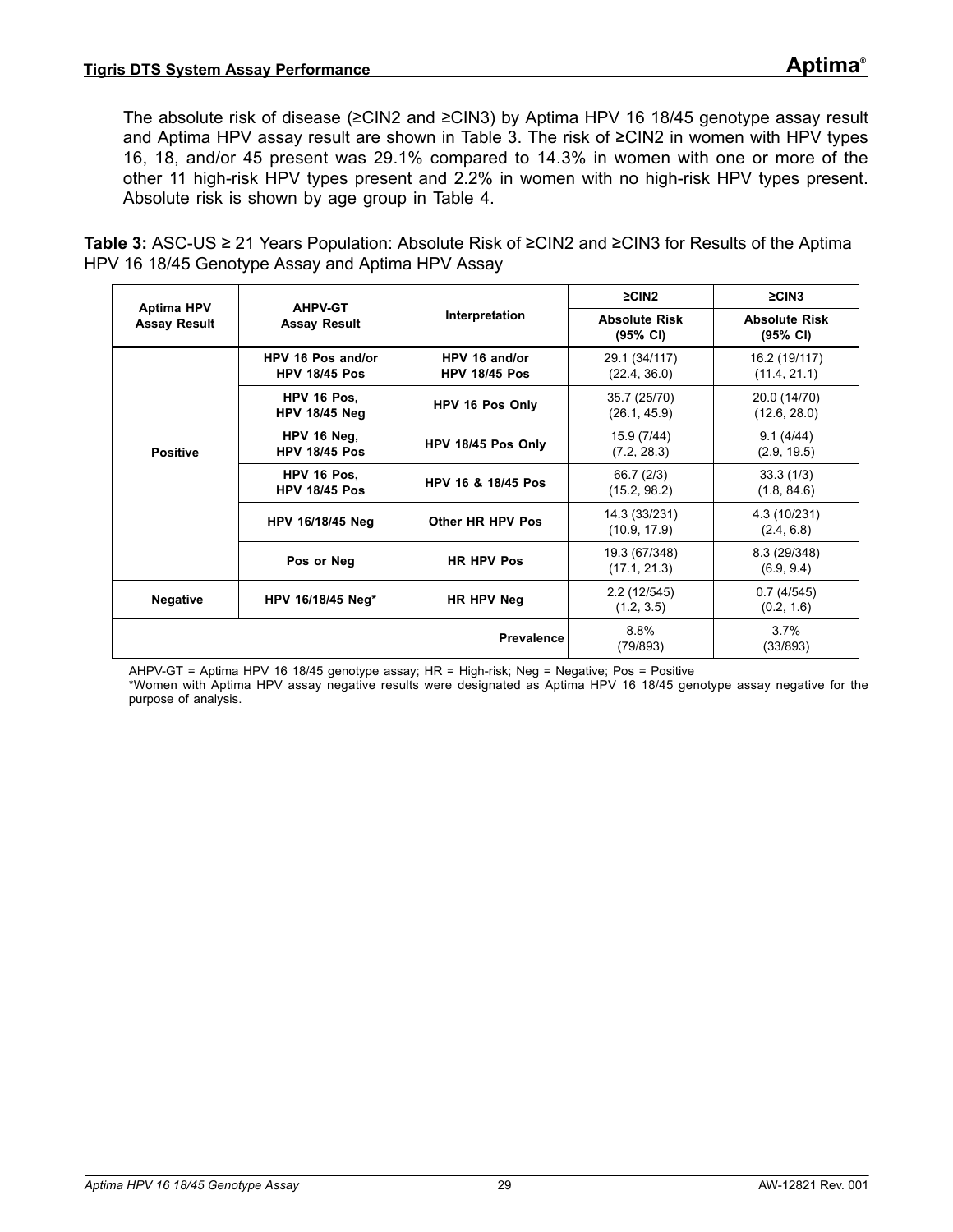The absolute risk of disease (≥CIN2 and ≥CIN3) by Aptima HPV 16 18/45 genotype assay result and Aptima HPV assay result are shown in [Table 3](#page-28-0). The risk of ≥CIN2 in women with HPV types 16, 18, and/or 45 present was 29.1% compared to 14.3% in women with one or more of the other 11 high-risk HPV types present and 2.2% in women with no high-risk HPV types present. Absolute risk is shown by age group in [Table 4.](#page-29-0)

<span id="page-28-0"></span>**Table 3:** ASC-US ≥ 21 Years Population: Absolute Risk of ≥CIN2 and ≥CIN3 for Results of the Aptima HPV 16 18/45 Genotype Assay and Aptima HPV Assay

|                                          | <b>AHPV-GT</b>                            |                                       | $\geq$ CIN2                                | $\geq$ CIN3                                |
|------------------------------------------|-------------------------------------------|---------------------------------------|--------------------------------------------|--------------------------------------------|
| <b>Aptima HPV</b><br><b>Assay Result</b> | <b>Assay Result</b>                       | Interpretation                        | <b>Absolute Risk</b><br>$(95% \text{ CI})$ | <b>Absolute Risk</b><br>$(95% \text{ Cl})$ |
|                                          | HPV 16 Pos and/or<br><b>HPV 18/45 Pos</b> | HPV 16 and/or<br><b>HPV 18/45 Pos</b> | 29.1 (34/117)<br>(22.4, 36.0)              | 16.2 (19/117)<br>(11.4, 21.1)              |
|                                          | HPV 16 Pos.<br><b>HPV 18/45 Neg</b>       | HPV 16 Pos Only                       | 35.7 (25/70)<br>(26.1, 45.9)               | 20.0 (14/70)<br>(12.6, 28.0)               |
| <b>Positive</b>                          | HPV 16 Neg.<br><b>HPV 18/45 Pos</b>       | HPV 18/45 Pos Only                    | 15.9 (7/44)<br>(7.2, 28.3)                 | 9.1(4/44)<br>(2.9, 19.5)                   |
|                                          | HPV 16 Pos.<br><b>HPV 18/45 Pos</b>       | HPV 16 & 18/45 Pos                    | 66.7 (2/3)<br>(15.2, 98.2)                 | 33.3(1/3)<br>(1.8, 84.6)                   |
|                                          | HPV 16/18/45 Neg                          | Other HR HPV Pos                      | 14.3 (33/231)<br>(10.9, 17.9)              | 4.3 (10/231)<br>(2.4, 6.8)                 |
|                                          | Pos or Neg                                | <b>HR HPV Pos</b>                     | 19.3 (67/348)<br>(17.1, 21.3)              | 8.3 (29/348)<br>(6.9, 9.4)                 |
| <b>Negative</b>                          | HPV 16/18/45 Neg*                         | HR HPV Neg                            | 2.2 (12/545)<br>(1.2, 3.5)                 | 0.7(4/545)<br>(0.2, 1.6)                   |
|                                          |                                           | <b>Prevalence</b>                     | 8.8%<br>(79/893)                           | 3.7%<br>(33/893)                           |

AHPV-GT = Aptima HPV 16 18/45 genotype assay; HR = High-risk; Neg = Negative; Pos = Positive

\*Women with Aptima HPV assay negative results were designated as Aptima HPV 16 18/45 genotype assay negative for the purpose of analysis.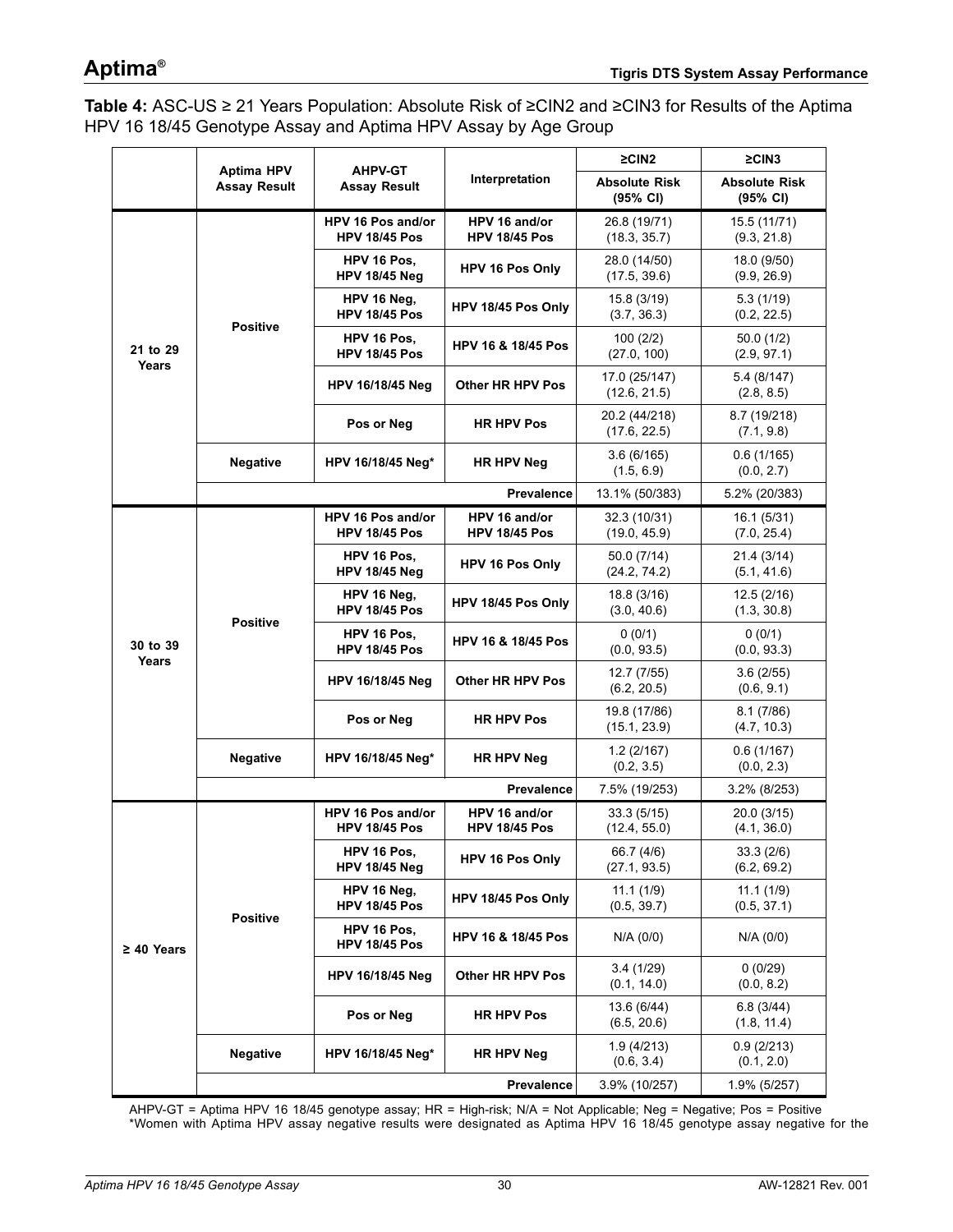<span id="page-29-0"></span>**Table 4:** ASC-US ≥ 21 Years Population: Absolute Risk of ≥CIN2 and ≥CIN3 for Results of the Aptima HPV 16 18/45 Genotype Assay and Aptima HPV Assay by Age Group

|                   | <b>Aptima HPV</b>   | <b>AHPV-GT</b>                            |                                       | $\geq$ CIN2                                | $\geq$ CIN3                      |
|-------------------|---------------------|-------------------------------------------|---------------------------------------|--------------------------------------------|----------------------------------|
|                   | <b>Assay Result</b> | <b>Assay Result</b>                       | Interpretation                        | <b>Absolute Risk</b><br>$(95% \text{ Cl})$ | <b>Absolute Risk</b><br>(95% CI) |
|                   |                     | HPV 16 Pos and/or<br><b>HPV 18/45 Pos</b> | HPV 16 and/or<br><b>HPV 18/45 Pos</b> | 26.8 (19/71)<br>(18.3, 35.7)               | 15.5 (11/71)<br>(9.3, 21.8)      |
|                   |                     | HPV 16 Pos,<br><b>HPV 18/45 Neg</b>       | HPV 16 Pos Only                       | 28.0 (14/50)<br>(17.5, 39.6)               | 18.0 (9/50)<br>(9.9, 26.9)       |
|                   | <b>Positive</b>     | HPV 16 Neg,<br><b>HPV 18/45 Pos</b>       | HPV 18/45 Pos Only                    | 15.8 (3/19)<br>(3.7, 36.3)                 | 5.3(1/19)<br>(0.2, 22.5)         |
| 21 to 29<br>Years |                     | HPV 16 Pos,<br><b>HPV 18/45 Pos</b>       | HPV 16 & 18/45 Pos                    | 100(2/2)<br>(27.0, 100)                    | 50.0(1/2)<br>(2.9, 97.1)         |
|                   |                     | <b>HPV 16/18/45 Neg</b>                   | Other HR HPV Pos                      | 17.0 (25/147)<br>(12.6, 21.5)              | 5.4 (8/147)<br>(2.8, 8.5)        |
|                   |                     | Pos or Neg                                | <b>HR HPV Pos</b>                     | 20.2 (44/218)<br>(17.6, 22.5)              | 8.7 (19/218)<br>(7.1, 9.8)       |
|                   | <b>Negative</b>     | HPV 16/18/45 Neg*                         | <b>HR HPV Neg</b>                     | 3.6(6/165)<br>(1.5, 6.9)                   | 0.6(1/165)<br>(0.0, 2.7)         |
|                   |                     |                                           | <b>Prevalence</b>                     | 13.1% (50/383)                             | 5.2% (20/383)                    |
|                   |                     | HPV 16 Pos and/or<br><b>HPV 18/45 Pos</b> | HPV 16 and/or<br><b>HPV 18/45 Pos</b> | 32.3 (10/31)<br>(19.0, 45.9)               | 16.1 (5/31)<br>(7.0, 25.4)       |
|                   | <b>Positive</b>     | HPV 16 Pos,<br><b>HPV 18/45 Neg</b>       | HPV 16 Pos Only                       | 50.0 (7/14)<br>(24.2, 74.2)                | 21.4 (3/14)<br>(5.1, 41.6)       |
|                   |                     | HPV 16 Neg,<br><b>HPV 18/45 Pos</b>       | HPV 18/45 Pos Only                    | 18.8 (3/16)<br>(3.0, 40.6)                 | 12.5(2/16)<br>(1.3, 30.8)        |
| 30 to 39<br>Years |                     | HPV 16 Pos,<br><b>HPV 18/45 Pos</b>       | <b>HPV 16 &amp; 18/45 Pos</b>         | 0(0/1)<br>(0.0, 93.5)                      | 0(0/1)<br>(0.0, 93.3)            |
|                   |                     | <b>HPV 16/18/45 Neg</b>                   | Other HR HPV Pos                      | 12.7 (7/55)<br>(6.2, 20.5)                 | 3.6(2/55)<br>(0.6, 9.1)          |
|                   |                     | Pos or Neg                                | <b>HR HPV Pos</b>                     | 19.8 (17/86)<br>(15.1, 23.9)               | 8.1(7/86)<br>(4.7, 10.3)         |
|                   | <b>Negative</b>     | HPV 16/18/45 Neg*                         | <b>HR HPV Neg</b>                     | 1.2(2/167)<br>(0.2, 3.5)                   | 0.6(1/167)<br>(0.0, 2.3)         |
|                   |                     |                                           | <b>Prevalence</b>                     | 7.5% (19/253)                              | 3.2% (8/253)                     |
|                   |                     | HPV 16 Pos and/or<br><b>HPV 18/45 Pos</b> | HPV 16 and/or<br><b>HPV 18/45 Pos</b> | 33.3 (5/15)<br>(12.4, 55.0)                | 20.0 (3/15)<br>(4.1, 36.0)       |
|                   |                     | HPV 16 Pos,<br><b>HPV 18/45 Neg</b>       | <b>HPV 16 Pos Only</b>                | 66.7 (4/6)<br>(27.1, 93.5)                 | 33.3(2/6)<br>(6.2, 69.2)         |
|                   | <b>Positive</b>     | HPV 16 Neg,<br><b>HPV 18/45 Pos</b>       | HPV 18/45 Pos Only                    | 11.1(1/9)<br>(0.5, 39.7)                   | 11.1(1/9)<br>(0.5, 37.1)         |
| $\geq 40$ Years   |                     | HPV 16 Pos,<br><b>HPV 18/45 Pos</b>       | <b>HPV 16 &amp; 18/45 Pos</b>         | N/A (0/0)                                  | N/A (0/0)                        |
|                   |                     | <b>HPV 16/18/45 Neg</b>                   | Other HR HPV Pos                      | 3.4(1/29)<br>(0.1, 14.0)                   | 0(0/29)<br>(0.0, 8.2)            |
|                   |                     | Pos or Neg                                | <b>HR HPV Pos</b>                     | 13.6 (6/44)<br>(6.5, 20.6)                 | 6.8(3/44)<br>(1.8, 11.4)         |
|                   | Negative            | HPV 16/18/45 Neg*                         | HR HPV Neg                            | 1.9(4/213)<br>(0.6, 3.4)                   | 0.9(2/213)<br>(0.1, 2.0)         |
|                   |                     |                                           | Prevalence                            | 3.9% (10/257)                              | 1.9% (5/257)                     |

AHPV-GT = Aptima HPV 16 18/45 genotype assay; HR = High-risk; N/A = Not Applicable; Neg = Negative; Pos = Positive \*Women with Aptima HPV assay negative results were designated as Aptima HPV 16 18/45 genotype assay negative for the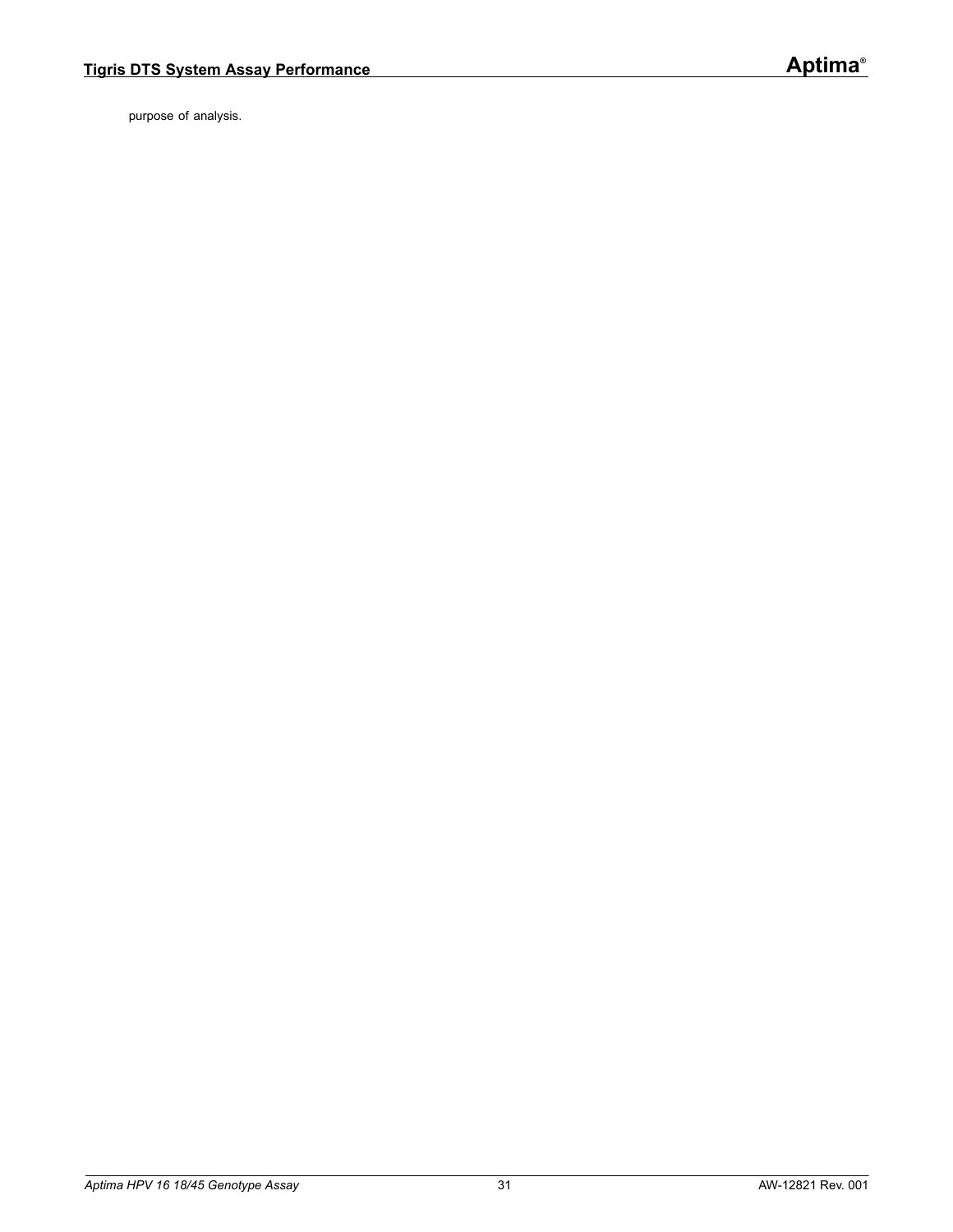purpose of analysis.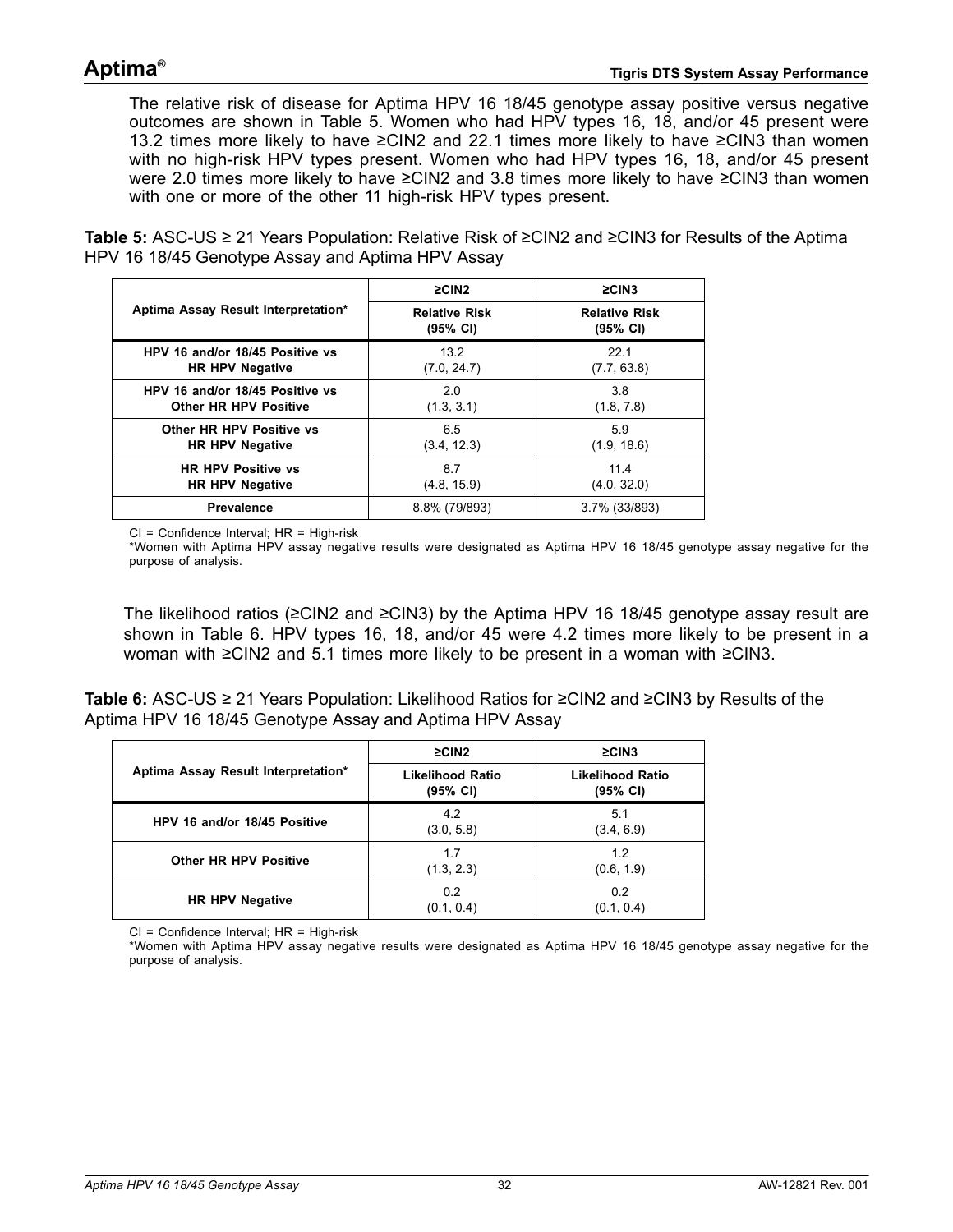The relative risk of disease for Aptima HPV 16 18/45 genotype assay positive versus negative outcomes are shown in [Table 5](#page-31-0). Women who had HPV types 16, 18, and/or 45 present were 13.2 times more likely to have ≥CIN2 and 22.1 times more likely to have ≥CIN3 than women with no high-risk HPV types present. Women who had HPV types 16, 18, and/or 45 present were 2.0 times more likely to have ≥CIN2 and 3.8 times more likely to have ≥CIN3 than women with one or more of the other 11 high-risk HPV types present.

<span id="page-31-0"></span>**Table 5:** ASC-US ≥ 21 Years Population: Relative Risk of ≥CIN2 and ≥CIN3 for Results of the Aptima HPV 16 18/45 Genotype Assay and Aptima HPV Assay

|                                     | $\geq$ CIN2                      | $\geq$ CIN3                      |
|-------------------------------------|----------------------------------|----------------------------------|
| Aptima Assay Result Interpretation* | <b>Relative Risk</b><br>(95% CI) | <b>Relative Risk</b><br>(95% CI) |
| HPV 16 and/or 18/45 Positive vs     | 13.2                             | 22.1                             |
| <b>HR HPV Negative</b>              | (7.0, 24.7)                      | (7.7, 63.8)                      |
| HPV 16 and/or 18/45 Positive vs     | 2.0                              | 3.8                              |
| <b>Other HR HPV Positive</b>        | (1.3, 3.1)                       | (1.8, 7.8)                       |
| Other HR HPV Positive vs            | 6.5                              | 5.9                              |
| <b>HR HPV Negative</b>              | (3.4, 12.3)                      | (1.9, 18.6)                      |
| <b>HR HPV Positive vs</b>           | 8.7                              | 11.4                             |
| <b>HR HPV Negative</b>              | (4.8, 15.9)                      | (4.0, 32.0)                      |
| <b>Prevalence</b>                   | 8.8% (79/893)                    | 3.7% (33/893)                    |

CI = Confidence Interval; HR = High-risk

\*Women with Aptima HPV assay negative results were designated as Aptima HPV 16 18/45 genotype assay negative for the purpose of analysis.

The likelihood ratios (≥CIN2 and ≥CIN3) by the Aptima HPV 16 18/45 genotype assay result are shown in [Table 6.](#page-31-1) HPV types 16, 18, and/or 45 were 4.2 times more likely to be present in a woman with ≥CIN2 and 5.1 times more likely to be present in a woman with ≥CIN3.

<span id="page-31-1"></span>**Table 6:** ASC-US ≥ 21 Years Population: Likelihood Ratios for ≥CIN2 and ≥CIN3 by Results of the Aptima HPV 16 18/45 Genotype Assay and Aptima HPV Assay

|                                     | $\geq$ CIN2                         | $\geq$ CIN3                         |
|-------------------------------------|-------------------------------------|-------------------------------------|
| Aptima Assay Result Interpretation* | <b>Likelihood Ratio</b><br>(95% CI) | <b>Likelihood Ratio</b><br>(95% CI) |
| HPV 16 and/or 18/45 Positive        | 4.2<br>(3.0, 5.8)                   | 5.1<br>(3.4, 6.9)                   |
| <b>Other HR HPV Positive</b>        | 1.7<br>(1.3, 2.3)                   | 1.2<br>(0.6, 1.9)                   |
| <b>HR HPV Negative</b>              | 0.2<br>(0.1, 0.4)                   | 0.2<br>(0.1, 0.4)                   |

CI = Confidence Interval; HR = High-risk

\*Women with Aptima HPV assay negative results were designated as Aptima HPV 16 18/45 genotype assay negative for the purpose of analysis.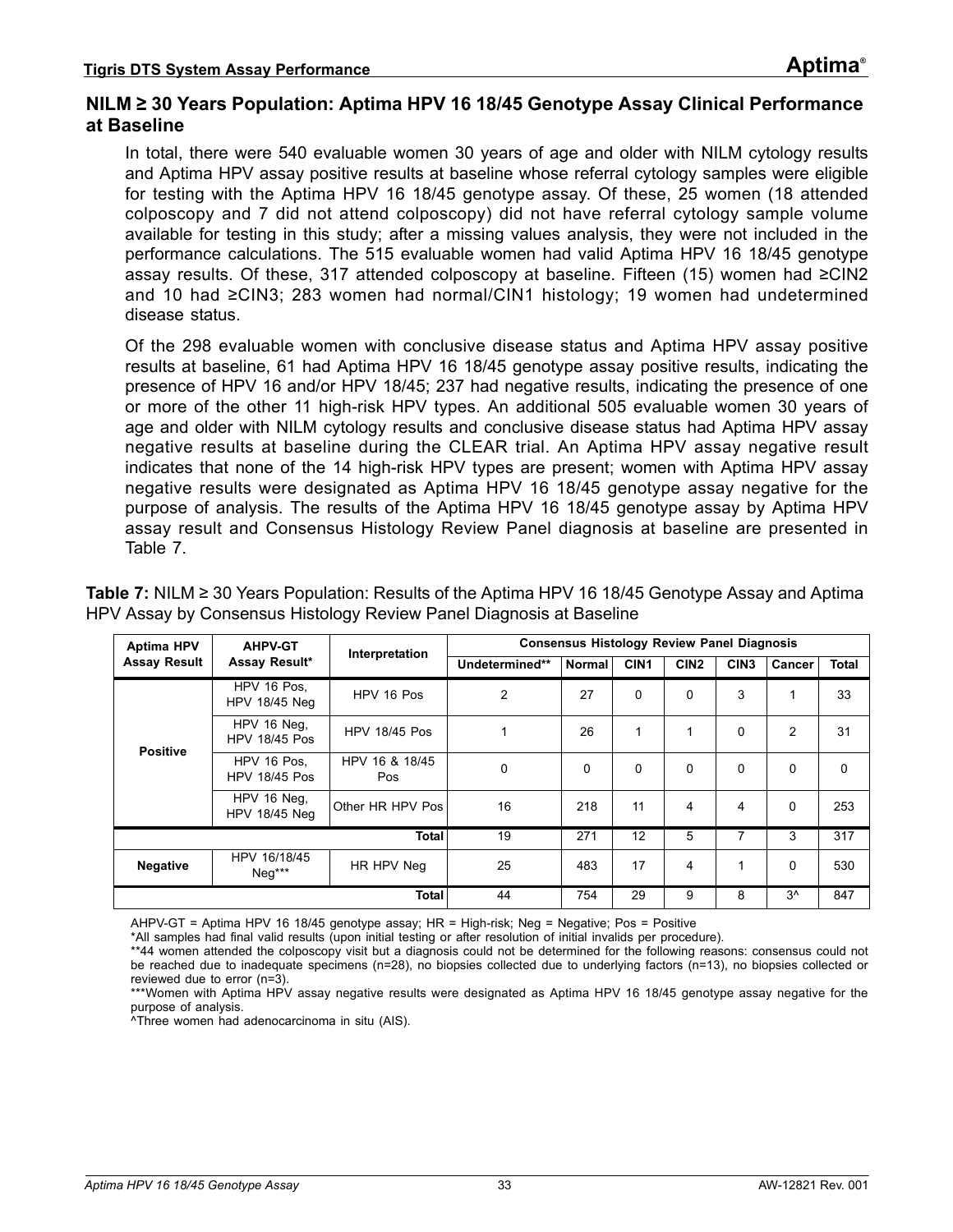#### **NILM ≥ 30 Years Population: Aptima HPV 16 18/45 Genotype Assay Clinical Performance at Baseline**

In total, there were 540 evaluable women 30 years of age and older with NILM cytology results and Aptima HPV assay positive results at baseline whose referral cytology samples were eligible for testing with the Aptima HPV 16 18/45 genotype assay. Of these, 25 women (18 attended colposcopy and 7 did not attend colposcopy) did not have referral cytology sample volume available for testing in this study; after a missing values analysis, they were not included in the performance calculations. The 515 evaluable women had valid Aptima HPV 16 18/45 genotype assay results. Of these, 317 attended colposcopy at baseline. Fifteen (15) women had ≥CIN2 and 10 had ≥CIN3; 283 women had normal/CIN1 histology; 19 women had undetermined disease status.

Of the 298 evaluable women with conclusive disease status and Aptima HPV assay positive results at baseline, 61 had Aptima HPV 16 18/45 genotype assay positive results, indicating the presence of HPV 16 and/or HPV 18/45; 237 had negative results, indicating the presence of one or more of the other 11 high-risk HPV types. An additional 505 evaluable women 30 years of age and older with NILM cytology results and conclusive disease status had Aptima HPV assay negative results at baseline during the CLEAR trial. An Aptima HPV assay negative result indicates that none of the 14 high-risk HPV types are present; women with Aptima HPV assay negative results were designated as Aptima HPV 16 18/45 genotype assay negative for the purpose of analysis. The results of the Aptima HPV 16 18/45 genotype assay by Aptima HPV assay result and Consensus Histology Review Panel diagnosis at baseline are presented in [Table 7.](#page-32-0)

| <b>Aptima HPV</b>   | <b>AHPV-GT</b>                      | Interpretation               |                |               | <b>Consensus Histology Review Panel Diagnosis</b> |                  |                  |              |              |
|---------------------|-------------------------------------|------------------------------|----------------|---------------|---------------------------------------------------|------------------|------------------|--------------|--------------|
| <b>Assay Result</b> | Assay Result*                       |                              | Undetermined** | <b>Normal</b> | CIN <sub>1</sub>                                  | CIN <sub>2</sub> | CIN <sub>3</sub> | Cancer       | <b>Total</b> |
| <b>Positive</b>     | HPV 16 Pos.<br><b>HPV 18/45 Neg</b> | HPV 16 Pos                   | 2              | 27            | 0                                                 | 0                | 3                | 1            | 33           |
|                     | HPV 16 Neg.<br><b>HPV 18/45 Pos</b> | <b>HPV 18/45 Pos</b>         | 4              | 26            | 1                                                 | 1                | 0                | 2            | 31           |
|                     | HPV 16 Pos.<br><b>HPV 18/45 Pos</b> | HPV 16 & 18/45<br><b>Pos</b> | $\Omega$       | $\Omega$      | 0                                                 | 0                | 0                | $\Omega$     | $\Omega$     |
|                     | HPV 16 Neg,<br>HPV 18/45 Neg        | Other HR HPV Pos             | 16             | 218           | 11                                                | 4                | 4                | $\Omega$     | 253          |
|                     |                                     | <b>Total</b>                 | 19             | 271           | 12                                                | 5                | 7                | 3            | 317          |
| <b>Negative</b>     | HPV 16/18/45<br>Neq***              | HR HPV Neg                   | 25             | 483           | 17                                                | 4                | 1                | $\Omega$     | 530          |
|                     |                                     | <b>Total</b>                 | 44             | 754           | 29                                                | 9                | 8                | $3^{\wedge}$ | 847          |

<span id="page-32-0"></span>**Table 7:** NILM ≥ 30 Years Population: Results of the Aptima HPV 16 18/45 Genotype Assay and Aptima HPV Assay by Consensus Histology Review Panel Diagnosis at Baseline

AHPV-GT = Aptima HPV 16 18/45 genotype assay; HR = High-risk; Neg = Negative; Pos = Positive

\*All samples had final valid results (upon initial testing or after resolution of initial invalids per procedure).

\*\*44 women attended the colposcopy visit but a diagnosis could not be determined for the following reasons: consensus could not be reached due to inadequate specimens (n=28), no biopsies collected due to underlying factors (n=13), no biopsies collected or reviewed due to error (n=3).

^Three women had adenocarcinoma in situ (AIS).

<sup>\*\*\*</sup>Women with Aptima HPV assay negative results were designated as Aptima HPV 16 18/45 genotype assay negative for the purpose of analysis.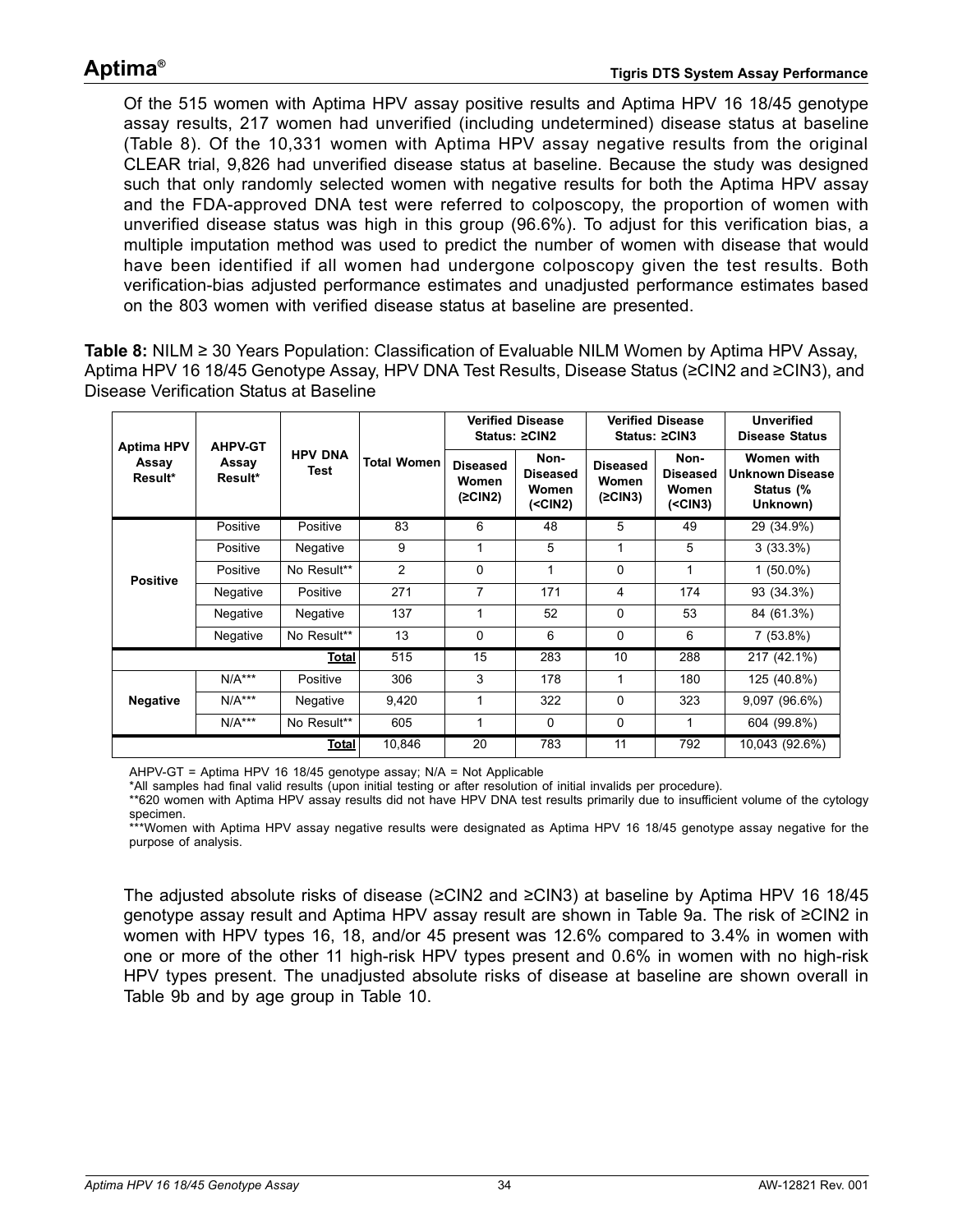Of the 515 women with Aptima HPV assay positive results and Aptima HPV 16 18/45 genotype assay results, 217 women had unverified (including undetermined) disease status at baseline [\(Table 8](#page-33-0)). Of the 10,331 women with Aptima HPV assay negative results from the original CLEAR trial, 9,826 had unverified disease status at baseline. Because the study was designed such that only randomly selected women with negative results for both the Aptima HPV assay and the FDA-approved DNA test were referred to colposcopy, the proportion of women with unverified disease status was high in this group (96.6%). To adjust for this verification bias, a multiple imputation method was used to predict the number of women with disease that would have been identified if all women had undergone colposcopy given the test results. Both verification-bias adjusted performance estimates and unadjusted performance estimates based on the 803 women with verified disease status at baseline are presented.

<span id="page-33-0"></span>**Table 8:** NILM ≥ 30 Years Population: Classification of Evaluable NILM Women by Aptima HPV Assay, Aptima HPV 16 18/45 Genotype Assay, HPV DNA Test Results, Disease Status (≥CIN2 and ≥CIN3), and Disease Verification Status at Baseline

| <b>Aptima HPV</b> | <b>AHPV-GT</b>   |                        |                    |                                     | <b>Verified Disease</b><br>Status: ≥CIN2       |                                     | <b>Verified Disease</b><br>Status: ≥CIN3       |                                                               | <b>Unverified</b><br><b>Disease Status</b> |
|-------------------|------------------|------------------------|--------------------|-------------------------------------|------------------------------------------------|-------------------------------------|------------------------------------------------|---------------------------------------------------------------|--------------------------------------------|
| Assay<br>Result*  | Assay<br>Result* | <b>HPV DNA</b><br>Test | <b>Total Women</b> | <b>Diseased</b><br>Women<br>(2CIN2) | Non-<br><b>Diseased</b><br>Women<br>$(<$ CIN2) | <b>Diseased</b><br>Women<br>(2CIN3) | Non-<br><b>Diseased</b><br>Women<br>$(<$ CIN3) | Women with<br><b>Unknown Disease</b><br>Status (%<br>Unknown) |                                            |
|                   | Positive         | Positive               | 83                 | 6                                   | 48                                             | 5                                   | 49                                             | 29 (34.9%)                                                    |                                            |
|                   | Positive         | Negative               | 9                  | 1                                   | 5                                              | $\mathbf{1}$                        | 5                                              | $3(33.3\%)$                                                   |                                            |
| <b>Positive</b>   | Positive         | No Result**            | $\overline{2}$     | 0                                   |                                                | 0                                   | 1                                              | $1(50.0\%)$                                                   |                                            |
|                   | Negative         | Positive               | 271                | 7                                   | 171                                            | 4                                   | 174                                            | 93 (34.3%)                                                    |                                            |
|                   | Negative         | Negative               | 137                | 1                                   | 52                                             | 0                                   | 53                                             | 84 (61.3%)                                                    |                                            |
|                   | Negative         | No Result**            | 13                 | 0                                   | 6                                              | $\mathbf{0}$                        | 6                                              | $7(53.8\%)$                                                   |                                            |
|                   |                  | <b>Total</b>           | 515                | 15                                  | 283                                            | 10                                  | 288                                            | 217 (42.1%)                                                   |                                            |
|                   | $N/A***$         | Positive               | 306                | 3                                   | 178                                            | 1                                   | 180                                            | 125 (40.8%)                                                   |                                            |
| <b>Negative</b>   | $N/A***$         | <b>Negative</b>        | 9,420              | 1                                   | 322                                            | 0                                   | 323                                            | 9,097(96.6%)                                                  |                                            |
|                   | $N/A***$         | No Result**            | 605                | 1                                   | $\Omega$                                       | 0                                   | 1                                              | 604 (99.8%)                                                   |                                            |
|                   |                  | <b>Total</b>           | 10,846             | 20                                  | 783                                            | 11                                  | 792                                            | 10.043 (92.6%)                                                |                                            |

AHPV-GT = Aptima HPV 16 18/45 genotype assay; N/A = Not Applicable

\*All samples had final valid results (upon initial testing or after resolution of initial invalids per procedure).

\*\*620 women with Aptima HPV assay results did not have HPV DNA test results primarily due to insufficient volume of the cytology specimen.

\*\*\*Women with Aptima HPV assay negative results were designated as Aptima HPV 16 18/45 genotype assay negative for the purpose of analysis.

The adjusted absolute risks of disease (≥CIN2 and ≥CIN3) at baseline by Aptima HPV 16 18/45 genotype assay result and Aptima HPV assay result are shown in [Table 9](#page-34-0)a. The risk of ≥CIN2 in women with HPV types 16, 18, and/or 45 present was 12.6% compared to 3.4% in women with one or more of the other 11 high-risk HPV types present and 0.6% in women with no high-risk HPV types present. The unadjusted absolute risks of disease at baseline are shown overall in [Table 9b](#page-34-1) and by age group in [Table 10](#page-35-0).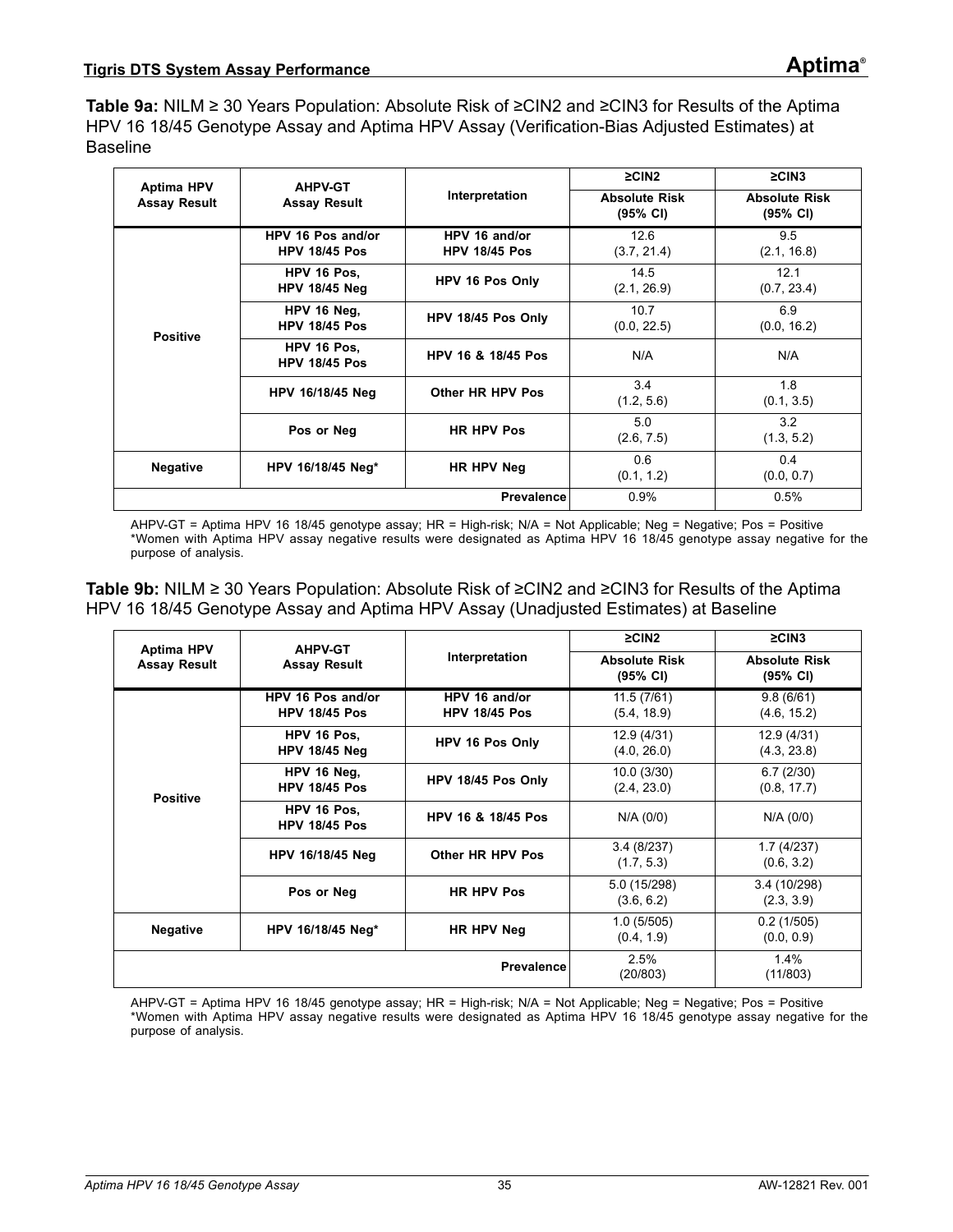<span id="page-34-0"></span>**Table 9a:** NILM ≥ 30 Years Population: Absolute Risk of ≥CIN2 and ≥CIN3 for Results of the Aptima HPV 16 18/45 Genotype Assay and Aptima HPV Assay (Verification-Bias Adjusted Estimates) at Baseline

| <b>Aptima HPV</b>   | <b>AHPV-GT</b>                            |                                       | $\geq$ CIN2                                | $\geq$ CIN3                      |
|---------------------|-------------------------------------------|---------------------------------------|--------------------------------------------|----------------------------------|
| <b>Assay Result</b> | <b>Assay Result</b>                       | Interpretation                        | <b>Absolute Risk</b><br>$(95% \text{ Cl})$ | <b>Absolute Risk</b><br>(95% CI) |
|                     | HPV 16 Pos and/or<br><b>HPV 18/45 Pos</b> | HPV 16 and/or<br><b>HPV 18/45 Pos</b> | 12.6<br>(3.7, 21.4)                        | 9.5<br>(2.1, 16.8)               |
| <b>Positive</b>     | HPV 16 Pos.<br><b>HPV 18/45 Neg</b>       | HPV 16 Pos Only                       | 14.5<br>(2.1, 26.9)                        | 12.1<br>(0.7, 23.4)              |
|                     | HPV 16 Neg,<br><b>HPV 18/45 Pos</b>       | HPV 18/45 Pos Only                    | 10.7<br>(0.0, 22.5)                        | 6.9<br>(0.0, 16.2)               |
|                     | HPV 16 Pos.<br><b>HPV 18/45 Pos</b>       | HPV 16 & 18/45 Pos                    | N/A                                        | N/A                              |
|                     | HPV 16/18/45 Neg                          | Other HR HPV Pos                      | 3.4<br>(1.2, 5.6)                          | 1.8<br>(0.1, 3.5)                |
|                     | Pos or Neg                                | <b>HR HPV Pos</b>                     | 5.0<br>(2.6, 7.5)                          | 3.2<br>(1.3, 5.2)                |
| <b>Negative</b>     | HPV 16/18/45 Neg*                         | HR HPV Neg                            | 0.6<br>(0.1, 1.2)                          | 0.4<br>(0.0, 0.7)                |
|                     |                                           | 0.9%                                  | 0.5%                                       |                                  |

AHPV-GT = Aptima HPV 16 18/45 genotype assay; HR = High-risk; N/A = Not Applicable; Neg = Negative; Pos = Positive \*Women with Aptima HPV assay negative results were designated as Aptima HPV 16 18/45 genotype assay negative for the purpose of analysis.

<span id="page-34-1"></span>**Table 9b:** NILM ≥ 30 Years Population: Absolute Risk of ≥CIN2 and ≥CIN3 for Results of the Aptima HPV 16 18/45 Genotype Assay and Aptima HPV Assay (Unadjusted Estimates) at Baseline

| <b>Aptima HPV</b>   | <b>AHPV-GT</b>                            |                                       | $\geq$ CIN2                                | $\geq$ CIN3                                |
|---------------------|-------------------------------------------|---------------------------------------|--------------------------------------------|--------------------------------------------|
| <b>Assay Result</b> | <b>Assay Result</b>                       | Interpretation                        | <b>Absolute Risk</b><br>$(95% \text{ Cl})$ | <b>Absolute Risk</b><br>$(95% \text{ CI})$ |
|                     | HPV 16 Pos and/or<br><b>HPV 18/45 Pos</b> | HPV 16 and/or<br><b>HPV 18/45 Pos</b> | 11.5(7/61)<br>(5.4, 18.9)                  | 9.8(6/61)<br>(4.6, 15.2)                   |
| <b>Positive</b>     | HPV 16 Pos.<br><b>HPV 18/45 Neg</b>       | HPV 16 Pos Only                       | 12.9 (4/31)<br>(4.0, 26.0)                 | 12.9 (4/31)<br>(4.3, 23.8)                 |
|                     | HPV 16 Neg,<br><b>HPV 18/45 Pos</b>       | HPV 18/45 Pos Only                    | 10.0(3/30)<br>(2.4, 23.0)                  | 6.7(2/30)<br>(0.8, 17.7)                   |
|                     | HPV 16 Pos.<br><b>HPV 18/45 Pos</b>       | <b>HPV 16 &amp; 18/45 Pos</b>         | N/A (0/0)                                  | N/A (0/0)                                  |
|                     | <b>HPV 16/18/45 Neg</b>                   | Other HR HPV Pos                      | 3.4(8/237)<br>(1.7, 5.3)                   | 1.7(4/237)<br>(0.6, 3.2)                   |
|                     | Pos or Neg                                | <b>HR HPV Pos</b>                     | 5.0 (15/298)<br>(3.6, 6.2)                 | 3.4 (10/298)<br>(2.3, 3.9)                 |
| <b>Negative</b>     | HPV 16/18/45 Neg*                         | HR HPV Neg                            | 1.0(5/505)<br>(0.4, 1.9)                   | 0.2(1/505)<br>(0.0, 0.9)                   |
|                     |                                           | 2.5%<br>(20/803)                      | $1.4\%$<br>(11/803)                        |                                            |

AHPV-GT = Aptima HPV 16 18/45 genotype assay; HR = High-risk; N/A = Not Applicable; Neg = Negative; Pos = Positive \*Women with Aptima HPV assay negative results were designated as Aptima HPV 16 18/45 genotype assay negative for the purpose of analysis.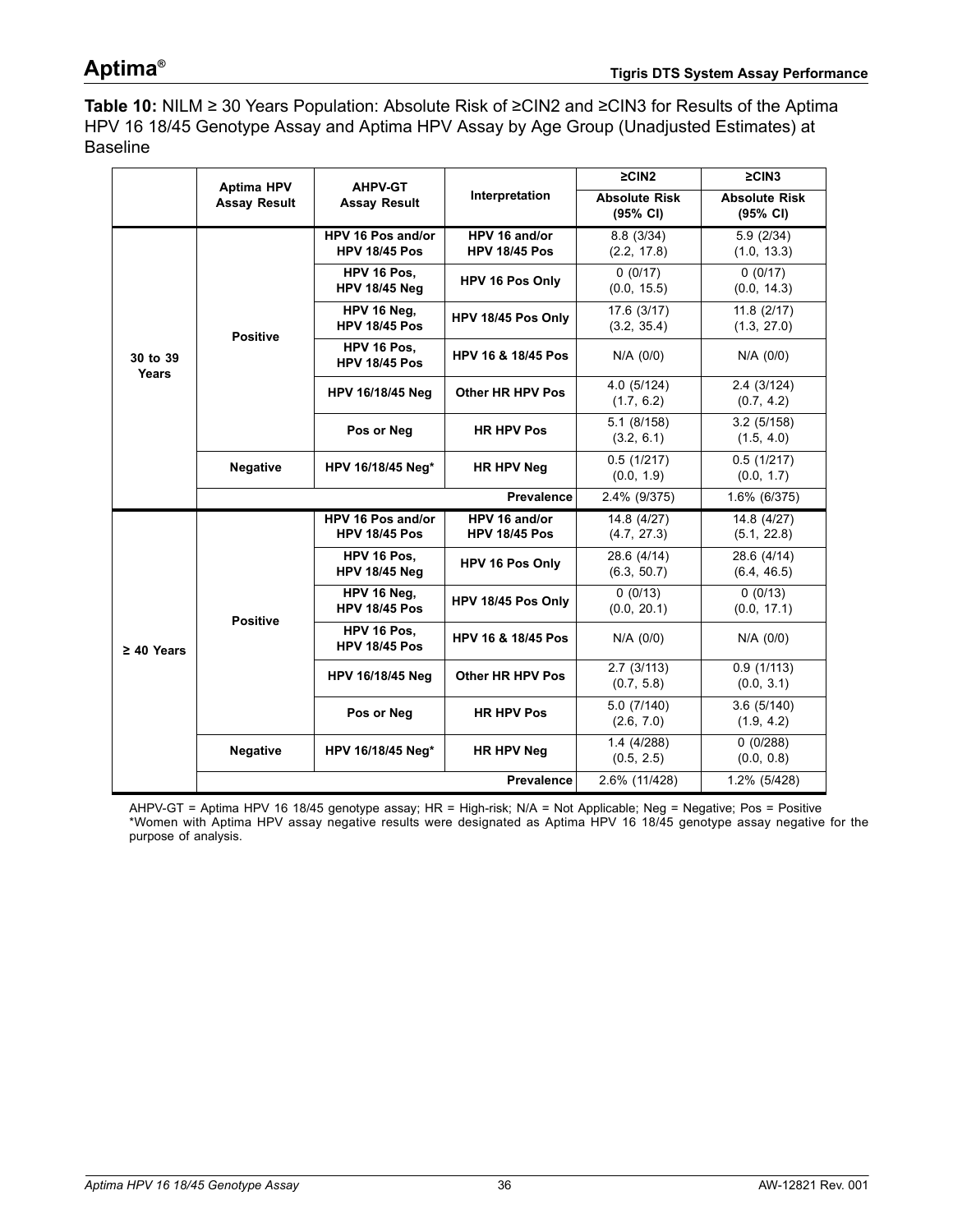<span id="page-35-0"></span>**Table 10:** NILM ≥ 30 Years Population: Absolute Risk of ≥CIN2 and ≥CIN3 for Results of the Aptima HPV 16 18/45 Genotype Assay and Aptima HPV Assay by Age Group (Unadjusted Estimates) at Baseline

|                   | <b>Aptima HPV</b>   | <b>AHPV-GT</b>                            |                                       | $\geq$ CIN2                      | $\geq$ CIN3                      |
|-------------------|---------------------|-------------------------------------------|---------------------------------------|----------------------------------|----------------------------------|
|                   | <b>Assay Result</b> | <b>Assay Result</b>                       | Interpretation                        | <b>Absolute Risk</b><br>(95% CI) | <b>Absolute Risk</b><br>(95% CI) |
|                   |                     | HPV 16 Pos and/or<br><b>HPV 18/45 Pos</b> | HPV 16 and/or<br><b>HPV 18/45 Pos</b> | 8.8(3/34)<br>(2.2, 17.8)         | 5.9(2/34)<br>(1.0, 13.3)         |
|                   |                     | HPV 16 Pos.<br><b>HPV 18/45 Neg</b>       | HPV 16 Pos Only                       | 0(0/17)<br>(0.0, 15.5)           | 0(0/17)<br>(0.0, 14.3)           |
|                   | <b>Positive</b>     | HPV 16 Neg.<br><b>HPV 18/45 Pos</b>       | HPV 18/45 Pos Only                    | 17.6(3/17)<br>(3.2, 35.4)        | 11.8(2/17)<br>(1.3, 27.0)        |
| 30 to 39<br>Years |                     | HPV 16 Pos.<br><b>HPV 18/45 Pos</b>       | <b>HPV 16 &amp; 18/45 Pos</b>         | $N/A$ (0/0)                      | $N/A$ (0/0)                      |
|                   |                     | HPV 16/18/45 Neg                          | <b>Other HR HPV Pos</b>               | 4.0 (5/124)<br>(1.7, 6.2)        | 2.4(3/124)<br>(0.7, 4.2)         |
|                   |                     | Pos or Neg                                | <b>HR HPV Pos</b>                     | 5.1(8/158)<br>(3.2, 6.1)         | 3.2(5/158)<br>(1.5, 4.0)         |
|                   | <b>Negative</b>     | HPV 16/18/45 Neg*                         | <b>HR HPV Neg</b>                     | 0.5(1/217)<br>(0.0, 1.9)         | 0.5(1/217)<br>(0.0, 1.7)         |
|                   |                     |                                           | 2.4% (9/375)                          | 1.6% (6/375)                     |                                  |
|                   |                     | HPV 16 Pos and/or<br><b>HPV 18/45 Pos</b> | HPV 16 and/or<br><b>HPV 18/45 Pos</b> | 14.8(4/27)<br>(4.7, 27.3)        | 14.8 (4/27)<br>(5.1, 22.8)       |
|                   |                     | HPV 16 Pos.<br><b>HPV 18/45 Neg</b>       | HPV 16 Pos Only                       | 28.6 (4/14)<br>(6.3, 50.7)       | 28.6 (4/14)<br>(6.4, 46.5)       |
|                   | <b>Positive</b>     | HPV 16 Neg.<br><b>HPV 18/45 Pos</b>       | HPV 18/45 Pos Only                    | 0(0/13)<br>(0.0, 20.1)           | 0(0/13)<br>(0.0, 17.1)           |
| $\geq$ 40 Years   |                     | HPV 16 Pos,<br><b>HPV 18/45 Pos</b>       | <b>HPV 16 &amp; 18/45 Pos</b>         | N/A (0/0)                        | N/A (0/0)                        |
|                   |                     | <b>HPV 16/18/45 Neg</b>                   | <b>Other HR HPV Pos</b>               | 2.7(3/113)<br>(0.7, 5.8)         | 0.9(1/113)<br>(0.0, 3.1)         |
|                   |                     | Pos or Neg                                | <b>HR HPV Pos</b>                     | 5.0(7/140)<br>(2.6, 7.0)         | 3.6(5/140)<br>(1.9, 4.2)         |
|                   | <b>Negative</b>     | HPV 16/18/45 Neg*                         | <b>HR HPV Neg</b>                     | 1.4(4/288)<br>(0.5, 2.5)         | 0(0/288)<br>(0.0, 0.8)           |
|                   |                     |                                           | <b>Prevalence</b>                     | 2.6% (11/428)                    | 1.2% (5/428)                     |

AHPV-GT = Aptima HPV 16 18/45 genotype assay; HR = High-risk; N/A = Not Applicable; Neg = Negative; Pos = Positive \*Women with Aptima HPV assay negative results were designated as Aptima HPV 16 18/45 genotype assay negative for the purpose of analysis.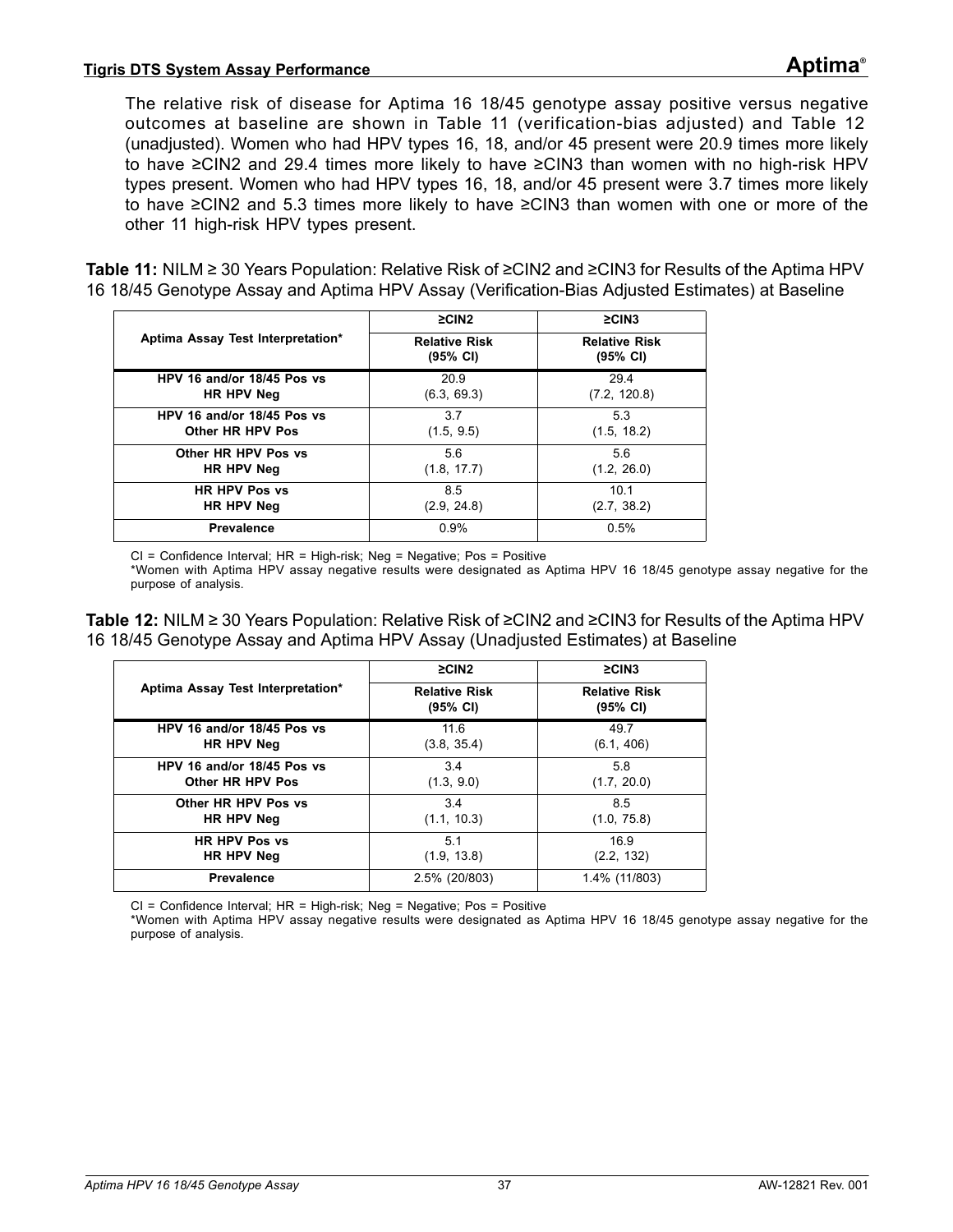#### **Tigris DTS System Assay Performance Aptima®**

The relative risk of disease for Aptima 16 18/45 genotype assay positive versus negative outcomes at baseline are shown in [Table 11](#page-36-0) (verification-bias adjusted) and [Table 12](#page-36-1) (unadjusted). Women who had HPV types 16, 18, and/or 45 present were 20.9 times more likely to have ≥CIN2 and 29.4 times more likely to have ≥CIN3 than women with no high-risk HPV types present. Women who had HPV types 16, 18, and/or 45 present were 3.7 times more likely to have ≥CIN2 and 5.3 times more likely to have ≥CIN3 than women with one or more of the other 11 high-risk HPV types present.

<span id="page-36-0"></span>**Table 11:** NILM ≥ 30 Years Population: Relative Risk of ≥CIN2 and ≥CIN3 for Results of the Aptima HPV 16 18/45 Genotype Assay and Aptima HPV Assay (Verification-Bias Adjusted Estimates) at Baseline

|                                   | $\geq$ CIN2                      | $\geq$ CIN3                      |
|-----------------------------------|----------------------------------|----------------------------------|
| Aptima Assay Test Interpretation* | <b>Relative Risk</b><br>(95% CI) | <b>Relative Risk</b><br>(95% CI) |
| HPV 16 and/or 18/45 Pos vs        | 20.9                             | 29.4                             |
| HR HPV Neg                        | (6.3, 69.3)                      | (7.2, 120.8)                     |
| HPV 16 and/or 18/45 Pos vs        | 3.7                              | 5.3                              |
| Other HR HPV Pos                  | (1.5, 9.5)                       | (1.5, 18.2)                      |
| Other HR HPV Pos vs               | 5.6                              | 5.6                              |
| HR HPV Neg                        | (1.8, 17.7)                      | (1.2, 26.0)                      |
| <b>HR HPV Pos vs</b>              | 8.5                              | 10.1                             |
| HR HPV Neg                        | (2.9, 24.8)                      | (2.7, 38.2)                      |
| <b>Prevalence</b>                 | 0.9%                             | 0.5%                             |

CI = Confidence Interval; HR = High-risk; Neg = Negative; Pos = Positive \*Women with Aptima HPV assay negative results were designated as Aptima HPV 16 18/45 genotype assay negative for the purpose of analysis.

<span id="page-36-1"></span>**Table 12:** NILM ≥ 30 Years Population: Relative Risk of ≥CIN2 and ≥CIN3 for Results of the Aptima HPV 16 18/45 Genotype Assay and Aptima HPV Assay (Unadjusted Estimates) at Baseline

|                                   | $\geq$ CIN2                      | $\geq$ CIN3                      |
|-----------------------------------|----------------------------------|----------------------------------|
| Aptima Assay Test Interpretation* | <b>Relative Risk</b><br>(95% CI) | <b>Relative Risk</b><br>(95% CI) |
| HPV 16 and/or 18/45 Pos vs        | 11.6                             | 49.7                             |
| HR HPV Neg                        | (3.8, 35.4)                      | (6.1, 406)                       |
| HPV 16 and/or 18/45 Pos vs        | 3.4                              | 5.8                              |
| Other HR HPV Pos                  | (1.3, 9.0)                       | (1.7, 20.0)                      |
| Other HR HPV Pos vs               | 3.4                              | 8.5                              |
| HR HPV Neg                        | (1.1, 10.3)                      | (1.0, 75.8)                      |
| <b>HR HPV Pos vs</b>              | 5.1                              | 16.9                             |
| HR HPV Neg                        | (1.9, 13.8)                      | (2.2, 132)                       |
| <b>Prevalence</b>                 | 2.5% (20/803)                    | 1.4% (11/803)                    |

CI = Confidence Interval; HR = High-risk; Neg = Negative; Pos = Positive

\*Women with Aptima HPV assay negative results were designated as Aptima HPV 16 18/45 genotype assay negative for the purpose of analysis.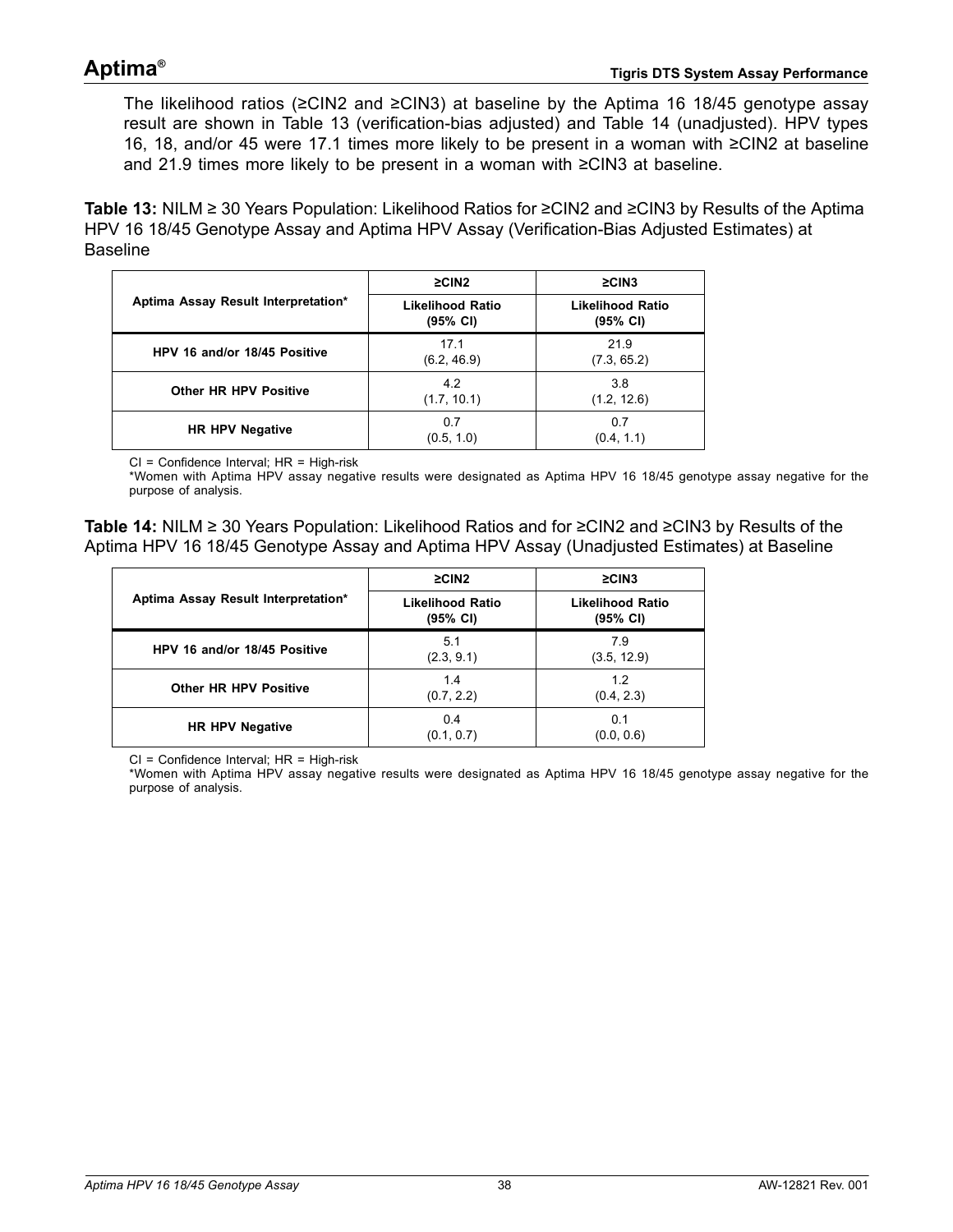The likelihood ratios ( $\geq$ CIN2 and  $\geq$ CIN3) at baseline by the Aptima 16 18/45 genotype assay result are shown in [Table 13](#page-37-0) (verification-bias adjusted) and [Table 14](#page-37-1) (unadjusted). HPV types 16, 18, and/or 45 were 17.1 times more likely to be present in a woman with ≥CIN2 at baseline and 21.9 times more likely to be present in a woman with ≥CIN3 at baseline.

<span id="page-37-0"></span>**Table 13:** NILM ≥ 30 Years Population: Likelihood Ratios for ≥CIN2 and ≥CIN3 by Results of the Aptima HPV 16 18/45 Genotype Assay and Aptima HPV Assay (Verification-Bias Adjusted Estimates) at Baseline

|                                     | $\geq$ CIN2                         | $\geq$ CIN3                         |
|-------------------------------------|-------------------------------------|-------------------------------------|
| Aptima Assay Result Interpretation* | <b>Likelihood Ratio</b><br>(95% CI) | <b>Likelihood Ratio</b><br>(95% CI) |
| HPV 16 and/or 18/45 Positive        | 17.1<br>(6.2, 46.9)                 | 21.9<br>(7.3, 65.2)                 |
| <b>Other HR HPV Positive</b>        | 4.2<br>(1.7, 10.1)                  | 3.8<br>(1.2, 12.6)                  |
| <b>HR HPV Negative</b>              | 0.7<br>(0.5, 1.0)                   | 0.7<br>(0.4, 1.1)                   |

CI = Confidence Interval; HR = High-risk

\*Women with Aptima HPV assay negative results were designated as Aptima HPV 16 18/45 genotype assay negative for the purpose of analysis.

<span id="page-37-1"></span>**Table 14:** NILM ≥ 30 Years Population: Likelihood Ratios and for ≥CIN2 and ≥CIN3 by Results of the Aptima HPV 16 18/45 Genotype Assay and Aptima HPV Assay (Unadjusted Estimates) at Baseline

|                                     | $\geq$ CIN2                         | $\geq$ CIN3                         |
|-------------------------------------|-------------------------------------|-------------------------------------|
| Aptima Assay Result Interpretation* | <b>Likelihood Ratio</b><br>(95% CI) | <b>Likelihood Ratio</b><br>(95% CI) |
| HPV 16 and/or 18/45 Positive        | 5.1<br>(2.3, 9.1)                   | 7.9<br>(3.5, 12.9)                  |
| <b>Other HR HPV Positive</b>        | 1.4<br>(0.7, 2.2)                   | 1.2<br>(0.4, 2.3)                   |
| <b>HR HPV Negative</b>              | 0.4<br>(0.1, 0.7)                   | 0.1<br>(0.0, 0.6)                   |

CI = Confidence Interval; HR = High-risk

\*Women with Aptima HPV assay negative results were designated as Aptima HPV 16 18/45 genotype assay negative for the purpose of analysis.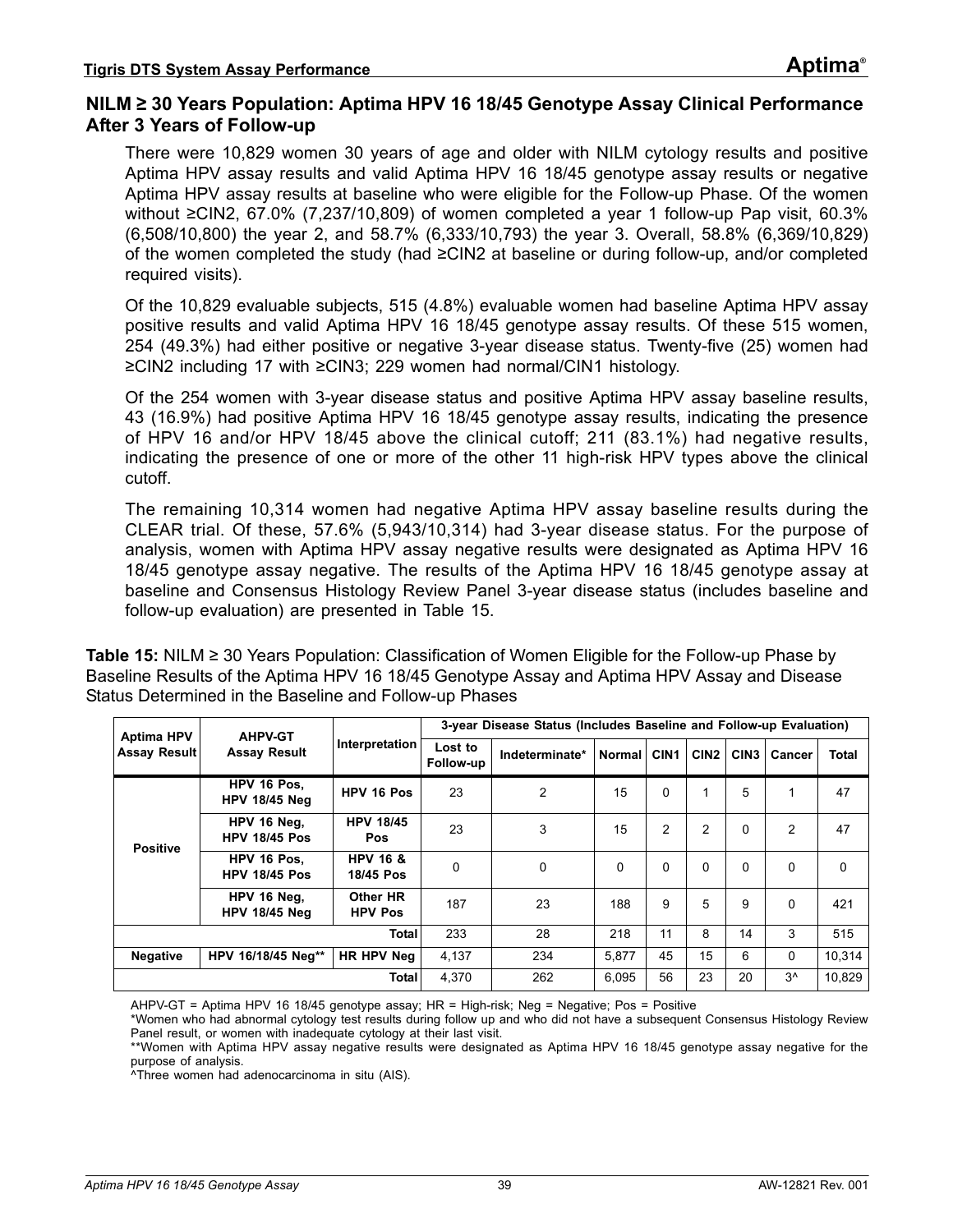### **NILM ≥ 30 Years Population: Aptima HPV 16 18/45 Genotype Assay Clinical Performance After 3 Years of Follow-up**

There were 10,829 women 30 years of age and older with NILM cytology results and positive Aptima HPV assay results and valid Aptima HPV 16 18/45 genotype assay results or negative Aptima HPV assay results at baseline who were eligible for the Follow-up Phase. Of the women without ≥CIN2, 67.0% (7,237/10,809) of women completed a year 1 follow-up Pap visit, 60.3% (6,508/10,800) the year 2, and 58.7% (6,333/10,793) the year 3. Overall, 58.8% (6,369/10,829) of the women completed the study (had ≥CIN2 at baseline or during follow-up, and/or completed required visits).

Of the 10,829 evaluable subjects, 515 (4.8%) evaluable women had baseline Aptima HPV assay positive results and valid Aptima HPV 16 18/45 genotype assay results. Of these 515 women, 254 (49.3%) had either positive or negative 3-year disease status. Twenty-five (25) women had ≥CIN2 including 17 with ≥CIN3; 229 women had normal/CIN1 histology.

Of the 254 women with 3-year disease status and positive Aptima HPV assay baseline results, 43 (16.9%) had positive Aptima HPV 16 18/45 genotype assay results, indicating the presence of HPV 16 and/or HPV 18/45 above the clinical cutoff; 211 (83.1%) had negative results, indicating the presence of one or more of the other 11 high-risk HPV types above the clinical cutoff.

The remaining 10,314 women had negative Aptima HPV assay baseline results during the CLEAR trial. Of these, 57.6% (5,943/10,314) had 3-year disease status. For the purpose of analysis, women with Aptima HPV assay negative results were designated as Aptima HPV 16 18/45 genotype assay negative. The results of the Aptima HPV 16 18/45 genotype assay at baseline and Consensus Histology Review Panel 3-year disease status (includes baseline and follow-up evaluation) are presented in [Table 15.](#page-38-0)

<span id="page-38-0"></span>**Table 15:** NILM ≥ 30 Years Population: Classification of Women Eligible for the Follow-up Phase by Baseline Results of the Aptima HPV 16 18/45 Genotype Assay and Aptima HPV Assay and Disease Status Determined in the Baseline and Follow-up Phases

| <b>Aptima HPV</b>                          | <b>AHPV-GT</b>                      |                                  | 3-year Disease Status (Includes Baseline and Follow-up Evaluation) |                |               |                  |                  |                  |                |              |  |  |
|--------------------------------------------|-------------------------------------|----------------------------------|--------------------------------------------------------------------|----------------|---------------|------------------|------------------|------------------|----------------|--------------|--|--|
| <b>Assay Result</b><br><b>Assay Result</b> |                                     | Interpretation                   | Lost to<br>Follow-up                                               | Indeterminate* | <b>Normal</b> | CIN <sub>1</sub> | CIN <sub>2</sub> | CIN <sub>3</sub> | Cancer         | <b>Total</b> |  |  |
|                                            | HPV 16 Pos.<br><b>HPV 18/45 Neg</b> | HPV 16 Pos                       | 23                                                                 | 2              | 15            | 0                | 1                | 5                |                | 47           |  |  |
| <b>Positive</b>                            | HPV 16 Neg.<br><b>HPV 18/45 Pos</b> | <b>HPV 18/45</b><br>Pos          | 23                                                                 | 3              | 15            | $\overline{2}$   | $\overline{2}$   | $\mathbf{0}$     | $\overline{2}$ | 47           |  |  |
|                                            | HPV 16 Pos.<br><b>HPV 18/45 Pos</b> | <b>HPV 16 &amp;</b><br>18/45 Pos | 0                                                                  | 0              | $\Omega$      | $\mathbf{0}$     | $\mathbf{0}$     | $\Omega$         | $\Omega$       | 0            |  |  |
|                                            | HPV 16 Neg.<br><b>HPV 18/45 Neg</b> | Other HR<br><b>HPV Pos</b>       | 187                                                                | 23             | 188           | 9                | 5                | 9                | $\Omega$       | 421          |  |  |
|                                            |                                     | <b>Total</b>                     | 233                                                                | 28             | 218           | 11               | 8                | 14               | 3              | 515          |  |  |
| <b>Negative</b>                            | HPV 16/18/45 Neg**                  | HR HPV Neg                       | 4.137                                                              | 234            | 5.877         | 45               | 15               | 6                | $\Omega$       | 10.314       |  |  |
|                                            |                                     | <b>Total</b>                     | 4.370                                                              | 262            | 6.095         | 56               | 23               | 20               | $3^{\wedge}$   | 10.829       |  |  |

AHPV-GT = Aptima HPV 16 18/45 genotype assay; HR = High-risk; Neg = Negative; Pos = Positive

\*Women who had abnormal cytology test results during follow up and who did not have a subsequent Consensus Histology Review Panel result, or women with inadequate cytology at their last visit.

\*\*Women with Aptima HPV assay negative results were designated as Aptima HPV 16 18/45 genotype assay negative for the purpose of analysis.

^Three women had adenocarcinoma in situ (AIS).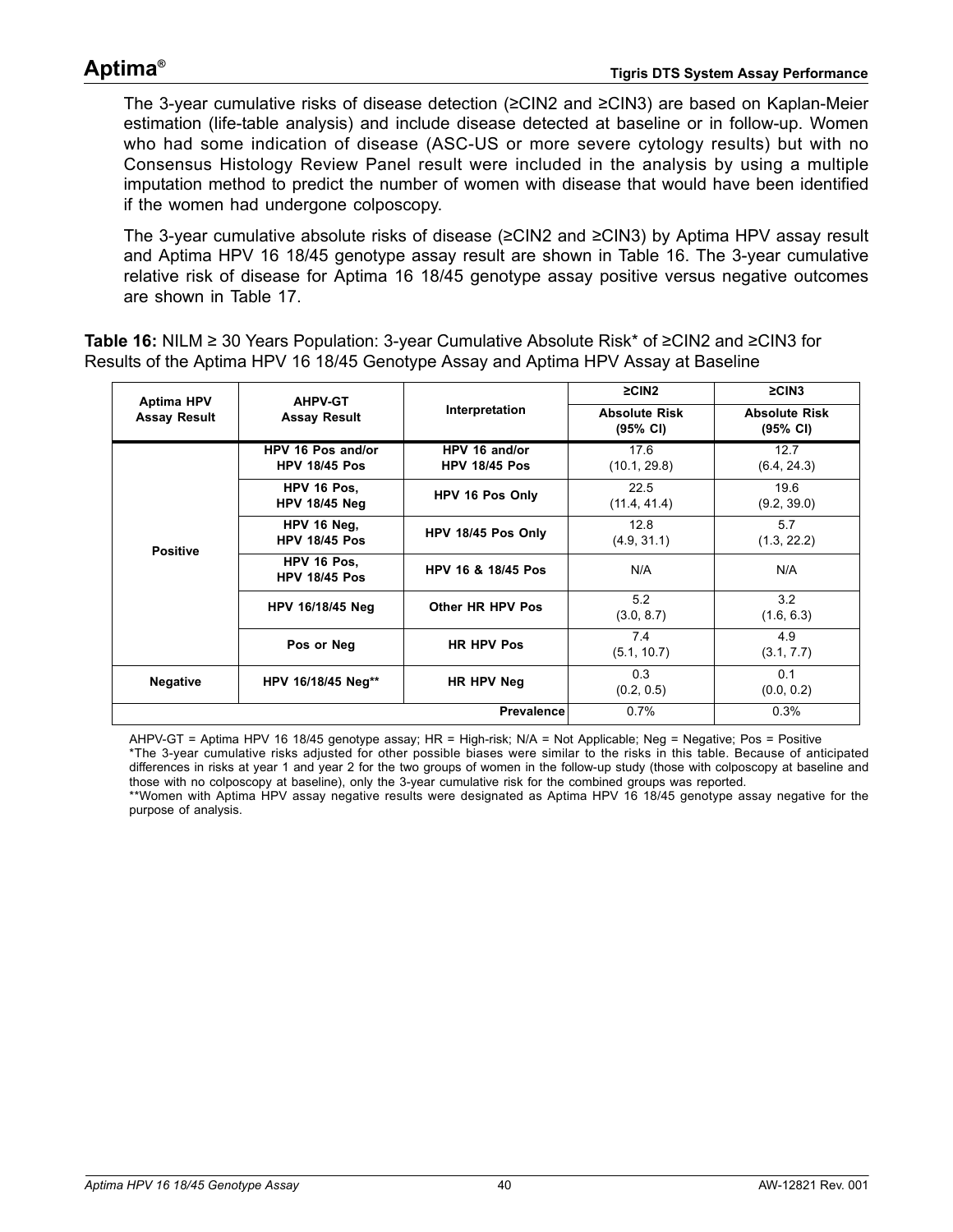The 3-year cumulative risks of disease detection (≥CIN2 and ≥CIN3) are based on Kaplan-Meier estimation (life-table analysis) and include disease detected at baseline or in follow-up. Women who had some indication of disease (ASC-US or more severe cytology results) but with no Consensus Histology Review Panel result were included in the analysis by using a multiple imputation method to predict the number of women with disease that would have been identified if the women had undergone colposcopy.

The 3-year cumulative absolute risks of disease (≥CIN2 and ≥CIN3) by Aptima HPV assay result and Aptima HPV 16 18/45 genotype assay result are shown in [Table 16](#page-39-0). The 3-year cumulative relative risk of disease for Aptima 16 18/45 genotype assay positive versus negative outcomes are shown in [Table 17.](#page-40-0)

<span id="page-39-0"></span>**Table 16:** NILM ≥ 30 Years Population: 3-year Cumulative Absolute Risk\* of ≥CIN2 and ≥CIN3 for Results of the Aptima HPV 16 18/45 Genotype Assay and Aptima HPV Assay at Baseline

| <b>Aptima HPV</b>   | <b>AHPV-GT</b>                            |                                       | $\geq$ CIN2                                | $\geq$ CIN3                                |
|---------------------|-------------------------------------------|---------------------------------------|--------------------------------------------|--------------------------------------------|
| <b>Assay Result</b> | <b>Assay Result</b>                       | Interpretation                        | <b>Absolute Risk</b><br>$(95% \text{ Cl})$ | <b>Absolute Risk</b><br>$(95% \text{ Cl})$ |
|                     | HPV 16 Pos and/or<br><b>HPV 18/45 Pos</b> | HPV 16 and/or<br><b>HPV 18/45 Pos</b> | 17.6<br>(10.1, 29.8)                       | 12.7<br>(6.4, 24.3)                        |
|                     | HPV 16 Pos.<br><b>HPV 18/45 Neg</b>       | HPV 16 Pos Only                       | 22.5<br>(11.4, 41.4)                       | 19.6<br>(9.2, 39.0)                        |
| <b>Positive</b>     | HPV 16 Neg,<br><b>HPV 18/45 Pos</b>       | HPV 18/45 Pos Only                    | 12.8<br>(4.9, 31.1)                        | 5.7<br>(1.3, 22.2)                         |
|                     | HPV 16 Pos.<br><b>HPV 18/45 Pos</b>       | HPV 16 & 18/45 Pos                    | N/A                                        | N/A                                        |
|                     | HPV 16/18/45 Neg                          | Other HR HPV Pos                      | 5.2<br>(3.0, 8.7)                          | 3.2<br>(1.6, 6.3)                          |
|                     | Pos or Neg                                | <b>HR HPV Pos</b>                     | 7.4<br>(5.1, 10.7)                         | 4.9<br>(3.1, 7.7)                          |
| <b>Negative</b>     | HPV 16/18/45 Neg**                        | HR HPV Neg                            | 0.3<br>(0.2, 0.5)                          | 0.1<br>(0.0, 0.2)                          |
|                     |                                           | <b>Prevalence</b>                     | 0.7%                                       | 0.3%                                       |

AHPV-GT = Aptima HPV 16 18/45 genotype assay; HR = High-risk; N/A = Not Applicable; Neg = Negative; Pos = Positive \*The 3-year cumulative risks adjusted for other possible biases were similar to the risks in this table. Because of anticipated differences in risks at year 1 and year 2 for the two groups of women in the follow-up study (those with colposcopy at baseline and those with no colposcopy at baseline), only the 3-year cumulative risk for the combined groups was reported. \*\*Women with Aptima HPV assay negative results were designated as Aptima HPV 16 18/45 genotype assay negative for the purpose of analysis.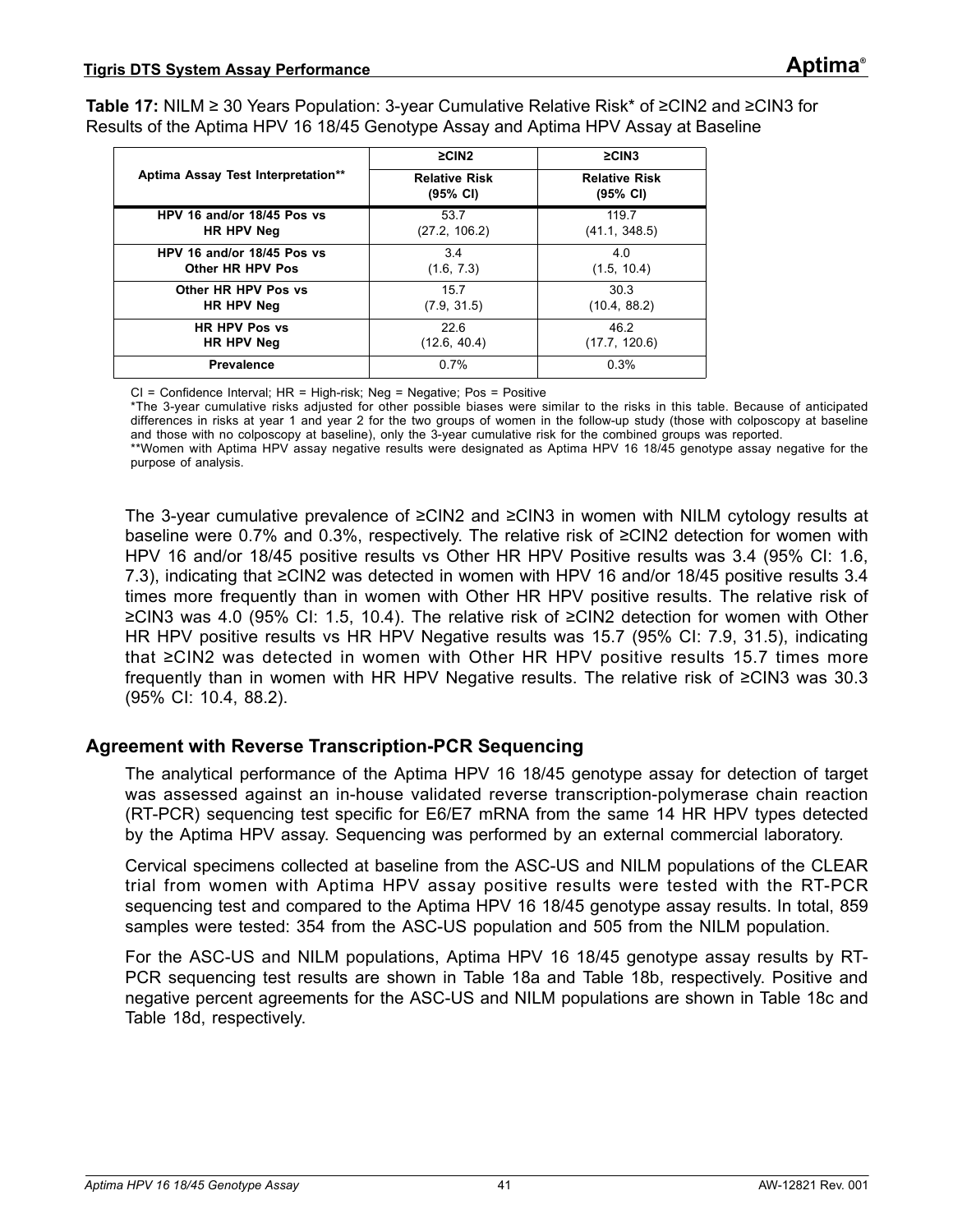<span id="page-40-0"></span>**Table 17:** NILM ≥ 30 Years Population: 3-year Cumulative Relative Risk\* of ≥CIN2 and ≥CIN3 for Results of the Aptima HPV 16 18/45 Genotype Assay and Aptima HPV Assay at Baseline

|                                    | $\geq$ CIN2                                | $\geq$ CIN3                                |
|------------------------------------|--------------------------------------------|--------------------------------------------|
| Aptima Assay Test Interpretation** | <b>Relative Risk</b><br>$(95% \text{ Cl})$ | <b>Relative Risk</b><br>$(95% \text{ Cl})$ |
| HPV 16 and/or 18/45 Pos vs         | 53.7                                       | 119.7                                      |
| HR HPV Neg                         | (27.2, 106.2)                              | (41.1, 348.5)                              |
| HPV 16 and/or 18/45 Pos vs         | 3.4                                        | 4.0                                        |
| Other HR HPV Pos                   | (1.6, 7.3)                                 | (1.5, 10.4)                                |
| Other HR HPV Pos vs                | 15.7                                       | 30.3                                       |
| HR HPV Neg                         | (7.9, 31.5)                                | (10.4, 88.2)                               |
| <b>HR HPV Pos vs</b>               | 22.6                                       | 46.2                                       |
| HR HPV Neg                         | (12.6, 40.4)                               | (17.7, 120.6)                              |
| <b>Prevalence</b>                  | 0.7%                                       | 0.3%                                       |

CI = Confidence Interval; HR = High-risk; Neg = Negative; Pos = Positive

\*The 3-year cumulative risks adjusted for other possible biases were similar to the risks in this table. Because of anticipated differences in risks at year 1 and year 2 for the two groups of women in the follow-up study (those with colposcopy at baseline and those with no colposcopy at baseline), only the 3-year cumulative risk for the combined groups was reported. \*\*Women with Aptima HPV assay negative results were designated as Aptima HPV 16 18/45 genotype assay negative for the purpose of analysis.

The 3-year cumulative prevalence of ≥CIN2 and ≥CIN3 in women with NILM cytology results at baseline were 0.7% and 0.3%, respectively. The relative risk of ≥CIN2 detection for women with HPV 16 and/or 18/45 positive results vs Other HR HPV Positive results was 3.4 (95% CI: 1.6, 7.3), indicating that ≥CIN2 was detected in women with HPV 16 and/or 18/45 positive results 3.4 times more frequently than in women with Other HR HPV positive results. The relative risk of ≥CIN3 was 4.0 (95% CI: 1.5, 10.4). The relative risk of ≥CIN2 detection for women with Other HR HPV positive results vs HR HPV Negative results was 15.7 (95% CI: 7.9, 31.5), indicating that ≥CIN2 was detected in women with Other HR HPV positive results 15.7 times more frequently than in women with HR HPV Negative results. The relative risk of ≥CIN3 was 30.3 (95% CI: 10.4, 88.2).

### **Agreement with Reverse Transcription-PCR Sequencing**

The analytical performance of the Aptima HPV 16 18/45 genotype assay for detection of target was assessed against an in-house validated reverse transcription-polymerase chain reaction (RT-PCR) sequencing test specific for E6/E7 mRNA from the same 14 HR HPV types detected by the Aptima HPV assay. Sequencing was performed by an external commercial laboratory.

Cervical specimens collected at baseline from the ASC-US and NILM populations of the CLEAR trial from women with Aptima HPV assay positive results were tested with the RT-PCR sequencing test and compared to the Aptima HPV 16 18/45 genotype assay results. In total, 859 samples were tested: 354 from the ASC-US population and 505 from the NILM population.

For the ASC-US and NILM populations, Aptima HPV 16 18/45 genotype assay results by RT-PCR sequencing test results are shown in [Table 18](#page-41-0)a and [Table 18b](#page-41-1), respectively. Positive and negative percent agreements for the ASC-US and NILM populations are shown in [Table 18](#page-41-2)c and [Table 18](#page-42-0)d, respectively.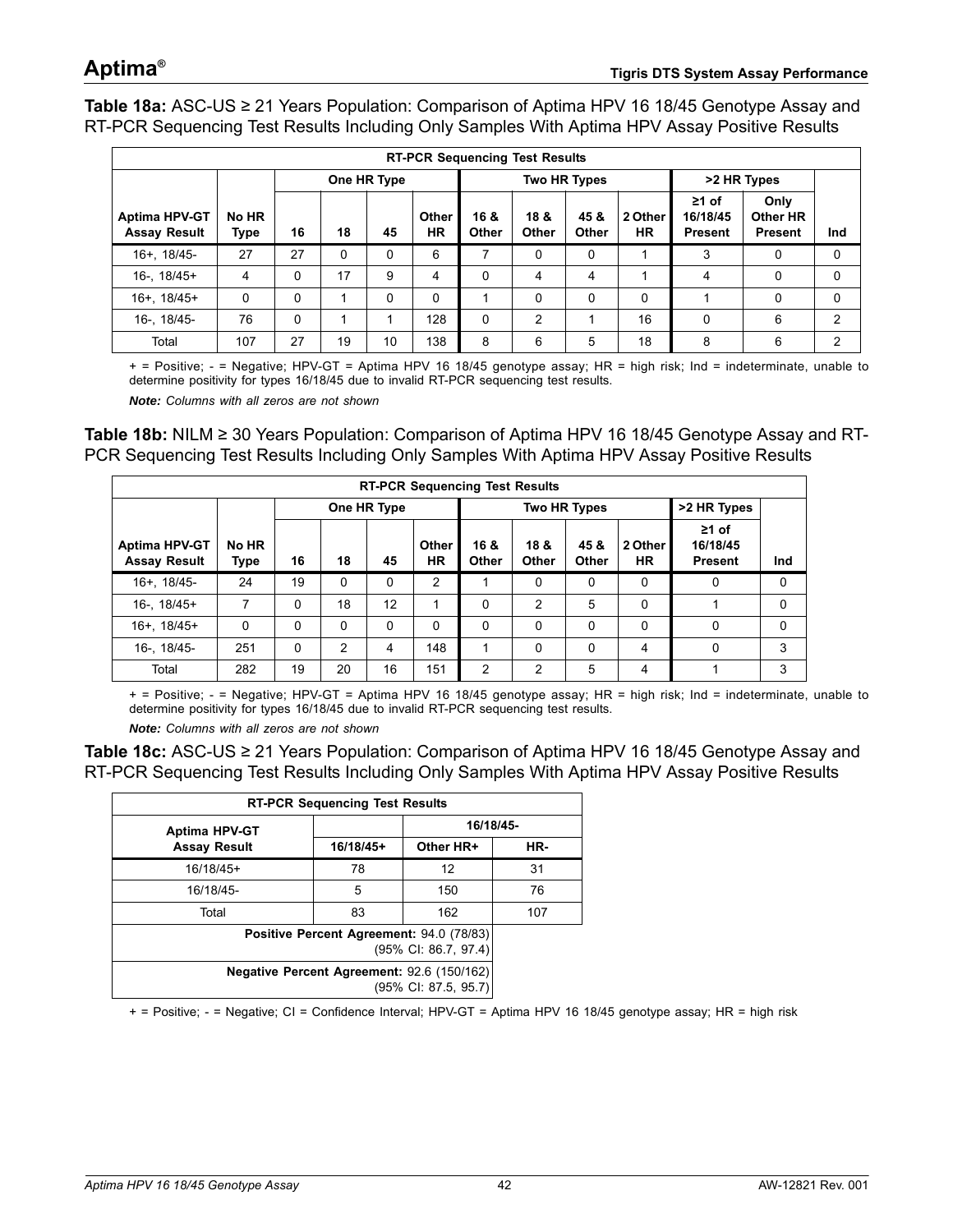<span id="page-41-0"></span>**Table 18a:** ASC-US ≥ 21 Years Population: Comparison of Aptima HPV 16 18/45 Genotype Assay and RT-PCR Sequencing Test Results Including Only Samples With Aptima HPV Assay Positive Results

| <b>RT-PCR Sequencing Test Results</b>       |               |          |             |    |                    |                     |               |                      |                      |                                           |                                    |               |
|---------------------------------------------|---------------|----------|-------------|----|--------------------|---------------------|---------------|----------------------|----------------------|-------------------------------------------|------------------------------------|---------------|
|                                             |               |          | One HR Type |    |                    | <b>Two HR Types</b> |               |                      |                      | >2 HR Types                               |                                    |               |
| <b>Aptima HPV-GT</b><br><b>Assay Result</b> | No HR<br>Type | 16       | 18          | 45 | Other<br><b>HR</b> | 16 &<br>Other       | 18 &<br>Other | 45 &<br><b>Other</b> | 2 Other<br><b>HR</b> | $\geq 1$ of<br>16/18/45<br><b>Present</b> | Only<br>Other HR<br><b>Present</b> | Ind           |
| 16+, 18/45-                                 | 27            | 27       | 0           | 0  | 6                  | 7                   | 0             | 0                    |                      | 3                                         | 0                                  | 0             |
| $16 - 18/45+$                               | 4             | $\Omega$ | 17          | 9  | 4                  | 0                   | 4             | 4                    | ◢                    | 4                                         | 0                                  | $\Omega$      |
| $16+ . 18/45+$                              | $\Omega$      | $\Omega$ | 4           | 0  | 0                  |                     | $\Omega$      | $\Omega$             | $\Omega$             |                                           | 0                                  | $\Omega$      |
| 16-, 18/45-                                 | 76            | $\Omega$ | 4           |    | 128                | 0                   | 2             | 1                    | 16                   | $\Omega$                                  | 6                                  | $\mathcal{P}$ |
| Total                                       | 107           | 27       | 19          | 10 | 138                | 8                   | 6             | 5                    | 18                   | 8                                         | 6                                  | $\mathcal{P}$ |

+ = Positive; - = Negative; HPV-GT = Aptima HPV 16 18/45 genotype assay; HR = high risk; Ind = indeterminate, unable to determine positivity for types 16/18/45 due to invalid RT-PCR sequencing test results.

*Note: Columns with all zeros are not shown*

<span id="page-41-1"></span>**Table 18b:** NILM ≥ 30 Years Population: Comparison of Aptima HPV 16 18/45 Genotype Assay and RT-PCR Sequencing Test Results Including Only Samples With Aptima HPV Assay Positive Results

| <b>RT-PCR Sequencing Test Results</b>       |               |    |    |             |                    |               |                      |               |               |                                           |     |
|---------------------------------------------|---------------|----|----|-------------|--------------------|---------------|----------------------|---------------|---------------|-------------------------------------------|-----|
|                                             |               |    |    | One HR Type |                    |               | <b>Two HR Types</b>  | >2 HR Types   |               |                                           |     |
| <b>Aptima HPV-GT</b><br><b>Assay Result</b> | No HR<br>Type | 16 | 18 | 45          | Other<br><b>HR</b> | 16 &<br>Other | 18 &<br><b>Other</b> | 45 &<br>Other | 2 Other<br>ΗR | $\geq 1$ of<br>16/18/45<br><b>Present</b> | Ind |
| 16+, 18/45-                                 | 24            | 19 | 0  | $\Omega$    | 2                  |               | $\Omega$             | 0             | 0             | 0                                         | 0   |
| $16 - 18/45+$                               | 7             | 0  | 18 | 12          |                    | 0             | 2                    | 5             | 0             |                                           | 0   |
| $16+$ , $18/45+$                            | 0             | 0  | 0  | $\Omega$    | $\Omega$           | $\Omega$      | 0                    | $\Omega$      | 0             | $\Omega$                                  | 0   |
| 16-, 18/45-                                 | 251           | 0  | 2  | 4           | 148                |               | 0                    | 0             | 4             | $\Omega$                                  | 3   |
| Total                                       | 282           | 19 | 20 | 16          | 151                | 2             | 2                    | 5             | 4             |                                           | 3   |

+ = Positive; - = Negative; HPV-GT = Aptima HPV 16 18/45 genotype assay; HR = high risk; Ind = indeterminate, unable to determine positivity for types 16/18/45 due to invalid RT-PCR sequencing test results.

*Note: Columns with all zeros are not shown*

<span id="page-41-2"></span>**Table 18c:** ASC-US ≥ 21 Years Population: Comparison of Aptima HPV 16 18/45 Genotype Assay and RT-PCR Sequencing Test Results Including Only Samples With Aptima HPV Assay Positive Results

| <b>RT-PCR Sequencing Test Results</b>                              |                                                                  |           |           |  |  |  |
|--------------------------------------------------------------------|------------------------------------------------------------------|-----------|-----------|--|--|--|
| <b>Aptima HPV-GT</b>                                               |                                                                  |           | 16/18/45- |  |  |  |
| <b>Assay Result</b>                                                | $16/18/45+$                                                      | Other HR+ | HR-       |  |  |  |
| $16/18/45+$                                                        | 78                                                               | 12        | 31        |  |  |  |
| 16/18/45-                                                          | 5                                                                | 150       | 76        |  |  |  |
| Total                                                              | 83                                                               | 162       | 107       |  |  |  |
|                                                                    | Positive Percent Agreement: 94.0 (78/83)<br>(95% CI: 86.7, 97.4) |           |           |  |  |  |
| Negative Percent Agreement: 92.6 (150/162)<br>(95% CI: 87.5, 95.7) |                                                                  |           |           |  |  |  |

+ = Positive; - = Negative; CI = Confidence Interval; HPV-GT = Aptima HPV 16 18/45 genotype assay; HR = high risk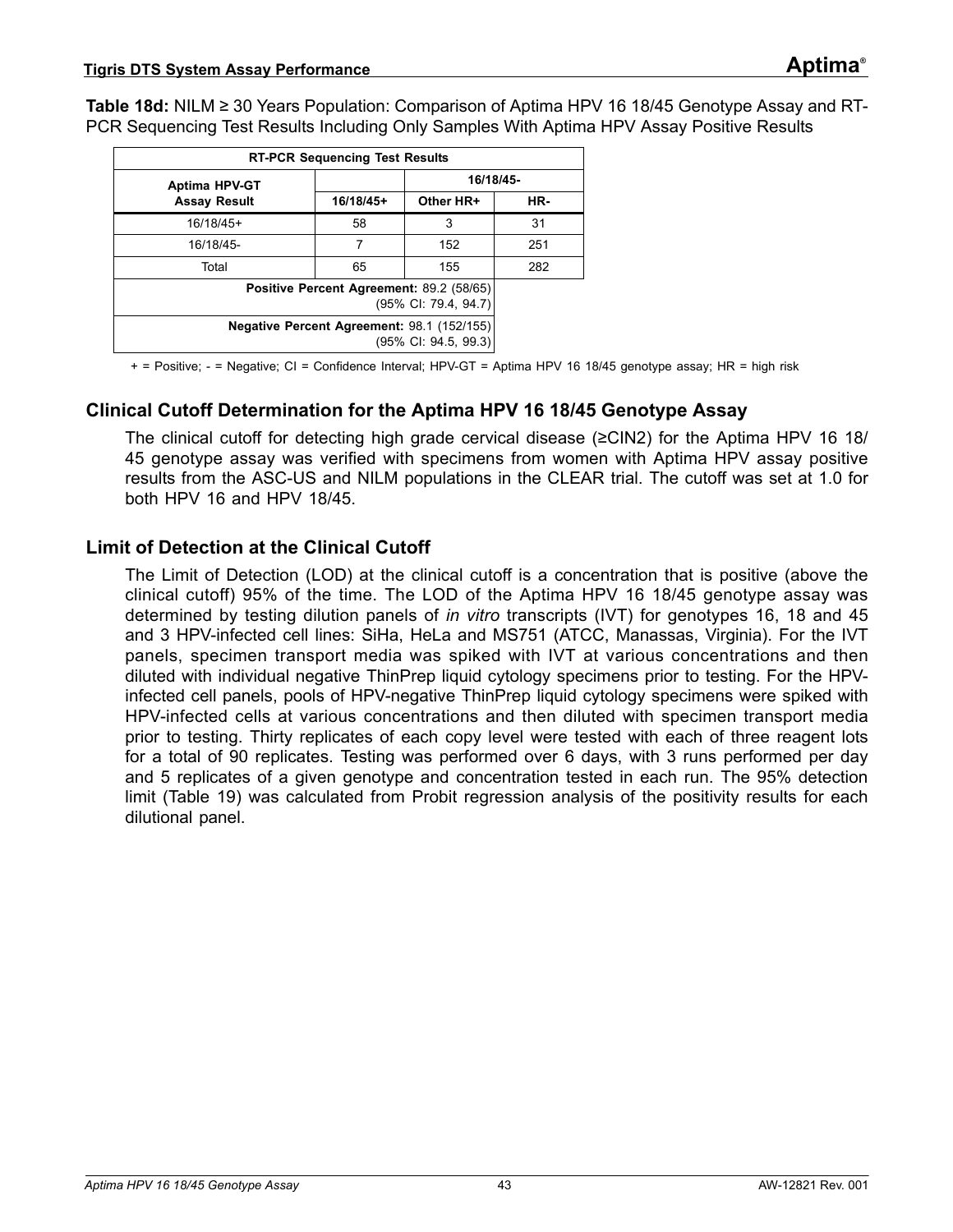<span id="page-42-0"></span>**Table 18d:** NILM ≥ 30 Years Population: Comparison of Aptima HPV 16 18/45 Genotype Assay and RT-PCR Sequencing Test Results Including Only Samples With Aptima HPV Assay Positive Results

| <b>RT-PCR Sequencing Test Results</b>                                          |                                                                  |           |     |  |  |
|--------------------------------------------------------------------------------|------------------------------------------------------------------|-----------|-----|--|--|
| <b>Aptima HPV-GT</b>                                                           |                                                                  | 16/18/45- |     |  |  |
| <b>Assay Result</b>                                                            | 16/18/45+                                                        | Other HR+ | HR- |  |  |
| $16/18/45+$                                                                    | 58                                                               | 3         | 31  |  |  |
| 16/18/45-                                                                      | 7                                                                | 152       | 251 |  |  |
| Total                                                                          | 65                                                               | 155       | 282 |  |  |
|                                                                                | Positive Percent Agreement: 89.2 (58/65)<br>(95% CI: 79.4, 94.7) |           |     |  |  |
| Negative Percent Agreement: 98.1 (152/155)<br>$(95\% \text{ Cl: } 94.5, 99.3)$ |                                                                  |           |     |  |  |

+ = Positive; - = Negative; CI = Confidence Interval; HPV-GT = Aptima HPV 16 18/45 genotype assay; HR = high risk

### **Clinical Cutoff Determination for the Aptima HPV 16 18/45 Genotype Assay**

The clinical cutoff for detecting high grade cervical disease (≥CIN2) for the Aptima HPV 16 18/ 45 genotype assay was verified with specimens from women with Aptima HPV assay positive results from the ASC-US and NILM populations in the CLEAR trial. The cutoff was set at 1.0 for both HPV 16 and HPV 18/45.

### **Limit of Detection at the Clinical Cutoff**

The Limit of Detection (LOD) at the clinical cutoff is a concentration that is positive (above the clinical cutoff) 95% of the time. The LOD of the Aptima HPV 16 18/45 genotype assay was determined by testing dilution panels of *in vitro* transcripts (IVT) for genotypes 16, 18 and 45 and 3 HPV-infected cell lines: SiHa, HeLa and MS751 (ATCC, Manassas, Virginia). For the IVT panels, specimen transport media was spiked with IVT at various concentrations and then diluted with individual negative ThinPrep liquid cytology specimens prior to testing. For the HPVinfected cell panels, pools of HPV-negative ThinPrep liquid cytology specimens were spiked with HPV-infected cells at various concentrations and then diluted with specimen transport media prior to testing. Thirty replicates of each copy level were tested with each of three reagent lots for a total of 90 replicates. Testing was performed over 6 days, with 3 runs performed per day and 5 replicates of a given genotype and concentration tested in each run. The 95% detection limit [\(Table 19\)](#page-43-0) was calculated from Probit regression analysis of the positivity results for each dilutional panel.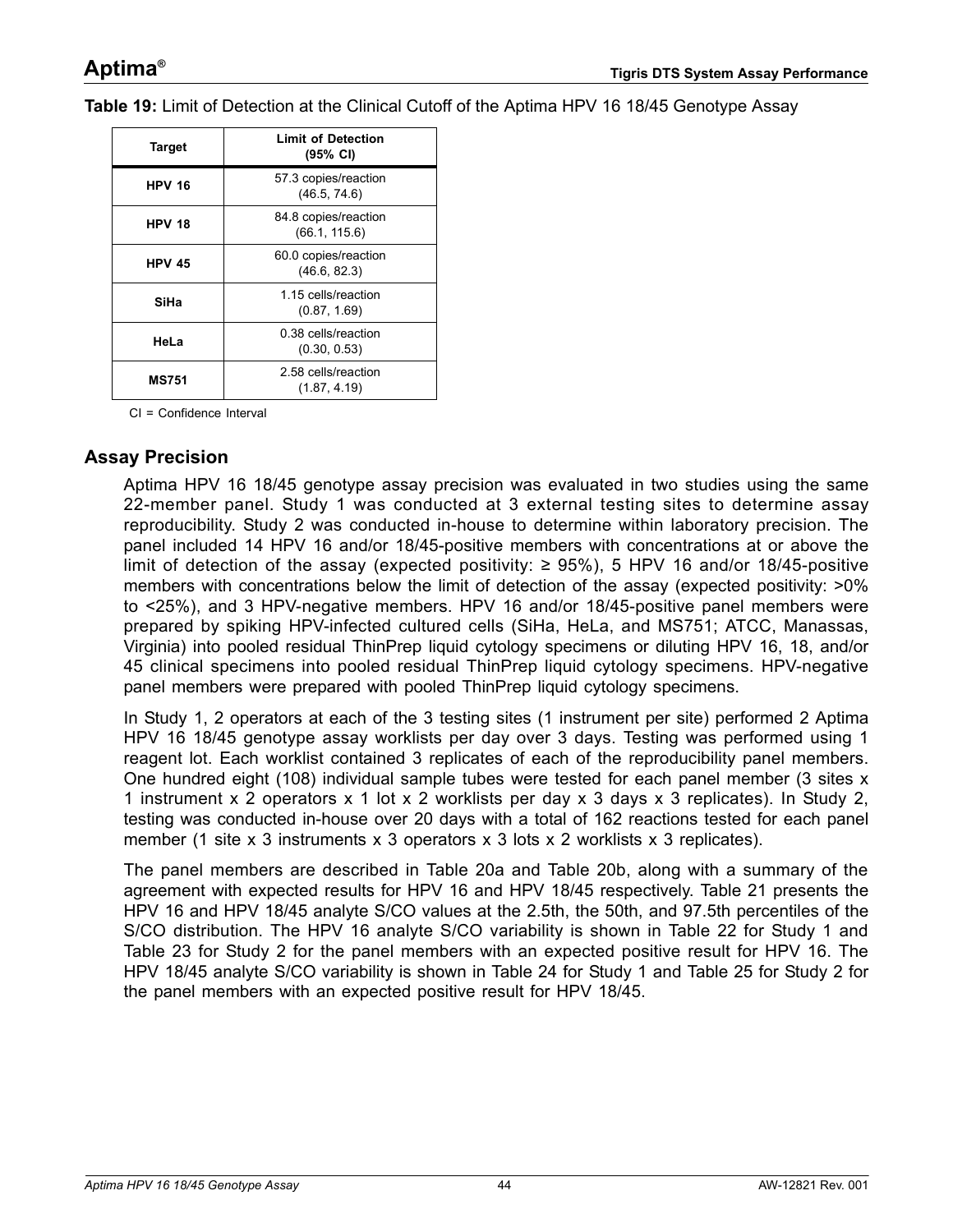<span id="page-43-0"></span>**Table 19:** Limit of Detection at the Clinical Cutoff of the Aptima HPV 16 18/45 Genotype Assay

| <b>Target</b>                                       | <b>Limit of Detection</b><br>$(95% \text{ CI})$ |  |  |  |
|-----------------------------------------------------|-------------------------------------------------|--|--|--|
| <b>HPV 16</b>                                       | 57.3 copies/reaction<br>(46.5, 74.6)            |  |  |  |
| <b>HPV 18</b>                                       | 84.8 copies/reaction<br>(66.1, 115.6)           |  |  |  |
| <b>HPV 45</b>                                       | 60.0 copies/reaction<br>(46.6, 82.3)            |  |  |  |
| SiHa                                                | 1.15 cells/reaction<br>(0.87, 1.69)             |  |  |  |
| HeLa                                                | 0.38 cells/reaction<br>(0.30, 0.53)             |  |  |  |
| 2.58 cells/reaction<br><b>MS751</b><br>(1.87, 4.19) |                                                 |  |  |  |

CI = Confidence Interval

### **Assay Precision**

Aptima HPV 16 18/45 genotype assay precision was evaluated in two studies using the same 22-member panel. Study 1 was conducted at 3 external testing sites to determine assay reproducibility. Study 2 was conducted in-house to determine within laboratory precision. The panel included 14 HPV 16 and/or 18/45-positive members with concentrations at or above the limit of detection of the assay (expected positivity: ≥ 95%), 5 HPV 16 and/or 18/45-positive members with concentrations below the limit of detection of the assay (expected positivity:  $>0\%$ to <25%), and 3 HPV-negative members. HPV 16 and/or 18/45-positive panel members were prepared by spiking HPV-infected cultured cells (SiHa, HeLa, and MS751; ATCC, Manassas, Virginia) into pooled residual ThinPrep liquid cytology specimens or diluting HPV 16, 18, and/or 45 clinical specimens into pooled residual ThinPrep liquid cytology specimens. HPV-negative panel members were prepared with pooled ThinPrep liquid cytology specimens.

In Study 1, 2 operators at each of the 3 testing sites (1 instrument per site) performed 2 Aptima HPV 16 18/45 genotype assay worklists per day over 3 days. Testing was performed using 1 reagent lot. Each worklist contained 3 replicates of each of the reproducibility panel members. One hundred eight (108) individual sample tubes were tested for each panel member (3 sites x 1 instrument x 2 operators x 1 lot x 2 worklists per day x 3 days x 3 replicates). In Study 2, testing was conducted in-house over 20 days with a total of 162 reactions tested for each panel member (1 site x 3 instruments x 3 operators x 3 lots x 2 worklists x 3 replicates).

The panel members are described in [Table 20](#page-44-0)a and [Table 20](#page-45-0)b, along with a summary of the agreement with expected results for HPV 16 and HPV 18/45 respectively. [Table 21](#page-46-0) presents the HPV 16 and HPV 18/45 analyte S/CO values at the 2.5th, the 50th, and 97.5th percentiles of the S/CO distribution. The HPV 16 analyte S/CO variability is shown in [Table 22](#page-47-0) for Study 1 and [Table 23](#page-48-0) for Study 2 for the panel members with an expected positive result for HPV 16. The HPV 18/45 analyte S/CO variability is shown in [Table 24](#page-49-0) for Study 1 and [Table 25](#page-50-0) for Study 2 for the panel members with an expected positive result for HPV 18/45.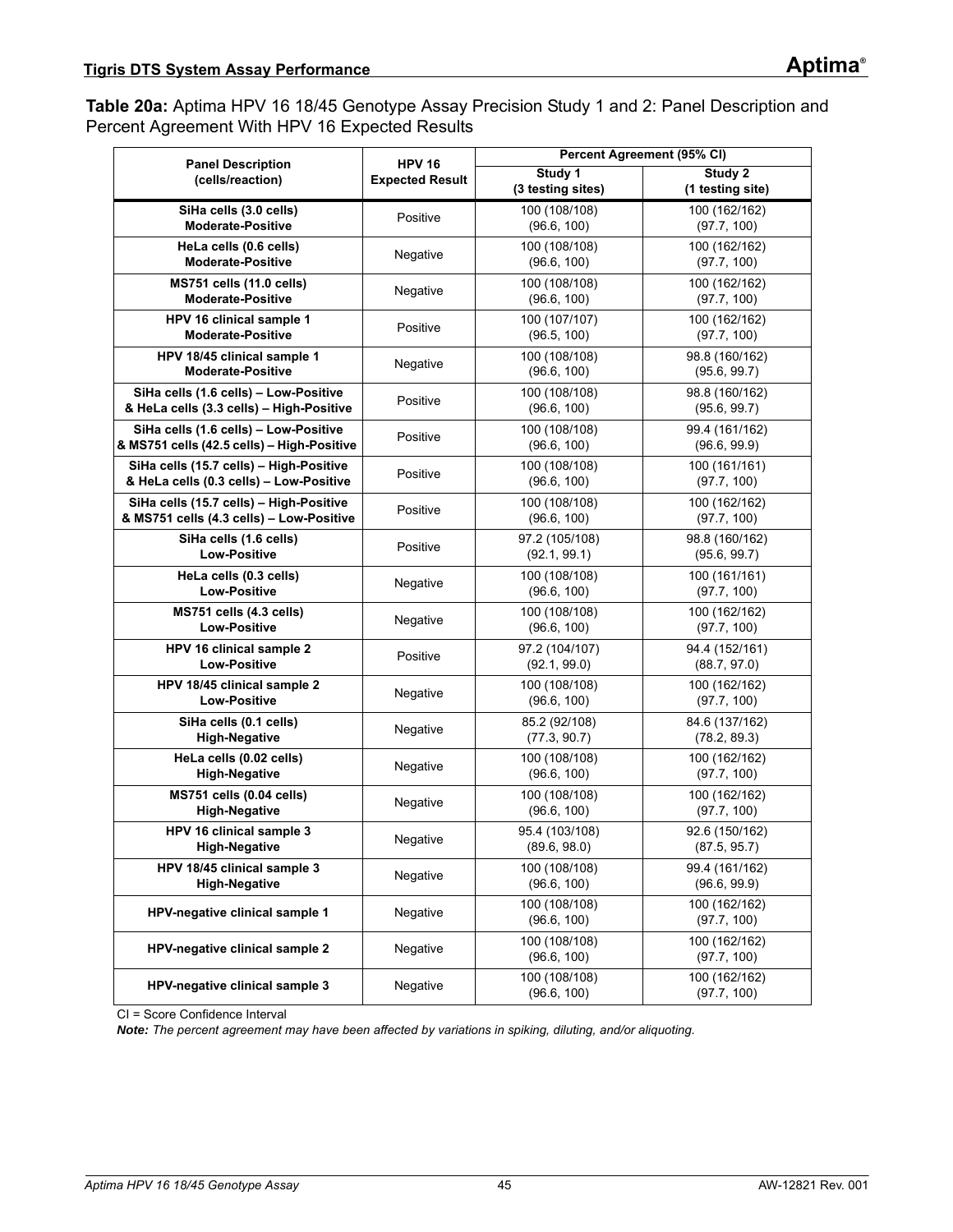<span id="page-44-0"></span>**Table 20a:** Aptima HPV 16 18/45 Genotype Assay Precision Study 1 and 2: Panel Description and Percent Agreement With HPV 16 Expected Results

| <b>Panel Description</b>                                    | <b>HPV 16</b>          |                                | Percent Agreement (95% CI)     |
|-------------------------------------------------------------|------------------------|--------------------------------|--------------------------------|
| (cells/reaction)                                            | <b>Expected Result</b> | Study 1                        | Study 2                        |
|                                                             |                        | (3 testing sites)              | (1 testing site)               |
| SiHa cells (3.0 cells)<br><b>Moderate-Positive</b>          | Positive               | 100 (108/108)                  | 100 (162/162)                  |
|                                                             |                        | (96.6, 100)                    | (97.7, 100)                    |
| HeLa cells (0.6 cells)<br><b>Moderate-Positive</b>          | Negative               | 100 (108/108)<br>(96.6, 100)   | 100 (162/162)<br>(97.7, 100)   |
|                                                             |                        |                                |                                |
| <b>MS751 cells (11.0 cells)</b><br><b>Moderate-Positive</b> | Negative               | 100 (108/108)<br>(96.6, 100)   | 100 (162/162)<br>(97.7, 100)   |
| HPV 16 clinical sample 1                                    |                        | 100 (107/107)                  | 100 (162/162)                  |
| Moderate-Positive                                           | Positive               | (96.5, 100)                    | (97.7, 100)                    |
| HPV 18/45 clinical sample 1                                 |                        | 100 (108/108)                  | 98.8 (160/162)                 |
| <b>Moderate-Positive</b>                                    | Negative               | (96.6, 100)                    | (95.6, 99.7)                   |
| SiHa cells (1.6 cells) - Low-Positive                       |                        | 100 (108/108)                  | 98.8 (160/162)                 |
| & HeLa cells (3.3 cells) - High-Positive                    | Positive               | (96.6, 100)                    | (95.6, 99.7)                   |
| SiHa cells (1.6 cells) - Low-Positive                       |                        | 100 (108/108)                  | 99.4 (161/162)                 |
| & MS751 cells (42.5 cells) - High-Positive                  | Positive               | (96.6, 100)                    | (96.6, 99.9)                   |
| SiHa cells (15.7 cells) - High-Positive                     | Positive               | 100 (108/108)                  | 100 (161/161)                  |
| & HeLa cells (0.3 cells) - Low-Positive                     |                        | (96.6, 100)                    | (97.7, 100)                    |
| SiHa cells (15.7 cells) - High-Positive                     | Positive               | 100 (108/108)                  | 100 (162/162)                  |
| & MS751 cells (4.3 cells) - Low-Positive                    |                        | (96.6, 100)                    | (97.7, 100)                    |
| SiHa cells (1.6 cells)                                      | Positive               | 97.2 (105/108)                 | 98.8 (160/162)                 |
| <b>Low-Positive</b>                                         |                        | (92.1, 99.1)                   | (95.6, 99.7)                   |
| HeLa cells (0.3 cells)                                      | Negative               | 100 (108/108)                  | 100 (161/161)                  |
| <b>Low-Positive</b>                                         |                        | (96.6, 100)                    | (97.7, 100)                    |
| MS751 cells (4.3 cells)                                     | Negative               | 100 (108/108)                  | 100 (162/162)                  |
| <b>Low-Positive</b>                                         |                        | (96.6, 100)                    | (97.7, 100)                    |
| HPV 16 clinical sample 2<br><b>Low-Positive</b>             | Positive               | 97.2 (104/107)<br>(92.1, 99.0) | 94.4 (152/161)<br>(88.7, 97.0) |
|                                                             |                        |                                |                                |
| HPV 18/45 clinical sample 2<br><b>Low-Positive</b>          | Negative               | 100 (108/108)<br>(96.6, 100)   | 100 (162/162)<br>(97.7, 100)   |
| SiHa cells (0.1 cells)                                      |                        | 85.2 (92/108)                  | 84.6 (137/162)                 |
| <b>High-Negative</b>                                        | Negative               | (77.3, 90.7)                   | (78.2, 89.3)                   |
| HeLa cells (0.02 cells)                                     |                        | 100 (108/108)                  | 100 (162/162)                  |
| <b>High-Negative</b>                                        | Negative               | (96.6, 100)                    | (97.7, 100)                    |
| MS751 cells (0.04 cells)                                    |                        | 100 (108/108)                  | 100 (162/162)                  |
| <b>High-Negative</b>                                        | Negative               | (96.6, 100)                    | (97.7, 100)                    |
| HPV 16 clinical sample 3                                    |                        | 95.4 (103/108)                 | 92.6 (150/162)                 |
| <b>High-Negative</b>                                        | Negative               | (89.6, 98.0)                   | (87.5, 95.7)                   |
| HPV 18/45 clinical sample 3                                 | Negative               | 100 (108/108)                  | 99.4 (161/162)                 |
| <b>High-Negative</b>                                        |                        | (96.6, 100)                    | (96.6, 99.9)                   |
| HPV-negative clinical sample 1                              | Negative               | 100 (108/108)                  | 100 (162/162)                  |
|                                                             |                        | (96.6, 100)                    | (97.7, 100)                    |
| HPV-negative clinical sample 2                              | Negative               | 100 (108/108)                  | 100 (162/162)                  |
|                                                             |                        | (96.6, 100)                    | (97.7, 100)                    |
| HPV-negative clinical sample 3                              | Negative               | 100 (108/108)                  | 100 (162/162)                  |
|                                                             |                        | (96.6, 100)                    | (97.7, 100)                    |

CI = Score Confidence Interval

*Note: The percent agreement may have been affected by variations in spiking, diluting, and/or aliquoting.*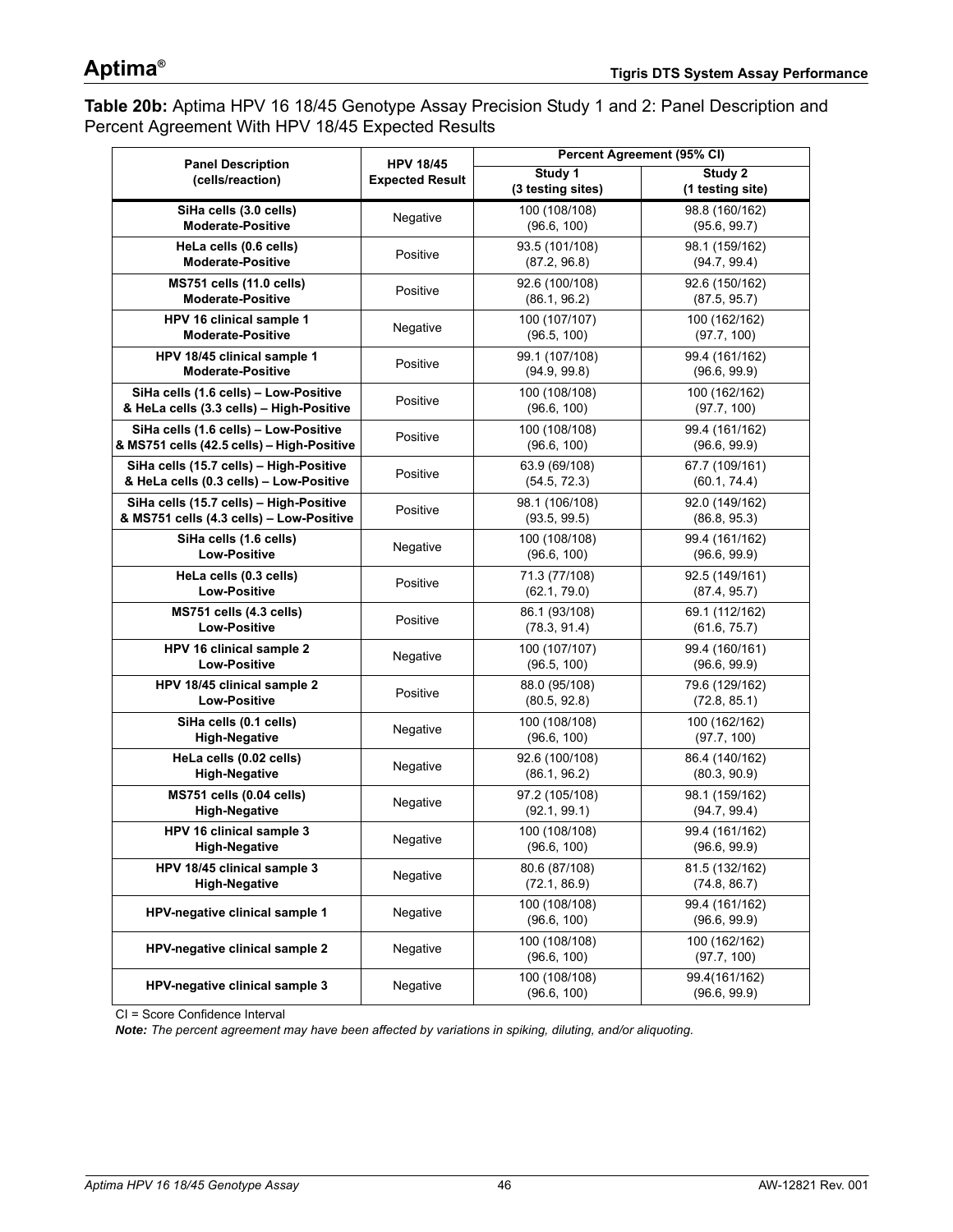<span id="page-45-0"></span>**Table 20b:** Aptima HPV 16 18/45 Genotype Assay Precision Study 1 and 2: Panel Description and Percent Agreement With HPV 18/45 Expected Results

| <b>Panel Description</b>                                    | <b>HPV 18/45</b>       |                                | Percent Agreement (95% CI)     |
|-------------------------------------------------------------|------------------------|--------------------------------|--------------------------------|
| (cells/reaction)                                            | <b>Expected Result</b> | Study 1                        | Study 2                        |
|                                                             |                        | (3 testing sites)              | (1 testing site)               |
| SiHa cells (3.0 cells)                                      | Negative               | 100 (108/108)                  | 98.8 (160/162)                 |
| <b>Moderate-Positive</b>                                    |                        | (96.6, 100)                    | (95.6, 99.7)                   |
| HeLa cells (0.6 cells)<br><b>Moderate-Positive</b>          | Positive               | 93.5 (101/108)                 | 98.1 (159/162)                 |
|                                                             |                        | (87.2, 96.8)                   | (94.7, 99.4)                   |
| <b>MS751 cells (11.0 cells)</b><br><b>Moderate-Positive</b> | Positive               | 92.6 (100/108)<br>(86.1, 96.2) | 92.6 (150/162)<br>(87.5, 95.7) |
| <b>HPV 16 clinical sample 1</b>                             |                        | 100 (107/107)                  | 100 (162/162)                  |
| <b>Moderate-Positive</b>                                    | Negative               | (96.5, 100)                    | (97.7, 100)                    |
| HPV 18/45 clinical sample 1                                 |                        | 99.1 (107/108)                 | 99.4 (161/162)                 |
| <b>Moderate-Positive</b>                                    | Positive               | (94.9, 99.8)                   | (96.6, 99.9)                   |
| SiHa cells (1.6 cells) - Low-Positive                       |                        | 100 (108/108)                  | 100 (162/162)                  |
| & HeLa cells (3.3 cells) - High-Positive                    | Positive               | (96.6, 100)                    | (97.7, 100)                    |
| SiHa cells (1.6 cells) - Low-Positive                       |                        | 100 (108/108)                  | 99.4 (161/162)                 |
| & MS751 cells (42.5 cells) - High-Positive                  | Positive               | (96.6, 100)                    | (96.6, 99.9)                   |
| SiHa cells (15.7 cells) - High-Positive                     | Positive               | 63.9 (69/108)                  | 67.7 (109/161)                 |
| & HeLa cells (0.3 cells) - Low-Positive                     |                        | (54.5, 72.3)                   | (60.1, 74.4)                   |
| SiHa cells (15.7 cells) - High-Positive                     | Positive               | 98.1 (106/108)                 | 92.0 (149/162)                 |
| & MS751 cells (4.3 cells) - Low-Positive                    |                        | (93.5, 99.5)                   | (86.8, 95.3)                   |
| SiHa cells (1.6 cells)                                      | Negative               | 100 (108/108)                  | 99.4 (161/162)                 |
| <b>Low-Positive</b>                                         |                        | (96.6, 100)                    | (96.6, 99.9)                   |
| HeLa cells (0.3 cells)<br><b>Low-Positive</b>               | Positive               | 71.3 (77/108)                  | 92.5 (149/161)                 |
|                                                             |                        | (62.1, 79.0)                   | (87.4, 95.7)                   |
| MS751 cells (4.3 cells)<br><b>Low-Positive</b>              | Positive               | 86.1 (93/108)<br>(78.3, 91.4)  | 69.1 (112/162)<br>(61.6, 75.7) |
| HPV 16 clinical sample 2                                    |                        | 100 (107/107)                  | 99.4 (160/161)                 |
| <b>Low-Positive</b>                                         | Negative               | (96.5, 100)                    | (96.6, 99.9)                   |
| HPV 18/45 clinical sample 2                                 |                        | 88.0 (95/108)                  | 79.6 (129/162)                 |
| <b>Low-Positive</b>                                         | Positive               | (80.5, 92.8)                   | (72.8, 85.1)                   |
| SiHa cells (0.1 cells)                                      |                        | 100 (108/108)                  | 100 (162/162)                  |
| <b>High-Negative</b>                                        | Negative               | (96.6, 100)                    | (97.7, 100)                    |
| HeLa cells (0.02 cells)                                     |                        | 92.6 (100/108)                 | 86.4 (140/162)                 |
| <b>High-Negative</b>                                        | Negative               | (86.1, 96.2)                   | (80.3, 90.9)                   |
| MS751 cells (0.04 cells)                                    | Negative               | 97.2 (105/108)                 | 98.1 (159/162)                 |
| <b>High-Negative</b>                                        |                        | (92.1, 99.1)                   | (94.7, 99.4)                   |
| HPV 16 clinical sample 3                                    | Negative               | 100 (108/108)                  | 99.4 (161/162)                 |
| <b>High-Negative</b>                                        |                        | (96.6, 100)                    | (96.6, 99.9)                   |
| HPV 18/45 clinical sample 3                                 | Negative               | 80.6 (87/108)                  | 81.5 (132/162)                 |
| <b>High-Negative</b>                                        |                        | (72.1, 86.9)                   | (74.8, 86.7)                   |
| HPV-negative clinical sample 1                              | Negative               | 100 (108/108)                  | 99.4 (161/162)                 |
|                                                             |                        | (96.6, 100)                    | (96.6, 99.9)                   |
| HPV-negative clinical sample 2                              | Negative               | 100 (108/108)<br>(96.6, 100)   | 100 (162/162)<br>(97.7, 100)   |
|                                                             |                        |                                |                                |
| <b>HPV-negative clinical sample 3</b>                       | Negative               | 100 (108/108)<br>(96.6, 100)   | 99.4(161/162)<br>(96.6, 99.9)  |
|                                                             |                        |                                |                                |

CI = Score Confidence Interval

*Note: The percent agreement may have been affected by variations in spiking, diluting, and/or aliquoting.*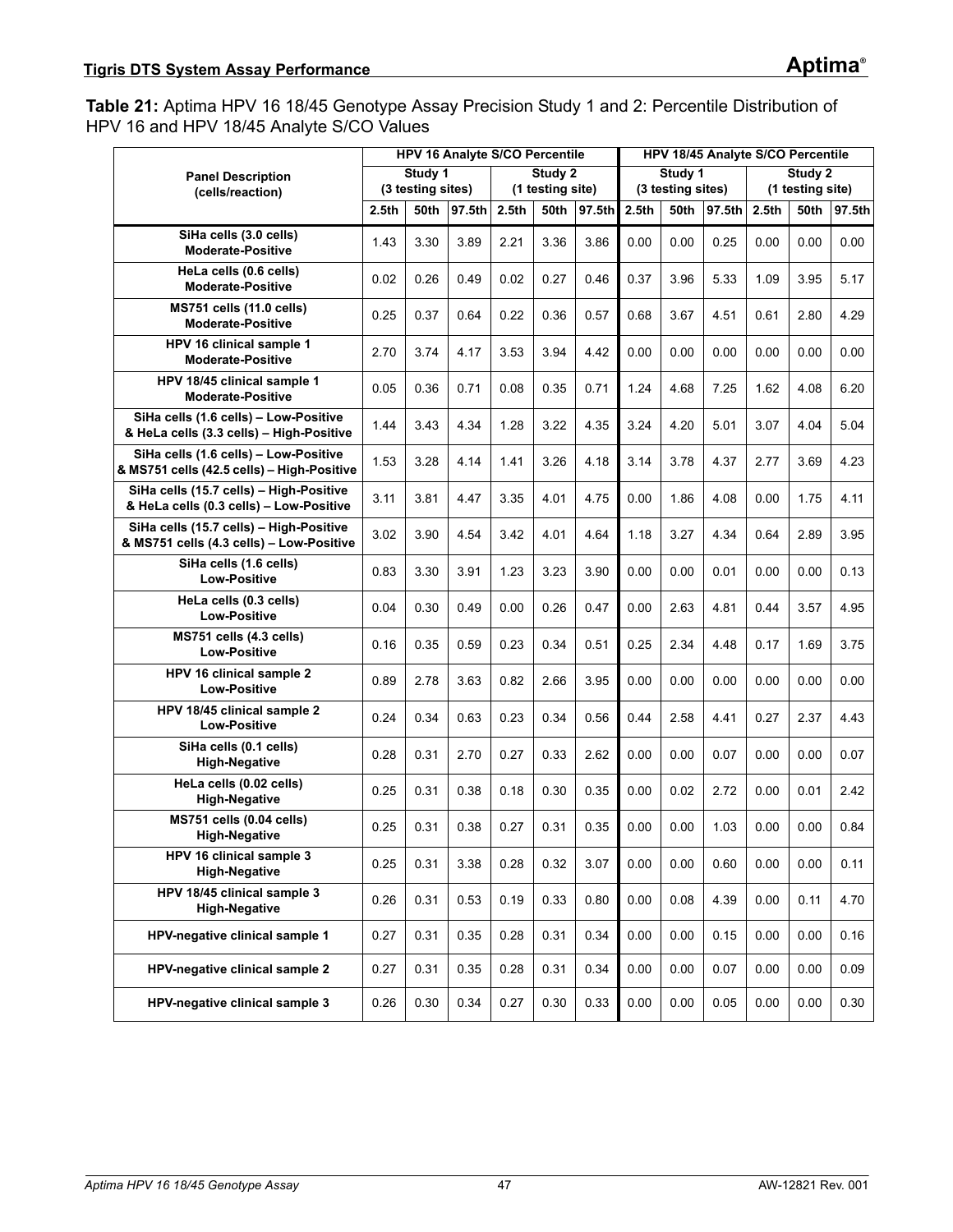<span id="page-46-0"></span>**Table 21:** Aptima HPV 16 18/45 Genotype Assay Precision Study 1 and 2: Percentile Distribution of HPV 16 and HPV 18/45 Analyte S/CO Values

|                                                                                     |                   |                              | <b>HPV 16 Analyte S/CO Percentile</b> |                   |                             |        |                   |                              | HPV 18/45 Analyte S/CO Percentile |       |                             |        |
|-------------------------------------------------------------------------------------|-------------------|------------------------------|---------------------------------------|-------------------|-----------------------------|--------|-------------------|------------------------------|-----------------------------------|-------|-----------------------------|--------|
| <b>Panel Description</b>                                                            |                   | Study 1<br>(3 testing sites) |                                       |                   | Study 2<br>(1 testing site) |        |                   | Study 1<br>(3 testing sites) |                                   |       | Study 2<br>(1 testing site) |        |
| (cells/reaction)                                                                    | 2.5 <sub>th</sub> | 50th                         | 97.5th                                | 2.5 <sub>th</sub> | <b>50th</b>                 | 97.5th | 2.5 <sub>th</sub> | 50th                         | 97.5th                            | 2.5th | <b>50th</b>                 | 97.5th |
| SiHa cells (3.0 cells)                                                              |                   |                              |                                       |                   |                             |        |                   |                              |                                   |       |                             |        |
| <b>Moderate-Positive</b>                                                            | 1.43              | 3.30                         | 3.89                                  | 2.21              | 3.36                        | 3.86   | 0.00              | 0.00                         | 0.25                              | 0.00  | 0.00                        | 0.00   |
| HeLa cells (0.6 cells)<br><b>Moderate-Positive</b>                                  | 0.02              | 0.26                         | 0.49                                  | 0.02              | 0.27                        | 0.46   | 0.37              | 3.96                         | 5.33                              | 1.09  | 3.95                        | 5.17   |
| <b>MS751 cells (11.0 cells)</b><br><b>Moderate-Positive</b>                         | 0.25              | 0.37                         | 0.64                                  | 0.22              | 0.36                        | 0.57   | 0.68              | 3.67                         | 4.51                              | 0.61  | 2.80                        | 4.29   |
| HPV 16 clinical sample 1<br><b>Moderate-Positive</b>                                | 2.70              | 3.74                         | 4.17                                  | 3.53              | 3.94                        | 4.42   | 0.00              | 0.00                         | 0.00                              | 0.00  | 0.00                        | 0.00   |
| HPV 18/45 clinical sample 1<br><b>Moderate-Positive</b>                             | 0.05              | 0.36                         | 0.71                                  | 0.08              | 0.35                        | 0.71   | 1.24              | 4.68                         | 7.25                              | 1.62  | 4.08                        | 6.20   |
| SiHa cells (1.6 cells) - Low-Positive<br>& HeLa cells (3.3 cells) - High-Positive   | 1.44              | 3.43                         | 4.34                                  | 1.28              | 3.22                        | 4.35   | 3.24              | 4.20                         | 5.01                              | 3.07  | 4.04                        | 5.04   |
| SiHa cells (1.6 cells) - Low-Positive<br>& MS751 cells (42.5 cells) - High-Positive | 1.53              | 3.28                         | 4.14                                  | 1.41              | 3.26                        | 4.18   | 3.14              | 3.78                         | 4.37                              | 2.77  | 3.69                        | 4.23   |
| SiHa cells (15.7 cells) - High-Positive<br>& HeLa cells (0.3 cells) - Low-Positive  | 3.11              | 3.81                         | 4.47                                  | 3.35              | 4.01                        | 4.75   | 0.00              | 1.86                         | 4.08                              | 0.00  | 1.75                        | 4.11   |
| SiHa cells (15.7 cells) - High-Positive<br>& MS751 cells (4.3 cells) - Low-Positive | 3.02              | 3.90                         | 4.54                                  | 3.42              | 4.01                        | 4.64   | 1.18              | 3.27                         | 4.34                              | 0.64  | 2.89                        | 3.95   |
| SiHa cells (1.6 cells)<br><b>Low-Positive</b>                                       | 0.83              | 3.30                         | 3.91                                  | 1.23              | 3.23                        | 3.90   | 0.00              | 0.00                         | 0.01                              | 0.00  | 0.00                        | 0.13   |
| HeLa cells (0.3 cells)<br><b>Low-Positive</b>                                       | 0.04              | 0.30                         | 0.49                                  | 0.00              | 0.26                        | 0.47   | 0.00              | 2.63                         | 4.81                              | 0.44  | 3.57                        | 4.95   |
| MS751 cells (4.3 cells)<br><b>Low-Positive</b>                                      | 0.16              | 0.35                         | 0.59                                  | 0.23              | 0.34                        | 0.51   | 0.25              | 2.34                         | 4.48                              | 0.17  | 1.69                        | 3.75   |
| HPV 16 clinical sample 2<br><b>Low-Positive</b>                                     | 0.89              | 2.78                         | 3.63                                  | 0.82              | 2.66                        | 3.95   | 0.00              | 0.00                         | 0.00                              | 0.00  | 0.00                        | 0.00   |
| HPV 18/45 clinical sample 2<br><b>Low-Positive</b>                                  | 0.24              | 0.34                         | 0.63                                  | 0.23              | 0.34                        | 0.56   | 0.44              | 2.58                         | 4.41                              | 0.27  | 2.37                        | 4.43   |
| SiHa cells (0.1 cells)<br><b>High-Negative</b>                                      | 0.28              | 0.31                         | 2.70                                  | 0.27              | 0.33                        | 2.62   | 0.00              | 0.00                         | 0.07                              | 0.00  | 0.00                        | 0.07   |
| HeLa cells (0.02 cells)<br><b>High-Negative</b>                                     | 0.25              | 0.31                         | 0.38                                  | 0.18              | 0.30                        | 0.35   | 0.00              | 0.02                         | 2.72                              | 0.00  | 0.01                        | 2.42   |
| MS751 cells (0.04 cells)<br><b>High-Negative</b>                                    | 0.25              | 0.31                         | 0.38                                  | 0.27              | 0.31                        | 0.35   | 0.00              | 0.00                         | 1.03                              | 0.00  | 0.00                        | 0.84   |
| HPV 16 clinical sample 3<br><b>High-Negative</b>                                    | 0.25              | 0.31                         | 3.38                                  | 0.28              | 0.32                        | 3.07   | 0.00              | 0.00                         | 0.60                              | 0.00  | 0.00                        | 0.11   |
| HPV 18/45 clinical sample 3<br><b>High-Negative</b>                                 | 0.26              | 0.31                         | 0.53                                  | 0.19              | 0.33                        | 0.80   | 0.00              | 0.08                         | 4.39                              | 0.00  | 0.11                        | 4.70   |
| HPV-negative clinical sample 1                                                      | 0.27              | 0.31                         | 0.35                                  | 0.28              | 0.31                        | 0.34   | 0.00              | 0.00                         | 0.15                              | 0.00  | 0.00                        | 0.16   |
| HPV-negative clinical sample 2                                                      | 0.27              | 0.31                         | 0.35                                  | 0.28              | 0.31                        | 0.34   | 0.00              | 0.00                         | 0.07                              | 0.00  | 0.00                        | 0.09   |
| HPV-negative clinical sample 3                                                      | 0.26              | 0.30                         | 0.34                                  | 0.27              | 0.30                        | 0.33   | 0.00              | 0.00                         | 0.05                              | 0.00  | 0.00                        | 0.30   |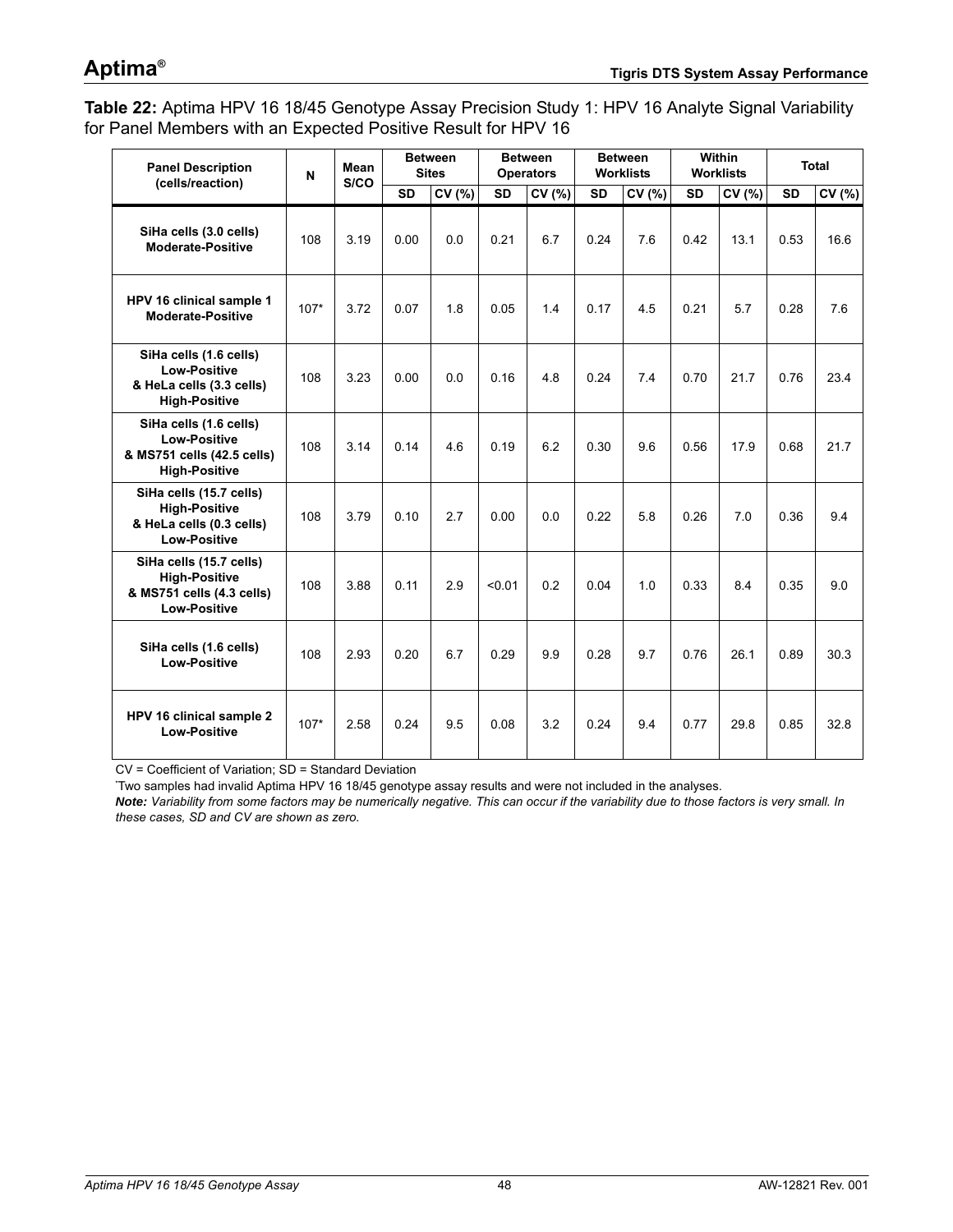# **Aptima®**

<span id="page-47-0"></span>**Table 22:** Aptima HPV 16 18/45 Genotype Assay Precision Study 1: HPV 16 Analyte Signal Variability for Panel Members with an Expected Positive Result for HPV 16

| <b>Panel Description</b><br>(cells/reaction)                                                        | N      | Mean<br>S/CO |           | <b>Between</b><br><b>Sites</b> |           | <b>Between</b><br><b>Operators</b> |           | <b>Between</b><br><b>Worklists</b> |           | <b>Within</b><br><b>Worklists</b> |           | <b>Total</b> |
|-----------------------------------------------------------------------------------------------------|--------|--------------|-----------|--------------------------------|-----------|------------------------------------|-----------|------------------------------------|-----------|-----------------------------------|-----------|--------------|
|                                                                                                     |        |              | <b>SD</b> | CV (%)                         | <b>SD</b> | CV(%)                              | <b>SD</b> | CV(%)                              | <b>SD</b> | CV(%)                             | <b>SD</b> | CV (%)       |
| SiHa cells (3.0 cells)<br><b>Moderate-Positive</b>                                                  | 108    | 3.19         | 0.00      | 0.0                            | 0.21      | 6.7                                | 0.24      | 7.6                                | 0.42      | 13.1                              | 0.53      | 16.6         |
| HPV 16 clinical sample 1<br><b>Moderate-Positive</b>                                                | $107*$ | 3.72         | 0.07      | 1.8                            | 0.05      | 1.4                                | 0.17      | 4.5                                | 0.21      | 5.7                               | 0.28      | 7.6          |
| SiHa cells (1.6 cells)<br><b>Low-Positive</b><br>& HeLa cells (3.3 cells)<br><b>High-Positive</b>   | 108    | 3.23         | 0.00      | 0.0                            | 0.16      | 4.8                                | 0.24      | 74                                 | 0.70      | 21.7                              | 0.76      | 23.4         |
| SiHa cells (1.6 cells)<br><b>Low-Positive</b><br>& MS751 cells (42.5 cells)<br><b>High-Positive</b> | 108    | 3.14         | 0.14      | 4.6                            | 0.19      | 6.2                                | 0.30      | 9.6                                | 0.56      | 17.9                              | 0.68      | 21.7         |
| SiHa cells (15.7 cells)<br><b>High-Positive</b><br>& HeLa cells (0.3 cells)<br><b>Low-Positive</b>  | 108    | 3.79         | 0.10      | 2.7                            | 0.00      | 0.0                                | 0.22      | 5.8                                | 0.26      | 7.0                               | 0.36      | 9.4          |
| SiHa cells (15.7 cells)<br><b>High-Positive</b><br>& MS751 cells (4.3 cells)<br><b>Low-Positive</b> | 108    | 3.88         | 0.11      | 2.9                            | < 0.01    | 0.2                                | 0.04      | 1.0                                | 0.33      | 8.4                               | 0.35      | 9.0          |
| SiHa cells (1.6 cells)<br><b>Low-Positive</b>                                                       | 108    | 2.93         | 0.20      | 6.7                            | 0.29      | 9.9                                | 0.28      | 9.7                                | 0.76      | 26.1                              | 0.89      | 30.3         |
| HPV 16 clinical sample 2<br><b>Low-Positive</b>                                                     | $107*$ | 2.58         | 0.24      | 9.5                            | 0.08      | 3.2                                | 0.24      | 9.4                                | 0.77      | 29.8                              | 0.85      | 32.8         |

CV = Coefficient of Variation; SD = Standard Deviation

**\*** Two samples had invalid Aptima HPV 16 18/45 genotype assay results and were not included in the analyses.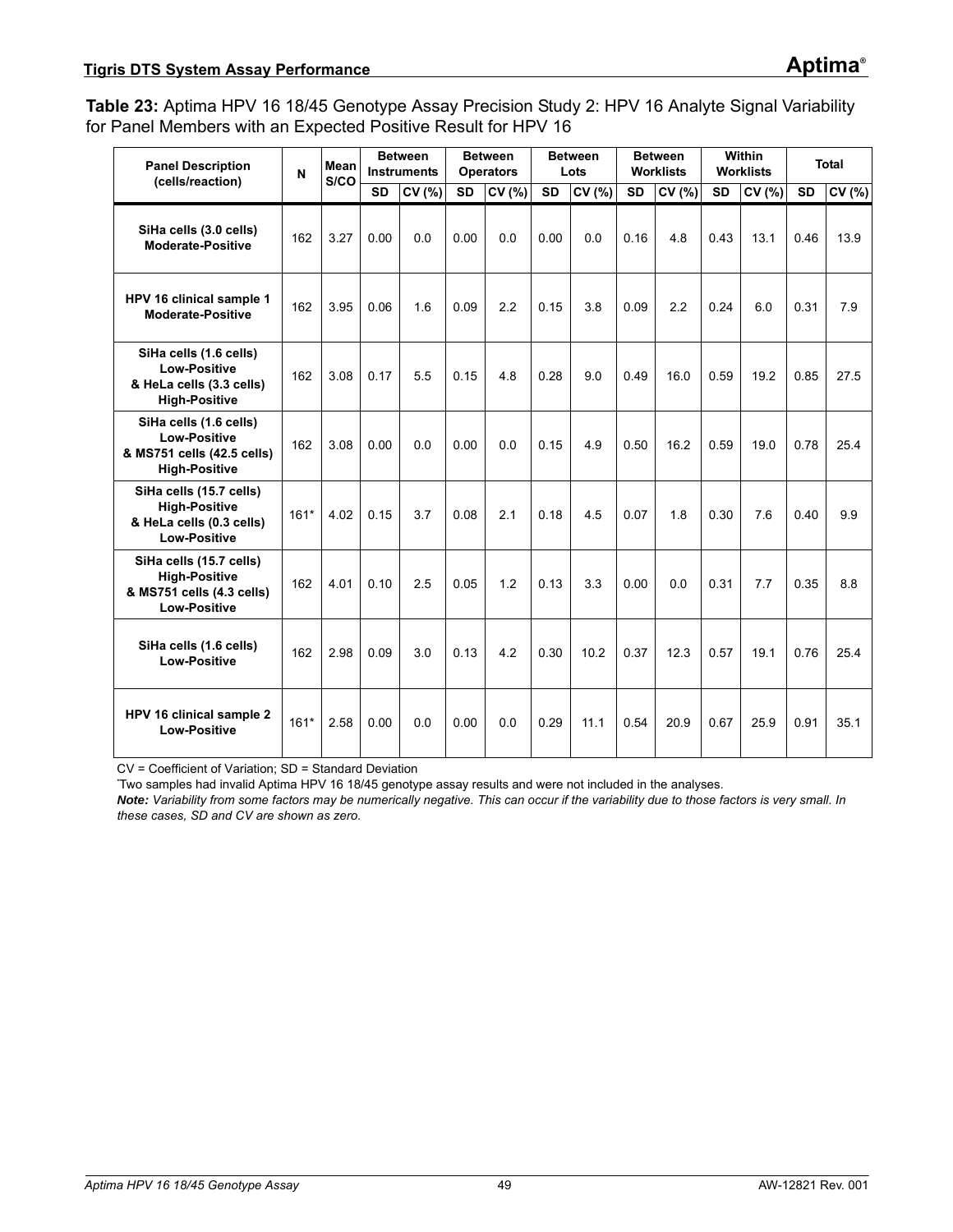<span id="page-48-0"></span>**Table 23:** Aptima HPV 16 18/45 Genotype Assay Precision Study 2: HPV 16 Analyte Signal Variability for Panel Members with an Expected Positive Result for HPV 16

| <b>Panel Description</b><br>(cells/reaction)                                                        | $\mathbf N$ | Mean<br>S/CO |           | <b>Between</b><br><b>Instruments</b> |           | <b>Between</b><br><b>Operators</b> |           | <b>Between</b><br>Lots |           | <b>Between</b><br><b>Worklists</b> |           | <b>Within</b><br>Worklists |           | <b>Total</b> |
|-----------------------------------------------------------------------------------------------------|-------------|--------------|-----------|--------------------------------------|-----------|------------------------------------|-----------|------------------------|-----------|------------------------------------|-----------|----------------------------|-----------|--------------|
|                                                                                                     |             |              | <b>SD</b> | CV (%)                               | <b>SD</b> | CV (%)                             | <b>SD</b> | CV (%)                 | <b>SD</b> | CV (%)                             | <b>SD</b> | CV (%)                     | <b>SD</b> | CV (%)       |
| SiHa cells (3.0 cells)<br>Moderate-Positive                                                         | 162         | 3.27         | 0.00      | 0.0                                  | 0.00      | 0.0                                | 0.00      | 0.0                    | 0.16      | 4.8                                | 0.43      | 13.1                       | 0.46      | 13.9         |
| HPV 16 clinical sample 1<br><b>Moderate-Positive</b>                                                | 162         | 3.95         | 0.06      | 1.6                                  | 0.09      | 2.2                                | 0.15      | 3.8                    | 0.09      | 2.2                                | 0.24      | 6.0                        | 0.31      | 7.9          |
| SiHa cells (1.6 cells)<br><b>Low-Positive</b><br>& HeLa cells (3.3 cells)<br><b>High-Positive</b>   | 162         | 3.08         | 0.17      | 5.5                                  | 0.15      | 4.8                                | 0.28      | 9.0                    | 0.49      | 16.0                               | 0.59      | 19.2                       | 0.85      | 27.5         |
| SiHa cells (1.6 cells)<br><b>Low-Positive</b><br>& MS751 cells (42.5 cells)<br><b>High-Positive</b> | 162         | 3.08         | 0.00      | 0.0                                  | 0.00      | 0.0                                | 0.15      | 4.9                    | 0.50      | 16.2                               | 0.59      | 19.0                       | 0.78      | 25.4         |
| SiHa cells (15.7 cells)<br><b>High-Positive</b><br>& HeLa cells (0.3 cells)<br><b>Low-Positive</b>  | $161*$      | 4.02         | 0.15      | 3.7                                  | 0.08      | 2.1                                | 0.18      | 4.5                    | 0.07      | 1.8                                | 0.30      | 7.6                        | 0.40      | 9.9          |
| SiHa cells (15.7 cells)<br><b>High-Positive</b><br>& MS751 cells (4.3 cells)<br><b>Low-Positive</b> | 162         | 4.01         | 0.10      | 2.5                                  | 0.05      | 1.2                                | 0.13      | 3.3                    | 0.00      | 0.0                                | 0.31      | 7.7                        | 0.35      | 8.8          |
| SiHa cells (1.6 cells)<br><b>Low-Positive</b>                                                       | 162         | 2.98         | 0.09      | 3.0                                  | 0.13      | 4.2                                | 0.30      | 10.2                   | 0.37      | 12.3                               | 0.57      | 19.1                       | 0.76      | 25.4         |
| HPV 16 clinical sample 2<br><b>Low-Positive</b>                                                     | $161*$      | 2.58         | 0.00      | 0.0                                  | 0.00      | 0.0                                | 0.29      | 11.1                   | 0.54      | 20.9                               | 0.67      | 25.9                       | 0.91      | 35.1         |

CV = Coefficient of Variation; SD = Standard Deviation

**\*** Two samples had invalid Aptima HPV 16 18/45 genotype assay results and were not included in the analyses.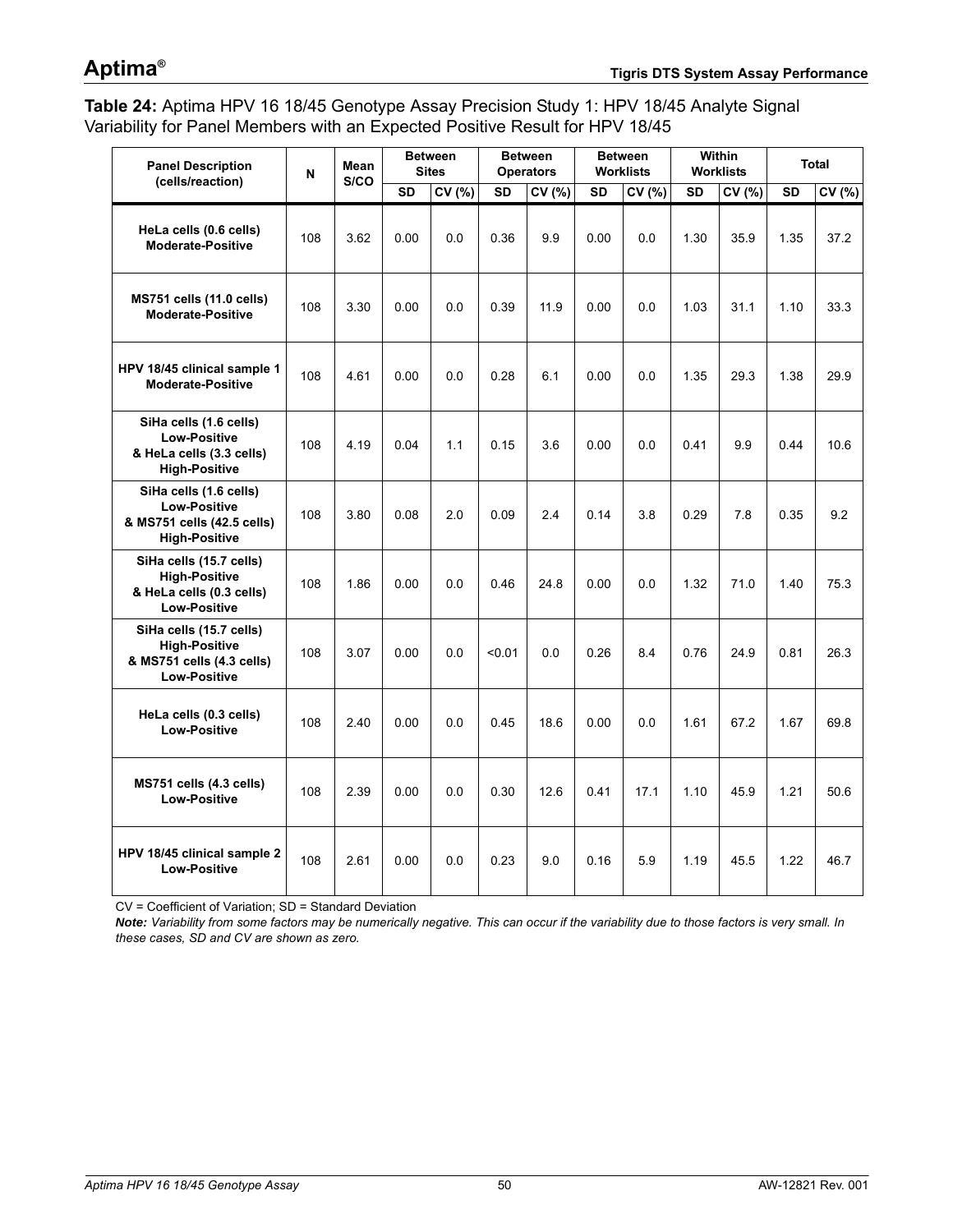# **Aptima®**

<span id="page-49-0"></span>**Table 24:** Aptima HPV 16 18/45 Genotype Assay Precision Study 1: HPV 18/45 Analyte Signal Variability for Panel Members with an Expected Positive Result for HPV 18/45

| <b>Panel Description</b><br>(cells/reaction)                                                        | N   | <b>Mean</b><br>S/CO |           | <b>Between</b><br><b>Sites</b> |           | <b>Between</b><br><b>Operators</b> |      | <b>Between</b><br><b>Worklists</b> |           | <b>Within</b><br><b>Worklists</b> |           | <b>Total</b> |
|-----------------------------------------------------------------------------------------------------|-----|---------------------|-----------|--------------------------------|-----------|------------------------------------|------|------------------------------------|-----------|-----------------------------------|-----------|--------------|
|                                                                                                     |     |                     | <b>SD</b> | CV (%)                         | <b>SD</b> | CV (%)                             | SD   | CV (%)                             | <b>SD</b> | CV (%)                            | <b>SD</b> | CV (%)       |
| HeLa cells (0.6 cells)<br>Moderate-Positive                                                         | 108 | 3.62                | 0.00      | 0.0                            | 0.36      | 9.9                                | 0.00 | 0.0                                | 1.30      | 35.9                              | 1.35      | 37.2         |
| <b>MS751 cells (11.0 cells)</b><br><b>Moderate-Positive</b>                                         | 108 | 3.30                | 0.00      | 0.0                            | 0.39      | 11.9                               | 0.00 | 0.0                                | 1.03      | 31.1                              | 1.10      | 33.3         |
| HPV 18/45 clinical sample 1<br><b>Moderate-Positive</b>                                             | 108 | 4.61                | 0.00      | 0.0                            | 0.28      | 6.1                                | 0.00 | 0.0                                | 1.35      | 29.3                              | 1.38      | 29.9         |
| SiHa cells (1.6 cells)<br><b>Low-Positive</b><br>& HeLa cells (3.3 cells)<br><b>High-Positive</b>   | 108 | 4.19                | 0.04      | 1.1                            | 0.15      | 3.6                                | 0.00 | 0.0                                | 0.41      | 9.9                               | 0.44      | 10.6         |
| SiHa cells (1.6 cells)<br><b>Low-Positive</b><br>& MS751 cells (42.5 cells)<br><b>High-Positive</b> | 108 | 3.80                | 0.08      | 2.0                            | 0.09      | 2.4                                | 0.14 | 3.8                                | 0.29      | 7.8                               | 0.35      | 9.2          |
| SiHa cells (15.7 cells)<br><b>High-Positive</b><br>& HeLa cells (0.3 cells)<br><b>Low-Positive</b>  | 108 | 1.86                | 0.00      | 0.0                            | 0.46      | 24.8                               | 0.00 | 0.0                                | 1.32      | 71.0                              | 1.40      | 75.3         |
| SiHa cells (15.7 cells)<br><b>High-Positive</b><br>& MS751 cells (4.3 cells)<br><b>Low-Positive</b> | 108 | 3.07                | 0.00      | 0.0                            | < 0.01    | 0.0                                | 0.26 | 8.4                                | 0.76      | 24.9                              | 0.81      | 26.3         |
| HeLa cells (0.3 cells)<br><b>Low-Positive</b>                                                       | 108 | 2.40                | 0.00      | 0.0                            | 0.45      | 18.6                               | 0.00 | 0.0                                | 1.61      | 67.2                              | 1.67      | 69.8         |
| MS751 cells (4.3 cells)<br><b>Low-Positive</b>                                                      | 108 | 2.39                | 0.00      | 0.0                            | 0.30      | 12.6                               | 0.41 | 17.1                               | 1.10      | 45.9                              | 1.21      | 50.6         |
| HPV 18/45 clinical sample 2<br><b>Low-Positive</b>                                                  | 108 | 2.61                | 0.00      | 0.0                            | 0.23      | 9.0                                | 0.16 | 5.9                                | 1.19      | 45.5                              | 1.22      | 46.7         |

CV = Coefficient of Variation; SD = Standard Deviation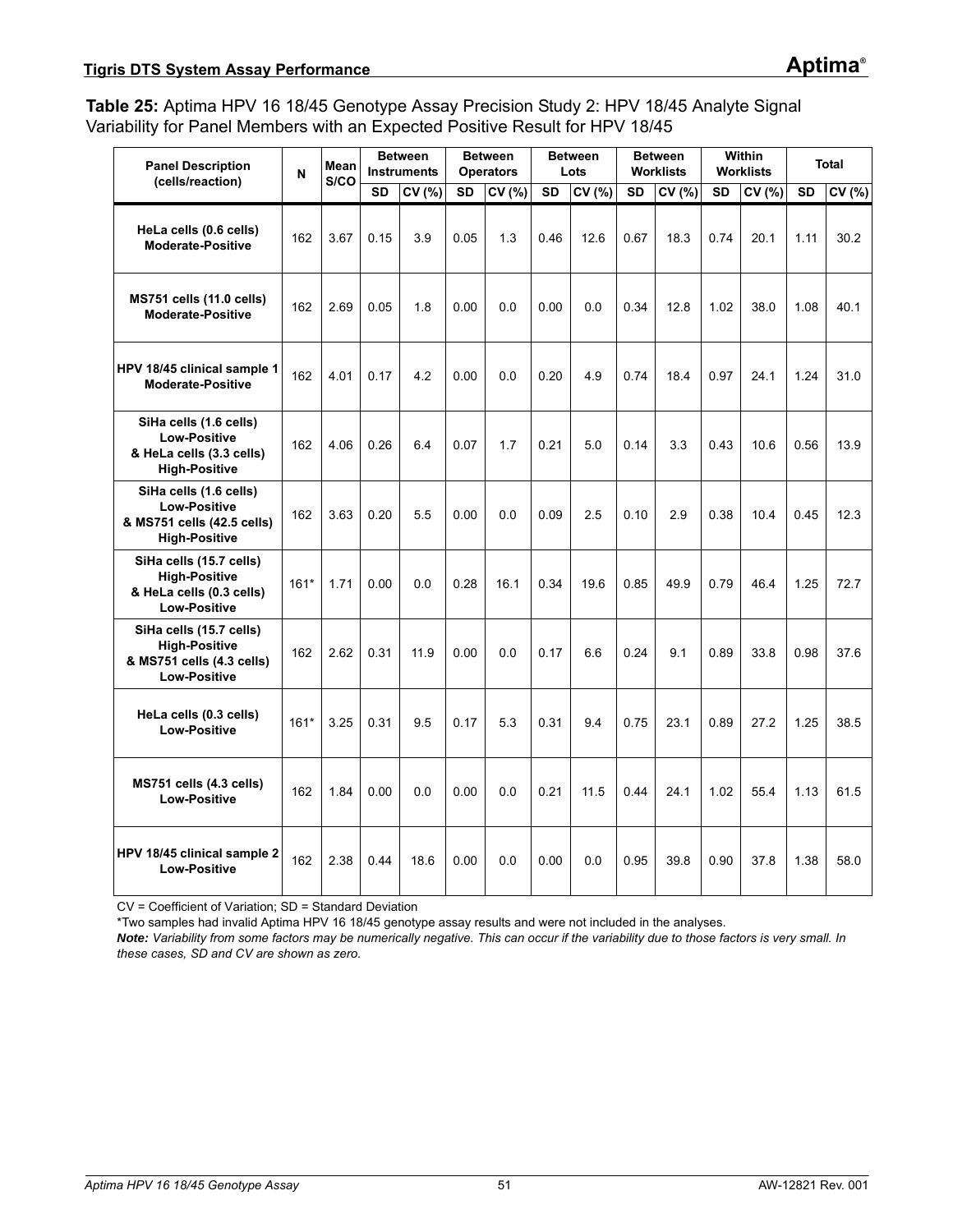### <span id="page-50-0"></span>**Table 25:** Aptima HPV 16 18/45 Genotype Assay Precision Study 2: HPV 18/45 Analyte Signal Variability for Panel Members with an Expected Positive Result for HPV 18/45

| <b>Panel Description</b>                                                                            | N      | Mean<br>S/CO |           | <b>Between</b><br><b>Instruments</b> |           | <b>Between</b><br><b>Operators</b> |           | <b>Between</b><br>Lots |           | <b>Between</b><br><b>Worklists</b> |           | Within<br><b>Worklists</b> |           | <b>Total</b> |
|-----------------------------------------------------------------------------------------------------|--------|--------------|-----------|--------------------------------------|-----------|------------------------------------|-----------|------------------------|-----------|------------------------------------|-----------|----------------------------|-----------|--------------|
| (cells/reaction)                                                                                    |        |              | <b>SD</b> | CV (%)                               | <b>SD</b> | CV (%)                             | <b>SD</b> | CV (%)                 | <b>SD</b> | CV(%)                              | <b>SD</b> | CV (%)                     | <b>SD</b> | CV (%)       |
| HeLa cells (0.6 cells)<br><b>Moderate-Positive</b>                                                  | 162    | 3.67         | 0.15      | 3.9                                  | 0.05      | 1.3                                | 0.46      | 12.6                   | 0.67      | 18.3                               | 0.74      | 20.1                       | 1.11      | 30.2         |
| <b>MS751 cells (11.0 cells)</b><br><b>Moderate-Positive</b>                                         | 162    | 2.69         | 0.05      | 1.8                                  | 0.00      | 0.0                                | 0.00      | 0.0                    | 0.34      | 12.8                               | 1.02      | 38.0                       | 1.08      | 40.1         |
| HPV 18/45 clinical sample 1<br><b>Moderate-Positive</b>                                             | 162    | 4.01         | 0.17      | 4.2                                  | 0.00      | 0.0                                | 0.20      | 4.9                    | 0.74      | 18.4                               | 0.97      | 24.1                       | 1.24      | 31.0         |
| SiHa cells (1.6 cells)<br><b>Low-Positive</b><br>& HeLa cells (3.3 cells)<br><b>High-Positive</b>   | 162    | 4.06         | 0.26      | 6.4                                  | 0.07      | 1.7                                | 0.21      | 5.0                    | 0.14      | 3.3                                | 0.43      | 10.6                       | 0.56      | 13.9         |
| SiHa cells (1.6 cells)<br><b>Low-Positive</b><br>& MS751 cells (42.5 cells)<br><b>High-Positive</b> | 162    | 3.63         | 0.20      | 5.5                                  | 0.00      | 0.0                                | 0.09      | 2.5                    | 0.10      | 2.9                                | 0.38      | 10.4                       | 0.45      | 12.3         |
| SiHa cells (15.7 cells)<br><b>High-Positive</b><br>& HeLa cells (0.3 cells)<br><b>Low-Positive</b>  | $161*$ | 1.71         | 0.00      | 0.0                                  | 0.28      | 16.1                               | 0.34      | 19.6                   | 0.85      | 49.9                               | 0.79      | 46.4                       | 1.25      | 72.7         |
| SiHa cells (15.7 cells)<br><b>High-Positive</b><br>& MS751 cells (4.3 cells)<br><b>Low-Positive</b> | 162    | 2.62         | 0.31      | 11.9                                 | 0.00      | 0.0                                | 0.17      | 6.6                    | 0.24      | 9.1                                | 0.89      | 33.8                       | 0.98      | 37.6         |
| HeLa cells (0.3 cells)<br><b>Low-Positive</b>                                                       | $161*$ | 3.25         | 0.31      | 9.5                                  | 0.17      | 5.3                                | 0.31      | 9.4                    | 0.75      | 23.1                               | 0.89      | 27.2                       | 1.25      | 38.5         |
| MS751 cells (4.3 cells)<br><b>Low-Positive</b>                                                      | 162    | 1.84         | 0.00      | 0.0                                  | 0.00      | 0.0                                | 0.21      | 11.5                   | 0.44      | 24.1                               | 1.02      | 55.4                       | 1.13      | 61.5         |
| HPV 18/45 clinical sample 2<br><b>Low-Positive</b>                                                  | 162    | 2.38         | 0.44      | 18.6                                 | 0.00      | 0.0                                | 0.00      | 0.0                    | 0.95      | 39.8                               | 0.90      | 37.8                       | 1.38      | 58.0         |

CV = Coefficient of Variation; SD = Standard Deviation

\*Two samples had invalid Aptima HPV 16 18/45 genotype assay results and were not included in the analyses.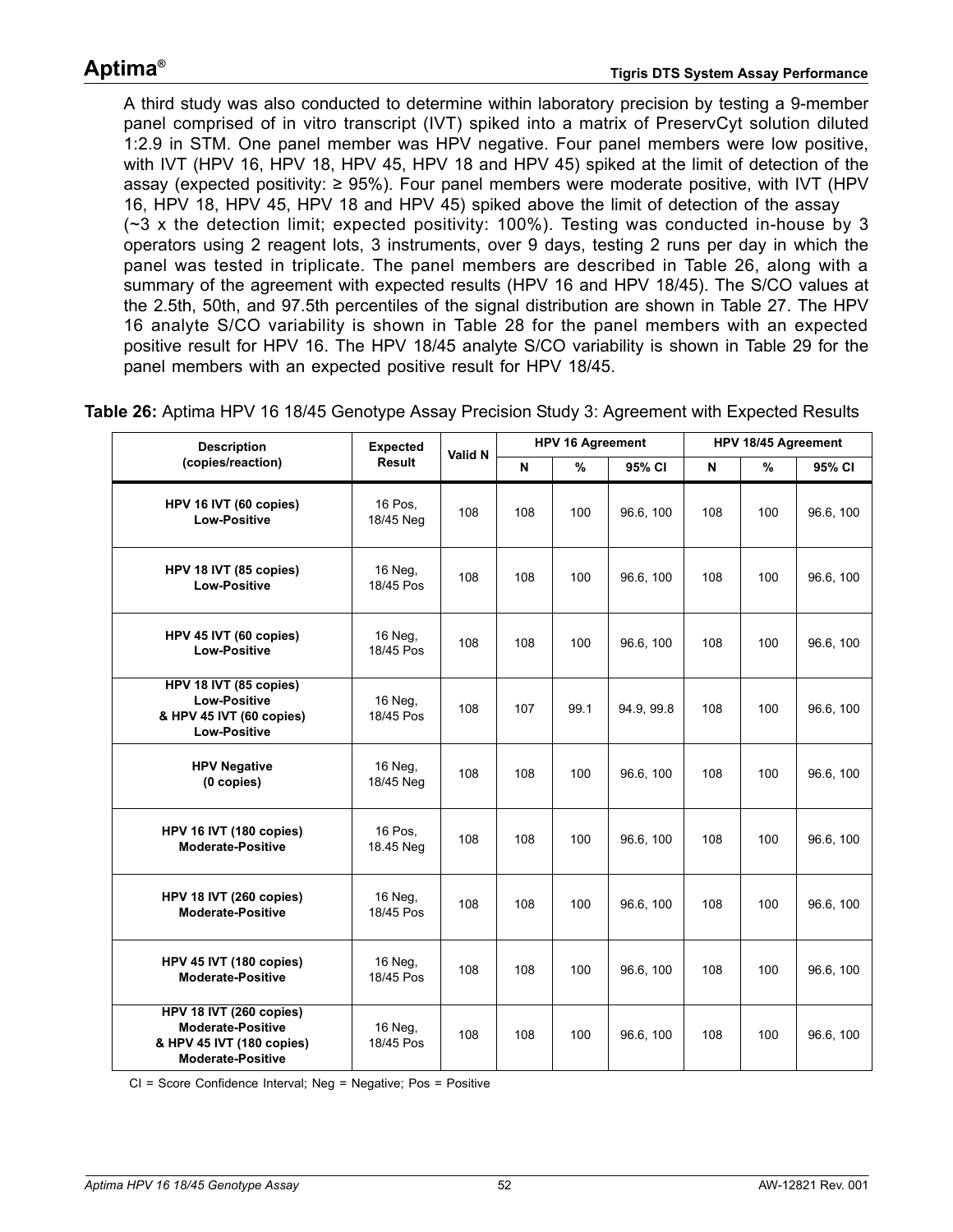A third study was also conducted to determine within laboratory precision by testing a 9-member panel comprised of in vitro transcript (IVT) spiked into a matrix of PreservCyt solution diluted 1:2.9 in STM. One panel member was HPV negative. Four panel members were low positive, with IVT (HPV 16, HPV 18, HPV 45, HPV 18 and HPV 45) spiked at the limit of detection of the assay (expected positivity:  $\geq$  95%). Four panel members were moderate positive, with IVT (HPV 16, HPV 18, HPV 45, HPV 18 and HPV 45) spiked above the limit of detection of the assay (~3 x the detection limit; expected positivity: 100%). Testing was conducted in-house by 3 operators using 2 reagent lots, 3 instruments, over 9 days, testing 2 runs per day in which the panel was tested in triplicate. The panel members are described in [Table 26](#page-51-0), along with a summary of the agreement with expected results (HPV 16 and HPV 18/45). The S/CO values at the 2.5th, 50th, and 97.5th percentiles of the signal distribution are shown in [Table 27.](#page-52-0) The HPV 16 analyte S/CO variability is shown in [Table 28](#page-53-0) for the panel members with an expected positive result for HPV 16. The HPV 18/45 analyte S/CO variability is shown in [Table 29](#page-53-1) for the panel members with an expected positive result for HPV 18/45.

<span id="page-51-0"></span>**Table 26:** Aptima HPV 16 18/45 Genotype Assay Precision Study 3: Agreement with Expected Results

| <b>Description</b>                                                                                           | <b>Expected</b>      | Valid N |     | <b>HPV 16 Agreement</b> |            |     | HPV 18/45 Agreement |           |
|--------------------------------------------------------------------------------------------------------------|----------------------|---------|-----|-------------------------|------------|-----|---------------------|-----------|
| (copies/reaction)                                                                                            | <b>Result</b>        |         | N   | %                       | 95% CI     | N   | $\%$                | 95% CI    |
| HPV 16 IVT (60 copies)<br><b>Low-Positive</b>                                                                | 16 Pos,<br>18/45 Neg | 108     | 108 | 100                     | 96.6, 100  | 108 | 100                 | 96.6, 100 |
| HPV 18 IVT (85 copies)<br><b>Low-Positive</b>                                                                | 16 Neg,<br>18/45 Pos | 108     | 108 | 100                     | 96.6, 100  | 108 | 100                 | 96.6, 100 |
| HPV 45 IVT (60 copies)<br><b>Low-Positive</b>                                                                | 16 Neg,<br>18/45 Pos | 108     | 108 | 100                     | 96.6, 100  | 108 | 100                 | 96.6, 100 |
| HPV 18 IVT (85 copies)<br><b>Low-Positive</b><br>& HPV 45 IVT (60 copies)<br><b>Low-Positive</b>             | 16 Neg,<br>18/45 Pos | 108     | 107 | 99.1                    | 94.9, 99.8 | 108 | 100                 | 96.6, 100 |
| <b>HPV Negative</b><br>(0 copies)                                                                            | 16 Neg,<br>18/45 Neg | 108     | 108 | 100                     | 96.6, 100  | 108 | 100                 | 96.6, 100 |
| HPV 16 IVT (180 copies)<br><b>Moderate-Positive</b>                                                          | 16 Pos.<br>18.45 Neg | 108     | 108 | 100                     | 96.6, 100  | 108 | 100                 | 96.6, 100 |
| HPV 18 IVT (260 copies)<br><b>Moderate-Positive</b>                                                          | 16 Neg.<br>18/45 Pos | 108     | 108 | 100                     | 96.6, 100  | 108 | 100                 | 96.6, 100 |
| HPV 45 IVT (180 copies)<br><b>Moderate-Positive</b>                                                          | 16 Neg,<br>18/45 Pos | 108     | 108 | 100                     | 96.6, 100  | 108 | 100                 | 96.6, 100 |
| HPV 18 IVT (260 copies)<br><b>Moderate-Positive</b><br>& HPV 45 IVT (180 copies)<br><b>Moderate-Positive</b> | 16 Neg,<br>18/45 Pos | 108     | 108 | 100                     | 96.6, 100  | 108 | 100                 | 96.6, 100 |

CI = Score Confidence Interval; Neg = Negative; Pos = Positive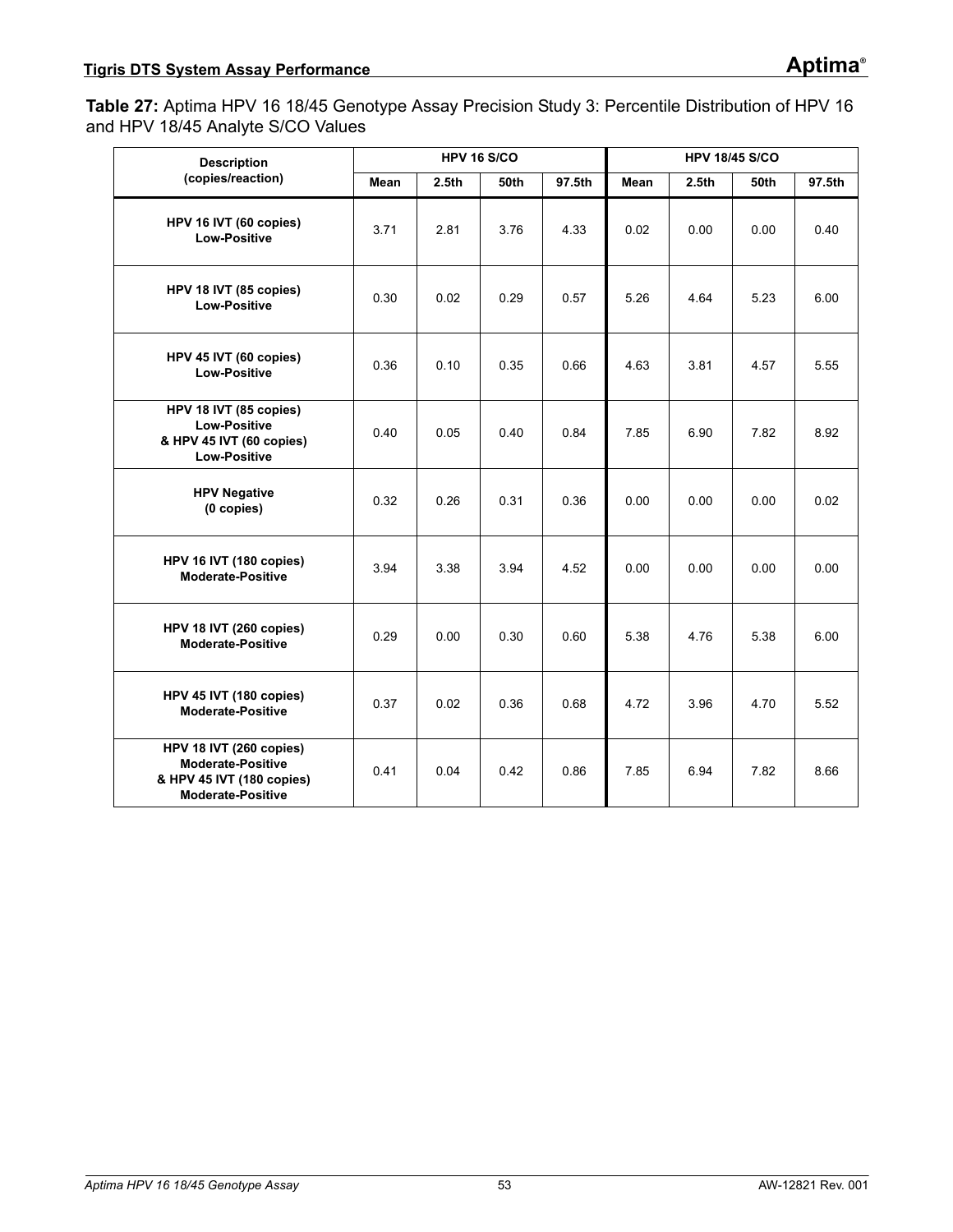<span id="page-52-0"></span>**Table 27:** Aptima HPV 16 18/45 Genotype Assay Precision Study 3: Percentile Distribution of HPV 16 and HPV 18/45 Analyte S/CO Values

| <b>Description</b>                                                                                           |      |                   | <b>HPV 16 S/CO</b> |        |      |                   | <b>HPV 18/45 S/CO</b> |        |
|--------------------------------------------------------------------------------------------------------------|------|-------------------|--------------------|--------|------|-------------------|-----------------------|--------|
| (copies/reaction)                                                                                            | Mean | 2.5 <sub>th</sub> | 50th               | 97.5th | Mean | 2.5 <sub>th</sub> | 50th                  | 97.5th |
| HPV 16 IVT (60 copies)<br><b>Low-Positive</b>                                                                | 3.71 | 2.81              | 3.76               | 4.33   | 0.02 | 0.00              | 0.00                  | 0.40   |
| HPV 18 IVT (85 copies)<br><b>Low-Positive</b>                                                                | 0.30 | 0.02              | 0.29               | 0.57   | 5.26 | 4.64              | 5.23                  | 6.00   |
| HPV 45 IVT (60 copies)<br><b>Low-Positive</b>                                                                | 0.36 | 0.10              | 0.35               | 0.66   | 4.63 | 3.81              | 4.57                  | 5.55   |
| HPV 18 IVT (85 copies)<br><b>Low-Positive</b><br>& HPV 45 IVT (60 copies)<br><b>Low-Positive</b>             | 0.40 | 0.05              | 0.40               | 0.84   | 7.85 | 6.90              | 7.82                  | 8.92   |
| <b>HPV Negative</b><br>(0 copies)                                                                            | 0.32 | 0.26              | 0.31               | 0.36   | 0.00 | 0.00              | 0.00                  | 0.02   |
| HPV 16 IVT (180 copies)<br><b>Moderate-Positive</b>                                                          | 3.94 | 3.38              | 3.94               | 4.52   | 0.00 | 0.00              | 0.00                  | 0.00   |
| HPV 18 IVT (260 copies)<br><b>Moderate-Positive</b>                                                          | 0.29 | 0.00              | 0.30               | 0.60   | 5.38 | 4.76              | 5.38                  | 6.00   |
| HPV 45 IVT (180 copies)<br><b>Moderate-Positive</b>                                                          | 0.37 | 0.02              | 0.36               | 0.68   | 4.72 | 3.96              | 4.70                  | 5.52   |
| HPV 18 IVT (260 copies)<br><b>Moderate-Positive</b><br>& HPV 45 IVT (180 copies)<br><b>Moderate-Positive</b> | 0.41 | 0.04              | 0.42               | 0.86   | 7.85 | 6.94              | 7.82                  | 8.66   |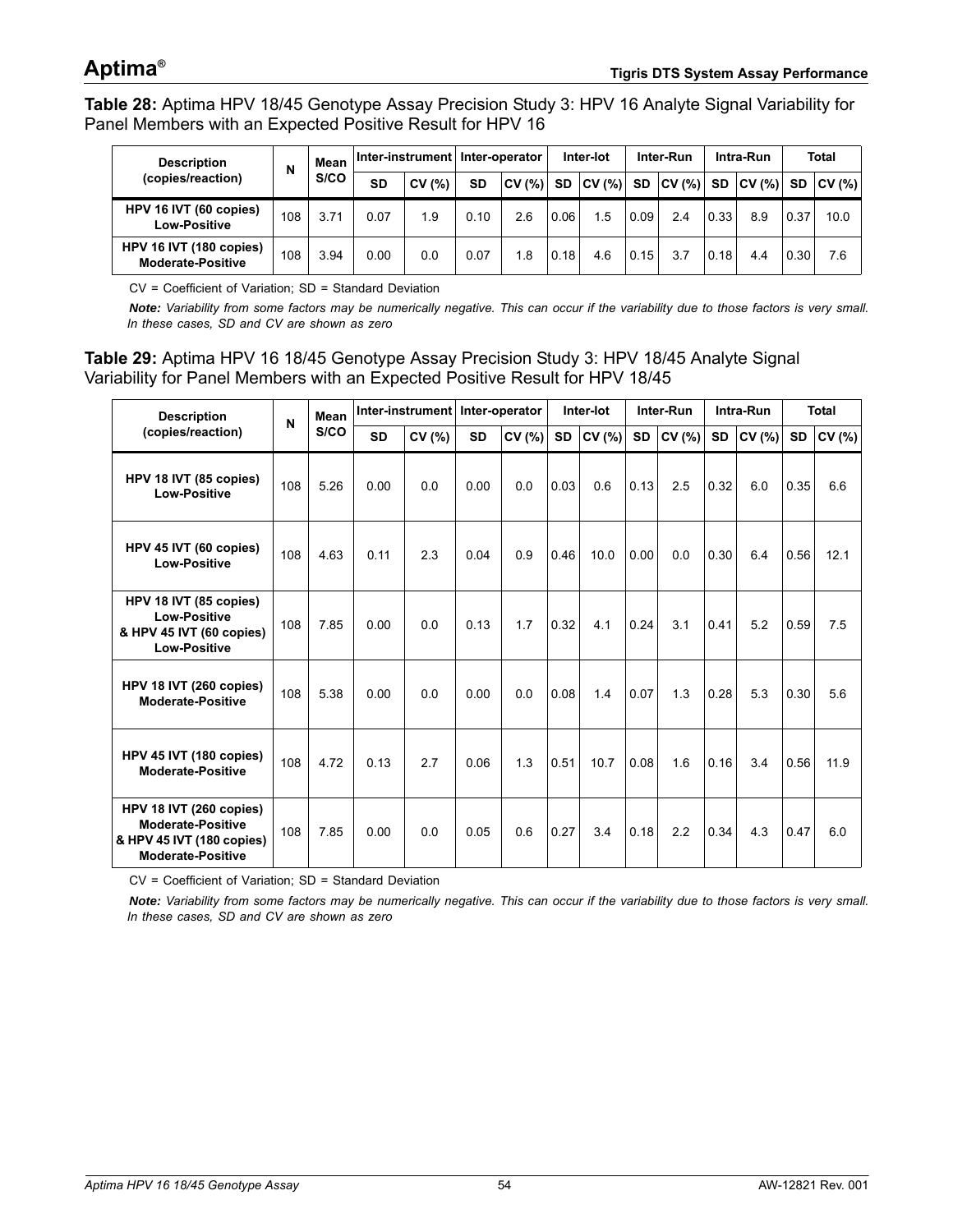<span id="page-53-0"></span>**Table 28:** Aptima HPV 18/45 Genotype Assay Precision Study 3: HPV 16 Analyte Signal Variability for Panel Members with an Expected Positive Result for HPV 16

| <b>Description</b>                                  | N   | Mean |           | Inter-instrument   Inter-operator |      |       |      | Inter-lot   |           | Inter-Run |           | Intra-Run   |      | <b>Total</b> |
|-----------------------------------------------------|-----|------|-----------|-----------------------------------|------|-------|------|-------------|-----------|-----------|-----------|-------------|------|--------------|
| (copies/reaction)                                   |     | S/CO | <b>SD</b> | (%)<br>Cν                         | SD   | CV(%) |      | SD   CV (%) | <b>SD</b> | CV(%)     | <b>SD</b> | $ CV(%)$ SD |      | CV(%)        |
| HPV 16 IVT (60 copies)<br><b>Low-Positive</b>       | 108 | 3.71 | 0.07      | 1.9                               | 0.10 | 2.6   | 0.06 | 1.5         | 0.09      | 2.4       | 0.33      | 8.9         | 0.37 | 10.0         |
| HPV 16 IVT (180 copies)<br><b>Moderate-Positive</b> | 108 | 3.94 | 0.00      | 0.0                               | 0.07 | 1.8   | 0.18 | 4.6         | 0.15      | 3.7       | 10.18     | 4.4         | 0.30 | 7.6          |

CV = Coefficient of Variation; SD = Standard Deviation

*Note: Variability from some factors may be numerically negative. This can occur if the variability due to those factors is very small. In these cases, SD and CV are shown as zero*

<span id="page-53-1"></span>**Table 29:** Aptima HPV 16 18/45 Genotype Assay Precision Study 3: HPV 18/45 Analyte Signal Variability for Panel Members with an Expected Positive Result for HPV 18/45

| <b>Description</b>                                                                                           | N   | Mean |           | Inter-instrument Inter-operator |           |        |           | Inter-lot |      | Inter-Run |           | Intra-Run |           | <b>Total</b> |
|--------------------------------------------------------------------------------------------------------------|-----|------|-----------|---------------------------------|-----------|--------|-----------|-----------|------|-----------|-----------|-----------|-----------|--------------|
| (copies/reaction)                                                                                            |     | S/CO | <b>SD</b> | CV (%)                          | <b>SD</b> | CV (%) | <b>SD</b> | CV (%)    | SD   | CV (%)    | <b>SD</b> | CV(%)     | <b>SD</b> | CV (%)       |
| HPV 18 IVT (85 copies)<br><b>Low-Positive</b>                                                                | 108 | 5.26 | 0.00      | 0.0                             | 0.00      | 0.0    | 0.03      | 0.6       | 0.13 | 2.5       | 0.32      | 6.0       | 0.35      | 6.6          |
| HPV 45 IVT (60 copies)<br>Low-Positive                                                                       | 108 | 4.63 | 0.11      | 2.3                             | 0.04      | 0.9    | 0.46      | 10.0      | 0.00 | 0.0       | 0.30      | 6.4       | 0.56      | 12.1         |
| HPV 18 IVT (85 copies)<br><b>Low-Positive</b><br>& HPV 45 IVT (60 copies)<br><b>Low-Positive</b>             | 108 | 7.85 | 0.00      | 0.0                             | 0.13      | 1.7    | 0.32      | 4.1       | 0.24 | 3.1       | 0.41      | 5.2       | 0.59      | 7.5          |
| HPV 18 IVT (260 copies)<br><b>Moderate-Positive</b>                                                          | 108 | 5.38 | 0.00      | 0.0                             | 0.00      | 0.0    | 0.08      | 1.4       | 0.07 | 1.3       | 0.28      | 5.3       | 0.30      | 5.6          |
| HPV 45 IVT (180 copies)<br><b>Moderate-Positive</b>                                                          | 108 | 4.72 | 0.13      | 2.7                             | 0.06      | 1.3    | 0.51      | 10.7      | 0.08 | 1.6       | 0.16      | 3.4       | 0.56      | 11.9         |
| HPV 18 IVT (260 copies)<br><b>Moderate-Positive</b><br>& HPV 45 IVT (180 copies)<br><b>Moderate-Positive</b> | 108 | 7.85 | 0.00      | 0.0                             | 0.05      | 0.6    | 0.27      | 3.4       | 0.18 | 2.2       | 0.34      | 4.3       | 0.47      | 6.0          |

CV = Coefficient of Variation; SD = Standard Deviation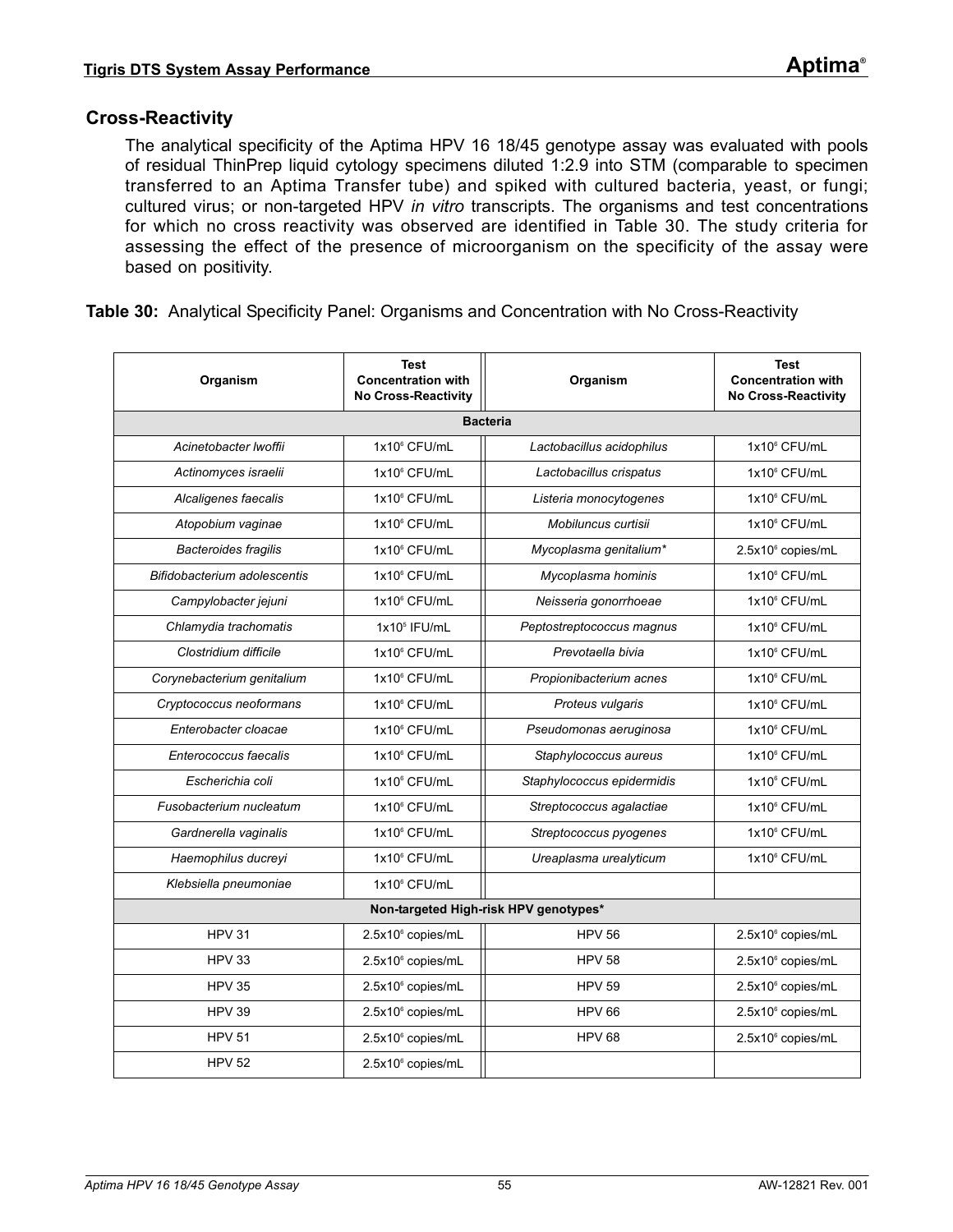### **Cross-Reactivity**

The analytical specificity of the Aptima HPV 16 18/45 genotype assay was evaluated with pools of residual ThinPrep liquid cytology specimens diluted 1:2.9 into STM (comparable to specimen transferred to an Aptima Transfer tube) and spiked with cultured bacteria, yeast, or fungi; cultured virus; or non-targeted HPV *in vitro* transcripts. The organisms and test concentrations for which no cross reactivity was observed are identified in [Table 30](#page-54-0). The study criteria for assessing the effect of the presence of microorganism on the specificity of the assay were based on positivity.

<span id="page-54-0"></span>

|  |  | Table 30: Analytical Specificity Panel: Organisms and Concentration with No Cross-Reactivity |  |  |
|--|--|----------------------------------------------------------------------------------------------|--|--|
|--|--|----------------------------------------------------------------------------------------------|--|--|

| Organism                     | <b>Test</b><br><b>Concentration with</b><br><b>No Cross-Reactivity</b> | Organism                              | <b>Test</b><br><b>Concentration with</b><br><b>No Cross-Reactivity</b> |
|------------------------------|------------------------------------------------------------------------|---------------------------------------|------------------------------------------------------------------------|
|                              |                                                                        | <b>Bacteria</b>                       |                                                                        |
| Acinetobacter Iwoffii        | 1x10 <sup>6</sup> CFU/mL                                               | Lactobacillus acidophilus             | 1x10 <sup>6</sup> CFU/mL                                               |
| Actinomyces israelii         | 1x10 <sup>6</sup> CFU/mL                                               | Lactobacillus crispatus               | 1x10 <sup>6</sup> CFU/mL                                               |
| Alcaligenes faecalis         | 1x10 <sup>6</sup> CFU/mL                                               | Listeria monocytogenes                | 1x10 <sup>6</sup> CFU/mL                                               |
| Atopobium vaginae            | 1x10° CFU/mL                                                           | Mobiluncus curtisii                   | 1x10 <sup>6</sup> CFU/mL                                               |
| <b>Bacteroides fragilis</b>  | 1x10 <sup>6</sup> CFU/mL                                               | Mycoplasma genitalium*                | 2.5x10° copies/mL                                                      |
| Bifidobacterium adolescentis | 1x10° CFU/mL                                                           | Mycoplasma hominis                    | 1x10 <sup>6</sup> CFU/mL                                               |
| Campylobacter jejuni         | 1x10 <sup>6</sup> CFU/mL                                               | Neisseria gonorrhoeae                 | 1x10 <sup>6</sup> CFU/mL                                               |
| Chlamydia trachomatis        | $1x105$ IFU/mL                                                         | Peptostreptococcus magnus             | 1x10 <sup>6</sup> CFU/mL                                               |
| Clostridium difficile        | 1x10 <sup>6</sup> CFU/mL                                               | Prevotaella bivia                     | 1x10 <sup>6</sup> CFU/mL                                               |
| Corynebacterium genitalium   | 1x10 <sup>6</sup> CFU/mL                                               | Propionibacterium acnes               | 1x10 <sup>6</sup> CFU/mL                                               |
| Cryptococcus neoformans      | 1x10 <sup>6</sup> CFU/mL                                               | Proteus vulgaris                      | 1x10 <sup>6</sup> CFU/mL                                               |
| Enterobacter cloacae         | 1x10 <sup>6</sup> CFU/mL                                               | Pseudomonas aeruginosa                | 1x10 <sup>6</sup> CFU/mL                                               |
| Enterococcus faecalis        | 1x10 <sup>6</sup> CFU/mL                                               | Staphylococcus aureus                 | 1x10 <sup>6</sup> CFU/mL                                               |
| Escherichia coli             | 1x10 <sup>6</sup> CFU/mL                                               | Staphylococcus epidermidis            | 1x10 <sup>6</sup> CFU/mL                                               |
| Fusobacterium nucleatum      | 1x10° CFU/mL                                                           | Streptococcus agalactiae              | 1x10 <sup>6</sup> CFU/mL                                               |
| Gardnerella vaginalis        | 1x10 <sup>6</sup> CFU/mL                                               | Streptococcus pyogenes                | 1x10 <sup>6</sup> CFU/mL                                               |
| Haemophilus ducreyi          | 1x10 <sup>6</sup> CFU/mL                                               | Ureaplasma urealyticum                | 1x10 <sup>6</sup> CFU/mL                                               |
| Klebsiella pneumoniae        | 1x10° CFU/mL                                                           |                                       |                                                                        |
|                              |                                                                        | Non-targeted High-risk HPV genotypes* |                                                                        |
| <b>HPV 31</b>                | 2.5x10 <sup>6</sup> copies/mL                                          | <b>HPV 56</b>                         | 2.5x10° copies/mL                                                      |
| <b>HPV 33</b>                | 2.5x10° copies/mL                                                      | <b>HPV 58</b>                         | 2.5x10° copies/mL                                                      |
| <b>HPV 35</b>                | 2.5x10° copies/mL                                                      | <b>HPV 59</b>                         | 2.5x10° copies/mL                                                      |
| <b>HPV 39</b>                | 2.5x10° copies/mL                                                      | <b>HPV 66</b>                         | 2.5x10° copies/mL                                                      |
| <b>HPV 51</b>                | 2.5x10° copies/mL                                                      | <b>HPV 68</b>                         | 2.5x10 <sup>6</sup> copies/mL                                          |
| <b>HPV 52</b>                | 2.5x10 <sup>6</sup> copies/mL                                          |                                       |                                                                        |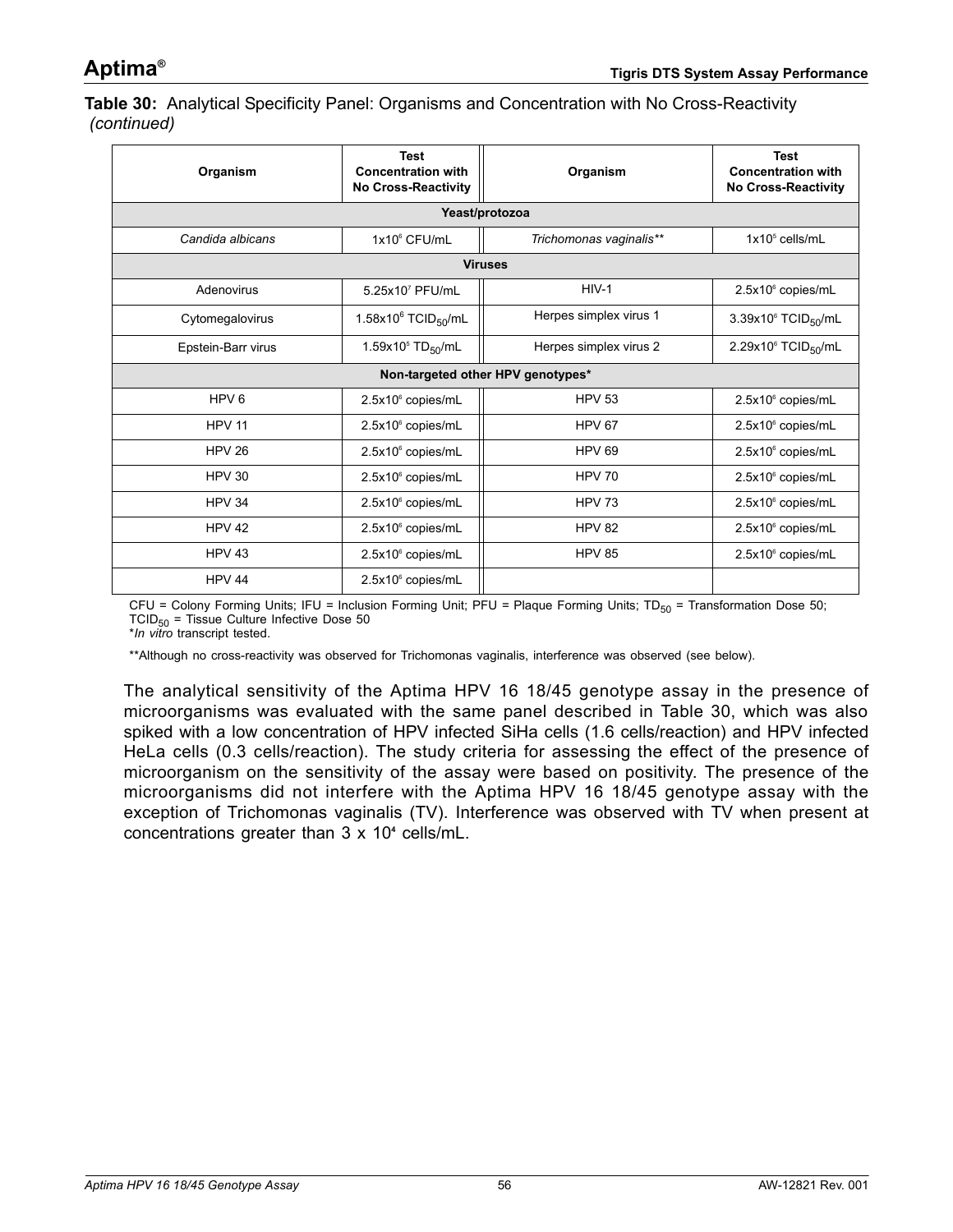**Table 30:** Analytical Specificity Panel: Organisms and Concentration with No Cross-Reactivity *(continued)*

| Organism           | <b>Test</b><br><b>Concentration with</b><br><b>No Cross-Reactivity</b> | Organism                          | Test<br><b>Concentration with</b><br><b>No Cross-Reactivity</b> |  |  |  |  |  |  |  |
|--------------------|------------------------------------------------------------------------|-----------------------------------|-----------------------------------------------------------------|--|--|--|--|--|--|--|
|                    | Yeast/protozoa                                                         |                                   |                                                                 |  |  |  |  |  |  |  |
| Candida albicans   | 1x10 <sup>6</sup> CFU/mL                                               | Trichomonas vaginalis**           | $1x105$ cells/mL                                                |  |  |  |  |  |  |  |
|                    |                                                                        | <b>Viruses</b>                    |                                                                 |  |  |  |  |  |  |  |
| Adenovirus         | 5.25x107 PFU/mL                                                        | $HIV-1$                           | 2.5x10° copies/mL                                               |  |  |  |  |  |  |  |
| Cytomegalovirus    | 1.58x10 $^6$ TCID <sub>50</sub> /mL                                    | Herpes simplex virus 1            | $3.39x10^6$ TCID <sub>50</sub> /mL                              |  |  |  |  |  |  |  |
| Epstein-Barr virus | 1.59x10 <sup>5</sup> TD <sub>50</sub> /mL                              | Herpes simplex virus 2            | 2.29x10 $\degree$ TCID <sub>50</sub> /mL                        |  |  |  |  |  |  |  |
|                    |                                                                        | Non-targeted other HPV genotypes* |                                                                 |  |  |  |  |  |  |  |
| HPV <sub>6</sub>   | 2.5x10° copies/mL                                                      | <b>HPV 53</b>                     | 2.5x10° copies/mL                                               |  |  |  |  |  |  |  |
| <b>HPV 11</b>      | 2.5x10 <sup>6</sup> copies/mL                                          | <b>HPV 67</b>                     | $2.5x106$ copies/mL                                             |  |  |  |  |  |  |  |
| <b>HPV 26</b>      | 2.5x10 <sup>6</sup> copies/mL                                          | HPV <sub>69</sub>                 | 2.5x10° copies/mL                                               |  |  |  |  |  |  |  |
| <b>HPV 30</b>      | 2.5x10° copies/mL                                                      | <b>HPV 70</b>                     | 2.5x10° copies/mL                                               |  |  |  |  |  |  |  |
| <b>HPV 34</b>      | 2.5x10° copies/mL                                                      | <b>HPV 73</b>                     | 2.5x10° copies/mL                                               |  |  |  |  |  |  |  |
| <b>HPV 42</b>      | 2.5x10° copies/mL                                                      | <b>HPV 82</b>                     | 2.5x10° copies/mL                                               |  |  |  |  |  |  |  |
| <b>HPV 43</b>      | 2.5x10° copies/mL                                                      | <b>HPV 85</b>                     | 2.5x10° copies/mL                                               |  |  |  |  |  |  |  |
| HPV 44             | 2.5x10° copies/mL                                                      |                                   |                                                                 |  |  |  |  |  |  |  |

CFU = Colony Forming Units; IFU = Inclusion Forming Unit; PFU = Plaque Forming Units;  $TD_{50}$  = Transformation Dose 50; TCID50 = Tissue Culture Infective Dose 50 \**In vitro* transcript tested.

\*\*Although no cross-reactivity was observed for Trichomonas vaginalis, interference was observed (see below).

The analytical sensitivity of the Aptima HPV 16 18/45 genotype assay in the presence of microorganisms was evaluated with the same panel described in [Table 30,](#page-54-0) which was also spiked with a low concentration of HPV infected SiHa cells (1.6 cells/reaction) and HPV infected HeLa cells (0.3 cells/reaction). The study criteria for assessing the effect of the presence of microorganism on the sensitivity of the assay were based on positivity. The presence of the microorganisms did not interfere with the Aptima HPV 16 18/45 genotype assay with the exception of Trichomonas vaginalis (TV). Interference was observed with TV when present at concentrations greater than 3 x 10**<sup>4</sup>** cells/mL.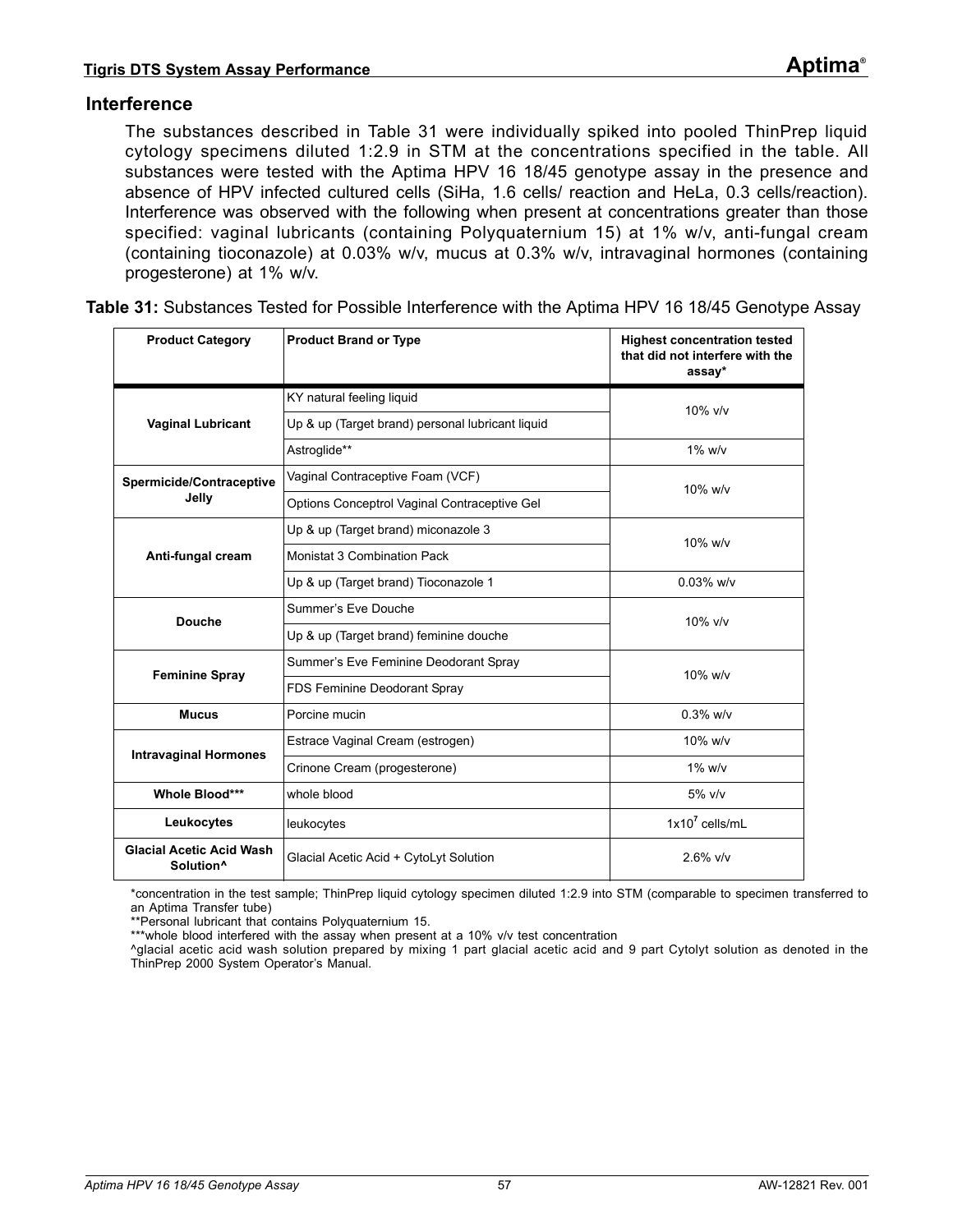### **Interference**

The substances described in [Table 31](#page-56-0) were individually spiked into pooled ThinPrep liquid cytology specimens diluted 1:2.9 in STM at the concentrations specified in the table. All substances were tested with the Aptima HPV 16 18/45 genotype assay in the presence and absence of HPV infected cultured cells (SiHa, 1.6 cells/ reaction and HeLa, 0.3 cells/reaction). Interference was observed with the following when present at concentrations greater than those specified: vaginal lubricants (containing Polyquaternium 15) at 1% w/v, anti-fungal cream (containing tioconazole) at 0.03% w/v, mucus at 0.3% w/v, intravaginal hormones (containing progesterone) at 1% w/v.

| <b>Product Category</b>                                  | <b>Product Brand or Type</b>                     | <b>Highest concentration tested</b><br>that did not interfere with the<br>assay* |  |
|----------------------------------------------------------|--------------------------------------------------|----------------------------------------------------------------------------------|--|
|                                                          | KY natural feeling liquid                        | $10\%$ v/v                                                                       |  |
| <b>Vaginal Lubricant</b>                                 | Up & up (Target brand) personal lubricant liquid |                                                                                  |  |
|                                                          | Astroglide**                                     | $1\%$ w/v                                                                        |  |
| Spermicide/Contraceptive                                 | Vaginal Contraceptive Foam (VCF)                 | 10% w/v                                                                          |  |
| Jelly                                                    | Options Conceptrol Vaginal Contraceptive Gel     |                                                                                  |  |
|                                                          | Up & up (Target brand) miconazole 3              | 10% w/v                                                                          |  |
| Anti-fungal cream                                        | Monistat 3 Combination Pack                      |                                                                                  |  |
|                                                          | Up & up (Target brand) Tioconazole 1             | $0.03\%$ w/v                                                                     |  |
| <b>Douche</b>                                            | Summer's Eve Douche                              | $10\%$ v/v                                                                       |  |
|                                                          | Up & up (Target brand) feminine douche           |                                                                                  |  |
| <b>Feminine Spray</b>                                    | Summer's Eve Feminine Deodorant Spray            | 10% w/v                                                                          |  |
|                                                          | FDS Feminine Deodorant Spray                     |                                                                                  |  |
| <b>Mucus</b>                                             | Porcine mucin                                    | $0.3\%$ w/v                                                                      |  |
| <b>Intravaginal Hormones</b>                             | Estrace Vaginal Cream (estrogen)                 | 10% w/v                                                                          |  |
|                                                          | Crinone Cream (progesterone)                     | $1\%$ w/v                                                                        |  |
| Whole Blood***                                           | whole blood                                      | $5\%$ v/v                                                                        |  |
| Leukocytes                                               | leukocytes                                       | $1x10^7$ cells/ml                                                                |  |
| <b>Glacial Acetic Acid Wash</b><br>Solution <sup>^</sup> | Glacial Acetic Acid + CytoLyt Solution           | $2.6\%$ v/v                                                                      |  |

<span id="page-56-0"></span>**Table 31:** Substances Tested for Possible Interference with the Aptima HPV 16 18/45 Genotype Assay

\*concentration in the test sample; ThinPrep liquid cytology specimen diluted 1:2.9 into STM (comparable to specimen transferred to an Aptima Transfer tube)

\*\*Personal lubricant that contains Polyquaternium 15.

\*\*\*whole blood interfered with the assay when present at a 10% v/v test concentration

^glacial acetic acid wash solution prepared by mixing 1 part glacial acetic acid and 9 part Cytolyt solution as denoted in the ThinPrep 2000 System Operator's Manual.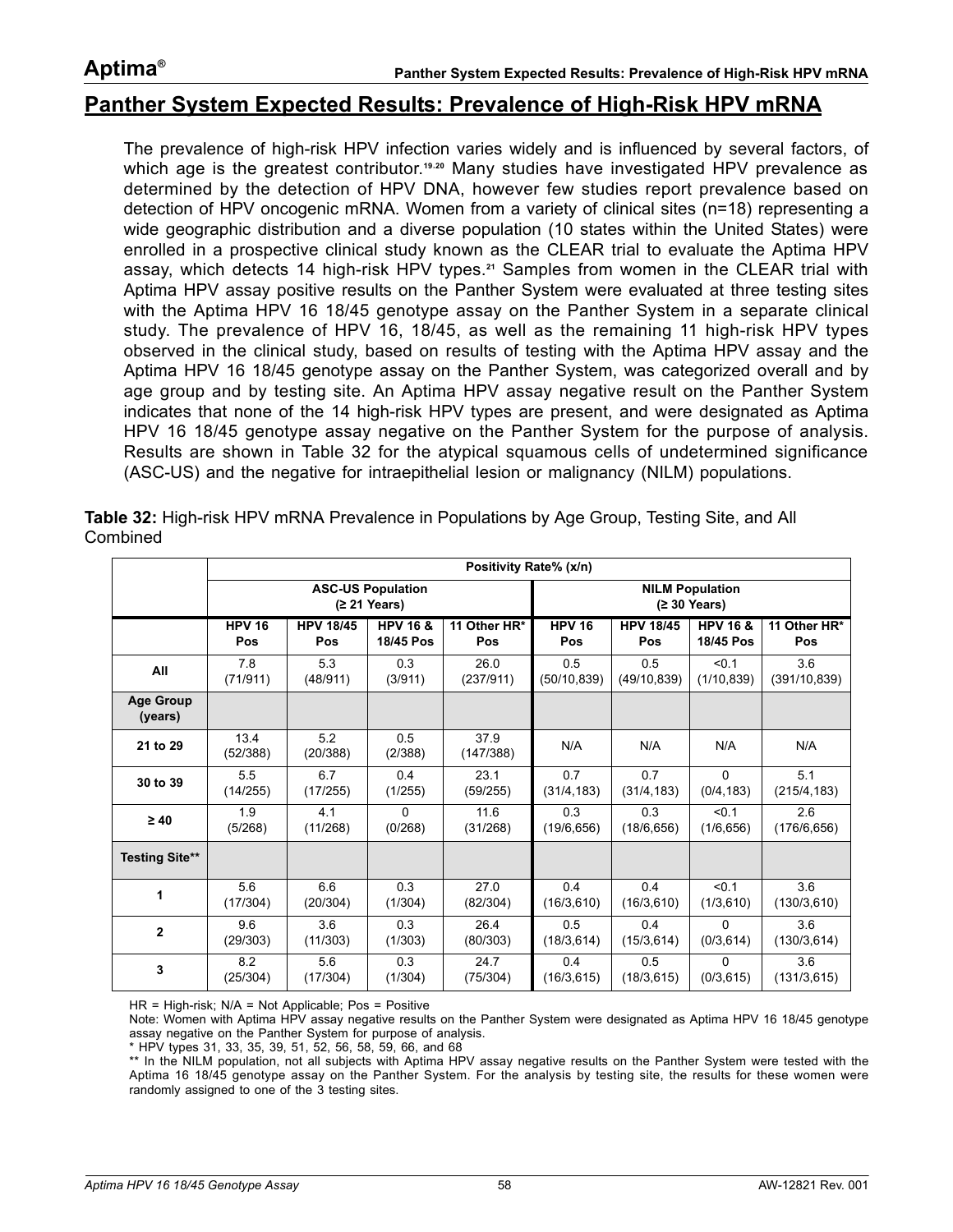### **Aptima®**

### **Panther System Expected Results: Prevalence of High-Risk HPV mRNA**

The prevalence of high-risk HPV infection varies widely and is influenced by several factors, of which age is the greatest contributor.<sup>[19](#page-85-0),[20](#page-85-1)</sup> Many studies have investigated HPV prevalence as determined by the detection of HPV DNA, however few studies report prevalence based on detection of HPV oncogenic mRNA. Women from a variety of clinical sites (n=18) representing a wide geographic distribution and a diverse population (10 states within the United States) were enrolled in a prospective clinical study known as the CLEAR trial to evaluate the Aptima HPV assay, which detects 14 high-risk HPV types.**[21](#page-85-2)** Samples from women in the CLEAR trial with Aptima HPV assay positive results on the Panther System were evaluated at three testing sites with the Aptima HPV 16 18/45 genotype assay on the Panther System in a separate clinical study. The prevalence of HPV 16, 18/45, as well as the remaining 11 high-risk HPV types observed in the clinical study, based on results of testing with the Aptima HPV assay and the Aptima HPV 16 18/45 genotype assay on the Panther System, was categorized overall and by age group and by testing site. An Aptima HPV assay negative result on the Panther System indicates that none of the 14 high-risk HPV types are present, and were designated as Aptima HPV 16 18/45 genotype assay negative on the Panther System for the purpose of analysis. Results are shown in [Table 32](#page-57-0) for the atypical squamous cells of undetermined significance (ASC-US) and the negative for intraepithelial lesion or malignancy (NILM) populations.

|                             | Positivity Rate% (x/n) |                                          |                     |                                        |              |                  |                     |               |  |
|-----------------------------|------------------------|------------------------------------------|---------------------|----------------------------------------|--------------|------------------|---------------------|---------------|--|
|                             |                        | <b>ASC-US Population</b><br>(≥ 21 Years) |                     | <b>NILM Population</b><br>(≥ 30 Years) |              |                  |                     |               |  |
|                             | $HPV$ 16               | <b>HPV 18/45</b>                         | <b>HPV 16 &amp;</b> | 11 Other HR*                           | $HPV$ 16     | <b>HPV 18/45</b> | <b>HPV 16 &amp;</b> | 11 Other HR*  |  |
|                             | Pos                    | Pos                                      | 18/45 Pos           | Pos                                    | Pos          | Pos              | 18/45 Pos           | Pos           |  |
| All                         | 7.8                    | 5.3                                      | 0.3                 | 26.0                                   | 0.5          | 0.5              | < 0.1               | 3.6           |  |
|                             | (71/911)               | (48/911)                                 | (3/911)             | (237/911)                              | (50/10, 839) | (49/10, 839)     | (1/10, 839)         | (391/10, 839) |  |
| <b>Age Group</b><br>(years) |                        |                                          |                     |                                        |              |                  |                     |               |  |
| 21 to 29                    | 13.4<br>(52/388)       | 5.2<br>(20/388)                          | 0.5<br>(2/388)      | 37.9<br>(147/388)                      | N/A          | N/A              | N/A                 | N/A           |  |
| 30 to 39                    | 5.5                    | 6.7                                      | 0.4                 | 23.1                                   | 0.7          | 0.7              | 0                   | 5.1           |  |
|                             | (14/255)               | (17/255)                                 | (1/255)             | (59/255)                               | (31/4, 183)  | (31/4, 183)      | (0/4, 183)          | (215/4, 183)  |  |
| $\geq 40$                   | 1.9                    | 4.1                                      | $\Omega$            | 11.6                                   | 0.3          | 0.3              | < 0.1               | 2.6           |  |
|                             | (5/268)                | (11/268)                                 | (0/268)             | (31/268)                               | (19/6, 656)  | (18/6, 656)      | (1/6, 656)          | (176/6, 656)  |  |
| <b>Testing Site**</b>       |                        |                                          |                     |                                        |              |                  |                     |               |  |
| 1                           | 5.6                    | 6.6                                      | 0.3                 | 27.0                                   | 0.4          | 0.4              | < 0.1               | 3.6           |  |
|                             | (17/304)               | (20/304)                                 | (1/304)             | (82/304)                               | (16/3, 610)  | (16/3, 610)      | (1/3, 610)          | (130/3, 610)  |  |
| $\overline{2}$              | 9.6                    | 3.6                                      | 0.3                 | 26.4                                   | 0.5          | 0.4              | $\Omega$            | 3.6           |  |
|                             | (29/303)               | (11/303)                                 | (1/303)             | (80/303)                               | (18/3, 614)  | (15/3, 614)      | (0/3, 614)          | (130/3, 614)  |  |
| 3                           | 8.2                    | 5.6                                      | 0.3                 | 24.7                                   | 0.4          | 0.5              | 0                   | 3.6           |  |
|                             | (25/304)               | (17/304)                                 | (1/304)             | (75/304)                               | (16/3, 615)  | (18/3, 615)      | (0/3, 615)          | (131/3, 615)  |  |

<span id="page-57-0"></span>**Table 32:** High-risk HPV mRNA Prevalence in Populations by Age Group, Testing Site, and All **Combined** 

HR = High-risk; N/A = Not Applicable; Pos = Positive

Note: Women with Aptima HPV assay negative results on the Panther System were designated as Aptima HPV 16 18/45 genotype assay negative on the Panther System for purpose of analysis.

\* HPV types 31, 33, 35, 39, 51, 52, 56, 58, 59, 66, and 68

\*\* In the NILM population, not all subjects with Aptima HPV assay negative results on the Panther System were tested with the Aptima 16 18/45 genotype assay on the Panther System. For the analysis by testing site, the results for these women were randomly assigned to one of the 3 testing sites.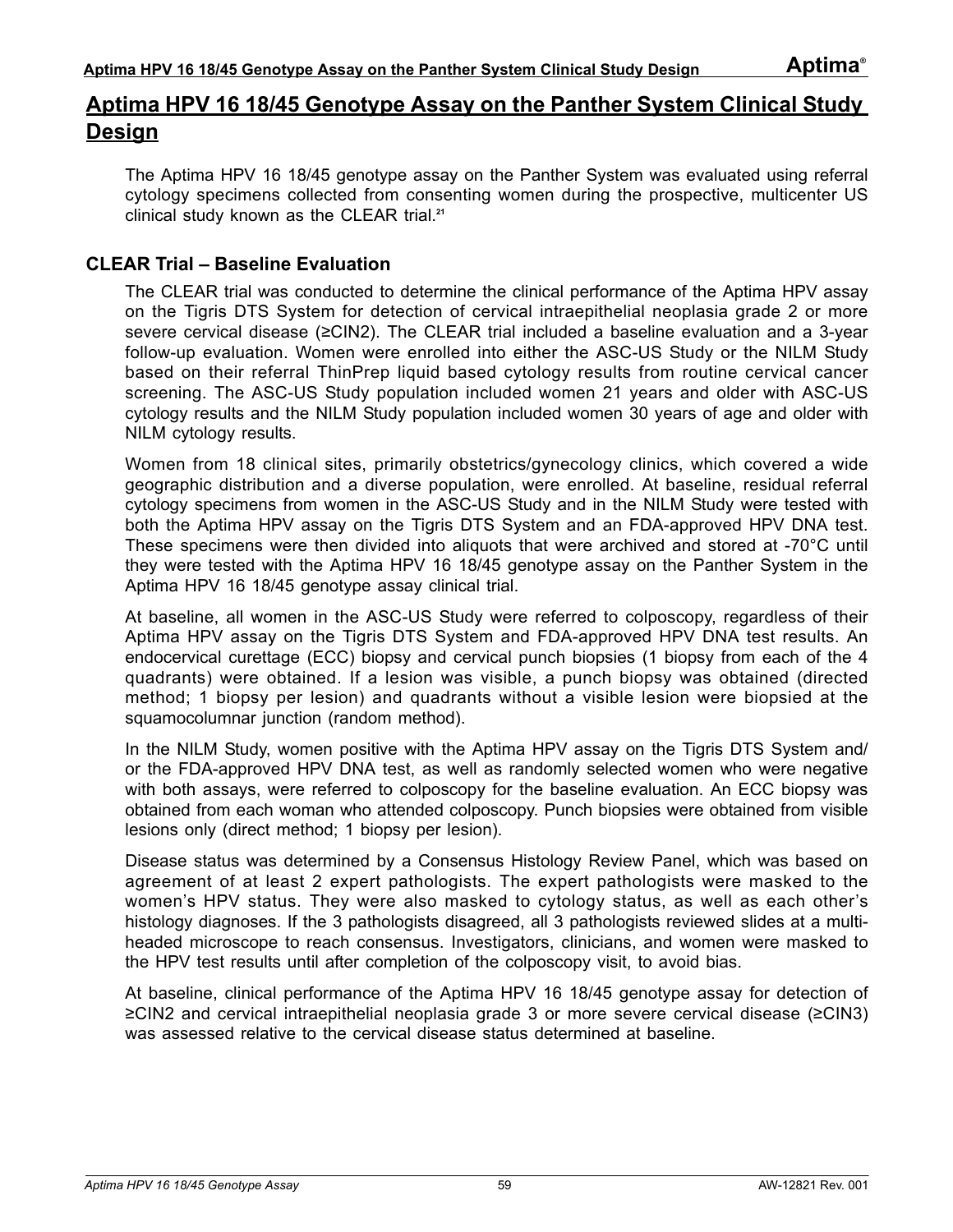# **Aptima HPV 16 18/45 Genotype Assay on the Panther System Clinical Study Design**

The Aptima HPV 16 18/45 genotype assay on the Panther System was evaluated using referral cytology specimens collected from consenting women during the prospective, multicenter US clinical study known as the CLEAR trial.**[21](#page-85-2)**

### **CLEAR Trial – Baseline Evaluation**

The CLEAR trial was conducted to determine the clinical performance of the Aptima HPV assay on the Tigris DTS System for detection of cervical intraepithelial neoplasia grade 2 or more severe cervical disease (≥CIN2). The CLEAR trial included a baseline evaluation and a 3-year follow-up evaluation. Women were enrolled into either the ASC-US Study or the NILM Study based on their referral ThinPrep liquid based cytology results from routine cervical cancer screening. The ASC-US Study population included women 21 years and older with ASC-US cytology results and the NILM Study population included women 30 years of age and older with NILM cytology results.

Women from 18 clinical sites, primarily obstetrics/gynecology clinics, which covered a wide geographic distribution and a diverse population, were enrolled. At baseline, residual referral cytology specimens from women in the ASC-US Study and in the NILM Study were tested with both the Aptima HPV assay on the Tigris DTS System and an FDA-approved HPV DNA test. These specimens were then divided into aliquots that were archived and stored at -70°C until they were tested with the Aptima HPV 16 18/45 genotype assay on the Panther System in the Aptima HPV 16 18/45 genotype assay clinical trial.

At baseline, all women in the ASC-US Study were referred to colposcopy, regardless of their Aptima HPV assay on the Tigris DTS System and FDA-approved HPV DNA test results. An endocervical curettage (ECC) biopsy and cervical punch biopsies (1 biopsy from each of the 4 quadrants) were obtained. If a lesion was visible, a punch biopsy was obtained (directed method; 1 biopsy per lesion) and quadrants without a visible lesion were biopsied at the squamocolumnar junction (random method).

In the NILM Study, women positive with the Aptima HPV assay on the Tigris DTS System and/ or the FDA-approved HPV DNA test, as well as randomly selected women who were negative with both assays, were referred to colposcopy for the baseline evaluation. An ECC biopsy was obtained from each woman who attended colposcopy. Punch biopsies were obtained from visible lesions only (direct method; 1 biopsy per lesion).

Disease status was determined by a Consensus Histology Review Panel, which was based on agreement of at least 2 expert pathologists. The expert pathologists were masked to the women's HPV status. They were also masked to cytology status, as well as each other's histology diagnoses. If the 3 pathologists disagreed, all 3 pathologists reviewed slides at a multiheaded microscope to reach consensus. Investigators, clinicians, and women were masked to the HPV test results until after completion of the colposcopy visit, to avoid bias.

At baseline, clinical performance of the Aptima HPV 16 18/45 genotype assay for detection of ≥CIN2 and cervical intraepithelial neoplasia grade 3 or more severe cervical disease (≥CIN3) was assessed relative to the cervical disease status determined at baseline.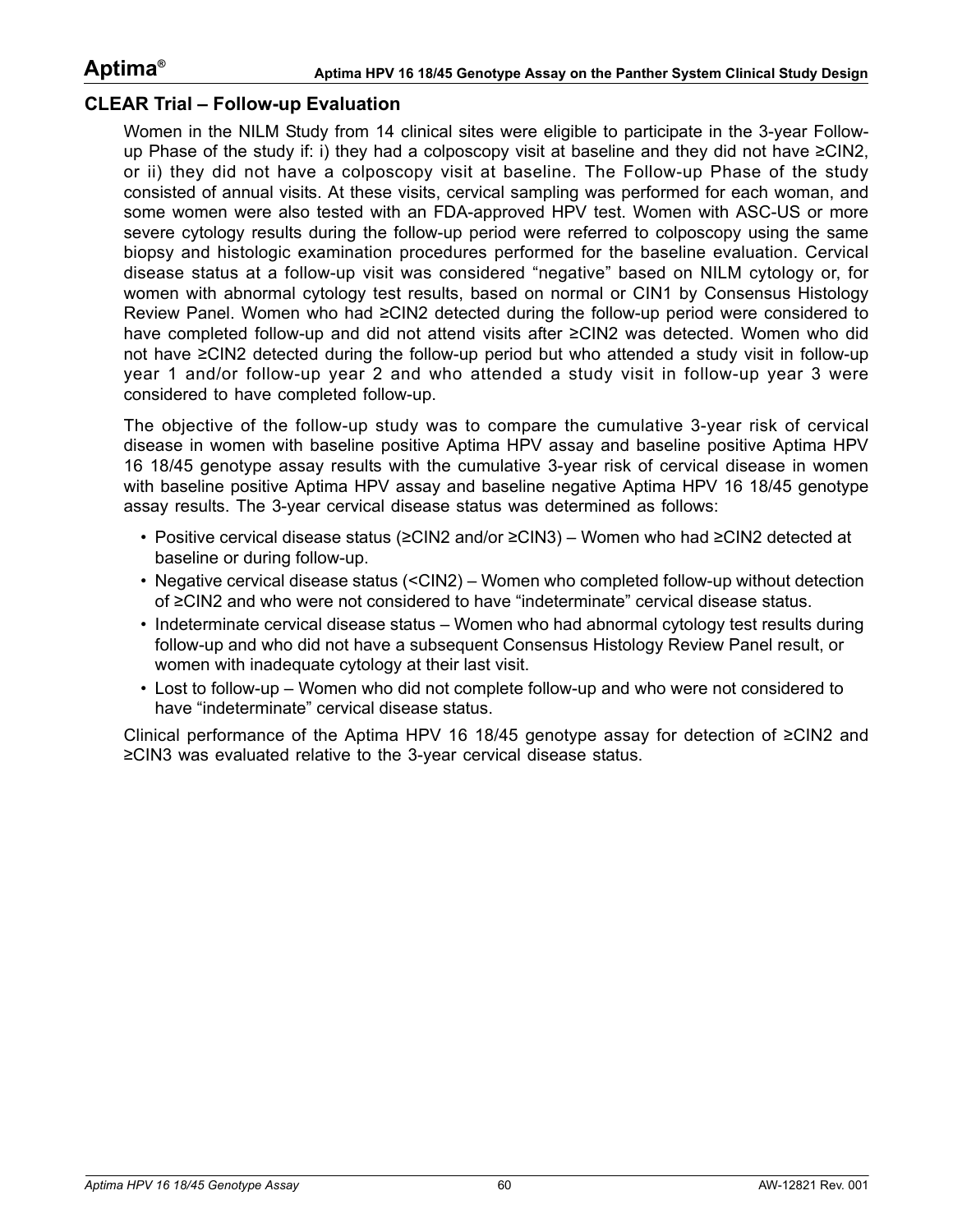### **CLEAR Trial – Follow-up Evaluation**

Women in the NILM Study from 14 clinical sites were eligible to participate in the 3-year Followup Phase of the study if: i) they had a colposcopy visit at baseline and they did not have ≥CIN2, or ii) they did not have a colposcopy visit at baseline. The Follow-up Phase of the study consisted of annual visits. At these visits, cervical sampling was performed for each woman, and some women were also tested with an FDA-approved HPV test. Women with ASC-US or more severe cytology results during the follow-up period were referred to colposcopy using the same biopsy and histologic examination procedures performed for the baseline evaluation. Cervical disease status at a follow-up visit was considered "negative" based on NILM cytology or, for women with abnormal cytology test results, based on normal or CIN1 by Consensus Histology Review Panel. Women who had ≥CIN2 detected during the follow-up period were considered to have completed follow-up and did not attend visits after ≥CIN2 was detected. Women who did not have ≥CIN2 detected during the follow-up period but who attended a study visit in follow-up year 1 and/or follow-up year 2 and who attended a study visit in follow-up year 3 were considered to have completed follow-up.

The objective of the follow-up study was to compare the cumulative 3-year risk of cervical disease in women with baseline positive Aptima HPV assay and baseline positive Aptima HPV 16 18/45 genotype assay results with the cumulative 3-year risk of cervical disease in women with baseline positive Aptima HPV assay and baseline negative Aptima HPV 16 18/45 genotype assay results. The 3-year cervical disease status was determined as follows:

- Positive cervical disease status (≥CIN2 and/or ≥CIN3) Women who had ≥CIN2 detected at baseline or during follow-up.
- Negative cervical disease status (<CIN2) Women who completed follow-up without detection of ≥CIN2 and who were not considered to have "indeterminate" cervical disease status.
- Indeterminate cervical disease status Women who had abnormal cytology test results during follow-up and who did not have a subsequent Consensus Histology Review Panel result, or women with inadequate cytology at their last visit.
- Lost to follow-up Women who did not complete follow-up and who were not considered to have "indeterminate" cervical disease status.

Clinical performance of the Aptima HPV 16 18/45 genotype assay for detection of ≥CIN2 and ≥CIN3 was evaluated relative to the 3-year cervical disease status.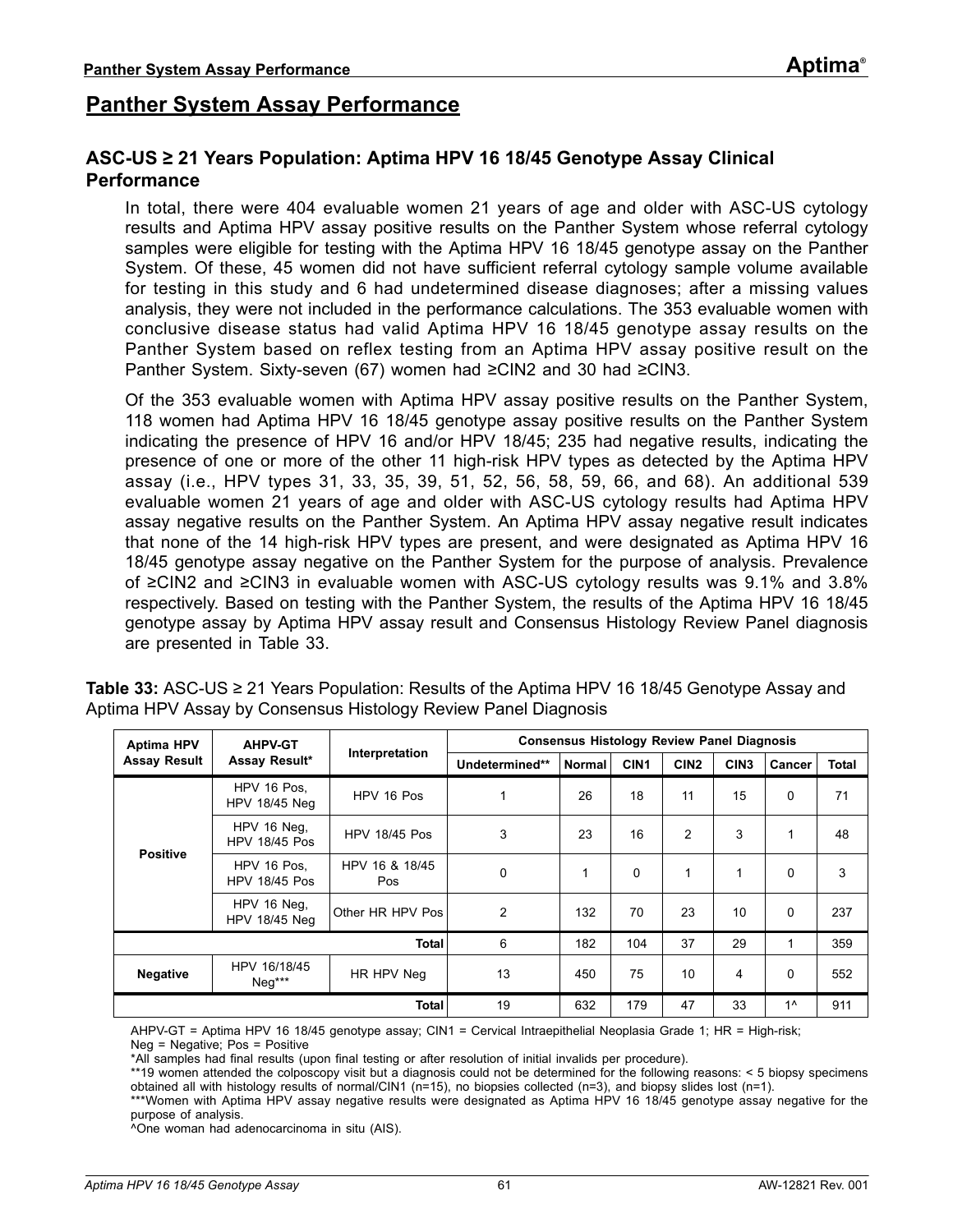## **Panther System Assay Performance**

### **ASC-US ≥ 21 Years Population: Aptima HPV 16 18/45 Genotype Assay Clinical Performance**

In total, there were 404 evaluable women 21 years of age and older with ASC-US cytology results and Aptima HPV assay positive results on the Panther System whose referral cytology samples were eligible for testing with the Aptima HPV 16 18/45 genotype assay on the Panther System. Of these, 45 women did not have sufficient referral cytology sample volume available for testing in this study and 6 had undetermined disease diagnoses; after a missing values analysis, they were not included in the performance calculations. The 353 evaluable women with conclusive disease status had valid Aptima HPV 16 18/45 genotype assay results on the Panther System based on reflex testing from an Aptima HPV assay positive result on the Panther System. Sixty-seven (67) women had ≥CIN2 and 30 had ≥CIN3.

Of the 353 evaluable women with Aptima HPV assay positive results on the Panther System, 118 women had Aptima HPV 16 18/45 genotype assay positive results on the Panther System indicating the presence of HPV 16 and/or HPV 18/45; 235 had negative results, indicating the presence of one or more of the other 11 high-risk HPV types as detected by the Aptima HPV assay (i.e., HPV types 31, 33, 35, 39, 51, 52, 56, 58, 59, 66, and 68). An additional 539 evaluable women 21 years of age and older with ASC-US cytology results had Aptima HPV assay negative results on the Panther System. An Aptima HPV assay negative result indicates that none of the 14 high-risk HPV types are present, and were designated as Aptima HPV 16 18/45 genotype assay negative on the Panther System for the purpose of analysis. Prevalence of ≥CIN2 and ≥CIN3 in evaluable women with ASC-US cytology results was 9.1% and 3.8% respectively. Based on testing with the Panther System, the results of the Aptima HPV 16 18/45 genotype assay by Aptima HPV assay result and Consensus Histology Review Panel diagnosis are presented in [Table 33.](#page-60-0)

| <b>Aptima HPV</b><br><b>AHPV-GT</b> |                                     |                              | <b>Consensus Histology Review Panel Diagnosis</b> |               |                  |                  |                  |        |              |
|-------------------------------------|-------------------------------------|------------------------------|---------------------------------------------------|---------------|------------------|------------------|------------------|--------|--------------|
| <b>Assay Result</b>                 | Assay Result*                       | Interpretation               | Undetermined**                                    | <b>Normal</b> | CIN <sub>1</sub> | CIN <sub>2</sub> | CIN <sub>3</sub> | Cancer | <b>Total</b> |
| <b>Positive</b>                     | HPV 16 Pos.<br>HPV 18/45 Neg        | HPV 16 Pos                   | 1                                                 | 26            | 18               | 11               | 15               | 0      | 71           |
|                                     | HPV 16 Neg,<br><b>HPV 18/45 Pos</b> | <b>HPV 18/45 Pos</b>         | 3                                                 | 23            | 16               | $\overline{2}$   | 3                | 1      | 48           |
|                                     | HPV 16 Pos,<br><b>HPV 18/45 Pos</b> | HPV 16 & 18/45<br><b>Pos</b> | $\Omega$                                          |               | $\Omega$         | 1                | 1                | 0      | 3            |
|                                     | HPV 16 Neg,<br><b>HPV 18/45 Neg</b> | Other HR HPV Pos             | 2                                                 | 132           | 70               | 23               | 10               | 0      | 237          |
|                                     |                                     | <b>Total</b>                 | 6                                                 | 182           | 104              | 37               | 29               | 1      | 359          |
| <b>Negative</b>                     | HPV 16/18/45<br>$Neg***$            | HR HPV Neg                   | 13                                                | 450           | 75               | 10               | 4                | 0      | 552          |
|                                     |                                     | <b>Total</b>                 | 19                                                | 632           | 179              | 47               | 33               | $1^$   | 911          |

<span id="page-60-0"></span>**Table 33:** ASC-US ≥ 21 Years Population: Results of the Aptima HPV 16 18/45 Genotype Assay and Aptima HPV Assay by Consensus Histology Review Panel Diagnosis

AHPV-GT = Aptima HPV 16 18/45 genotype assay; CIN1 = Cervical Intraepithelial Neoplasia Grade 1; HR = High-risk; Neg = Negative; Pos = Positive

\*All samples had final results (upon final testing or after resolution of initial invalids per procedure).

\*\*19 women attended the colposcopy visit but a diagnosis could not be determined for the following reasons: < 5 biopsy specimens obtained all with histology results of normal/CIN1 (n=15), no biopsies collected (n=3), and biopsy slides lost (n=1).

\*\*\*Women with Aptima HPV assay negative results were designated as Aptima HPV 16 18/45 genotype assay negative for the purpose of analysis.

^One woman had adenocarcinoma in situ (AIS).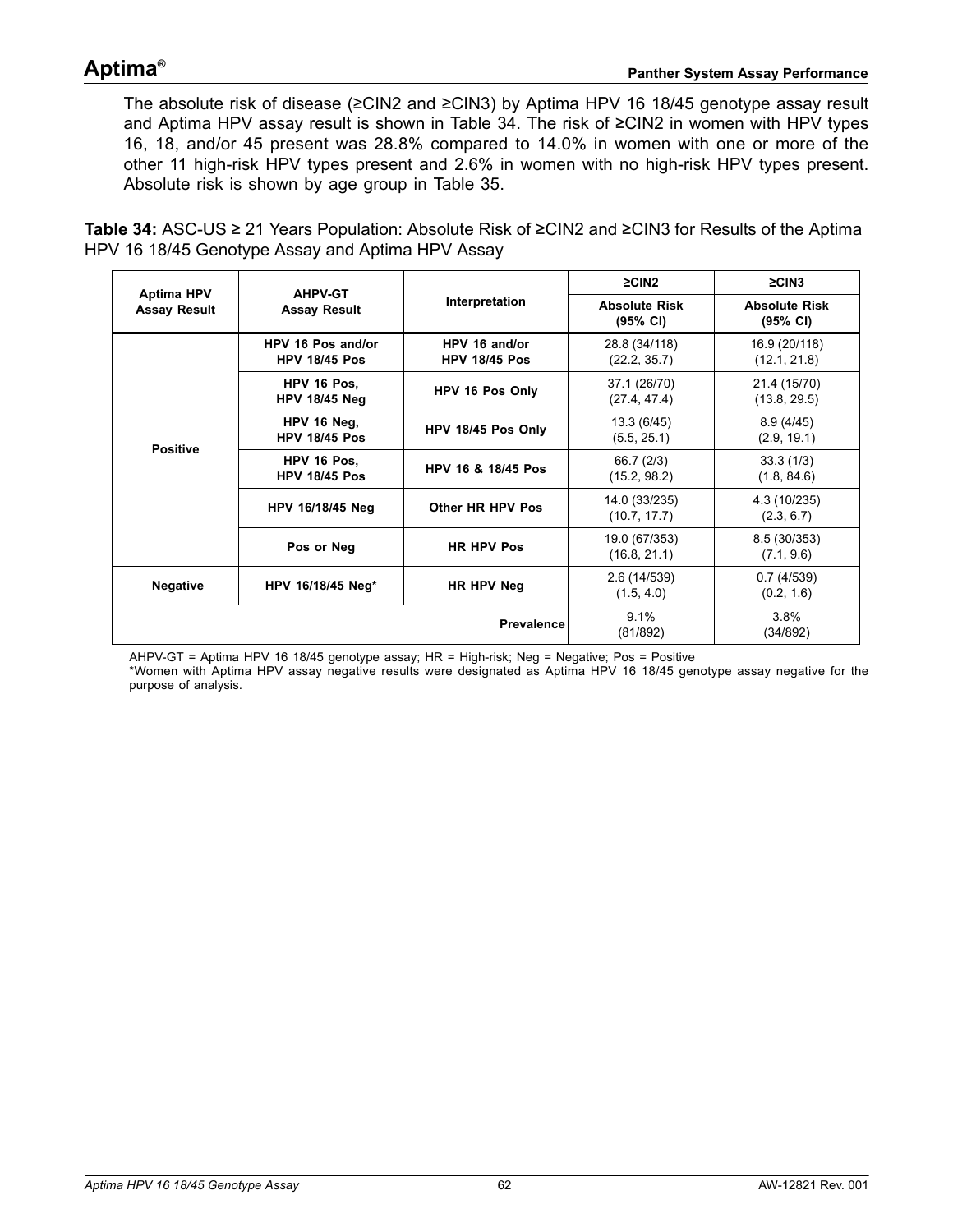The absolute risk of disease (≥CIN2 and ≥CIN3) by Aptima HPV 16 18/45 genotype assay result and Aptima HPV assay result is shown in [Table 34.](#page-61-0) The risk of ≥CIN2 in women with HPV types 16, 18, and/or 45 present was 28.8% compared to 14.0% in women with one or more of the other 11 high-risk HPV types present and 2.6% in women with no high-risk HPV types present. Absolute risk is shown by age group in [Table 35](#page-62-0).

<span id="page-61-0"></span>**Table 34:** ASC-US ≥ 21 Years Population: Absolute Risk of ≥CIN2 and ≥CIN3 for Results of the Aptima HPV 16 18/45 Genotype Assay and Aptima HPV Assay

| <b>Aptima HPV</b>   | <b>AHPV-GT</b>                            |                                       | $\geq$ CIN2                                | $\geq$ CIN3                                |
|---------------------|-------------------------------------------|---------------------------------------|--------------------------------------------|--------------------------------------------|
| <b>Assay Result</b> | <b>Assay Result</b>                       | Interpretation                        | <b>Absolute Risk</b><br>$(95% \text{ Cl})$ | <b>Absolute Risk</b><br>$(95% \text{ Cl})$ |
|                     | HPV 16 Pos and/or<br><b>HPV 18/45 Pos</b> | HPV 16 and/or<br><b>HPV 18/45 Pos</b> | 28.8 (34/118)<br>(22.2, 35.7)              | 16.9 (20/118)<br>(12.1, 21.8)              |
|                     | HPV 16 Pos.<br><b>HPV 18/45 Neg</b>       | HPV 16 Pos Only                       | 37.1 (26/70)<br>(27.4, 47.4)               | 21.4 (15/70)<br>(13.8, 29.5)               |
|                     | HPV 16 Neg,<br><b>HPV 18/45 Pos</b>       | HPV 18/45 Pos Only                    | 13.3 (6/45)<br>(5.5, 25.1)                 | 8.9(4/45)<br>(2.9, 19.1)                   |
| <b>Positive</b>     | HPV 16 Pos.<br><b>HPV 18/45 Pos</b>       | HPV 16 & 18/45 Pos                    | 66.7 (2/3)<br>(15.2, 98.2)                 | 33.3(1/3)<br>(1.8, 84.6)                   |
|                     | HPV 16/18/45 Neg                          | Other HR HPV Pos                      | 14.0 (33/235)<br>(10.7, 17.7)              | 4.3 (10/235)<br>(2.3, 6.7)                 |
|                     | Pos or Neg                                | <b>HR HPV Pos</b>                     | 19.0 (67/353)<br>(16.8, 21.1)              | 8.5 (30/353)<br>(7.1, 9.6)                 |
| <b>Negative</b>     | HPV 16/18/45 Neg*                         | HR HPV Neg                            | 2.6 (14/539)<br>(1.5, 4.0)                 | 0.7(4/539)<br>(0.2, 1.6)                   |
|                     |                                           | Prevalence                            | 9.1%<br>(81/892)                           | 3.8%<br>(34/892)                           |

AHPV-GT = Aptima HPV 16 18/45 genotype assay; HR = High-risk; Neg = Negative; Pos = Positive

\*Women with Aptima HPV assay negative results were designated as Aptima HPV 16 18/45 genotype assay negative for the purpose of analysis.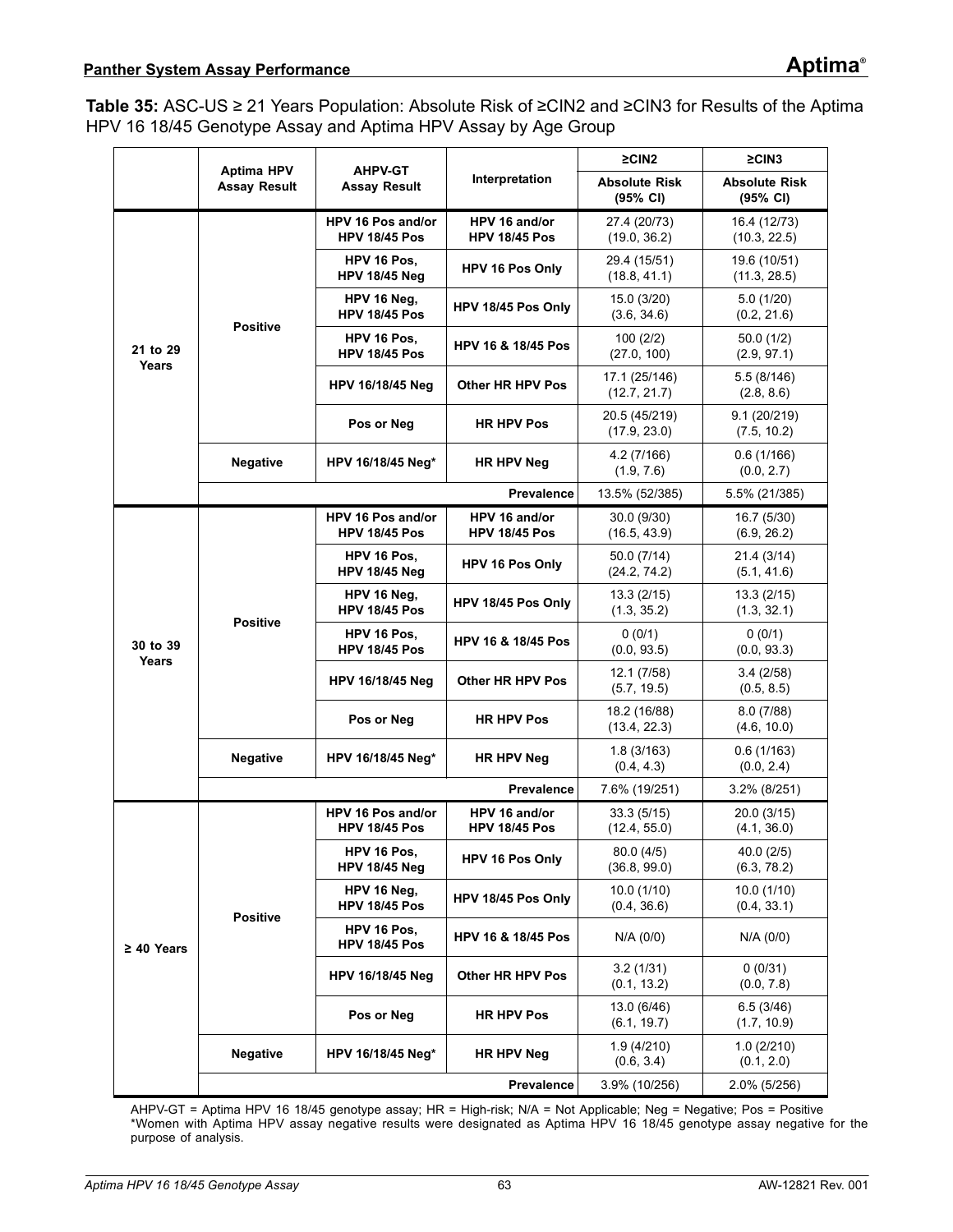<span id="page-62-0"></span>**Table 35:** ASC-US ≥ 21 Years Population: Absolute Risk of ≥CIN2 and ≥CIN3 for Results of the Aptima HPV 16 18/45 Genotype Assay and Aptima HPV Assay by Age Group

|                   | <b>Aptima HPV</b>   | <b>AHPV-GT</b>                            |                                       | $\geq$ CIN2                      | $\geq$ CIN3                      |  |
|-------------------|---------------------|-------------------------------------------|---------------------------------------|----------------------------------|----------------------------------|--|
|                   | <b>Assay Result</b> | <b>Assay Result</b>                       | Interpretation                        | <b>Absolute Risk</b><br>(95% CI) | <b>Absolute Risk</b><br>(95% CI) |  |
|                   |                     | HPV 16 Pos and/or<br><b>HPV 18/45 Pos</b> | HPV 16 and/or<br><b>HPV 18/45 Pos</b> | 27.4 (20/73)<br>(19.0, 36.2)     | 16.4 (12/73)<br>(10.3, 22.5)     |  |
|                   |                     | HPV 16 Pos.<br><b>HPV 18/45 Neg</b>       | HPV 16 Pos Only                       | 29.4 (15/51)<br>(18.8, 41.1)     | 19.6 (10/51)<br>(11.3, 28.5)     |  |
|                   | <b>Positive</b>     | HPV 16 Neg,<br><b>HPV 18/45 Pos</b>       | HPV 18/45 Pos Only                    | 15.0 (3/20)<br>(3.6, 34.6)       | 5.0(1/20)<br>(0.2, 21.6)         |  |
| 21 to 29<br>Years |                     | HPV 16 Pos,<br><b>HPV 18/45 Pos</b>       | HPV 16 & 18/45 Pos                    | 100(2/2)<br>(27.0, 100)          | 50.0(1/2)<br>(2.9, 97.1)         |  |
|                   |                     | <b>HPV 16/18/45 Neg</b>                   | Other HR HPV Pos                      | 17.1 (25/146)<br>(12.7, 21.7)    | 5.5(8/146)<br>(2.8, 8.6)         |  |
|                   |                     | Pos or Neg                                | <b>HR HPV Pos</b>                     | 20.5 (45/219)<br>(17.9, 23.0)    | 9.1(20/219)<br>(7.5, 10.2)       |  |
|                   | <b>Negative</b>     | <b>HR HPV Neg</b><br>HPV 16/18/45 Neg*    |                                       | 4.2(7/166)<br>(1.9, 7.6)         | 0.6(1/166)<br>(0.0, 2.7)         |  |
|                   |                     |                                           | <b>Prevalence</b>                     | 13.5% (52/385)                   | 5.5% (21/385)                    |  |
|                   |                     | HPV 16 Pos and/or<br><b>HPV 18/45 Pos</b> | HPV 16 and/or<br><b>HPV 18/45 Pos</b> | 30.0 (9/30)<br>(16.5, 43.9)      | 16.7 (5/30)<br>(6.9, 26.2)       |  |
|                   | <b>Positive</b>     | HPV 16 Pos.<br><b>HPV 18/45 Neg</b>       | HPV 16 Pos Only                       | 50.0 (7/14)<br>(24.2, 74.2)      | 21.4 (3/14)<br>(5.1, 41.6)       |  |
|                   |                     | HPV 16 Neg,<br><b>HPV 18/45 Pos</b>       | HPV 18/45 Pos Only                    | 13.3(2/15)<br>(1.3, 35.2)        | 13.3(2/15)<br>(1.3, 32.1)        |  |
| 30 to 39<br>Years |                     | HPV 16 Pos,<br><b>HPV 18/45 Pos</b>       | <b>HPV 16 &amp; 18/45 Pos</b>         | 0(0/1)<br>(0.0, 93.5)            | 0(0/1)<br>(0.0, 93.3)            |  |
|                   |                     | HPV 16/18/45 Neg                          | Other HR HPV Pos                      | 12.1 (7/58)<br>(5.7, 19.5)       | 3.4(2/58)<br>(0.5, 8.5)          |  |
|                   |                     | Pos or Neg<br><b>HR HPV Pos</b>           |                                       | 18.2 (16/88)<br>(13.4, 22.3)     | 8.0(7/88)<br>(4.6, 10.0)         |  |
|                   | <b>Negative</b>     | HPV 16/18/45 Neg*                         | HR HPV Neg                            | 1.8(3/163)<br>(0.4, 4.3)         | 0.6(1/163)<br>(0.0, 2.4)         |  |
|                   |                     |                                           | <b>Prevalence</b>                     | 7.6% (19/251)                    | 3.2% (8/251)                     |  |
|                   |                     | HPV 16 Pos and/or<br><b>HPV 18/45 Pos</b> | HPV 16 and/or<br><b>HPV 18/45 Pos</b> | 33.3 (5/15)<br>(12.4, 55.0)      | 20.0 (3/15)<br>(4.1, 36.0)       |  |
|                   |                     | HPV 16 Pos,<br><b>HPV 18/45 Neg</b>       | HPV 16 Pos Only                       | 80.0(4/5)<br>(36.8, 99.0)        | 40.0(2/5)<br>(6.3, 78.2)         |  |
|                   | <b>Positive</b>     | HPV 16 Neg,<br><b>HPV 18/45 Pos</b>       | HPV 18/45 Pos Only                    | 10.0(1/10)<br>(0.4, 36.6)        | 10.0(1/10)<br>(0.4, 33.1)        |  |
| $\geq 40$ Years   |                     | HPV 16 Pos,<br><b>HPV 18/45 Pos</b>       | <b>HPV 16 &amp; 18/45 Pos</b>         | N/A (0/0)                        | N/A (0/0)                        |  |
|                   |                     | HPV 16/18/45 Neg                          | Other HR HPV Pos                      | 3.2(1/31)<br>(0.1, 13.2)         | 0(0/31)<br>(0.0, 7.8)            |  |
|                   |                     | Pos or Neg                                | <b>HR HPV Pos</b>                     | 13.0 (6/46)<br>(6.1, 19.7)       | 6.5(3/46)<br>(1.7, 10.9)         |  |
|                   | <b>Negative</b>     | HPV 16/18/45 Neg*                         | HR HPV Neg                            | 1.9(4/210)<br>(0.6, 3.4)         | 1.0(2/210)<br>(0.1, 2.0)         |  |
|                   |                     |                                           | Prevalence                            | 3.9% (10/256)                    | 2.0% (5/256)                     |  |

AHPV-GT = Aptima HPV 16 18/45 genotype assay; HR = High-risk; N/A = Not Applicable; Neg = Negative; Pos = Positive \*Women with Aptima HPV assay negative results were designated as Aptima HPV 16 18/45 genotype assay negative for the purpose of analysis.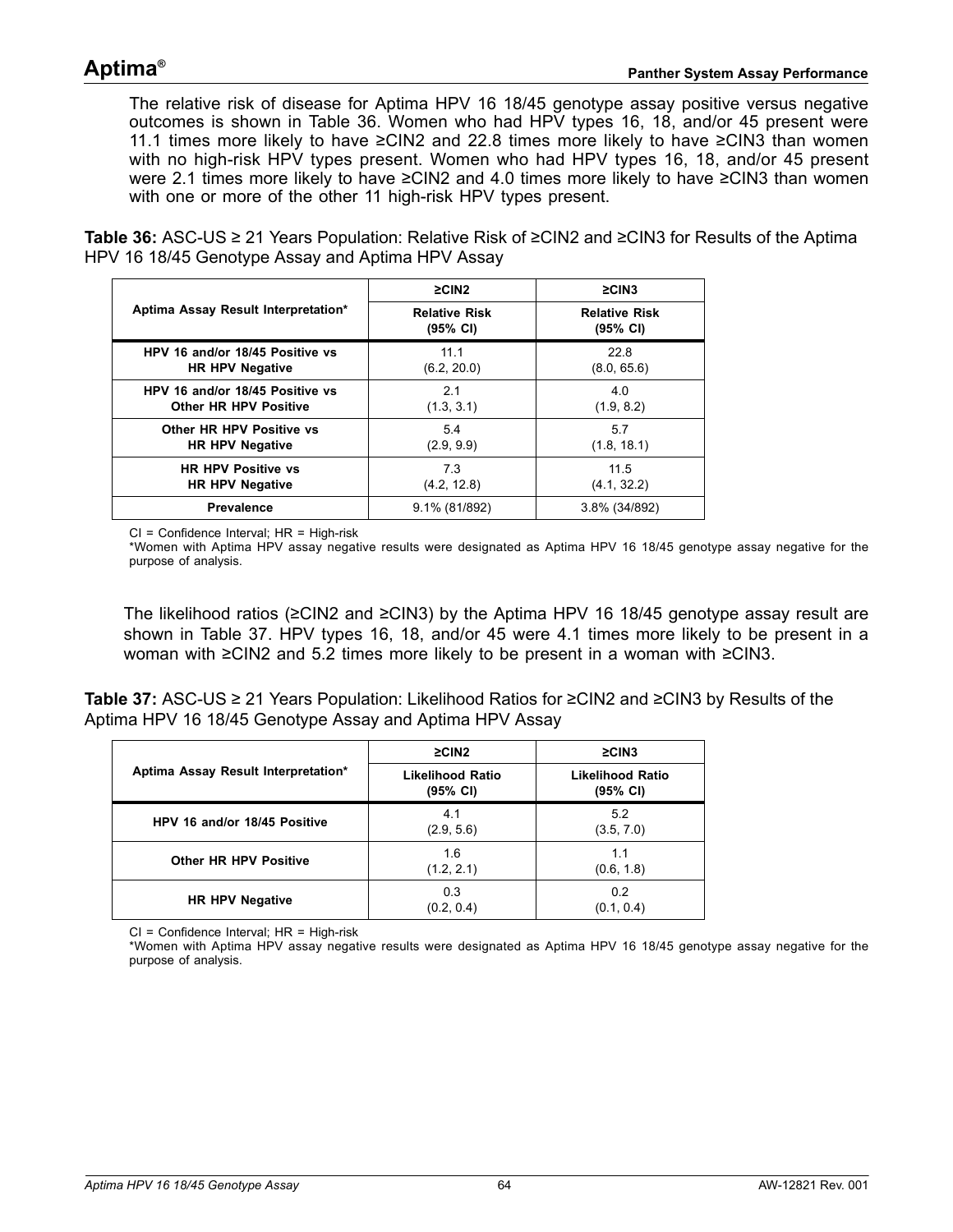The relative risk of disease for Aptima HPV 16 18/45 genotype assay positive versus negative outcomes is shown in [Table 36](#page-63-0). Women who had HPV types 16, 18, and/or 45 present were 11.1 times more likely to have ≥CIN2 and 22.8 times more likely to have ≥CIN3 than women with no high-risk HPV types present. Women who had HPV types 16, 18, and/or 45 present were 2.1 times more likely to have ≥CIN2 and 4.0 times more likely to have ≥CIN3 than women with one or more of the other 11 high-risk HPV types present.

<span id="page-63-0"></span>**Table 36:** ASC-US ≥ 21 Years Population: Relative Risk of ≥CIN2 and ≥CIN3 for Results of the Aptima HPV 16 18/45 Genotype Assay and Aptima HPV Assay

|                                     | $\geq$ CIN2                      | $\geq$ CIN3                      |
|-------------------------------------|----------------------------------|----------------------------------|
| Aptima Assay Result Interpretation* | <b>Relative Risk</b><br>(95% CI) | <b>Relative Risk</b><br>(95% CI) |
| HPV 16 and/or 18/45 Positive vs     | 11.1                             | 22.8                             |
| <b>HR HPV Negative</b>              | (6.2, 20.0)                      | (8.0, 65.6)                      |
| HPV 16 and/or 18/45 Positive vs     | 2.1                              | 4.0                              |
| <b>Other HR HPV Positive</b>        | (1.3, 3.1)                       | (1.9, 8.2)                       |
| Other HR HPV Positive vs            | 5.4                              | 5.7                              |
| <b>HR HPV Negative</b>              | (2.9, 9.9)                       | (1.8, 18.1)                      |
| <b>HR HPV Positive vs</b>           | 7.3                              | 11.5                             |
| <b>HR HPV Negative</b>              | (4.2, 12.8)                      | (4.1, 32.2)                      |
| <b>Prevalence</b>                   | 9.1% (81/892)                    | 3.8% (34/892)                    |

CI = Confidence Interval; HR = High-risk

\*Women with Aptima HPV assay negative results were designated as Aptima HPV 16 18/45 genotype assay negative for the purpose of analysis.

The likelihood ratios (≥CIN2 and ≥CIN3) by the Aptima HPV 16 18/45 genotype assay result are shown in [Table 37](#page-63-1). HPV types 16, 18, and/or 45 were 4.1 times more likely to be present in a woman with ≥CIN2 and 5.2 times more likely to be present in a woman with ≥CIN3.

<span id="page-63-1"></span>**Table 37:** ASC-US ≥ 21 Years Population: Likelihood Ratios for ≥CIN2 and ≥CIN3 by Results of the Aptima HPV 16 18/45 Genotype Assay and Aptima HPV Assay

|                                     | $\geq$ CIN2                         | $\geq$ CIN3                         |
|-------------------------------------|-------------------------------------|-------------------------------------|
| Aptima Assay Result Interpretation* | <b>Likelihood Ratio</b><br>(95% CI) | <b>Likelihood Ratio</b><br>(95% CI) |
| HPV 16 and/or 18/45 Positive        | 4.1<br>(2.9, 5.6)                   | 5.2<br>(3.5, 7.0)                   |
| <b>Other HR HPV Positive</b>        | 1.6<br>(1.2, 2.1)                   | 1.1<br>(0.6, 1.8)                   |
| <b>HR HPV Negative</b>              | 0.3<br>(0.2, 0.4)                   | 0.2<br>(0.1, 0.4)                   |

CI = Confidence Interval; HR = High-risk

\*Women with Aptima HPV assay negative results were designated as Aptima HPV 16 18/45 genotype assay negative for the purpose of analysis.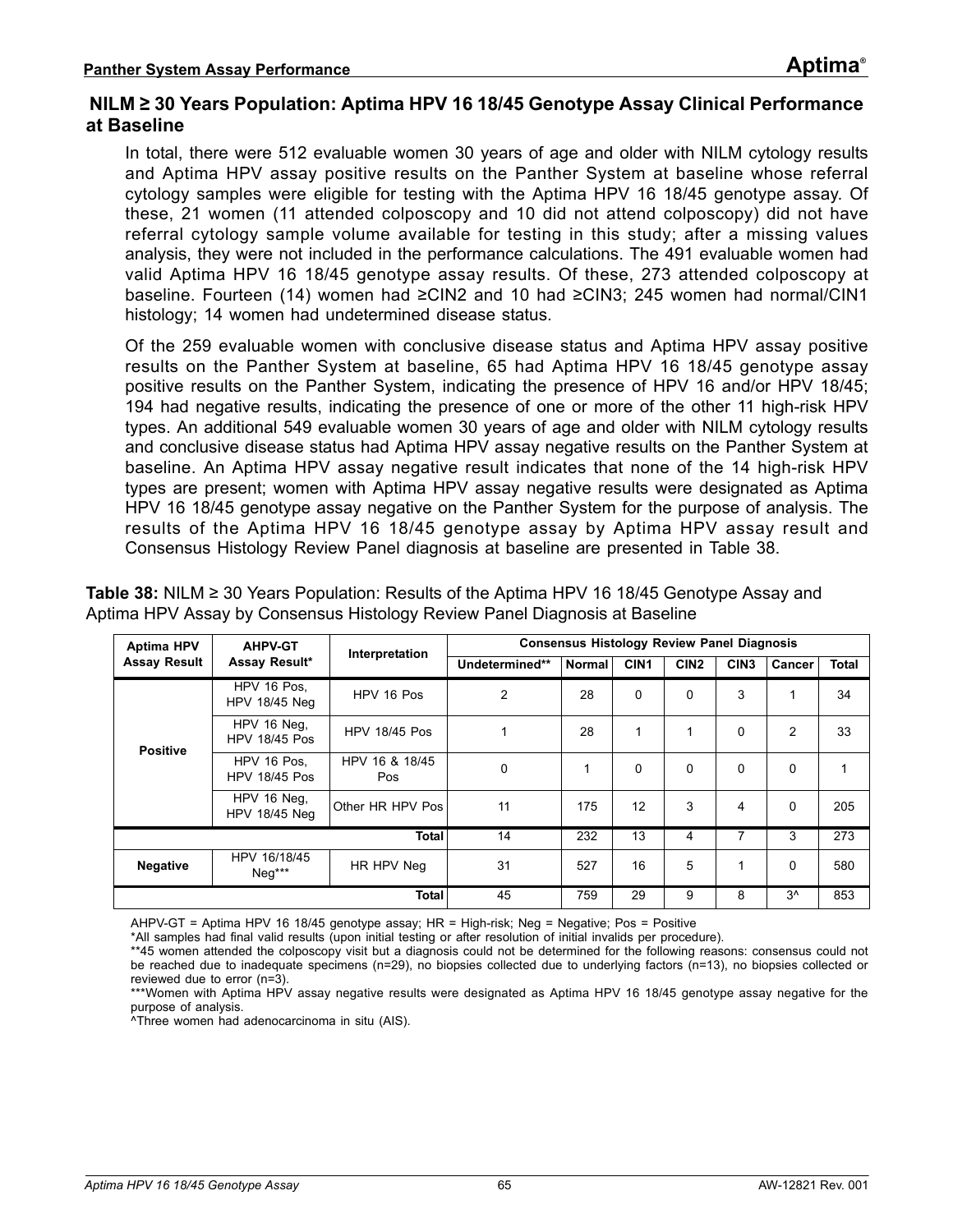### **NILM ≥ 30 Years Population: Aptima HPV 16 18/45 Genotype Assay Clinical Performance at Baseline**

In total, there were 512 evaluable women 30 years of age and older with NILM cytology results and Aptima HPV assay positive results on the Panther System at baseline whose referral cytology samples were eligible for testing with the Aptima HPV 16 18/45 genotype assay. Of these, 21 women (11 attended colposcopy and 10 did not attend colposcopy) did not have referral cytology sample volume available for testing in this study; after a missing values analysis, they were not included in the performance calculations. The 491 evaluable women had valid Aptima HPV 16 18/45 genotype assay results. Of these, 273 attended colposcopy at baseline. Fourteen (14) women had ≥CIN2 and 10 had ≥CIN3; 245 women had normal/CIN1 histology; 14 women had undetermined disease status.

Of the 259 evaluable women with conclusive disease status and Aptima HPV assay positive results on the Panther System at baseline, 65 had Aptima HPV 16 18/45 genotype assay positive results on the Panther System, indicating the presence of HPV 16 and/or HPV 18/45; 194 had negative results, indicating the presence of one or more of the other 11 high-risk HPV types. An additional 549 evaluable women 30 years of age and older with NILM cytology results and conclusive disease status had Aptima HPV assay negative results on the Panther System at baseline. An Aptima HPV assay negative result indicates that none of the 14 high-risk HPV types are present; women with Aptima HPV assay negative results were designated as Aptima HPV 16 18/45 genotype assay negative on the Panther System for the purpose of analysis. The results of the Aptima HPV 16 18/45 genotype assay by Aptima HPV assay result and Consensus Histology Review Panel diagnosis at baseline are presented in [Table 38](#page-64-0).

| <b>Aptima HPV</b><br><b>AHPV-GT</b> |                                     | Interpretation        | <b>Consensus Histology Review Panel Diagnosis</b> |               |                  |                  |                  |              |              |
|-------------------------------------|-------------------------------------|-----------------------|---------------------------------------------------|---------------|------------------|------------------|------------------|--------------|--------------|
| <b>Assay Result</b>                 | Assay Result*                       |                       | Undetermined**                                    | <b>Normal</b> | CIN <sub>1</sub> | CIN <sub>2</sub> | CIN <sub>3</sub> | Cancer       | <b>Total</b> |
|                                     | HPV 16 Pos,<br>HPV 18/45 Neg        | HPV 16 Pos            | $\overline{2}$                                    | 28            | 0                | 0                | 3                |              | 34           |
| <b>Positive</b>                     | HPV 16 Neq.<br><b>HPV 18/45 Pos</b> | <b>HPV 18/45 Pos</b>  | 1                                                 | 28            |                  |                  | 0                | 2            | 33           |
|                                     | HPV 16 Pos.<br><b>HPV 18/45 Pos</b> | HPV 16 & 18/45<br>Pos | $\mathbf 0$                                       |               | 0                | $\mathbf 0$      | 0                | 0            |              |
|                                     | HPV 16 Neg,<br><b>HPV 18/45 Neg</b> | Other HR HPV Pos      | 11                                                | 175           | 12               | 3                | 4                | $\mathbf{0}$ | 205          |
|                                     |                                     | <b>Total</b>          | 14                                                | 232           | 13               | 4                | 7                | 3            | 273          |
| <b>Negative</b>                     | HPV 16/18/45<br>$Neq***$            | HR HPV Neg            | 31                                                | 527           | 16               | 5                | 1                | 0            | 580          |
|                                     |                                     | <b>Total</b>          | 45                                                | 759           | 29               | 9                | 8                | $3^{\wedge}$ | 853          |

<span id="page-64-0"></span>**Table 38:** NILM ≥ 30 Years Population: Results of the Aptima HPV 16 18/45 Genotype Assay and Aptima HPV Assay by Consensus Histology Review Panel Diagnosis at Baseline

AHPV-GT = Aptima HPV 16 18/45 genotype assay; HR = High-risk; Neg = Negative; Pos = Positive

\*All samples had final valid results (upon initial testing or after resolution of initial invalids per procedure).

\*\*45 women attended the colposcopy visit but a diagnosis could not be determined for the following reasons: consensus could not be reached due to inadequate specimens (n=29), no biopsies collected due to underlying factors (n=13), no biopsies collected or reviewed due to error (n=3).

^Three women had adenocarcinoma in situ (AIS).

<sup>\*\*\*</sup>Women with Aptima HPV assay negative results were designated as Aptima HPV 16 18/45 genotype assay negative for the purpose of analysis.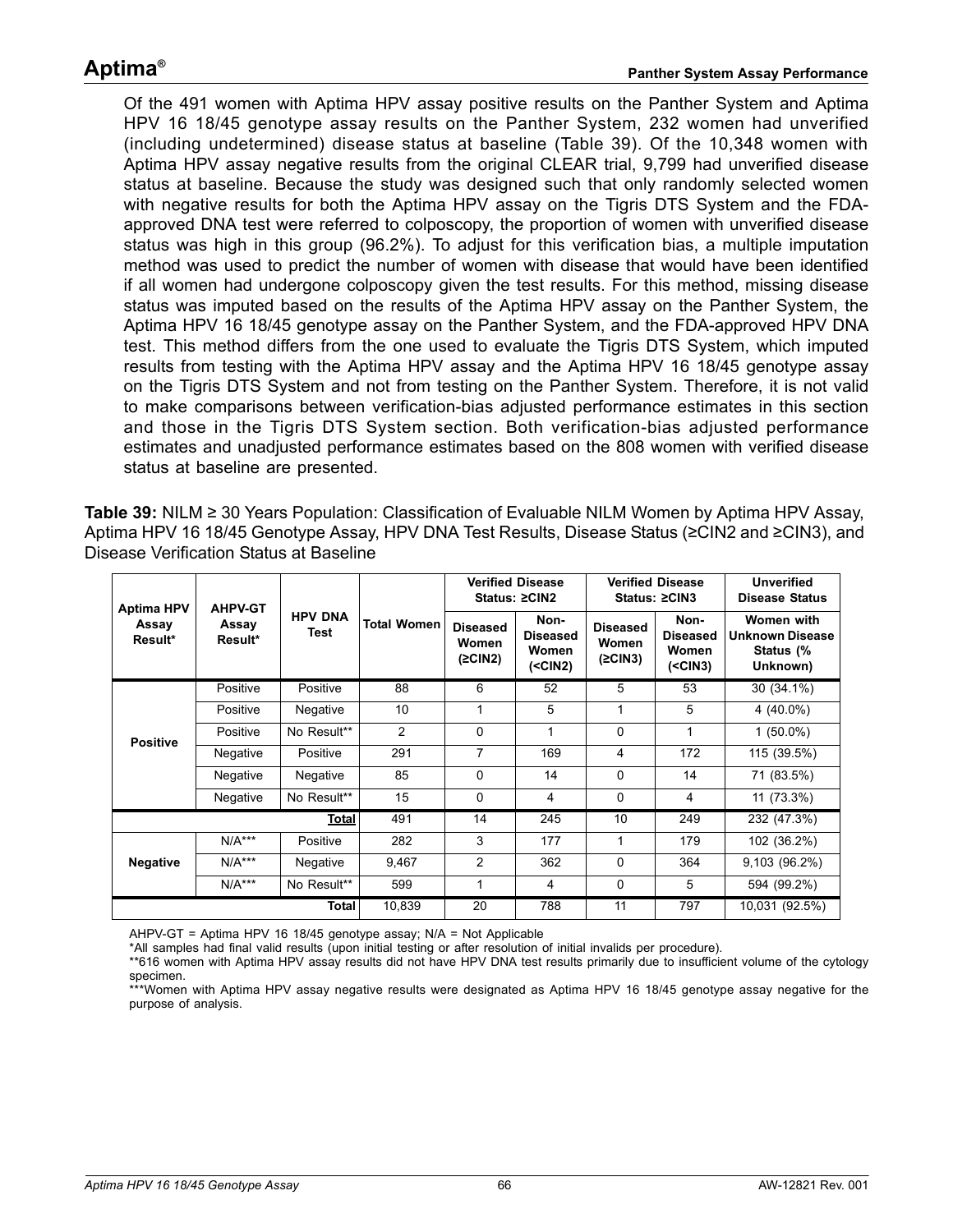Of the 491 women with Aptima HPV assay positive results on the Panther System and Aptima HPV 16 18/45 genotype assay results on the Panther System, 232 women had unverified (including undetermined) disease status at baseline [\(Table 39\)](#page-65-0). Of the 10,348 women with Aptima HPV assay negative results from the original CLEAR trial, 9,799 had unverified disease status at baseline. Because the study was designed such that only randomly selected women with negative results for both the Aptima HPV assay on the Tigris DTS System and the FDAapproved DNA test were referred to colposcopy, the proportion of women with unverified disease status was high in this group (96.2%). To adjust for this verification bias, a multiple imputation method was used to predict the number of women with disease that would have been identified if all women had undergone colposcopy given the test results. For this method, missing disease status was imputed based on the results of the Aptima HPV assay on the Panther System, the Aptima HPV 16 18/45 genotype assay on the Panther System, and the FDA-approved HPV DNA test. This method differs from the one used to evaluate the Tigris DTS System, which imputed results from testing with the Aptima HPV assay and the Aptima HPV 16 18/45 genotype assay on the Tigris DTS System and not from testing on the Panther System. Therefore, it is not valid to make comparisons between verification-bias adjusted performance estimates in this section and those in the Tigris DTS System section. Both verification-bias adjusted performance estimates and unadjusted performance estimates based on the 808 women with verified disease status at baseline are presented.

<span id="page-65-0"></span>**Table 39:** NILM ≥ 30 Years Population: Classification of Evaluable NILM Women by Aptima HPV Assay, Aptima HPV 16 18/45 Genotype Assay, HPV DNA Test Results, Disease Status (≥CIN2 and ≥CIN3), and Disease Verification Status at Baseline

| <b>AHPV-GT</b><br><b>Aptima HPV</b> |                  |                        |                    | <b>Verified Disease</b><br>Status: ≥CIN2 |                                                |                                     | <b>Verified Disease</b><br>Status: ≥CIN3       | <b>Unverified</b><br><b>Disease Status</b>                    |
|-------------------------------------|------------------|------------------------|--------------------|------------------------------------------|------------------------------------------------|-------------------------------------|------------------------------------------------|---------------------------------------------------------------|
| Assay<br>Result*                    | Assay<br>Result* | <b>HPV DNA</b><br>Test | <b>Total Women</b> | <b>Diseased</b><br>Women<br>(2CIN2)      | Non-<br><b>Diseased</b><br>Women<br>$(<$ CIN2) | <b>Diseased</b><br>Women<br>(2CIN3) | Non-<br><b>Diseased</b><br>Women<br>$(<$ CIN3) | Women with<br><b>Unknown Disease</b><br>Status (%<br>Unknown) |
|                                     | Positive         | Positive               | 88                 | 6                                        | 52                                             | 5                                   | 53                                             | 30 (34.1%)                                                    |
|                                     | Positive         | Negative               | 10                 | 1                                        | 5                                              | 1                                   | 5                                              | 4 (40.0%)                                                     |
| <b>Positive</b>                     | Positive         | No Result**            | 2                  | 0                                        | 1                                              | 0                                   | 1                                              | $1(50.0\%)$                                                   |
|                                     | Negative         | Positive               | 291                | 7                                        | 169                                            | 4                                   | 172                                            | 115 (39.5%)                                                   |
|                                     | Negative         | Negative               | 85                 | $\Omega$                                 | 14                                             | $\Omega$                            | 14                                             | 71 (83.5%)                                                    |
|                                     | Negative         | No Result**            | 15                 | 0                                        | 4                                              | 0                                   | 4                                              | 11 (73.3%)                                                    |
|                                     |                  | Total                  | 491                | 14                                       | 245                                            | 10                                  | 249                                            | 232 (47.3%)                                                   |
|                                     | $N/A***$         | Positive               | 282                | 3                                        | 177                                            | 1                                   | 179                                            | 102 (36.2%)                                                   |
| <b>Negative</b>                     | $N/A***$         | Negative               | 9,467              | 2                                        | 362                                            | 0                                   | 364                                            | 9,103(96.2%)                                                  |
|                                     | $N/A***$         | No Result**            | 599                | $\mathbf{1}$                             | 4                                              | 0                                   | 5                                              | 594 (99.2%)                                                   |
|                                     |                  | <b>Total</b>           | 10,839             | 20                                       | 788                                            | 11                                  | 797                                            | 10,031 (92.5%)                                                |

AHPV-GT = Aptima HPV 16 18/45 genotype assay; N/A = Not Applicable

\*All samples had final valid results (upon initial testing or after resolution of initial invalids per procedure).

\*\*616 women with Aptima HPV assay results did not have HPV DNA test results primarily due to insufficient volume of the cytology specimen.

\*\*\*Women with Aptima HPV assay negative results were designated as Aptima HPV 16 18/45 genotype assay negative for the purpose of analysis.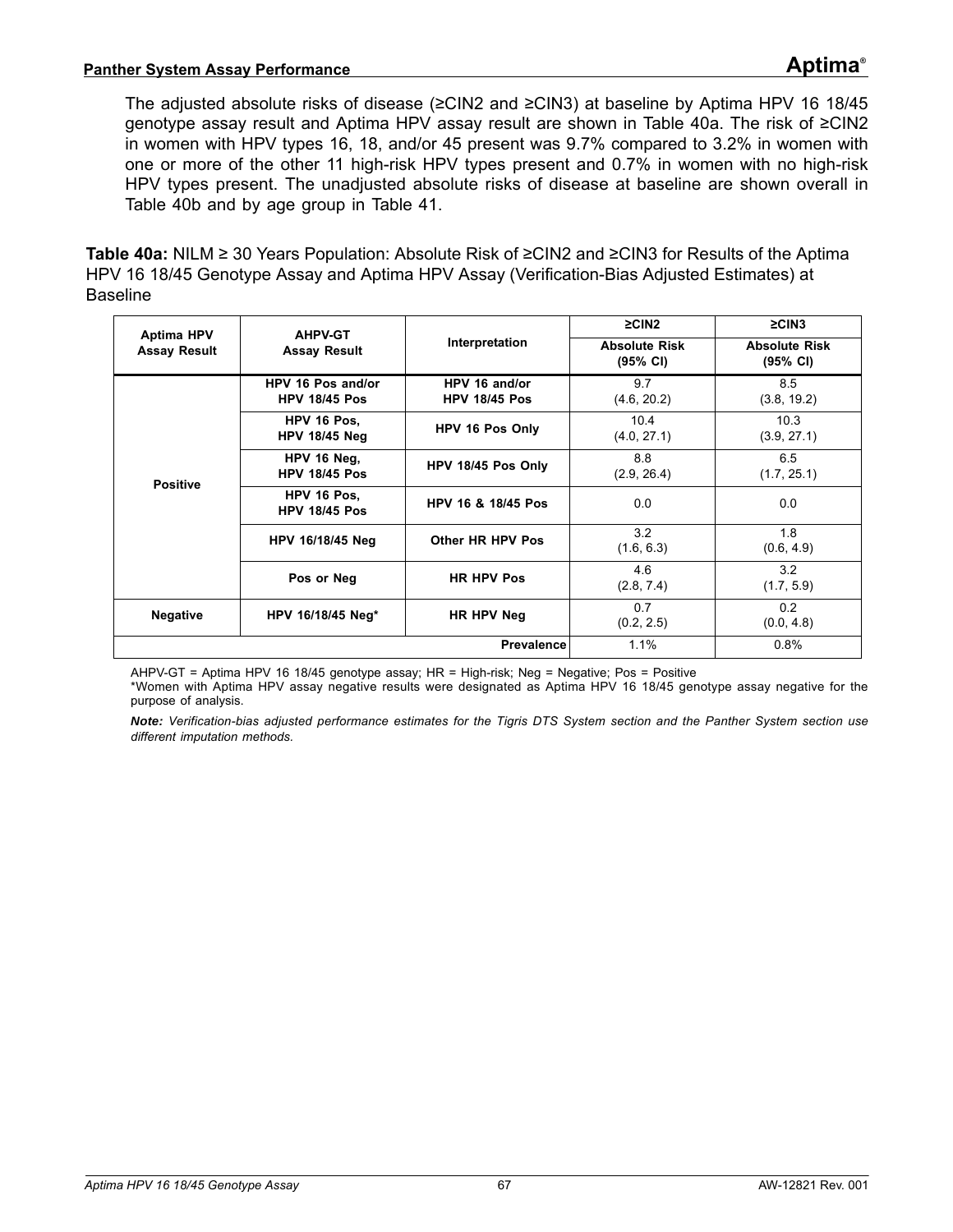The adjusted absolute risks of disease (≥CIN2 and ≥CIN3) at baseline by Aptima HPV 16 18/45 genotype assay result and Aptima HPV assay result are shown in [Table 40](#page-66-0)a. The risk of ≥CIN2 in women with HPV types 16, 18, and/or 45 present was 9.7% compared to 3.2% in women with one or more of the other 11 high-risk HPV types present and 0.7% in women with no high-risk HPV types present. The unadjusted absolute risks of disease at baseline are shown overall in [Table 40](#page-67-0)b and by age group in [Table 41](#page-68-0).

<span id="page-66-0"></span>**Table 40a:** NILM ≥ 30 Years Population: Absolute Risk of ≥CIN2 and ≥CIN3 for Results of the Aptima HPV 16 18/45 Genotype Assay and Aptima HPV Assay (Verification-Bias Adjusted Estimates) at Baseline

| <b>Aptima HPV</b>   | <b>AHPV-GT</b>                            |                                       | $\geq$ CIN2                      | $\geq$ CIN3                                |
|---------------------|-------------------------------------------|---------------------------------------|----------------------------------|--------------------------------------------|
| <b>Assay Result</b> | <b>Assay Result</b>                       | Interpretation                        | <b>Absolute Risk</b><br>(95% CI) | <b>Absolute Risk</b><br>$(95% \text{ CI})$ |
|                     | HPV 16 Pos and/or<br><b>HPV 18/45 Pos</b> | HPV 16 and/or<br><b>HPV 18/45 Pos</b> | 9.7<br>(4.6, 20.2)               | 8.5<br>(3.8, 19.2)                         |
|                     | HPV 16 Pos.<br><b>HPV 18/45 Neg</b>       | HPV 16 Pos Only                       | 10.4<br>(4.0, 27.1)              | 10.3<br>(3.9, 27.1)                        |
| <b>Positive</b>     | HPV 16 Neg,<br><b>HPV 18/45 Pos</b>       | HPV 18/45 Pos Only                    | 8.8<br>(2.9, 26.4)               | 6.5<br>(1.7, 25.1)                         |
|                     | HPV 16 Pos.<br><b>HPV 18/45 Pos</b>       | HPV 16 & 18/45 Pos                    | 0.0                              | 0.0                                        |
|                     | <b>HPV 16/18/45 Neg</b>                   | Other HR HPV Pos                      | 3.2<br>(1.6, 6.3)                | 1.8<br>(0.6, 4.9)                          |
|                     | Pos or Neg                                | <b>HR HPV Pos</b>                     | 4.6<br>(2.8, 7.4)                | 3.2<br>(1.7, 5.9)                          |
| <b>Negative</b>     | HPV 16/18/45 Neg*                         | HR HPV Neg                            | 0.7<br>(0.2, 2.5)                | 0.2<br>(0.0, 4.8)                          |
|                     |                                           | <b>Prevalence</b>                     | 1.1%                             | 0.8%                                       |

AHPV-GT = Aptima HPV 16 18/45 genotype assay; HR = High-risk; Neg = Negative; Pos = Positive

\*Women with Aptima HPV assay negative results were designated as Aptima HPV 16 18/45 genotype assay negative for the purpose of analysis.

*Note: Verification-bias adjusted performance estimates for the Tigris DTS System section and the Panther System section use different imputation methods.*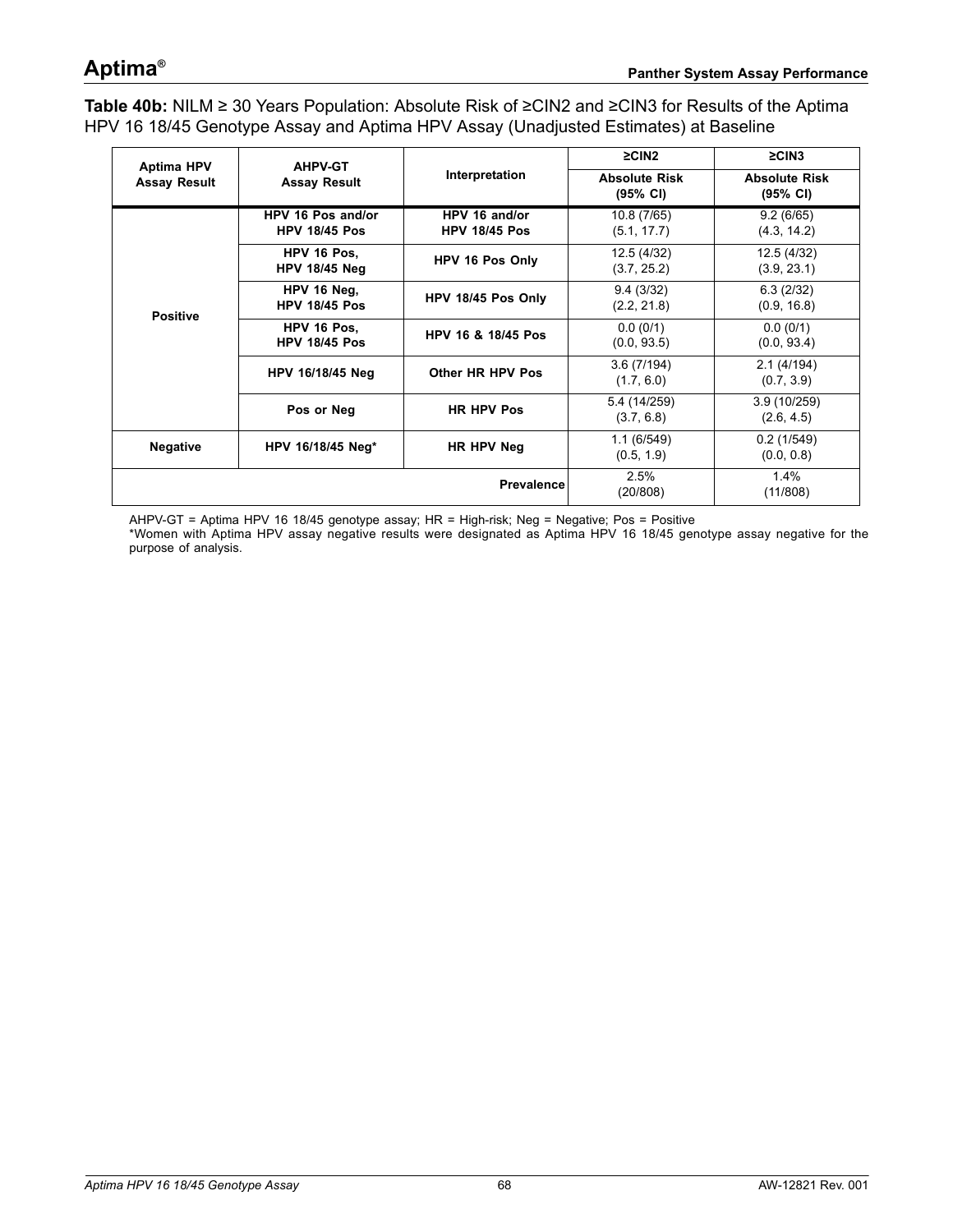<span id="page-67-0"></span>**Table 40b:** NILM ≥ 30 Years Population: Absolute Risk of ≥CIN2 and ≥CIN3 for Results of the Aptima HPV 16 18/45 Genotype Assay and Aptima HPV Assay (Unadjusted Estimates) at Baseline

| <b>Aptima HPV</b>   | <b>AHPV-GT</b>                            |                                       | $\geq$ CIN2                                | $\geq$ CIN3<br><b>Absolute Risk</b><br>(95% CI) |  |
|---------------------|-------------------------------------------|---------------------------------------|--------------------------------------------|-------------------------------------------------|--|
| <b>Assay Result</b> | <b>Assay Result</b>                       | Interpretation                        | <b>Absolute Risk</b><br>$(95% \text{ Cl})$ |                                                 |  |
|                     | HPV 16 Pos and/or<br><b>HPV 18/45 Pos</b> | HPV 16 and/or<br><b>HPV 18/45 Pos</b> | 10.8 (7/65)<br>(5.1, 17.7)                 | 9.2(6/65)<br>(4.3, 14.2)                        |  |
|                     | HPV 16 Pos.<br><b>HPV 18/45 Neg</b>       | HPV 16 Pos Only                       | 12.5 (4/32)<br>(3.7, 25.2)                 | 12.5 (4/32)<br>(3.9, 23.1)                      |  |
| <b>Positive</b>     | HPV 16 Neg,<br><b>HPV 18/45 Pos</b>       | HPV 18/45 Pos Only                    | 9.4(3/32)<br>(2.2, 21.8)                   | 6.3(2/32)<br>(0.9, 16.8)                        |  |
|                     | HPV 16 Pos.<br><b>HPV 18/45 Pos</b>       | HPV 16 & 18/45 Pos                    | 0.0(0/1)<br>(0.0, 93.5)                    | 0.0(0/1)<br>(0.0, 93.4)                         |  |
|                     | HPV 16/18/45 Neg                          | Other HR HPV Pos                      | 3.6(7/194)<br>(1.7, 6.0)                   | 2.1(4/194)<br>(0.7, 3.9)                        |  |
|                     | Pos or Neg                                | <b>HR HPV Pos</b>                     | 5.4 (14/259)<br>(3.7, 6.8)                 | 3.9(10/259)<br>(2.6, 4.5)                       |  |
| <b>Negative</b>     | HPV 16/18/45 Neg*                         | HR HPV Neg                            | 1.1(6/549)<br>(0.5, 1.9)                   | 0.2(1/549)<br>(0.0, 0.8)                        |  |
|                     |                                           | <b>Prevalence</b>                     | 2.5%<br>(20/808)                           | 1.4%<br>(11/808)                                |  |

AHPV-GT = Aptima HPV 16 18/45 genotype assay; HR = High-risk; Neg = Negative; Pos = Positive

\*Women with Aptima HPV assay negative results were designated as Aptima HPV 16 18/45 genotype assay negative for the purpose of analysis.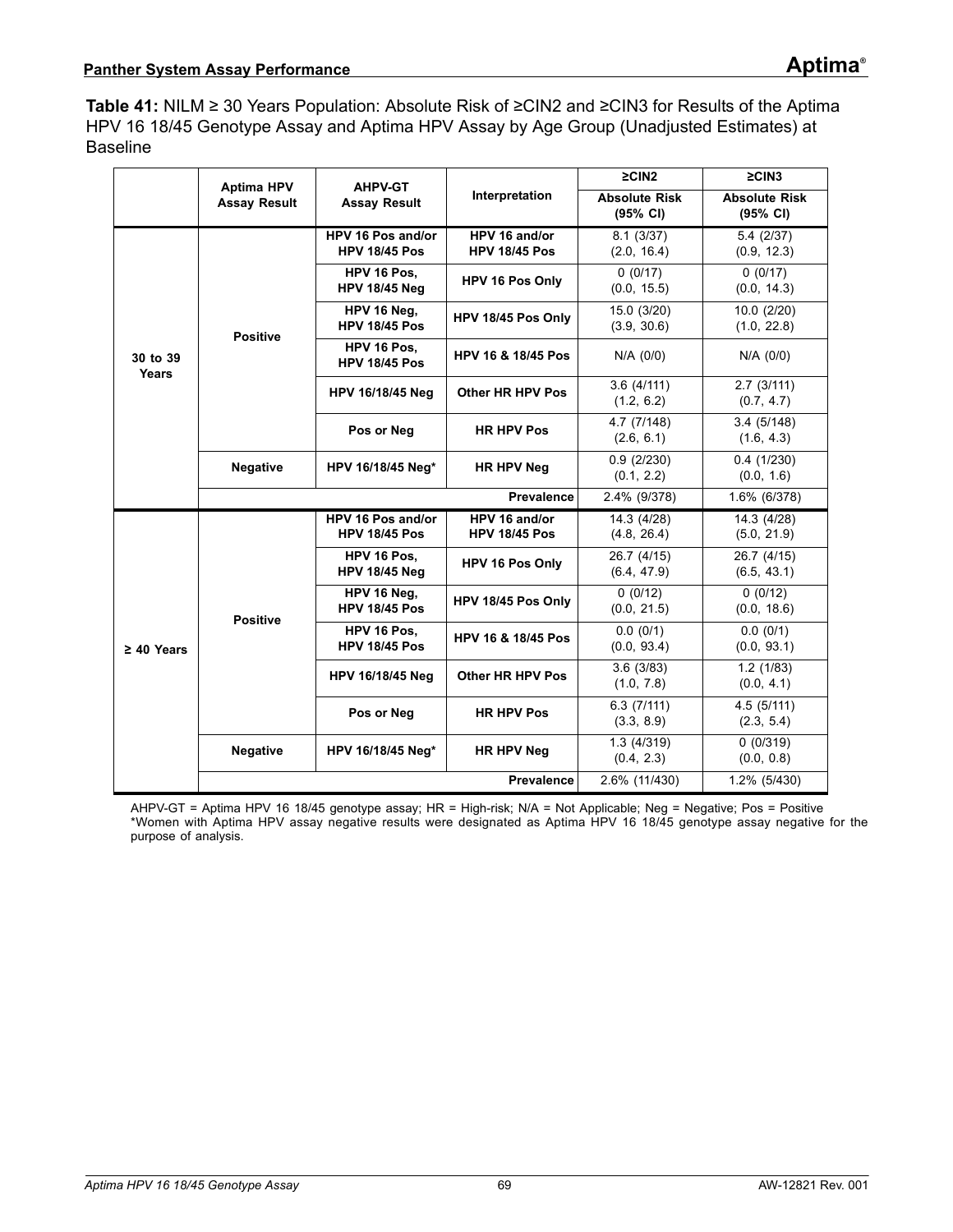<span id="page-68-0"></span>**Table 41:** NILM ≥ 30 Years Population: Absolute Risk of ≥CIN2 and ≥CIN3 for Results of the Aptima HPV 16 18/45 Genotype Assay and Aptima HPV Assay by Age Group (Unadjusted Estimates) at Baseline

|                   |                     | <b>Aptima HPV</b><br><b>AHPV-GT</b>       |                                                | $\geq$ CIN2                                | $\geq$ CIN3                                |  |
|-------------------|---------------------|-------------------------------------------|------------------------------------------------|--------------------------------------------|--------------------------------------------|--|
|                   | <b>Assay Result</b> | <b>Assay Result</b>                       | Interpretation                                 | <b>Absolute Risk</b><br>$(95% \text{ Cl})$ | <b>Absolute Risk</b><br>$(95% \text{ Cl})$ |  |
|                   |                     | HPV 16 Pos and/or<br><b>HPV 18/45 Pos</b> | HPV 16 and/or<br><b>HPV 18/45 Pos</b>          | 8.1(3/37)<br>(2.0, 16.4)                   | 5.4(2/37)<br>(0.9, 12.3)                   |  |
|                   |                     | HPV 16 Pos.<br><b>HPV 18/45 Neg</b>       | <b>HPV 16 Pos Only</b>                         | 0(0/17)<br>(0.0, 15.5)                     | 0(0/17)<br>(0.0, 14.3)                     |  |
|                   | <b>Positive</b>     | HPV 16 Neg.<br><b>HPV 18/45 Pos</b>       | HPV 18/45 Pos Only                             | 15.0 (3/20)<br>(3.9, 30.6)                 | 10.0 (2/20)<br>(1.0, 22.8)                 |  |
| 30 to 39<br>Years |                     | HPV 16 Pos.<br><b>HPV 18/45 Pos</b>       | <b>HPV 16 &amp; 18/45 Pos</b>                  | N/A (0/0)                                  | N/A (0/0)                                  |  |
|                   |                     | HPV 16/18/45 Neg                          | <b>Other HR HPV Pos</b>                        | 3.6(4/111)<br>(1.2, 6.2)                   | 2.7(3/111)<br>(0.7, 4.7)                   |  |
|                   |                     | Pos or Neg                                | 4.7 (7/148)<br><b>HR HPV Pos</b><br>(2.6, 6.1) |                                            | 3.4(5/148)<br>(1.6, 4.3)                   |  |
|                   | <b>Negative</b>     | HPV 16/18/45 Neg*<br><b>HR HPV Neg</b>    |                                                | 0.9(2/230)<br>(0.1, 2.2)                   | 0.4(1/230)<br>(0.0, 1.6)                   |  |
|                   |                     |                                           | <b>Prevalence</b>                              | 2.4% (9/378)                               | 1.6% (6/378)                               |  |
|                   |                     | HPV 16 Pos and/or<br><b>HPV 18/45 Pos</b> | HPV 16 and/or<br><b>HPV 18/45 Pos</b>          | 14.3(4/28)<br>(4.8, 26.4)                  | 14.3(4/28)<br>(5.0, 21.9)                  |  |
| $\geq 40$ Years   | <b>Positive</b>     | HPV 16 Pos.<br><b>HPV 18/45 Neg</b>       | HPV 16 Pos Only                                | 26.7 (4/15)<br>(6.4, 47.9)                 | 26.7 (4/15)<br>(6.5, 43.1)                 |  |
|                   |                     | HPV 16 Neg.<br><b>HPV 18/45 Pos</b>       | HPV 18/45 Pos Only                             | 0(0/12)<br>(0.0, 21.5)                     | 0(0/12)<br>(0.0, 18.6)                     |  |
|                   |                     | HPV 16 Pos.<br><b>HPV 18/45 Pos</b>       | <b>HPV 16 &amp; 18/45 Pos</b>                  | 0.0(0/1)<br>(0.0, 93.4)                    | 0.0(0/1)<br>(0.0, 93.1)                    |  |
|                   |                     | <b>HPV 16/18/45 Neg</b>                   | <b>Other HR HPV Pos</b>                        | 3.6(3/83)<br>(1.0, 7.8)                    | 1.2(1/83)<br>(0.0, 4.1)                    |  |
|                   |                     | Pos or Neg                                | <b>HR HPV Pos</b>                              | 6.3(7/111)<br>(3.3, 8.9)                   | 4.5 (5/111)<br>(2.3, 5.4)                  |  |
|                   | <b>Negative</b>     | HPV 16/18/45 Neg*                         | <b>HR HPV Neg</b>                              | 1.3(4/319)<br>(0.4, 2.3)                   | 0(0/319)<br>(0.0, 0.8)                     |  |
|                   |                     |                                           | <b>Prevalence</b>                              | 2.6% (11/430)                              | 1.2% (5/430)                               |  |

AHPV-GT = Aptima HPV 16 18/45 genotype assay; HR = High-risk; N/A = Not Applicable; Neg = Negative; Pos = Positive \*Women with Aptima HPV assay negative results were designated as Aptima HPV 16 18/45 genotype assay negative for the purpose of analysis.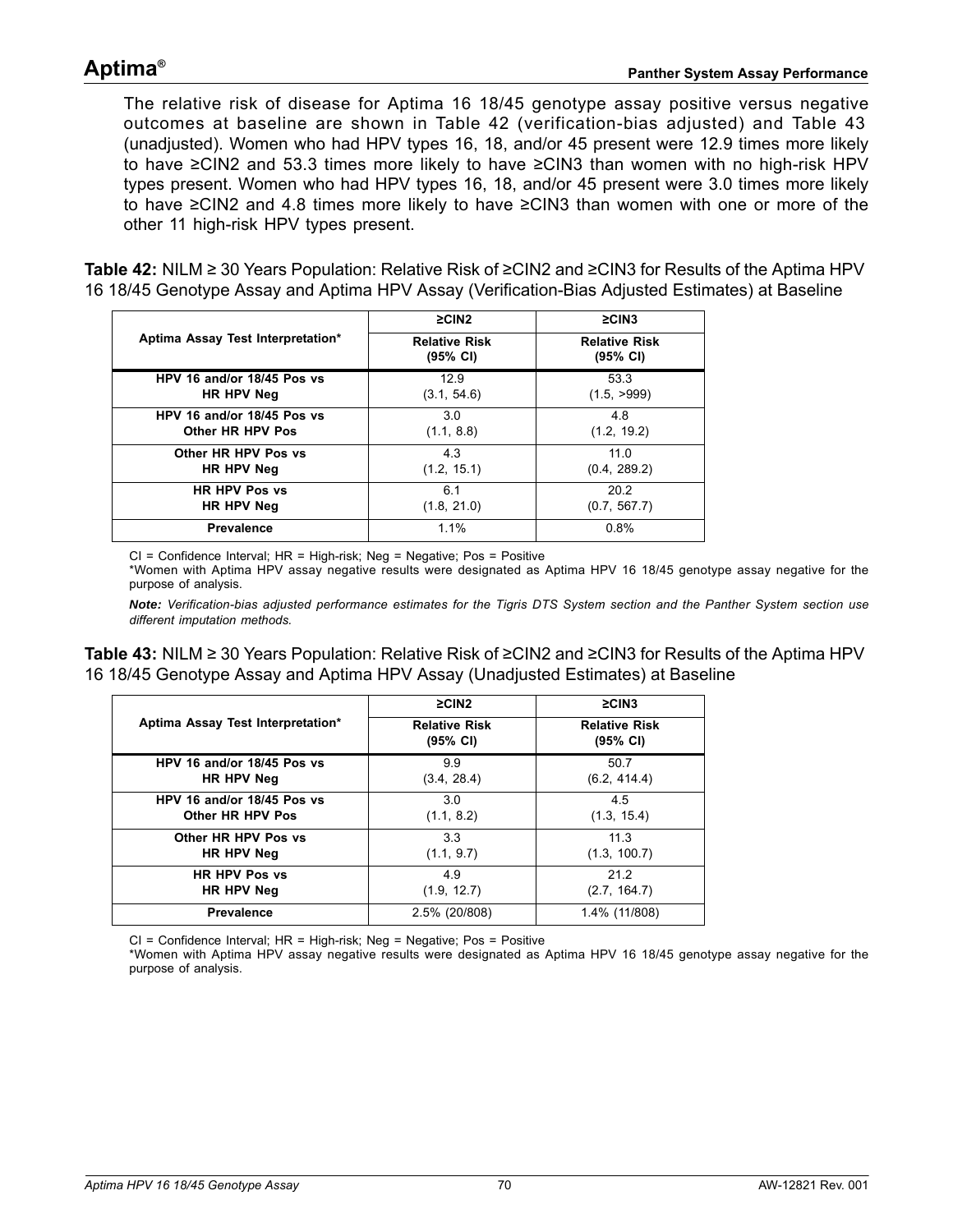## **Aptima®**

The relative risk of disease for Aptima 16 18/45 genotype assay positive versus negative outcomes at baseline are shown in [Table 42](#page-69-0) (verification-bias adjusted) and [Table 43](#page-69-1) (unadjusted). Women who had HPV types 16, 18, and/or 45 present were 12.9 times more likely to have ≥CIN2 and 53.3 times more likely to have ≥CIN3 than women with no high-risk HPV types present. Women who had HPV types 16, 18, and/or 45 present were 3.0 times more likely to have ≥CIN2 and 4.8 times more likely to have ≥CIN3 than women with one or more of the other 11 high-risk HPV types present.

<span id="page-69-0"></span>**Table 42:** NILM ≥ 30 Years Population: Relative Risk of ≥CIN2 and ≥CIN3 for Results of the Aptima HPV 16 18/45 Genotype Assay and Aptima HPV Assay (Verification-Bias Adjusted Estimates) at Baseline

|                                   | $\geq$ CIN2                      | $\geq$ CIN3                      |  |  |
|-----------------------------------|----------------------------------|----------------------------------|--|--|
| Aptima Assay Test Interpretation* | <b>Relative Risk</b><br>(95% CI) | <b>Relative Risk</b><br>(95% CI) |  |  |
| HPV 16 and/or 18/45 Pos vs        | 12.9                             | 53.3                             |  |  |
| HR HPV Neg                        | (3.1, 54.6)                      | (1.5, >999)                      |  |  |
| HPV 16 and/or 18/45 Pos vs        | 3.0                              | 4.8                              |  |  |
| Other HR HPV Pos                  | (1.1, 8.8)                       | (1.2, 19.2)                      |  |  |
| Other HR HPV Pos vs               | 4.3                              | 11.0                             |  |  |
| HR HPV Neg                        | (1.2, 15.1)                      | (0.4, 289.2)                     |  |  |
| <b>HR HPV Pos vs</b>              | 6.1                              | 20.2                             |  |  |
| HR HPV Neg                        | (1.8, 21.0)                      | (0.7, 567.7)                     |  |  |
| <b>Prevalence</b>                 | 1.1%                             | 0.8%                             |  |  |

 $CI =$  Confidence Interval;  $HR =$  High-risk; Neg = Negative; Pos = Positive \*Women with Aptima HPV assay negative results were designated as Aptima HPV 16 18/45 genotype assay negative for the purpose of analysis.

*Note: Verification-bias adjusted performance estimates for the Tigris DTS System section and the Panther System section use different imputation methods.*

<span id="page-69-1"></span>**Table 43:** NILM ≥ 30 Years Population: Relative Risk of ≥CIN2 and ≥CIN3 for Results of the Aptima HPV 16 18/45 Genotype Assay and Aptima HPV Assay (Unadjusted Estimates) at Baseline

|                                   | $\geq$ CIN2                      | $\geq$ CIN3                      |
|-----------------------------------|----------------------------------|----------------------------------|
| Aptima Assay Test Interpretation* | <b>Relative Risk</b><br>(95% CI) | <b>Relative Risk</b><br>(95% CI) |
| HPV 16 and/or 18/45 Pos vs        | 9.9                              | 50.7                             |
| HR HPV Neg                        | (3.4, 28.4)                      | (6.2, 414.4)                     |
| HPV 16 and/or 18/45 Pos vs        | 3.0                              | 4.5                              |
| Other HR HPV Pos                  | (1.1, 8.2)                       | (1.3, 15.4)                      |
| Other HR HPV Pos vs               | 3.3                              | 11.3                             |
| HR HPV Neg                        | (1.1, 9.7)                       | (1.3, 100.7)                     |
| <b>HR HPV Pos vs</b>              | 4.9                              | 21.2                             |
| HR HPV Neg                        | (1.9, 12.7)                      | (2.7, 164.7)                     |
| <b>Prevalence</b>                 | 2.5% (20/808)                    | 1.4% (11/808)                    |

 $CI =$  Confidence Interval;  $HR =$  High-risk; Neg = Negative; Pos = Positive

\*Women with Aptima HPV assay negative results were designated as Aptima HPV 16 18/45 genotype assay negative for the purpose of analysis.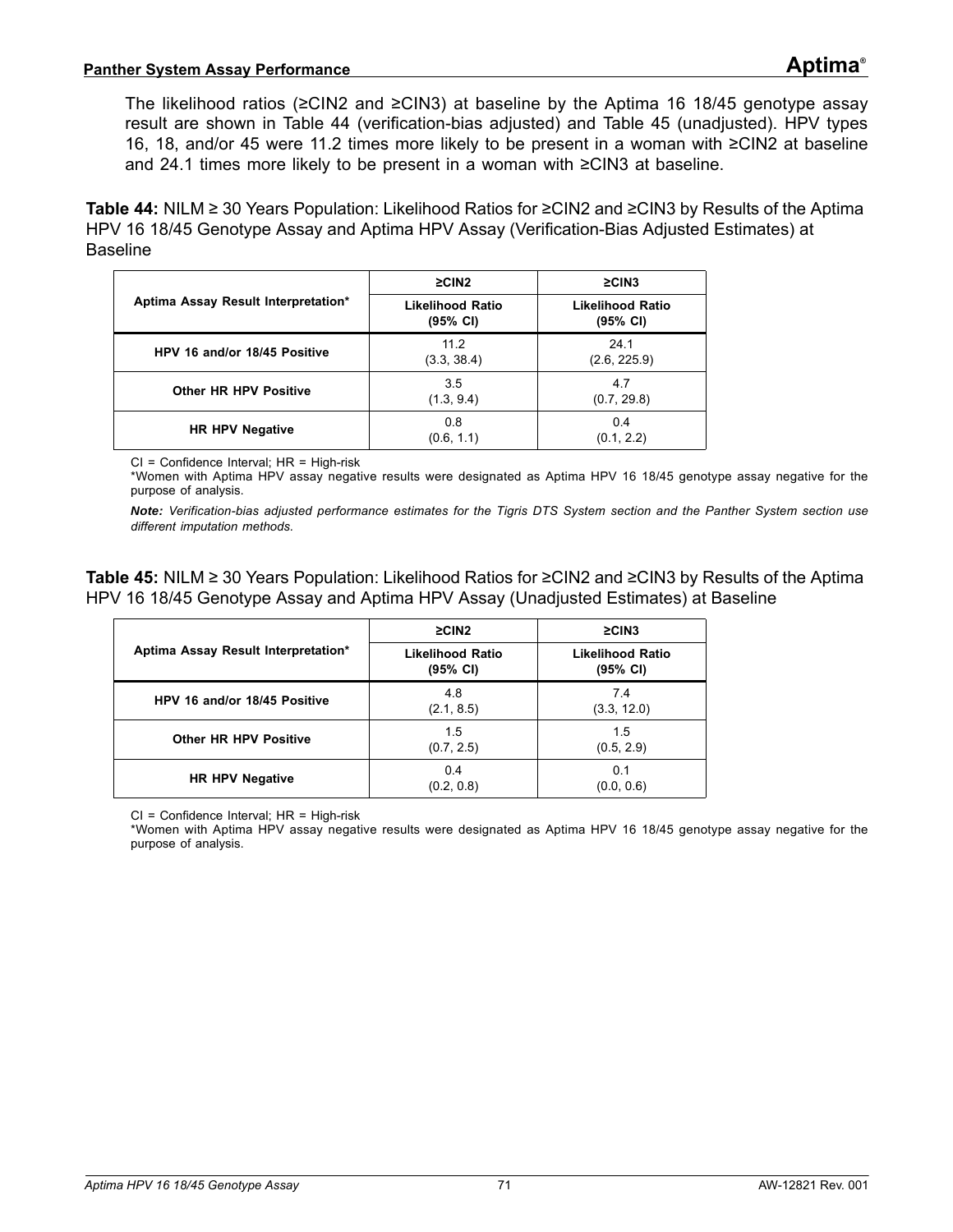The likelihood ratios (≥CIN2 and ≥CIN3) at baseline by the Aptima 16 18/45 genotype assay result are shown in [Table 44](#page-70-0) (verification-bias adjusted) and [Table 45](#page-70-1) (unadjusted). HPV types 16, 18, and/or 45 were 11.2 times more likely to be present in a woman with ≥CIN2 at baseline and 24.1 times more likely to be present in a woman with ≥CIN3 at baseline.

<span id="page-70-0"></span>**Table 44:** NILM ≥ 30 Years Population: Likelihood Ratios for ≥CIN2 and ≥CIN3 by Results of the Aptima HPV 16 18/45 Genotype Assay and Aptima HPV Assay (Verification-Bias Adjusted Estimates) at Baseline

|                                     | $\geq$ CIN2                  | $\geq$ CIN3                  |  |  |
|-------------------------------------|------------------------------|------------------------------|--|--|
| Aptima Assay Result Interpretation* | Likelihood Ratio<br>(95% CI) | Likelihood Ratio<br>(95% CI) |  |  |
| HPV 16 and/or 18/45 Positive        | 11.2<br>(3.3, 38.4)          | 24.1<br>(2.6, 225.9)         |  |  |
| <b>Other HR HPV Positive</b>        | 3.5<br>(1.3, 9.4)            | 4.7<br>(0.7, 29.8)           |  |  |
| <b>HR HPV Negative</b>              | 0.8<br>(0.6, 1.1)            | 0.4<br>(0.1, 2.2)            |  |  |

CI = Confidence Interval; HR = High-risk

\*Women with Aptima HPV assay negative results were designated as Aptima HPV 16 18/45 genotype assay negative for the purpose of analysis.

*Note: Verification-bias adjusted performance estimates for the Tigris DTS System section and the Panther System section use different imputation methods.*

<span id="page-70-1"></span>**Table 45:** NILM ≥ 30 Years Population: Likelihood Ratios for ≥CIN2 and ≥CIN3 by Results of the Aptima HPV 16 18/45 Genotype Assay and Aptima HPV Assay (Unadjusted Estimates) at Baseline

|                                     | $\geq$ CIN2                         | $\geq$ CIN3                                   |  |  |
|-------------------------------------|-------------------------------------|-----------------------------------------------|--|--|
| Aptima Assay Result Interpretation* | <b>Likelihood Ratio</b><br>(95% CI) | <b>Likelihood Ratio</b><br>$(95% \text{ Cl})$ |  |  |
| HPV 16 and/or 18/45 Positive        | 4.8<br>(2.1, 8.5)                   | 7.4<br>(3.3, 12.0)                            |  |  |
| <b>Other HR HPV Positive</b>        | 1.5<br>(0.7, 2.5)                   | 1.5<br>(0.5, 2.9)                             |  |  |
| <b>HR HPV Negative</b>              | 0.4<br>(0.2, 0.8)                   | 0.1<br>(0.0, 0.6)                             |  |  |

CI = Confidence Interval; HR = High-risk

\*Women with Aptima HPV assay negative results were designated as Aptima HPV 16 18/45 genotype assay negative for the purpose of analysis.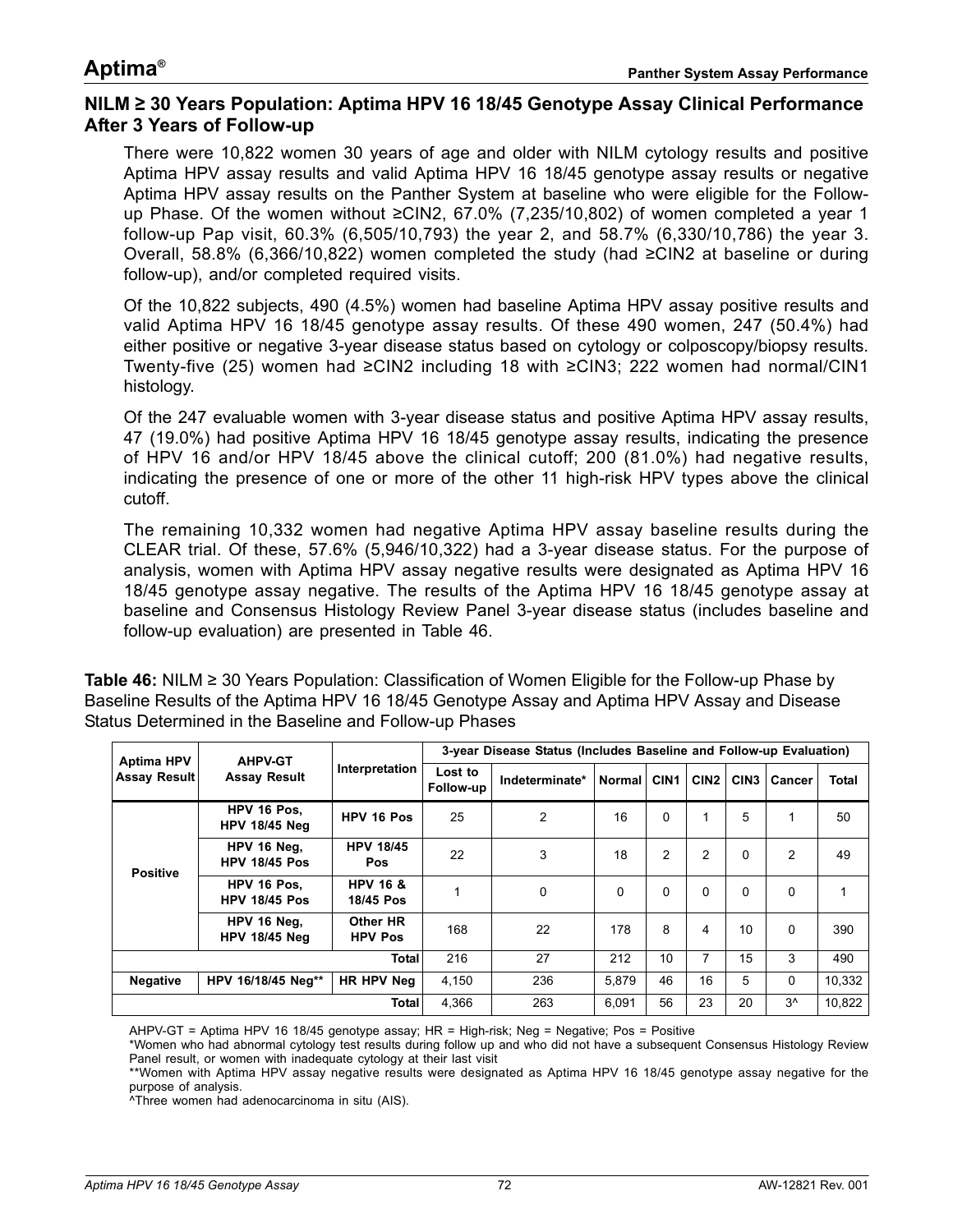### **NILM ≥ 30 Years Population: Aptima HPV 16 18/45 Genotype Assay Clinical Performance After 3 Years of Follow-up**

There were 10,822 women 30 years of age and older with NILM cytology results and positive Aptima HPV assay results and valid Aptima HPV 16 18/45 genotype assay results or negative Aptima HPV assay results on the Panther System at baseline who were eligible for the Followup Phase. Of the women without ≥CIN2, 67.0% (7,235/10,802) of women completed a year 1 follow-up Pap visit, 60.3% (6,505/10,793) the year 2, and 58.7% (6,330/10,786) the year 3. Overall, 58.8% (6,366/10,822) women completed the study (had ≥CIN2 at baseline or during follow-up), and/or completed required visits.

Of the 10,822 subjects, 490 (4.5%) women had baseline Aptima HPV assay positive results and valid Aptima HPV 16 18/45 genotype assay results. Of these 490 women, 247 (50.4%) had either positive or negative 3-year disease status based on cytology or colposcopy/biopsy results. Twenty-five (25) women had ≥CIN2 including 18 with ≥CIN3; 222 women had normal/CIN1 histology.

Of the 247 evaluable women with 3-year disease status and positive Aptima HPV assay results, 47 (19.0%) had positive Aptima HPV 16 18/45 genotype assay results, indicating the presence of HPV 16 and/or HPV 18/45 above the clinical cutoff; 200 (81.0%) had negative results, indicating the presence of one or more of the other 11 high-risk HPV types above the clinical cutoff.

The remaining 10,332 women had negative Aptima HPV assay baseline results during the CLEAR trial. Of these, 57.6% (5,946/10,322) had a 3-year disease status. For the purpose of analysis, women with Aptima HPV assay negative results were designated as Aptima HPV 16 18/45 genotype assay negative. The results of the Aptima HPV 16 18/45 genotype assay at baseline and Consensus Histology Review Panel 3-year disease status (includes baseline and follow-up evaluation) are presented in [Table 46.](#page-71-0)

<span id="page-71-0"></span>**Table 46:** NILM ≥ 30 Years Population: Classification of Women Eligible for the Follow-up Phase by Baseline Results of the Aptima HPV 16 18/45 Genotype Assay and Aptima HPV Assay and Disease Status Determined in the Baseline and Follow-up Phases

| <b>Aptima HPV</b><br>Assay Result | <b>AHPV-GT</b><br><b>Assay Result</b> | Interpretation                   | 3-year Disease Status (Includes Baseline and Follow-up Evaluation) |                |        |                  |                  |                  |          |        |
|-----------------------------------|---------------------------------------|----------------------------------|--------------------------------------------------------------------|----------------|--------|------------------|------------------|------------------|----------|--------|
|                                   |                                       |                                  | Lost to<br>Follow-up                                               | Indeterminate* | Normal | CIN <sub>1</sub> | CIN <sub>2</sub> | CIN <sub>3</sub> | Cancer   | Total  |
| <b>Positive</b>                   | HPV 16 Pos.<br><b>HPV 18/45 Neg</b>   | HPV 16 Pos                       | 25                                                                 | 2              | 16     | $\Omega$         | 1                | 5                |          | 50     |
|                                   | HPV 16 Neg.<br><b>HPV 18/45 Pos</b>   | <b>HPV 18/45</b><br><b>Pos</b>   | 22                                                                 | 3              | 18     | 2                | $\overline{2}$   | $\Omega$         | 2        | 49     |
|                                   | HPV 16 Pos.<br><b>HPV 18/45 Pos</b>   | <b>HPV 16 &amp;</b><br>18/45 Pos |                                                                    | 0              | 0      | $\Omega$         | $\Omega$         | $\Omega$         | $\Omega$ | 1      |
|                                   | HPV 16 Neg.<br><b>HPV 18/45 Neg</b>   | Other HR<br><b>HPV Pos</b>       | 168                                                                | 22             | 178    | 8                | $\overline{4}$   | 10               | $\Omega$ | 390    |
| <b>Total</b>                      |                                       | 216                              | 27                                                                 | 212            | 10     | 7                | 15               | 3                | 490      |        |
| <b>Negative</b>                   | HPV 16/18/45 Neg**                    | HR HPV Nea                       | 4.150                                                              | 236            | 5,879  | 46               | 16               | 5                | 0        | 10.332 |
| Total                             |                                       | 4,366                            | 263                                                                | 6.091          | 56     | 23               | 20               | $3^{\wedge}$     | 10.822   |        |

AHPV-GT = Aptima HPV 16 18/45 genotype assay; HR = High-risk; Neg = Negative; Pos = Positive

\*Women who had abnormal cytology test results during follow up and who did not have a subsequent Consensus Histology Review Panel result, or women with inadequate cytology at their last visit

\*\*Women with Aptima HPV assay negative results were designated as Aptima HPV 16 18/45 genotype assay negative for the purpose of analysis.

^Three women had adenocarcinoma in situ (AIS).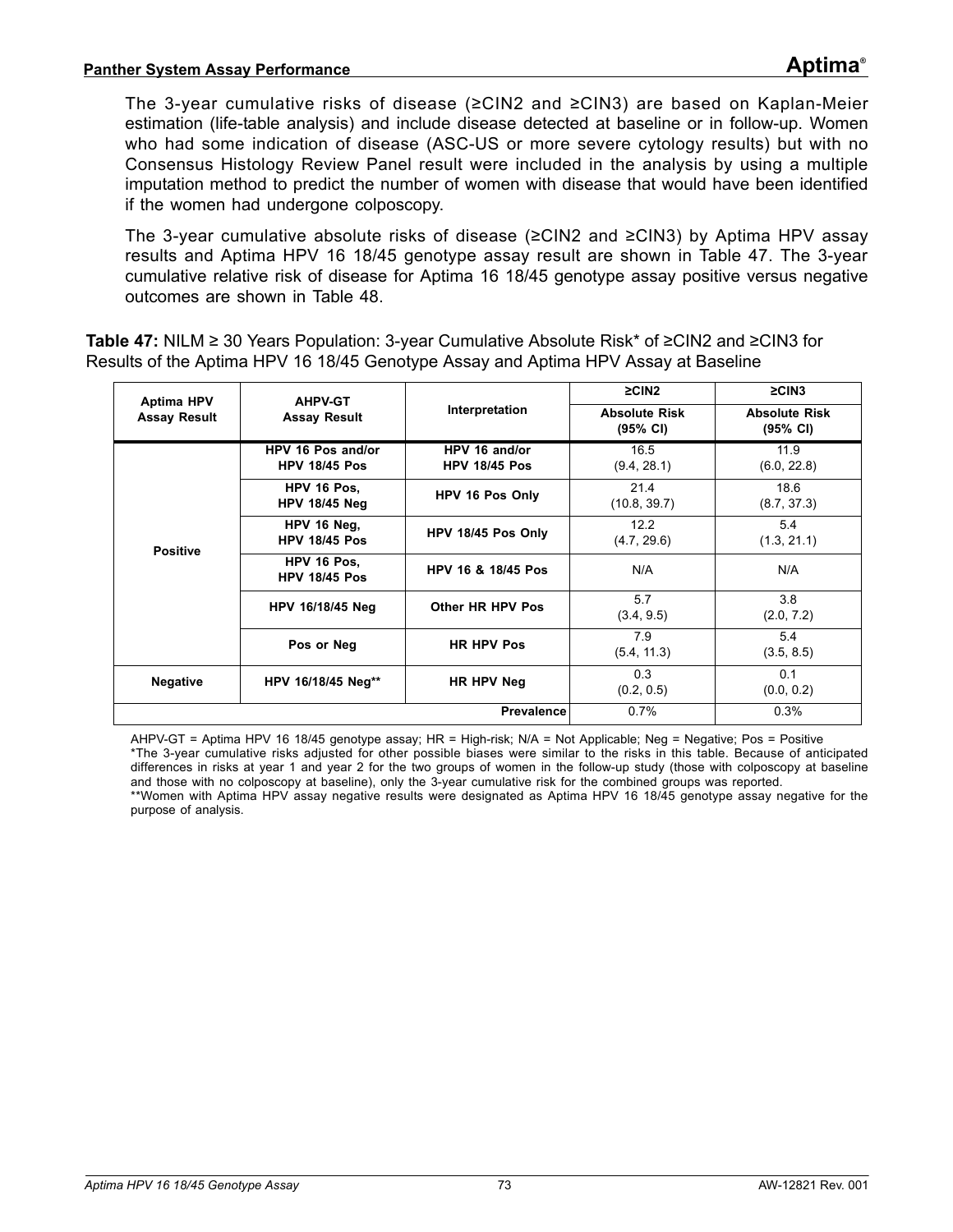The 3-year cumulative risks of disease (≥CIN2 and ≥CIN3) are based on Kaplan-Meier estimation (life-table analysis) and include disease detected at baseline or in follow-up. Women who had some indication of disease (ASC-US or more severe cytology results) but with no Consensus Histology Review Panel result were included in the analysis by using a multiple imputation method to predict the number of women with disease that would have been identified if the women had undergone colposcopy.

The 3-year cumulative absolute risks of disease ( $\geq$ CIN2 and  $\geq$ CIN3) by Aptima HPV assay results and Aptima HPV 16 18/45 genotype assay result are shown in [Table 47.](#page-72-0) The 3-year cumulative relative risk of disease for Aptima 16 18/45 genotype assay positive versus negative outcomes are shown in [Table 48](#page-73-0).

<span id="page-72-0"></span>**Table 47:** NILM ≥ 30 Years Population: 3-year Cumulative Absolute Risk\* of ≥CIN2 and ≥CIN3 for Results of the Aptima HPV 16 18/45 Genotype Assay and Aptima HPV Assay at Baseline

| <b>Aptima HPV</b>   | <b>AHPV-GT</b>                                                                                               |                                       | $\geq$ CIN2                                | $\geq$ CIN3                      |
|---------------------|--------------------------------------------------------------------------------------------------------------|---------------------------------------|--------------------------------------------|----------------------------------|
| <b>Assay Result</b> | <b>Assay Result</b>                                                                                          | Interpretation                        | <b>Absolute Risk</b><br>$(95% \text{ CI})$ | <b>Absolute Risk</b><br>(95% CI) |
|                     | HPV 16 Pos and/or<br><b>HPV 18/45 Pos</b>                                                                    | HPV 16 and/or<br><b>HPV 18/45 Pos</b> | 16.5<br>(9.4, 28.1)                        | 11.9<br>(6.0, 22.8)              |
|                     | HPV 16 Pos.<br><b>HPV 18/45 Neg</b><br>HPV 16 Neg.<br><b>HPV 18/45 Pos</b><br><b>Positive</b><br>HPV 16 Pos. | HPV 16 Pos Only                       | 21.4<br>(10.8, 39.7)                       | 18.6<br>(8.7, 37.3)              |
|                     |                                                                                                              | HPV 18/45 Pos Only                    | 12.2<br>(4.7, 29.6)                        | 54<br>(1.3, 21.1)                |
|                     | <b>HPV 18/45 Pos</b>                                                                                         | HPV 16 & 18/45 Pos                    | N/A                                        | N/A                              |
|                     | HPV 16/18/45 Neg                                                                                             | Other HR HPV Pos                      | 5.7<br>(3.4, 9.5)                          | 3.8<br>(2.0, 7.2)                |
|                     | Pos or Neg                                                                                                   | <b>HR HPV Pos</b>                     | 7.9<br>(5.4, 11.3)                         | 5.4<br>(3.5, 8.5)                |
| <b>Negative</b>     | HPV 16/18/45 Neg**                                                                                           | HR HPV Neg                            | 0.3<br>(0.2, 0.5)                          | 0.1<br>(0.0, 0.2)                |
|                     |                                                                                                              | <b>Prevalence</b>                     | 0.7%                                       | 0.3%                             |

AHPV-GT = Aptima HPV 16 18/45 genotype assay; HR = High-risk; N/A = Not Applicable; Neg = Negative; Pos = Positive \*The 3-year cumulative risks adjusted for other possible biases were similar to the risks in this table. Because of anticipated differences in risks at year 1 and year 2 for the two groups of women in the follow-up study (those with colposcopy at baseline and those with no colposcopy at baseline), only the 3-year cumulative risk for the combined groups was reported. \*\*Women with Aptima HPV assay negative results were designated as Aptima HPV 16 18/45 genotype assay negative for the purpose of analysis.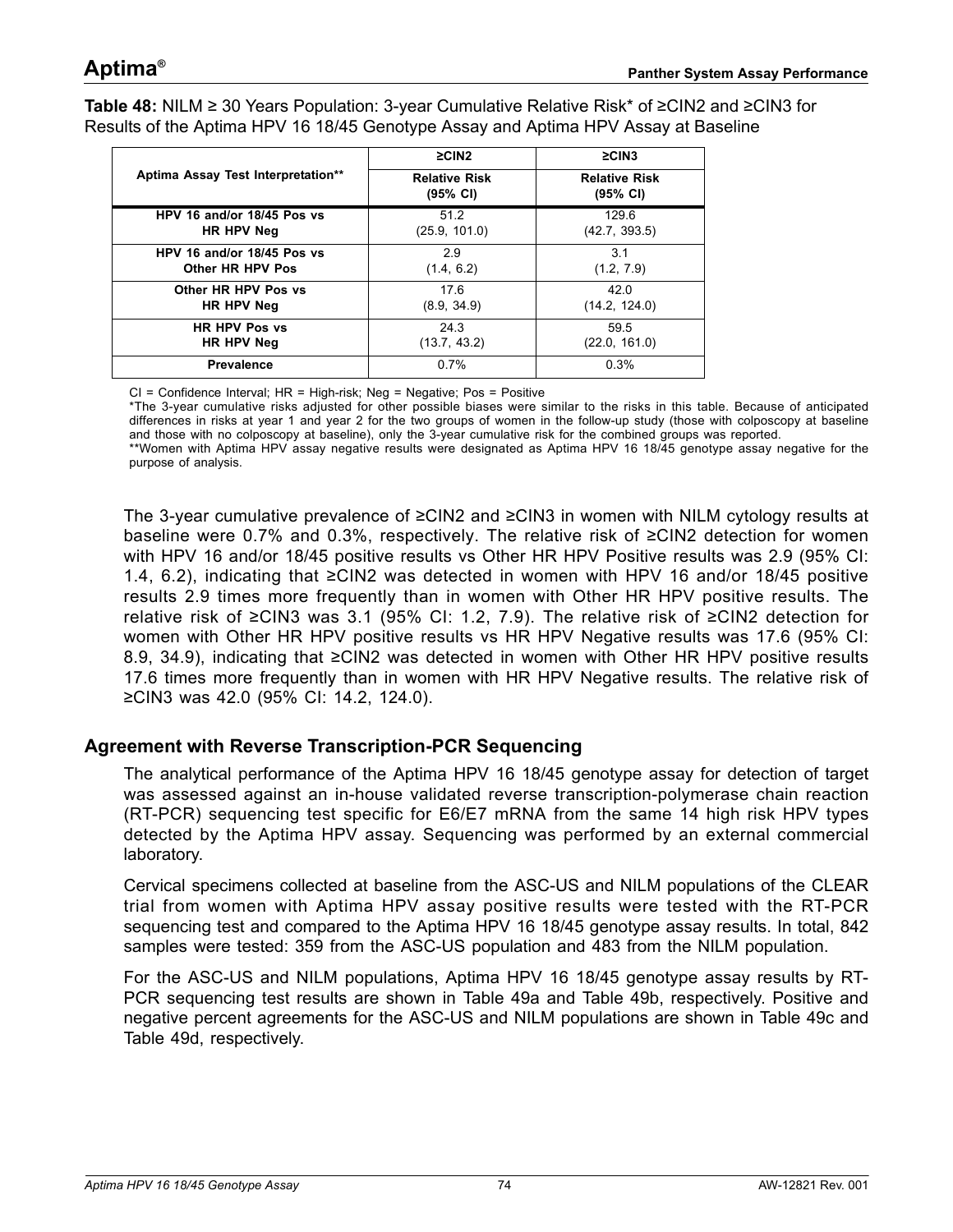<span id="page-73-0"></span>**Table 48:** NILM ≥ 30 Years Population: 3-year Cumulative Relative Risk\* of ≥CIN2 and ≥CIN3 for Results of the Aptima HPV 16 18/45 Genotype Assay and Aptima HPV Assay at Baseline

|                                    | $\geq$ CIN2                      | $\geq$ CIN3                                |
|------------------------------------|----------------------------------|--------------------------------------------|
| Aptima Assay Test Interpretation** | <b>Relative Risk</b><br>(95% CI) | <b>Relative Risk</b><br>$(95% \text{ Cl})$ |
| HPV 16 and/or 18/45 Pos vs         | 51.2                             | 129.6                                      |
| HR HPV Neg                         | (25.9, 101.0)                    | (42.7, 393.5)                              |
| HPV 16 and/or 18/45 Pos vs         | 29                               | 3.1                                        |
| Other HR HPV Pos                   | (1.4, 6.2)                       | (1.2, 7.9)                                 |
| Other HR HPV Pos vs                | 17.6                             | 42.0                                       |
| HR HPV Neg                         | (8.9, 34.9)                      | (14.2, 124.0)                              |
| <b>HR HPV Pos vs</b>               | 24.3                             | 59.5                                       |
| HR HPV Neg                         | (13.7, 43.2)                     | (22.0, 161.0)                              |
| <b>Prevalence</b>                  | 0.7%                             | 0.3%                                       |

CI = Confidence Interval; HR = High-risk; Neg = Negative; Pos = Positive

\*The 3-year cumulative risks adjusted for other possible biases were similar to the risks in this table. Because of anticipated differences in risks at year 1 and year 2 for the two groups of women in the follow-up study (those with colposcopy at baseline and those with no colposcopy at baseline), only the 3-year cumulative risk for the combined groups was reported. \*\*Women with Aptima HPV assay negative results were designated as Aptima HPV 16 18/45 genotype assay negative for the purpose of analysis.

The 3-year cumulative prevalence of ≥CIN2 and ≥CIN3 in women with NILM cytology results at baseline were 0.7% and 0.3%, respectively. The relative risk of ≥CIN2 detection for women with HPV 16 and/or 18/45 positive results vs Other HR HPV Positive results was 2.9 (95% CI: 1.4, 6.2), indicating that ≥CIN2 was detected in women with HPV 16 and/or 18/45 positive results 2.9 times more frequently than in women with Other HR HPV positive results. The relative risk of ≥CIN3 was 3.1 (95% CI: 1.2, 7.9). The relative risk of ≥CIN2 detection for women with Other HR HPV positive results vs HR HPV Negative results was 17.6 (95% CI: 8.9, 34.9), indicating that ≥CIN2 was detected in women with Other HR HPV positive results 17.6 times more frequently than in women with HR HPV Negative results. The relative risk of ≥CIN3 was 42.0 (95% CI: 14.2, 124.0).

### **Agreement with Reverse Transcription-PCR Sequencing**

The analytical performance of the Aptima HPV 16 18/45 genotype assay for detection of target was assessed against an in-house validated reverse transcription-polymerase chain reaction (RT-PCR) sequencing test specific for E6/E7 mRNA from the same 14 high risk HPV types detected by the Aptima HPV assay. Sequencing was performed by an external commercial laboratory.

Cervical specimens collected at baseline from the ASC-US and NILM populations of the CLEAR trial from women with Aptima HPV assay positive results were tested with the RT-PCR sequencing test and compared to the Aptima HPV 16 18/45 genotype assay results. In total, 842 samples were tested: 359 from the ASC-US population and 483 from the NILM population.

For the ASC-US and NILM populations, Aptima HPV 16 18/45 genotype assay results by RT-PCR sequencing test results are shown in [Table 49a](#page-74-0) and [Table 49b](#page-74-1), respectively. Positive and negative percent agreements for the ASC-US and NILM populations are shown in [Table 49c](#page-74-2) and [Table 49](#page-75-0)d, respectively.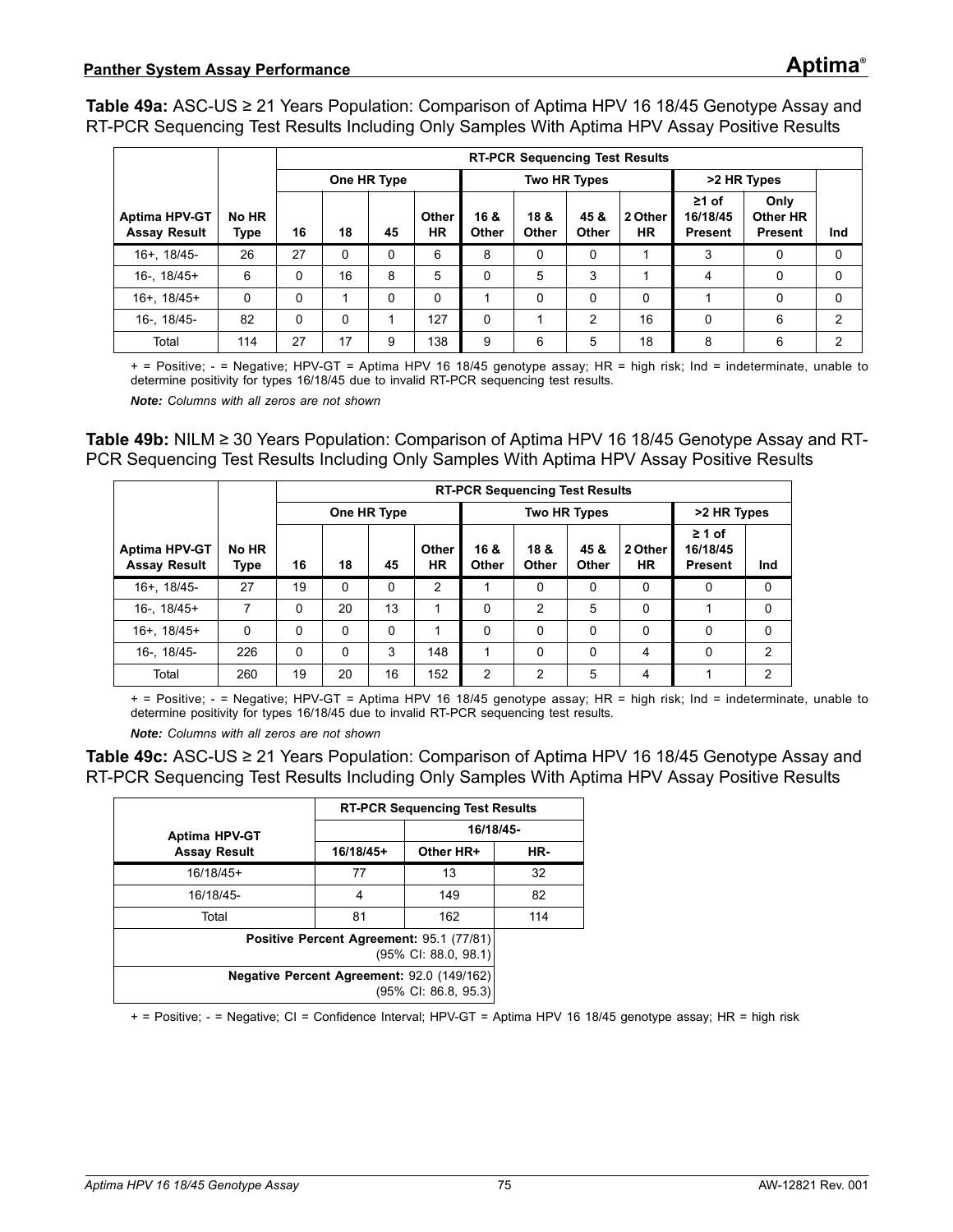<span id="page-74-0"></span>**Table 49a:** ASC-US ≥ 21 Years Population: Comparison of Aptima HPV 16 18/45 Genotype Assay and RT-PCR Sequencing Test Results Including Only Samples With Aptima HPV Assay Positive Results

|                                             |               |    |             |          |                    |               |               |                      | <b>RT-PCR Sequencing Test Results</b> |                                           |                                    |          |
|---------------------------------------------|---------------|----|-------------|----------|--------------------|---------------|---------------|----------------------|---------------------------------------|-------------------------------------------|------------------------------------|----------|
|                                             |               |    | One HR Type |          |                    |               |               | <b>Two HR Types</b>  |                                       | >2 HR Types                               |                                    |          |
| <b>Aptima HPV-GT</b><br><b>Assay Result</b> | No HR<br>Type | 16 | 18          | 45       | Other<br><b>HR</b> | 16 &<br>Other | 18 &<br>Other | 45 &<br><b>Other</b> | 2 Other<br><b>HR</b>                  | $\geq 1$ of<br>16/18/45<br><b>Present</b> | Only<br>Other HR<br><b>Present</b> | Ind      |
| 16+, 18/45-                                 | 26            | 27 | 0           | 0        | 6                  | 8             | 0             | $\Omega$             |                                       | 3                                         | 0                                  | 0        |
| $16 - 18/45+$                               | 6             | 0  | 16          | 8        | 5                  | $\Omega$      | 5             | 3                    |                                       | 4                                         | 0                                  | $\Omega$ |
| $16+$ , $18/45+$                            | 0             | 0  |             | $\Omega$ | 0                  |               | $\Omega$      | $\Omega$             | 0                                     |                                           | 0                                  | 0        |
| 16-, 18/45-                                 | 82            | 0  | 0           |          | 127                | $\Omega$      |               | 2                    | 16                                    | $\Omega$                                  | 6                                  | 2        |
| Total                                       | 114           | 27 | 17          | 9        | 138                | 9             | 6             | 5                    | 18                                    | 8                                         | 6                                  | っ        |

+ = Positive; - = Negative; HPV-GT = Aptima HPV 16 18/45 genotype assay; HR = high risk; Ind = indeterminate, unable to determine positivity for types 16/18/45 due to invalid RT-PCR sequencing test results.

*Note: Columns with all zeros are not shown*

<span id="page-74-1"></span>**Table 49b:** NILM ≥ 30 Years Population: Comparison of Aptima HPV 16 18/45 Genotype Assay and RT-PCR Sequencing Test Results Including Only Samples With Aptima HPV Assay Positive Results

|                                             |               |          |             |             |             | <b>RT-PCR Sequencing Test Results</b> |                     |               |                      |                                           |          |
|---------------------------------------------|---------------|----------|-------------|-------------|-------------|---------------------------------------|---------------------|---------------|----------------------|-------------------------------------------|----------|
|                                             |               |          | One HR Type |             |             |                                       | <b>Two HR Types</b> |               | >2 HR Types          |                                           |          |
| <b>Aptima HPV-GT</b><br><b>Assay Result</b> | No HR<br>Type | 16       | 18          | 45          | Other<br>HR | 16 &<br>Other                         | 18 &<br>Other       | 45 &<br>Other | 2 Other<br><b>HR</b> | $\geq 1$ of<br>16/18/45<br><b>Present</b> | Ind      |
| $16+18/45-$                                 | 27            | 19       | 0           | 0           | 2           |                                       | 0                   | 0             | 0                    | 0                                         | $\Omega$ |
| $16 - 18/45 +$                              | 7             | 0        | 20          | 13          | 1           | 0                                     | 2                   | 5             | $\Omega$             |                                           | $\Omega$ |
| $16+ . 18/45+$                              | 0             | $\Omega$ | 0           | $\mathbf 0$ | 1           | $\Omega$                              | $\Omega$            | 0             | $\Omega$             | 0                                         | $\Omega$ |
| 16-, 18/45-                                 | 226           | $\Omega$ | 0           | 3           | 148         | 1                                     | $\Omega$            | 0             | 4                    | $\Omega$                                  | 2        |
| Total                                       | 260           | 19       | 20          | 16          | 152         | 2                                     | 2                   | 5             | 4                    |                                           | 2        |

+ = Positive; - = Negative; HPV-GT = Aptima HPV 16 18/45 genotype assay; HR = high risk; Ind = indeterminate, unable to determine positivity for types 16/18/45 due to invalid RT-PCR sequencing test results.

*Note: Columns with all zeros are not shown*

<span id="page-74-2"></span>**Table 49c:** ASC-US ≥ 21 Years Population: Comparison of Aptima HPV 16 18/45 Genotype Assay and RT-PCR Sequencing Test Results Including Only Samples With Aptima HPV Assay Positive Results

|                      | <b>RT-PCR Sequencing Test Results</b> |                                                                    |           |  |  |  |  |  |  |
|----------------------|---------------------------------------|--------------------------------------------------------------------|-----------|--|--|--|--|--|--|
| <b>Aptima HPV-GT</b> |                                       |                                                                    | 16/18/45- |  |  |  |  |  |  |
| <b>Assay Result</b>  | 16/18/45+                             | Other HR+                                                          | HR-       |  |  |  |  |  |  |
| $16/18/45+$          | 77                                    | 13                                                                 | 32        |  |  |  |  |  |  |
| 16/18/45-            | 4                                     | 149                                                                | 82        |  |  |  |  |  |  |
| Total                | 81                                    | 162                                                                | 114       |  |  |  |  |  |  |
|                      |                                       | Positive Percent Agreement: 95.1 (77/81)<br>(95% CI: 88.0, 98.1)   |           |  |  |  |  |  |  |
|                      |                                       | Negative Percent Agreement: 92.0 (149/162)<br>(95% CI: 86.8, 95.3) |           |  |  |  |  |  |  |

+ = Positive; - = Negative; CI = Confidence Interval; HPV-GT = Aptima HPV 16 18/45 genotype assay; HR = high risk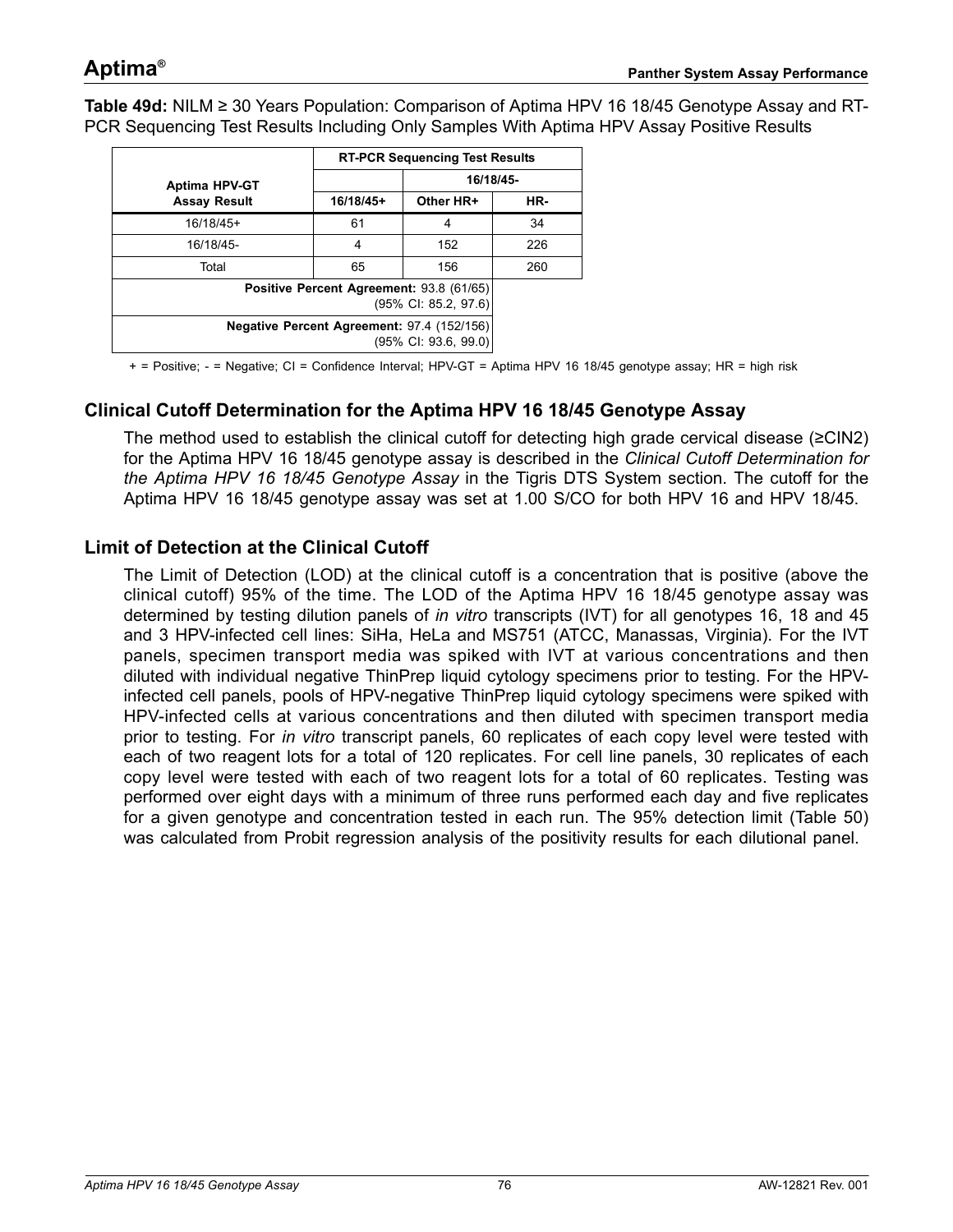<span id="page-75-0"></span>**Table 49d:** NILM ≥ 30 Years Population: Comparison of Aptima HPV 16 18/45 Genotype Assay and RT-PCR Sequencing Test Results Including Only Samples With Aptima HPV Assay Positive Results

|                      |           | <b>RT-PCR Sequencing Test Results</b>                              |           |  |  |
|----------------------|-----------|--------------------------------------------------------------------|-----------|--|--|
| <b>Aptima HPV-GT</b> |           |                                                                    | 16/18/45- |  |  |
| <b>Assay Result</b>  | 16/18/45+ | Other HR+                                                          | HR-       |  |  |
| $16/18/45+$          | 61        | 4                                                                  | 34        |  |  |
| 16/18/45-            | 4         | 152                                                                | 226       |  |  |
| Total                | 65        | 156                                                                | 260       |  |  |
|                      |           | Positive Percent Agreement: 93.8 (61/65)<br>(95% CI: 85.2, 97.6)   |           |  |  |
|                      |           | Negative Percent Agreement: 97.4 (152/156)<br>(95% CI: 93.6, 99.0) |           |  |  |

+ = Positive; - = Negative; CI = Confidence Interval; HPV-GT = Aptima HPV 16 18/45 genotype assay; HR = high risk

### **Clinical Cutoff Determination for the Aptima HPV 16 18/45 Genotype Assay**

The method used to establish the clinical cutoff for detecting high grade cervical disease (≥CIN2) for the Aptima HPV 16 18/45 genotype assay is described in the *[Clinical Cutoff Determination for](#page-42-0) [the Aptima HPV 16 18/45 Genotype Assay](#page-42-0)* in the Tigris DTS System section. The cutoff for the Aptima HPV 16 18/45 genotype assay was set at 1.00 S/CO for both HPV 16 and HPV 18/45.

#### **Limit of Detection at the Clinical Cutoff**

The Limit of Detection (LOD) at the clinical cutoff is a concentration that is positive (above the clinical cutoff) 95% of the time. The LOD of the Aptima HPV 16 18/45 genotype assay was determined by testing dilution panels of *in vitro* transcripts (IVT) for all genotypes 16, 18 and 45 and 3 HPV-infected cell lines: SiHa, HeLa and MS751 (ATCC, Manassas, Virginia). For the IVT panels, specimen transport media was spiked with IVT at various concentrations and then diluted with individual negative ThinPrep liquid cytology specimens prior to testing. For the HPVinfected cell panels, pools of HPV-negative ThinPrep liquid cytology specimens were spiked with HPV-infected cells at various concentrations and then diluted with specimen transport media prior to testing. For *in vitro* transcript panels, 60 replicates of each copy level were tested with each of two reagent lots for a total of 120 replicates. For cell line panels, 30 replicates of each copy level were tested with each of two reagent lots for a total of 60 replicates. Testing was performed over eight days with a minimum of three runs performed each day and five replicates for a given genotype and concentration tested in each run. The 95% detection limit [\(Table 50\)](#page-76-0) was calculated from Probit regression analysis of the positivity results for each dilutional panel.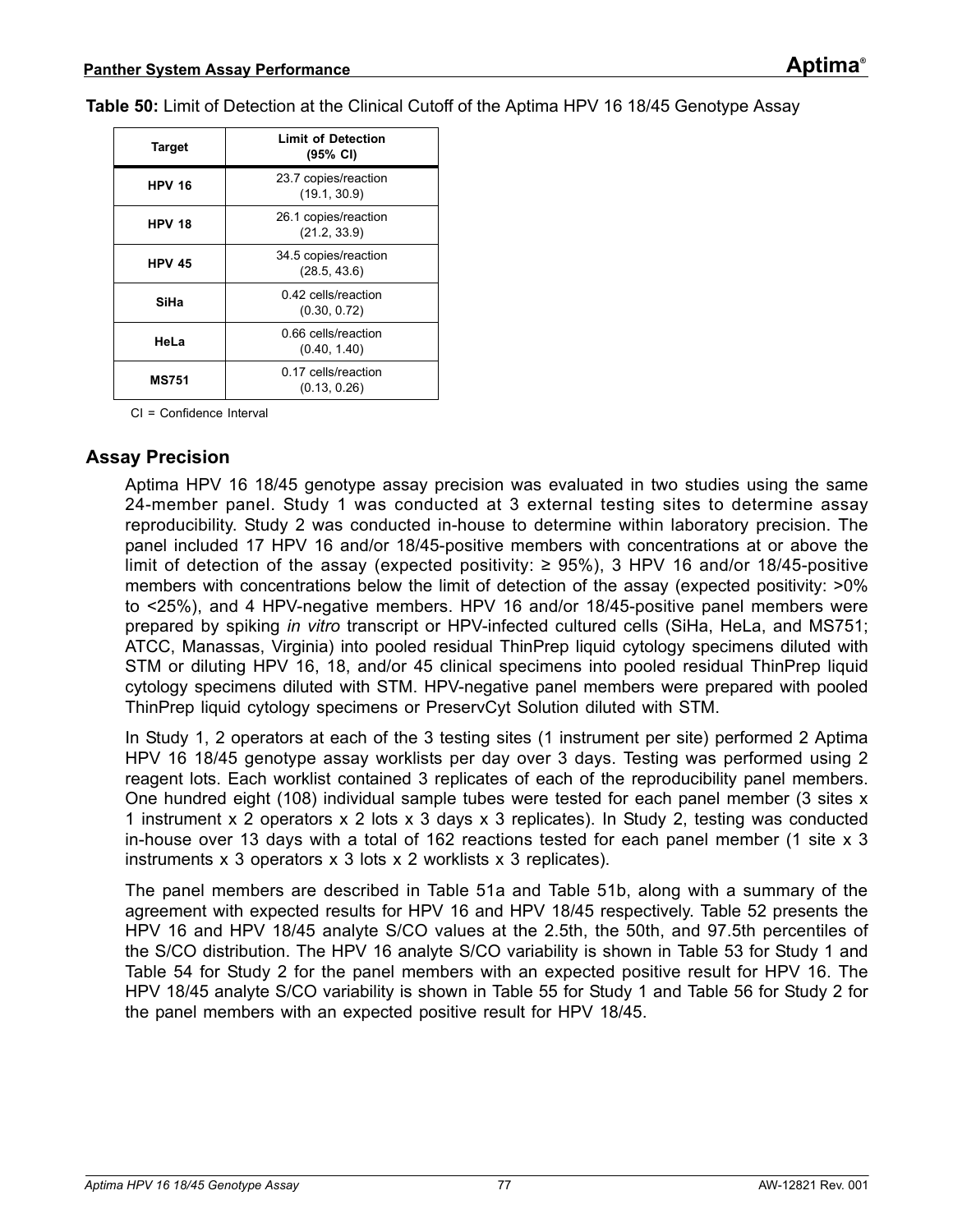<span id="page-76-0"></span>**Table 50:** Limit of Detection at the Clinical Cutoff of the Aptima HPV 16 18/45 Genotype Assay

| <b>Target</b> | <b>Limit of Detection</b><br>$(95% \text{ Cl})$ |
|---------------|-------------------------------------------------|
| <b>HPV 16</b> | 23.7 copies/reaction<br>(19.1, 30.9)            |
| <b>HPV 18</b> | 26.1 copies/reaction<br>(21.2, 33.9)            |
| <b>HPV 45</b> | 34.5 copies/reaction<br>(28.5, 43.6)            |
| SiHa          | 0.42 cells/reaction<br>(0.30, 0.72)             |
| HeLa          | 0.66 cells/reaction<br>(0.40, 1.40)             |
| <b>MS751</b>  | 0.17 cells/reaction<br>(0.13, 0.26)             |

CI = Confidence Interval

#### **Assay Precision**

Aptima HPV 16 18/45 genotype assay precision was evaluated in two studies using the same 24-member panel. Study 1 was conducted at 3 external testing sites to determine assay reproducibility. Study 2 was conducted in-house to determine within laboratory precision. The panel included 17 HPV 16 and/or 18/45-positive members with concentrations at or above the limit of detection of the assay (expected positivity: ≥ 95%), 3 HPV 16 and/or 18/45-positive members with concentrations below the limit of detection of the assay (expected positivity:  $>0\%$ to <25%), and 4 HPV-negative members. HPV 16 and/or 18/45-positive panel members were prepared by spiking *in vitro* transcript or HPV-infected cultured cells (SiHa, HeLa, and MS751; ATCC, Manassas, Virginia) into pooled residual ThinPrep liquid cytology specimens diluted with STM or diluting HPV 16, 18, and/or 45 clinical specimens into pooled residual ThinPrep liquid cytology specimens diluted with STM. HPV-negative panel members were prepared with pooled ThinPrep liquid cytology specimens or PreservCyt Solution diluted with STM.

In Study 1, 2 operators at each of the 3 testing sites (1 instrument per site) performed 2 Aptima HPV 16 18/45 genotype assay worklists per day over 3 days. Testing was performed using 2 reagent lots. Each worklist contained 3 replicates of each of the reproducibility panel members. One hundred eight (108) individual sample tubes were tested for each panel member (3 sites x 1 instrument x 2 operators x 2 lots x 3 days x 3 replicates). In Study 2, testing was conducted in-house over 13 days with a total of 162 reactions tested for each panel member (1 site x 3 instruments x 3 operators x 3 lots x 2 worklists x 3 replicates).

The panel members are described in [Table 51](#page-77-0)a and [Table 51](#page-78-0)b, along with a summary of the agreement with expected results for HPV 16 and HPV 18/45 respectively. [Table 52](#page-79-0) presents the HPV 16 and HPV 18/45 analyte S/CO values at the 2.5th, the 50th, and 97.5th percentiles of the S/CO distribution. The HPV 16 analyte S/CO variability is shown in [Table 53](#page-80-0) for Study 1 and [Table 54](#page-81-0) for Study 2 for the panel members with an expected positive result for HPV 16. The HPV 18/45 analyte S/CO variability is shown in [Table 55](#page-82-0) for Study 1 and [Table 56](#page-83-0) for Study 2 for the panel members with an expected positive result for HPV 18/45.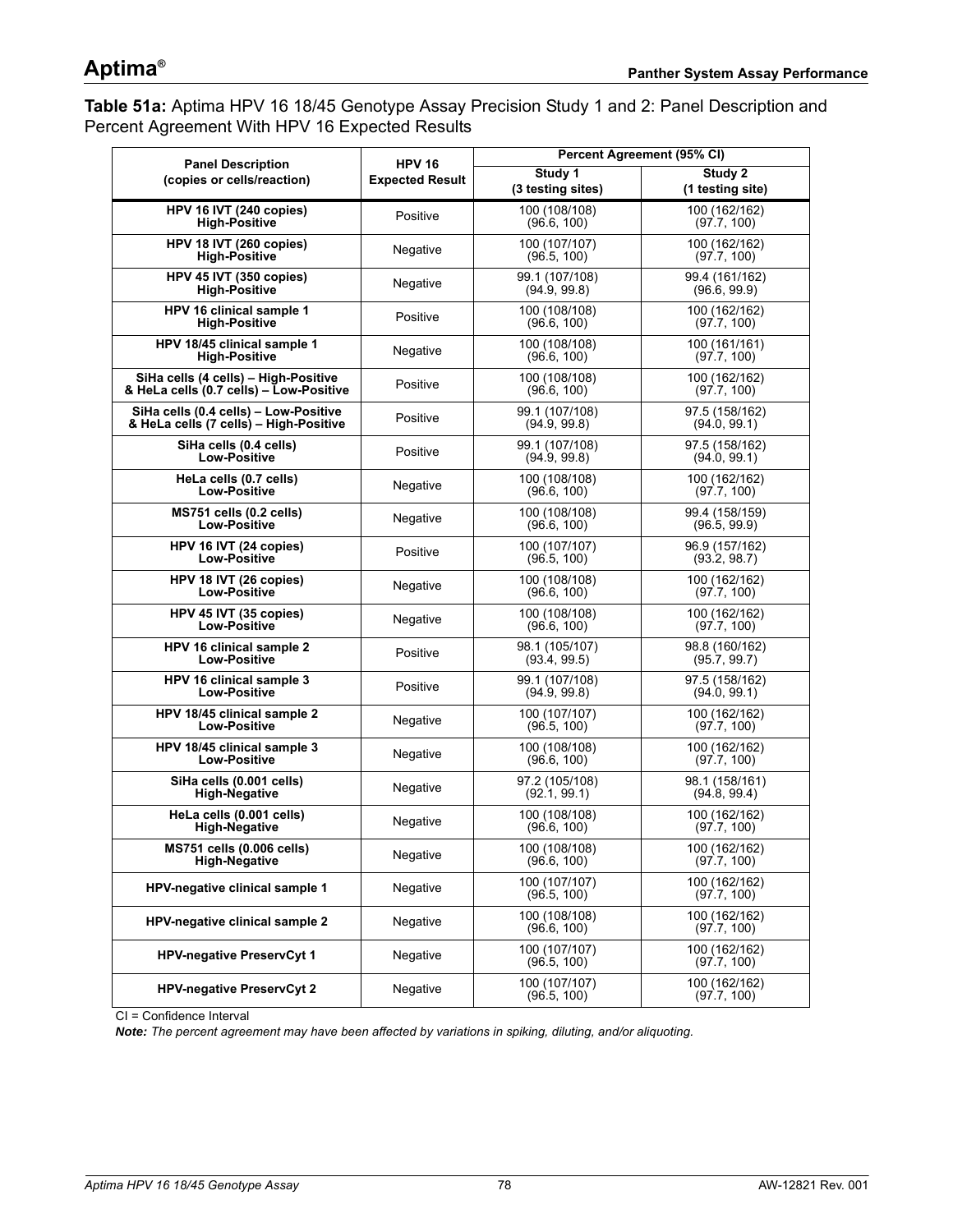<span id="page-77-0"></span>**Table 51a:** Aptima HPV 16 18/45 Genotype Assay Precision Study 1 and 2: Panel Description and Percent Agreement With HPV 16 Expected Results

| <b>Panel Description</b>                | <b>HPV 16</b>          |                              | Percent Agreement (95% CI)   |  |  |
|-----------------------------------------|------------------------|------------------------------|------------------------------|--|--|
| (copies or cells/reaction)              | <b>Expected Result</b> | Study 1                      | Study 2                      |  |  |
|                                         |                        | (3 testing sites)            | (1 testing site)             |  |  |
| HPV 16 IVT (240 copies)                 | Positive               | 100 (108/108)                | 100 (162/162)                |  |  |
| <b>High-Positive</b>                    |                        | (96.6, 100)                  | (97.7, 100)                  |  |  |
| HPV 18 IVT (260 copies)                 | Negative               | 100 (107/107)                | 100 (162/162)                |  |  |
| <b>High-Positive</b>                    |                        | (96.5, 100)                  | (97.7, 100)                  |  |  |
| HPV 45 IVT (350 copies)                 | Negative               | 99.1 (107/108)               | 99.4 (161/162)               |  |  |
| <b>High-Positive</b>                    |                        | (94.9, 99.8)                 | (96.6, 99.9)                 |  |  |
| HPV 16 clinical sample 1                | Positive               | 100 (108/108)                | 100 (162/162)                |  |  |
| <b>High-Positive</b>                    |                        | (96.6, 100)                  | (97.7, 100)                  |  |  |
| HPV 18/45 clinical sample 1             | Negative               | 100 (108/108)                | 100 (161/161)                |  |  |
| <b>High-Positive</b>                    |                        | (96.6, 100)                  | (97.7, 100)                  |  |  |
| SiHa cells (4 cells) - High-Positive    | Positive               | 100 (108/108)                | 100 (162/162)                |  |  |
| & HeLa cells (0.7 cells) - Low-Positive |                        | (96.6, 100)                  | (97.7, 100)                  |  |  |
| SiHa cells (0.4 cells) - Low-Positive   | Positive               | 99.1 (107/108)               | 97.5 (158/162)               |  |  |
| & HeLa cells (7 cells) - High-Positive  |                        | (94.9, 99.8)                 | (94.0, 99.1)                 |  |  |
| SiHa cells (0.4 cells)                  | Positive               | 99.1 (107/108)               | 97.5 (158/162)               |  |  |
| <b>Low-Positive</b>                     |                        | (94.9, 99.8)                 | (94.0, 99.1)                 |  |  |
| HeLa cells (0.7 cells)                  | Negative               | 100 (108/108)                | 100 (162/162)                |  |  |
| <b>Low-Positive</b>                     |                        | (96.6, 100)                  | (97.7, 100)                  |  |  |
| MS751 cells (0.2 cells)                 | Negative               | 100 (108/108)                | 99.4 (158/159)               |  |  |
| <b>Low-Positive</b>                     |                        | (96.6, 100)                  | (96.5, 99.9)                 |  |  |
| HPV 16 IVT (24 copies)                  | Positive               | 100 (107/107)                | 96.9 (157/162)               |  |  |
| Low-Positive                            |                        | (96.5, 100)                  | (93.2, 98.7)                 |  |  |
| HPV 18 IVT (26 copies)                  | Negative               | 100 (108/108)                | 100 (162/162)                |  |  |
| Low-Positive                            |                        | (96.6, 100)                  | (97.7, 100)                  |  |  |
| HPV 45 IVT (35 copies)                  | Negative               | 100 (108/108)                | 100 (162/162)                |  |  |
| Low-Positive                            |                        | (96.6, 100)                  | (97.7, 100)                  |  |  |
| HPV 16 clinical sample 2                | Positive               | 98.1 (105/107)               | 98.8 (160/162)               |  |  |
| <b>Low-Positive</b>                     |                        | (93.4, 99.5)                 | (95.7, 99.7)                 |  |  |
| HPV 16 clinical sample 3                | Positive               | 99.1 (107/108)               | 97.5 (158/162)               |  |  |
| <b>Low-Positive</b>                     |                        | (94.9, 99.8)                 | (94.0, 99.1)                 |  |  |
| HPV 18/45 clinical sample 2             | Negative               | 100 (107/107)                | 100 (162/162)                |  |  |
| <b>Low-Positive</b>                     |                        | (96.5, 100)                  | (97.7, 100)                  |  |  |
| HPV 18/45 clinical sample 3             | Negative               | 100 (108/108)                | 100 (162/162)                |  |  |
| <b>Low-Positive</b>                     |                        | (96.6, 100)                  | (97.7, 100)                  |  |  |
| SiHa cells (0.001 cells)                | Negative               | 97.2 (105/108)               | 98.1 (158/161)               |  |  |
| <b>High-Negative</b>                    |                        | (92.1, 99.1)                 | (94.8, 99.4)                 |  |  |
| HeLa cells (0.001 cells)                | Negative               | 100 (108/108)                | 100 (162/162)                |  |  |
| <b>High-Negative</b>                    |                        | (96.6, 100)                  | (97.7, 100)                  |  |  |
| <b>MS751 cells (0.006 cells)</b>        | Negative               | 100 (108/108)                | 100 (162/162)                |  |  |
| <b>High-Negative</b>                    |                        | (96.6, 100)                  | (97.7, 100)                  |  |  |
| HPV-negative clinical sample 1          | Negative               | 100 (107/107)<br>(96.5, 100) | 100 (162/162)<br>(97.7, 100) |  |  |
| HPV-negative clinical sample 2          | Negative               | 100 (108/108)<br>(96.6, 100) | 100 (162/162)<br>(97.7, 100) |  |  |
| <b>HPV-negative PreservCyt 1</b>        | Negative               | 100 (107/107)<br>(96.5, 100) | 100 (162/162)<br>(97.7, 100) |  |  |
| <b>HPV-negative PreservCyt 2</b>        | Negative               | 100 (107/107)<br>(96.5, 100) | 100 (162/162)<br>(97.7, 100) |  |  |

CI = Confidence Interval

*Note: The percent agreement may have been affected by variations in spiking, diluting, and/or aliquoting.*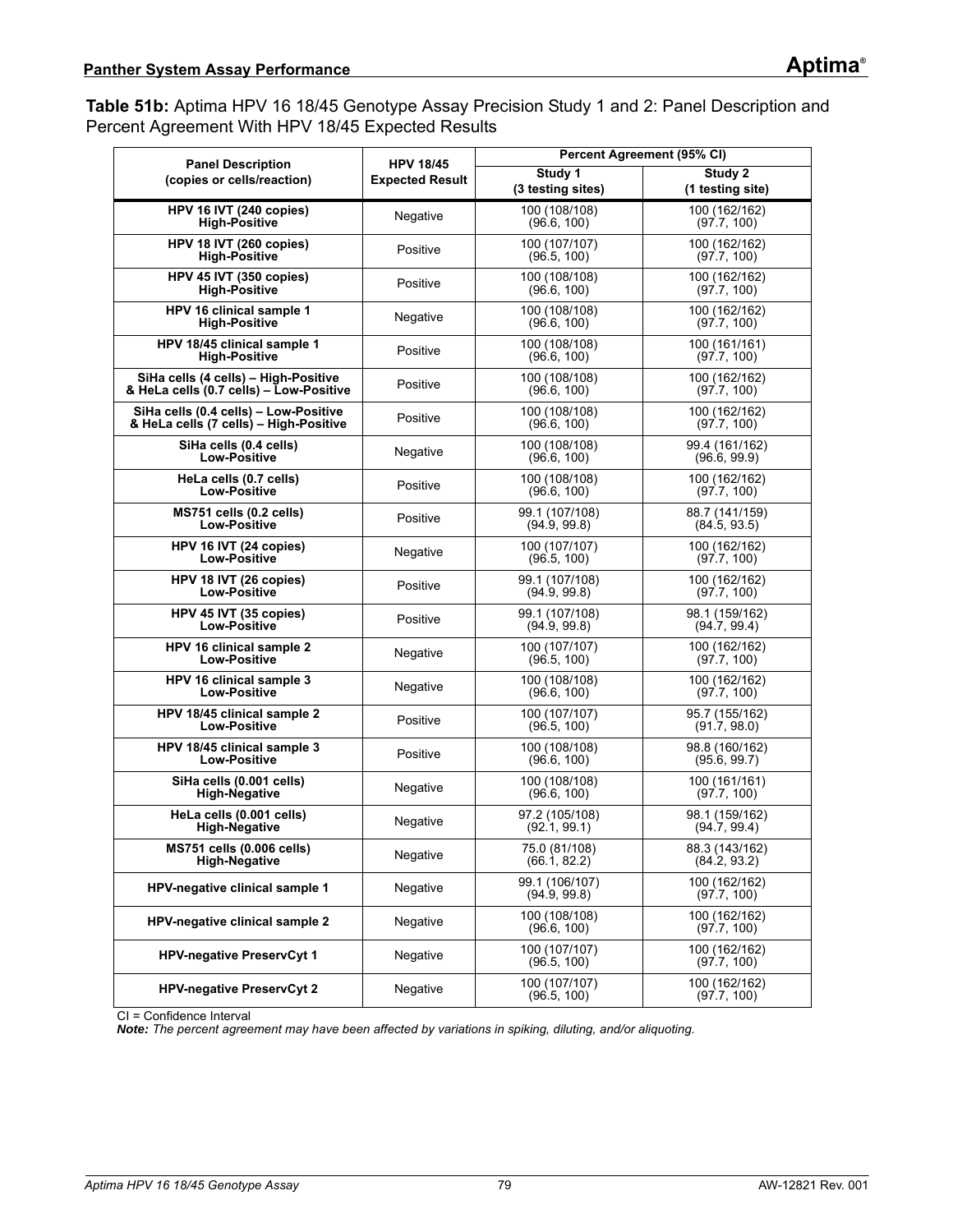<span id="page-78-0"></span>**Table 51b:** Aptima HPV 16 18/45 Genotype Assay Precision Study 1 and 2: Panel Description and Percent Agreement With HPV 18/45 Expected Results

| <b>Panel Description</b>                | <b>HPV 18/45</b>       | Percent Agreement (95% CI)     |                              |  |  |
|-----------------------------------------|------------------------|--------------------------------|------------------------------|--|--|
| (copies or cells/reaction)              | <b>Expected Result</b> | Study 1                        | Study 2                      |  |  |
|                                         |                        | (3 testing sites)              | (1 testing site)             |  |  |
| HPV 16 IVT (240 copies)                 | Negative               | 100 (108/108)                  | 100 (162/162)                |  |  |
| <b>High-Positive</b>                    |                        | (96.6, 100)                    | (97.7, 100)                  |  |  |
| HPV 18 IVT (260 copies)                 | Positive               | 100 (107/107)                  | 100 (162/162)                |  |  |
| <b>High-Positive</b>                    |                        | (96.5, 100)                    | (97.7, 100)                  |  |  |
| HPV 45 IVT (350 copies)                 | Positive               | 100 (108/108)                  | 100 (162/162)                |  |  |
| <b>High-Positive</b>                    |                        | (96.6, 100)                    | (97.7, 100)                  |  |  |
| HPV 16 clinical sample 1                | Negative               | 100 (108/108)                  | 100 (162/162)                |  |  |
| <b>High-Positive</b>                    |                        | (96.6, 100)                    | (97.7, 100)                  |  |  |
| HPV 18/45 clinical sample 1             | Positive               | 100 (108/108)                  | 100 (161/161)                |  |  |
| <b>High-Positive</b>                    |                        | (96.6, 100)                    | (97.7, 100)                  |  |  |
| SiHa cells (4 cells) - High-Positive    | Positive               | 100 (108/108)                  | 100 (162/162)                |  |  |
| & HeLa cells (0.7 cells) - Low-Positive |                        | (96.6, 100)                    | (97.7, 100)                  |  |  |
| SiHa cells (0.4 cells) - Low-Positive   | Positive               | 100 (108/108)                  | 100 (162/162)                |  |  |
| & HeLa cells (7 cells) - High-Positive  |                        | (96.6, 100)                    | (97.7, 100)                  |  |  |
| SiHa cells (0.4 cells)                  | Negative               | 100 (108/108)                  | 99.4 (161/162)               |  |  |
| <b>Low-Positive</b>                     |                        | (96.6, 100)                    | (96.6, 99.9)                 |  |  |
| HeLa cells (0.7 cells)                  | Positive               | 100 (108/108)                  | 100 (162/162)                |  |  |
| <b>Low-Positive</b>                     |                        | (96.6, 100)                    | (97.7, 100)                  |  |  |
| MS751 cells (0.2 cells)                 | Positive               | 99.1 (107/108)                 | 88.7 (141/159)               |  |  |
| <b>Low-Positive</b>                     |                        | (94.9, 99.8)                   | (84.5, 93.5)                 |  |  |
| HPV 16 IVT (24 copies)                  | Negative               | 100 (107/107)                  | 100 (162/162)                |  |  |
| Low-Positive                            |                        | (96.5, 100)                    | (97.7, 100)                  |  |  |
| HPV 18 IVT (26 copies)                  | Positive               | 99.1 (107/108)                 | 100 (162/162)                |  |  |
| Low-Positive                            |                        | (94.9, 99.8)                   | (97.7, 100)                  |  |  |
| HPV 45 IVT (35 copies)                  | Positive               | 99.1 (107/108)                 | 98.1 (159/162)               |  |  |
| Low-Positive                            |                        | (94.9, 99.8)                   | (94.7, 99.4)                 |  |  |
| HPV 16 clinical sample 2                | Negative               | 100 (107/107)                  | 100 (162/162)                |  |  |
| <b>Low-Positive</b>                     |                        | (96.5, 100)                    | (97.7, 100)                  |  |  |
| HPV 16 clinical sample 3                | Negative               | 100 (108/108)                  | 100 (162/162)                |  |  |
| <b>Low-Positive</b>                     |                        | (96.6, 100)                    | (97.7, 100)                  |  |  |
| HPV 18/45 clinical sample 2             | Positive               | 100 (107/107)                  | 95.7 (155/162)               |  |  |
| <b>Low-Positive</b>                     |                        | (96.5, 100)                    | (91.7, 98.0)                 |  |  |
| HPV 18/45 clinical sample 3             | Positive               | 100 (108/108)                  | 98.8 (160/162)               |  |  |
| <b>Low-Positive</b>                     |                        | (96.6, 100)                    | (95.6, 99.7)                 |  |  |
| SiHa cells (0.001 cells)                | Negative               | 100 (108/108)                  | 100 (161/161)                |  |  |
| <b>High-Negative</b>                    |                        | (96.6, 100)                    | (97.7, 100)                  |  |  |
| HeLa cells (0.001 cells)                | Negative               | 97.2 (105/108)                 | 98.1 (159/162)               |  |  |
| <b>High-Negative</b>                    |                        | (92.1, 99.1)                   | (94.7, 99.4)                 |  |  |
| MS751 cells (0.006 cells)               | Negative               | 75.0 (81/108)                  | 88.3 (143/162)               |  |  |
| <b>High-Negative</b>                    |                        | (66.1, 82.2)                   | (84.2, 93.2)                 |  |  |
| HPV-negative clinical sample 1          | Negative               | 99.1 (106/107)<br>(94.9, 99.8) | 100 (162/162)<br>(97.7, 100) |  |  |
| <b>HPV-negative clinical sample 2</b>   | Negative               | 100 (108/108)<br>(96.6, 100)   | 100 (162/162)<br>(97.7, 100) |  |  |
| <b>HPV-negative PreservCyt 1</b>        | Negative               | 100 (107/107)<br>(96.5, 100)   | 100 (162/162)<br>(97.7, 100) |  |  |
| <b>HPV-negative PreservCyt 2</b>        | Negative               | 100 (107/107)<br>(96.5, 100)   | 100 (162/162)<br>(97.7, 100) |  |  |

CI = Confidence Interval

*Note: The percent agreement may have been affected by variations in spiking, diluting, and/or aliquoting.*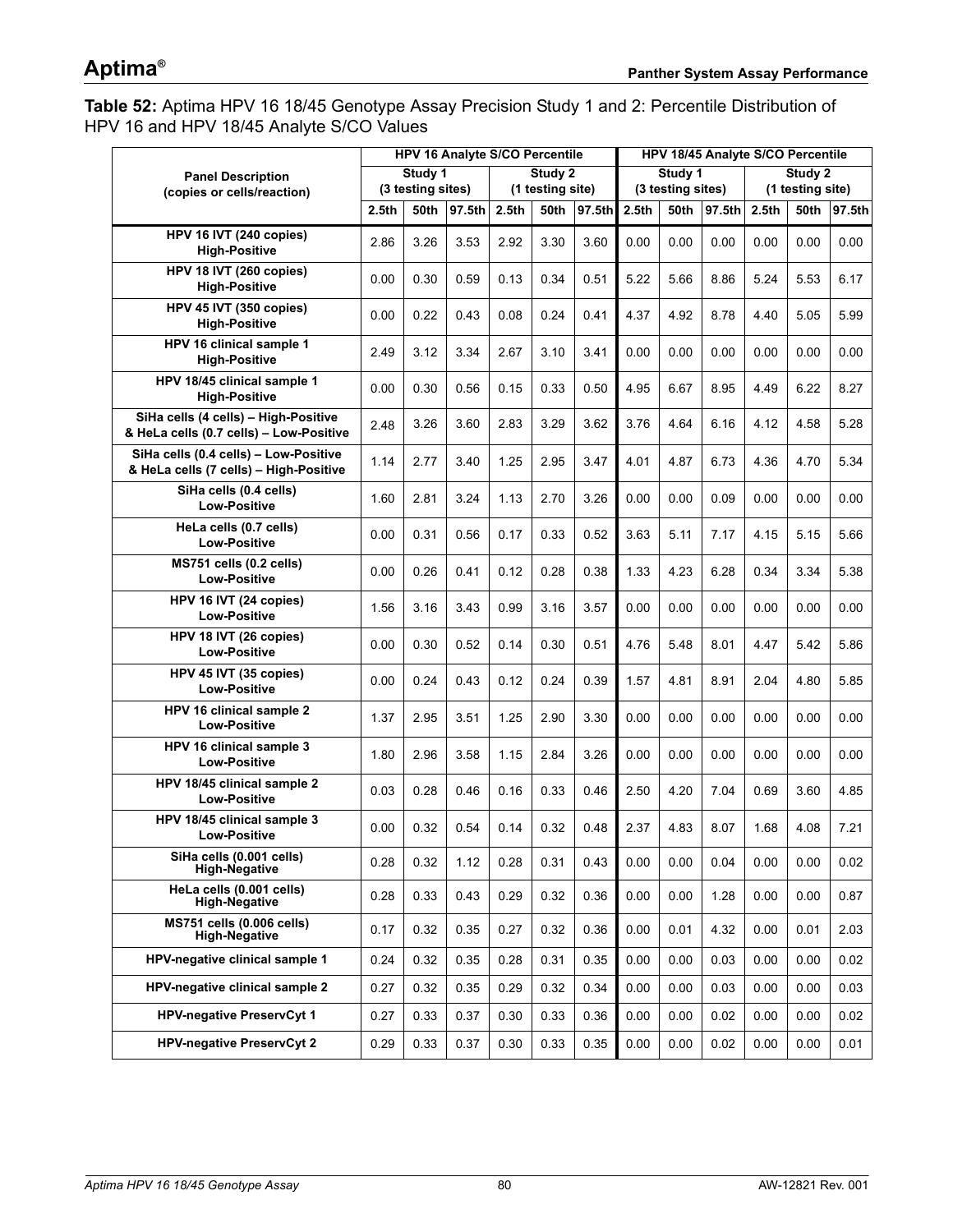<span id="page-79-0"></span>**Table 52:** Aptima HPV 16 18/45 Genotype Assay Precision Study 1 and 2: Percentile Distribution of HPV 16 and HPV 18/45 Analyte S/CO Values

|                                                                                 |                   |                   | <b>HPV 16 Analyte S/CO Percentile</b> |                   |                                 |        | HPV 18/45 Analyte S/CO Percentile |                   |        |                   |                             |        |  |
|---------------------------------------------------------------------------------|-------------------|-------------------|---------------------------------------|-------------------|---------------------------------|--------|-----------------------------------|-------------------|--------|-------------------|-----------------------------|--------|--|
| <b>Panel Description</b>                                                        |                   | Study 1           |                                       |                   | Study 2                         |        |                                   | Study 1           |        |                   | Study 2<br>(1 testing site) |        |  |
| (copies or cells/reaction)                                                      |                   | (3 testing sites) | 97.5th                                | 2.5 <sub>th</sub> | (1 testing site)<br><b>50th</b> | 97.5th | 2.5th                             | (3 testing sites) | 97.5th | 2.5 <sub>th</sub> | <b>50th</b>                 | 97.5th |  |
|                                                                                 | 2.5 <sub>th</sub> | 50th              |                                       |                   |                                 |        |                                   | 50th              |        |                   |                             |        |  |
| HPV 16 IVT (240 copies)<br><b>High-Positive</b>                                 | 2.86              | 3.26              | 3.53                                  | 2.92              | 3.30                            | 3.60   | 0.00                              | 0.00              | 0.00   | 0.00              | 0.00                        | 0.00   |  |
| HPV 18 IVT (260 copies)<br>High-Positive                                        | 0.00              | 0.30              | 0.59                                  | 0.13              | 0.34                            | 0.51   | 5.22                              | 5.66              | 8.86   | 5.24              | 5.53                        | 6.17   |  |
| HPV 45 IVT (350 copies)<br><b>High-Positive</b>                                 | 0.00              | 0.22              | 0.43                                  | 0.08              | 0.24                            | 0.41   | 4.37                              | 4.92              | 8.78   | 4.40              | 5.05                        | 5.99   |  |
| HPV 16 clinical sample 1<br><b>High-Positive</b>                                | 2.49              | 3.12              | 3.34                                  | 2.67              | 3.10                            | 3.41   | 0.00                              | 0.00              | 0.00   | 0.00              | 0.00                        | 0.00   |  |
| HPV 18/45 clinical sample 1<br><b>High-Positive</b>                             | 0.00              | 0.30              | 0.56                                  | 0.15              | 0.33                            | 0.50   | 4.95                              | 6.67              | 8.95   | 4.49              | 6.22                        | 8.27   |  |
| SiHa cells (4 cells) - High-Positive<br>& HeLa cells (0.7 cells) - Low-Positive | 2.48              | 3.26              | 3.60                                  | 2.83              | 3.29                            | 3.62   | 3.76                              | 4.64              | 6.16   | 4.12              | 4.58                        | 5.28   |  |
| SiHa cells (0.4 cells) - Low-Positive<br>& HeLa cells (7 cells) - High-Positive | 1.14              | 2.77              | 3.40                                  | 1.25              | 2.95                            | 3.47   | 4.01                              | 4.87              | 6.73   | 4.36              | 4.70                        | 5.34   |  |
| SiHa cells (0.4 cells)<br><b>Low-Positive</b>                                   | 1.60              | 2.81              | 3.24                                  | 1.13              | 2.70                            | 3.26   | 0.00                              | 0.00              | 0.09   | 0.00              | 0.00                        | 0.00   |  |
| HeLa cells (0.7 cells)<br><b>Low-Positive</b>                                   | 0.00              | 0.31              | 0.56                                  | 0.17              | 0.33                            | 0.52   | 3.63                              | 5.11              | 7.17   | 4.15              | 5.15                        | 5.66   |  |
| MS751 cells (0.2 cells)<br><b>Low-Positive</b>                                  | 0.00              | 0.26              | 0.41                                  | 0.12              | 0.28                            | 0.38   | 1.33                              | 4.23              | 6.28   | 0.34              | 3.34                        | 5.38   |  |
| HPV 16 IVT (24 copies)<br><b>Low-Positive</b>                                   | 1.56              | 3.16              | 3.43                                  | 0.99              | 3.16                            | 3.57   | 0.00                              | 0.00              | 0.00   | 0.00              | 0.00                        | 0.00   |  |
| HPV 18 IVT (26 copies)<br><b>Low-Positive</b>                                   | 0.00              | 0.30              | 0.52                                  | 0.14              | 0.30                            | 0.51   | 4.76                              | 5.48              | 8.01   | 4.47              | 5.42                        | 5.86   |  |
| HPV 45 IVT (35 copies)<br><b>Low-Positive</b>                                   | 0.00              | 0.24              | 0.43                                  | 0.12              | 0.24                            | 0.39   | 1.57                              | 4.81              | 8.91   | 2.04              | 4.80                        | 5.85   |  |
| HPV 16 clinical sample 2<br><b>Low-Positive</b>                                 | 1.37              | 2.95              | 3.51                                  | 1.25              | 2.90                            | 3.30   | 0.00                              | 0.00              | 0.00   | 0.00              | 0.00                        | 0.00   |  |
| HPV 16 clinical sample 3<br><b>Low-Positive</b>                                 | 1.80              | 2.96              | 3.58                                  | 1.15              | 2.84                            | 3.26   | 0.00                              | 0.00              | 0.00   | 0.00              | 0.00                        | 0.00   |  |
| HPV 18/45 clinical sample 2<br><b>Low-Positive</b>                              | 0.03              | 0.28              | 0.46                                  | 0.16              | 0.33                            | 0.46   | 2.50                              | 4.20              | 7.04   | 0.69              | 3.60                        | 4.85   |  |
| HPV 18/45 clinical sample 3<br><b>Low-Positive</b>                              | 0.00              | 0.32              | 0.54                                  | 0.14              | 0.32                            | 0.48   | 2.37                              | 4.83              | 8.07   | 1.68              | 4.08                        | 7.21   |  |
| SiHa cells (0.001 cells)<br><b>High-Negative</b>                                | 0.28              | 0.32              | 1.12                                  | 0.28              | 0.31                            | 0.43   | 0.00                              | 0.00              | 0.04   | 0.00              | 0.00                        | 0.02   |  |
| HeLa cells (0.001 cells)<br><b>High-Negative</b>                                | 0.28              | 0.33              | 0.43                                  | 0.29              | 0.32                            | 0.36   | 0.00                              | 0.00              | 1.28   | 0.00              | 0.00                        | 0.87   |  |
| MS751 cells (0.006 cells)<br><b>High-Negative</b>                               | 0.17              | 0.32              | 0.35                                  | 0.27              | 0.32                            | 0.36   | 0.00                              | 0.01              | 4.32   | 0.00              | 0.01                        | 2.03   |  |
| <b>HPV-negative clinical sample 1</b>                                           | 0.24              | 0.32              | 0.35                                  | 0.28              | 0.31                            | 0.35   | 0.00                              | 0.00              | 0.03   | 0.00              | 0.00                        | 0.02   |  |
| <b>HPV-negative clinical sample 2</b>                                           | 0.27              | 0.32              | 0.35                                  | 0.29              | 0.32                            | 0.34   | 0.00                              | 0.00              | 0.03   | 0.00              | 0.00                        | 0.03   |  |
| <b>HPV-negative PreservCyt 1</b>                                                | 0.27              | 0.33              | 0.37                                  | 0.30              | 0.33                            | 0.36   | 0.00                              | 0.00              | 0.02   | 0.00              | 0.00                        | 0.02   |  |
| <b>HPV-negative PreservCyt 2</b>                                                | 0.29              | 0.33              | 0.37                                  | 0.30              | 0.33                            | 0.35   | 0.00                              | 0.00              | 0.02   | 0.00              | 0.00                        | 0.01   |  |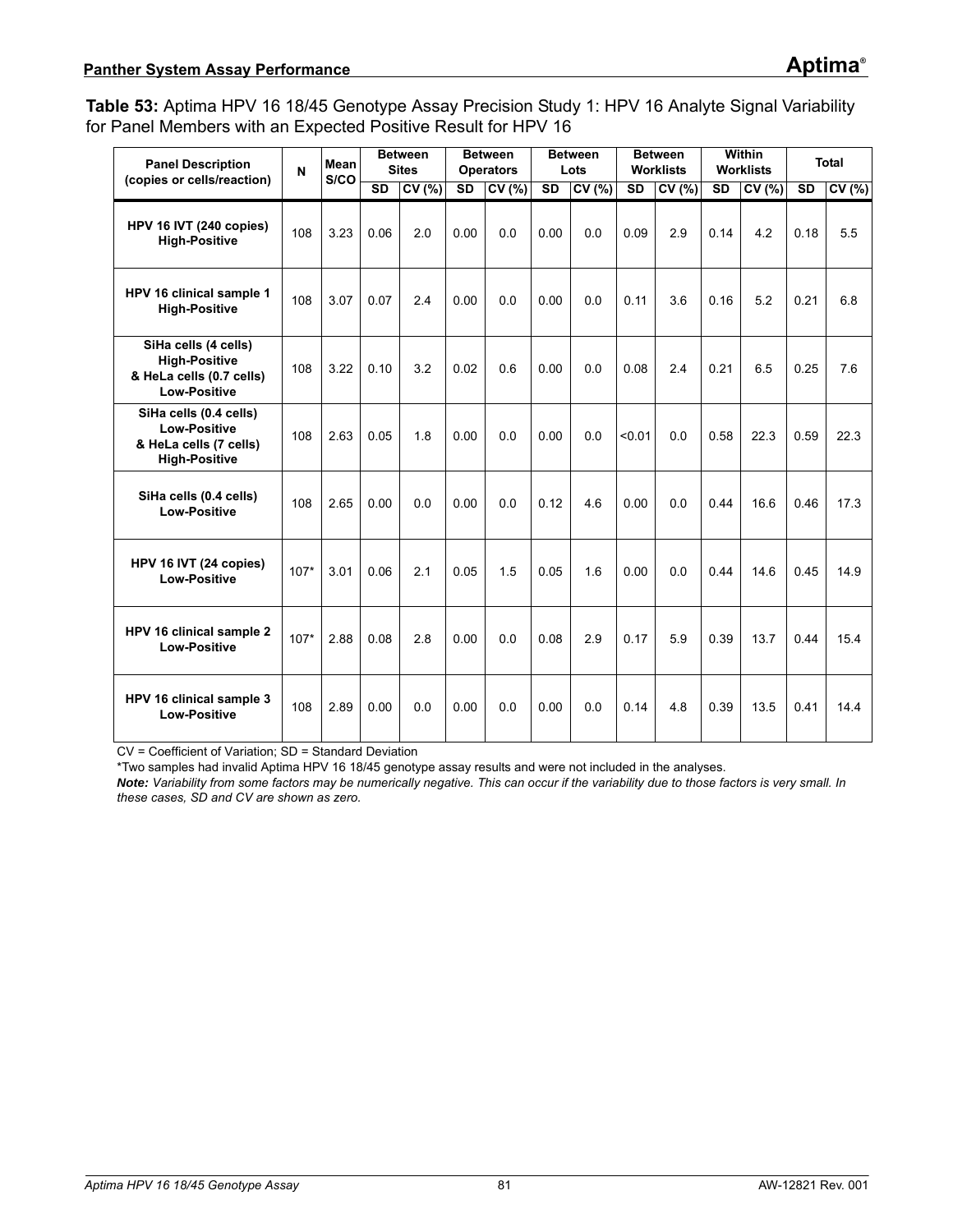<span id="page-80-0"></span>**Table 53:** Aptima HPV 16 18/45 Genotype Assay Precision Study 1: HPV 16 Analyte Signal Variability for Panel Members with an Expected Positive Result for HPV 16

| <b>Panel Description</b>                                                                        | $\mathbf{N}$ | Mean<br>S/CO |           | <b>Between</b><br><b>Sites</b> |                        | <b>Between</b><br><b>Operators</b> |                        | <b>Between</b><br>Lots |           | <b>Between</b><br><b>Worklists</b> |           | Within<br><b>Worklists</b> |           | <b>Total</b> |
|-------------------------------------------------------------------------------------------------|--------------|--------------|-----------|--------------------------------|------------------------|------------------------------------|------------------------|------------------------|-----------|------------------------------------|-----------|----------------------------|-----------|--------------|
| (copies or cells/reaction)                                                                      |              |              | <b>SD</b> | CV(%)                          | $\overline{\text{SD}}$ | CV(%)                              | $\overline{\text{SD}}$ | CV(%)                  | <b>SD</b> | CV (%)                             | <b>SD</b> | CV(%)                      | <b>SD</b> | CV(% )       |
| HPV 16 IVT (240 copies)<br><b>High-Positive</b>                                                 | 108          | 3.23         | 0.06      | 2.0                            | 0.00                   | 0.0                                | 0.00                   | 0.0                    | 0.09      | 2.9                                | 0.14      | 4.2                        | 0.18      | 5.5          |
| HPV 16 clinical sample 1<br><b>High-Positive</b>                                                | 108          | 3.07         | 0.07      | 2.4                            | 0.00                   | 0.0                                | 0.00                   | 0.0                    | 0.11      | 3.6                                | 0.16      | 5.2                        | 0.21      | 6.8          |
| SiHa cells (4 cells)<br><b>High-Positive</b><br>& HeLa cells (0.7 cells)<br><b>Low-Positive</b> | 108          | 3.22         | 0.10      | 3.2                            | 0.02                   | 0.6                                | 0.00                   | 0.0                    | 0.08      | 2.4                                | 0.21      | 6.5                        | 0.25      | 7.6          |
| SiHa cells (0.4 cells)<br><b>Low-Positive</b><br>& HeLa cells (7 cells)<br><b>High-Positive</b> | 108          | 2.63         | 0.05      | 1.8                            | 0.00                   | 0.0                                | 0.00                   | 0.0                    | < 0.01    | 0.0                                | 0.58      | 22.3                       | 0.59      | 22.3         |
| SiHa cells (0.4 cells)<br>Low-Positive                                                          | 108          | 2.65         | 0.00      | 0.0                            | 0.00                   | 0.0                                | 0.12                   | 4.6                    | 0.00      | 0.0                                | 0.44      | 16.6                       | 0.46      | 17.3         |
| HPV 16 IVT (24 copies)<br><b>Low-Positive</b>                                                   | $107*$       | 3.01         | 0.06      | 21                             | 0.05                   | 1.5                                | 0.05                   | 16                     | 0.00      | 0 <sub>0</sub>                     | 0.44      | 14.6                       | 0.45      | 14.9         |
| HPV 16 clinical sample 2<br><b>Low-Positive</b>                                                 | $107*$       | 2.88         | 0.08      | 2.8                            | 0.00                   | 0 <sub>0</sub>                     | 0.08                   | 2.9                    | 0.17      | 5.9                                | 0.39      | 13.7                       | 0.44      | 15.4         |
| HPV 16 clinical sample 3<br><b>Low-Positive</b>                                                 | 108          | 2.89         | 0.00      | 0.0                            | 0.00                   | 0 <sub>0</sub>                     | 0.00                   | 0.0                    | 0.14      | 4.8                                | 0.39      | 13.5                       | 0.41      | $144$        |

CV = Coefficient of Variation; SD = Standard Deviation

\*Two samples had invalid Aptima HPV 16 18/45 genotype assay results and were not included in the analyses.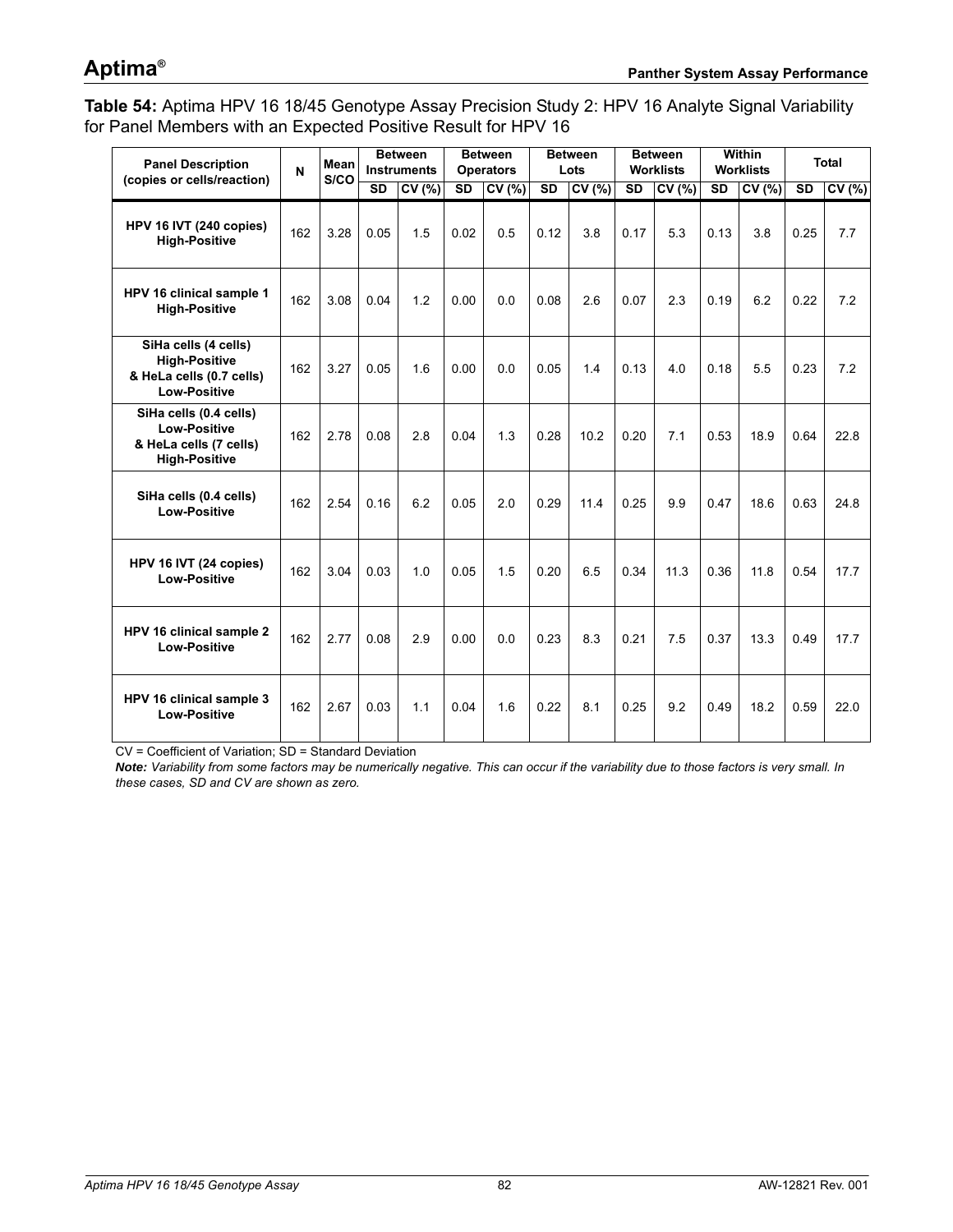## **Aptima®**

<span id="page-81-0"></span>**Table 54:** Aptima HPV 16 18/45 Genotype Assay Precision Study 2: HPV 16 Analyte Signal Variability for Panel Members with an Expected Positive Result for HPV 16

| <b>Panel Description</b><br>(copies or cells/reaction)                                          | N   | Mean<br>S/CO | <b>Between</b><br><b>Instruments</b> |       |                        | <b>Between</b><br><b>Operators</b> |                        | <b>Between</b><br>Lots |                        | <b>Between</b><br><b>Worklists</b> | <b>Within</b><br><b>Worklists</b> |       | <b>Total</b> |       |
|-------------------------------------------------------------------------------------------------|-----|--------------|--------------------------------------|-------|------------------------|------------------------------------|------------------------|------------------------|------------------------|------------------------------------|-----------------------------------|-------|--------------|-------|
|                                                                                                 |     |              | <b>SD</b>                            | CV(%) | $\overline{\text{SD}}$ | CV(% )                             | $\overline{\text{SD}}$ | CV(%)                  | $\overline{\text{SD}}$ | CV(%)                              | <b>SD</b>                         | CV(%) | <b>SD</b>    | CV(%) |
| HPV 16 IVT (240 copies)<br><b>High-Positive</b>                                                 | 162 | 3.28         | 0.05                                 | 1.5   | 0.02                   | 0.5                                | 0.12                   | 3.8                    | 0.17                   | 5.3                                | 0.13                              | 3.8   | 0.25         | 7.7   |
| HPV 16 clinical sample 1<br><b>High-Positive</b>                                                | 162 | 3.08         | 0.04                                 | 1.2   | 0.00                   | 0.0                                | 0.08                   | 2.6                    | 0.07                   | 2.3                                | 0.19                              | 6.2   | 0.22         | 7.2   |
| SiHa cells (4 cells)<br><b>High-Positive</b><br>& HeLa cells (0.7 cells)<br><b>Low-Positive</b> | 162 | 3.27         | 0.05                                 | 1.6   | 0.00                   | 0 <sub>0</sub>                     | 0.05                   | 1.4                    | 0.13                   | 4.0                                | 0.18                              | 5.5   | 0.23         | 7.2   |
| SiHa cells (0.4 cells)<br><b>Low-Positive</b><br>& HeLa cells (7 cells)<br><b>High-Positive</b> | 162 | 2.78         | 0.08                                 | 2.8   | 0.04                   | 1.3                                | 0.28                   | 10.2                   | 0.20                   | 7.1                                | 0.53                              | 18.9  | 0.64         | 22.8  |
| SiHa cells (0.4 cells)<br><b>Low-Positive</b>                                                   | 162 | 2.54         | 0.16                                 | 6.2   | 0.05                   | 2.0                                | 0.29                   | 11.4                   | 0.25                   | 9.9                                | 0.47                              | 18.6  | 0.63         | 24.8  |
| HPV 16 IVT (24 copies)<br><b>Low-Positive</b>                                                   | 162 | 3.04         | 0.03                                 | 1.0   | 0.05                   | 15                                 | 0.20                   | 6.5                    | 0.34                   | 11.3                               | 0.36                              | 11.8  | 0.54         | 17.7  |
| HPV 16 clinical sample 2<br><b>Low-Positive</b>                                                 | 162 | 2.77         | 0.08                                 | 2.9   | 0.00                   | 0.0                                | 0.23                   | 8.3                    | 0.21                   | 7.5                                | 0.37                              | 13.3  | 0.49         | 17.7  |
| HPV 16 clinical sample 3<br><b>Low-Positive</b>                                                 | 162 | 2.67         | 0.03                                 | 1.1   | 0.04                   | 1.6                                | 0.22                   | 8.1                    | 0.25                   | 9.2                                | 0.49                              | 18.2  | 0.59         | 22.0  |

CV = Coefficient of Variation; SD = Standard Deviation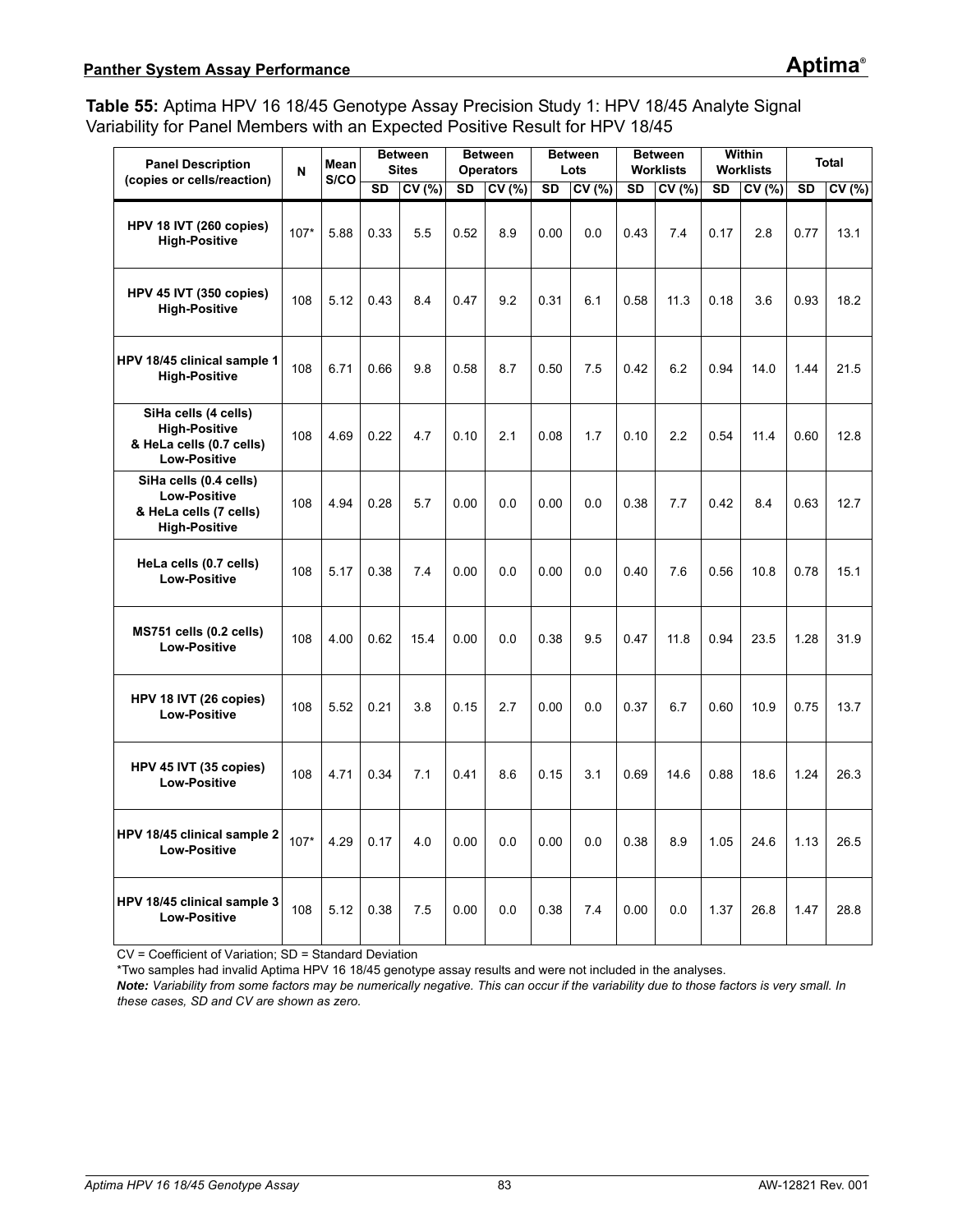<span id="page-82-0"></span>**Table 55:** Aptima HPV 16 18/45 Genotype Assay Precision Study 1: HPV 18/45 Analyte Signal Variability for Panel Members with an Expected Positive Result for HPV 18/45

| <b>Panel Description</b><br>(copies or cells/reaction)                                          | N      | Mean<br>S/CO | <b>Between</b><br><b>Sites</b> |       | <b>Between</b><br><b>Operators</b> |        | <b>Between</b><br>Lots |       | <b>Between</b><br><b>Worklists</b> |       | <b>Within</b><br><b>Worklists</b> |       | <b>Total</b> |       |
|-------------------------------------------------------------------------------------------------|--------|--------------|--------------------------------|-------|------------------------------------|--------|------------------------|-------|------------------------------------|-------|-----------------------------------|-------|--------------|-------|
|                                                                                                 |        |              | <b>SD</b>                      | CV(%) | <b>SD</b>                          | CV (%) | <b>SD</b>              | CV(%) | <b>SD</b>                          | CV(%) | <b>SD</b>                         | CV(%) | <b>SD</b>    | CV(%) |
| HPV 18 IVT (260 copies)<br><b>High-Positive</b>                                                 | $107*$ | 5.88         | 0.33                           | 5.5   | 0.52                               | 8.9    | 0.00                   | 0.0   | 0.43                               | 7.4   | 0.17                              | 2.8   | 0.77         | 13.1  |
| HPV 45 IVT (350 copies)<br><b>High-Positive</b>                                                 | 108    | 5.12         | 0.43                           | 8.4   | 0.47                               | 9.2    | 0.31                   | 6.1   | 0.58                               | 11.3  | 0.18                              | 3.6   | 0.93         | 18.2  |
| HPV 18/45 clinical sample 1<br><b>High-Positive</b>                                             | 108    | 6.71         | 0.66                           | 9.8   | 0.58                               | 8.7    | 0.50                   | 7.5   | 0.42                               | 6.2   | 0.94                              | 14.0  | 1.44         | 21.5  |
| SiHa cells (4 cells)<br><b>High-Positive</b><br>& HeLa cells (0.7 cells)<br><b>Low-Positive</b> | 108    | 4.69         | 0.22                           | 4.7   | 0.10                               | 2.1    | 0.08                   | 1.7   | 0.10                               | 2.2   | 0.54                              | 11.4  | 0.60         | 12.8  |
| SiHa cells (0.4 cells)<br><b>Low-Positive</b><br>& HeLa cells (7 cells)<br><b>High-Positive</b> | 108    | 4.94         | 0.28                           | 5.7   | 0.00                               | 0.0    | 0.00                   | 0.0   | 0.38                               | 7.7   | 0.42                              | 8.4   | 0.63         | 12.7  |
| HeLa cells (0.7 cells)<br><b>Low-Positive</b>                                                   | 108    | 5.17         | 0.38                           | 7.4   | 0.00                               | 0.0    | 0.00                   | 0.0   | 0.40                               | 7.6   | 0.56                              | 10.8  | 0.78         | 15.1  |
| MS751 cells (0.2 cells)<br><b>Low-Positive</b>                                                  | 108    | 4.00         | 0.62                           | 15.4  | 0.00                               | 0.0    | 0.38                   | 9.5   | 0.47                               | 11.8  | 0.94                              | 23.5  | 1.28         | 31.9  |
| HPV 18 IVT (26 copies)<br><b>Low-Positive</b>                                                   | 108    | 5.52         | 0.21                           | 3.8   | 0.15                               | 2.7    | 0.00                   | 0.0   | 0.37                               | 6.7   | 0.60                              | 10.9  | 0.75         | 13.7  |
| HPV 45 IVT (35 copies)<br><b>Low-Positive</b>                                                   | 108    | 4.71         | 0.34                           | 7.1   | 0.41                               | 8.6    | 0.15                   | 3.1   | 0.69                               | 14.6  | 0.88                              | 18.6  | 1.24         | 26.3  |
| HPV 18/45 clinical sample 2<br><b>Low-Positive</b>                                              | $107*$ | 4.29         | 0.17                           | 4.0   | 0.00                               | 0.0    | 0.00                   | 0.0   | 0.38                               | 8.9   | 1.05                              | 24.6  | 1.13         | 26.5  |
| HPV 18/45 clinical sample 3<br><b>Low-Positive</b>                                              | 108    | 5.12         | 0.38                           | 7.5   | 0.00                               | 0.0    | 0.38                   | 7.4   | 0.00                               | 0.0   | 1.37                              | 26.8  | 1.47         | 28.8  |

CV = Coefficient of Variation; SD = Standard Deviation

\*Two samples had invalid Aptima HPV 16 18/45 genotype assay results and were not included in the analyses.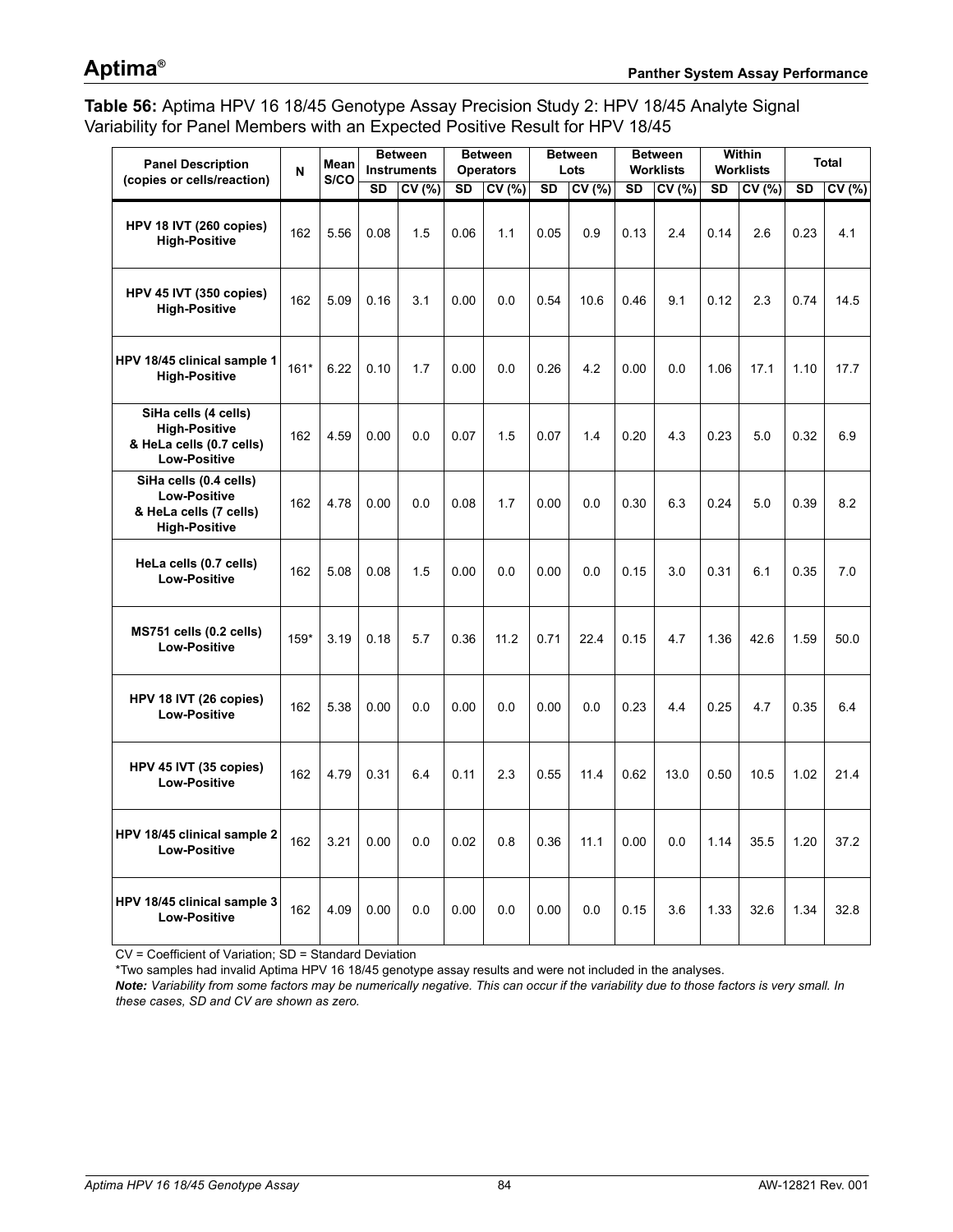## **Aptima®**

<span id="page-83-0"></span>**Table 56:** Aptima HPV 16 18/45 Genotype Assay Precision Study 2: HPV 18/45 Analyte Signal Variability for Panel Members with an Expected Positive Result for HPV 18/45

| <b>Panel Description</b><br>(copies or cells/reaction)                                          | N      | Mean<br>S/CO | <b>Between</b><br><b>Instruments</b> |       | <b>Between</b><br><b>Operators</b> |       | <b>Between</b><br>Lots |        | <b>Between</b><br><b>Worklists</b> |       | Within<br><b>Worklists</b> |       | <b>Total</b> |        |
|-------------------------------------------------------------------------------------------------|--------|--------------|--------------------------------------|-------|------------------------------------|-------|------------------------|--------|------------------------------------|-------|----------------------------|-------|--------------|--------|
|                                                                                                 |        |              | <b>SD</b>                            | CV(%) | $\overline{\text{SD}}$             | CV(%) | <b>SD</b>              | CV (%) | <b>SD</b>                          | CV(%) | <b>SD</b>                  | CV(%) | <b>SD</b>    | CV(% ) |
| HPV 18 IVT (260 copies)<br><b>High-Positive</b>                                                 | 162    | 5.56         | 0.08                                 | 1.5   | 0.06                               | 1.1   | 0.05                   | 0.9    | 0.13                               | 2.4   | 0.14                       | 2.6   | 0.23         | 4.1    |
| HPV 45 IVT (350 copies)<br><b>High-Positive</b>                                                 | 162    | 5.09         | 0.16                                 | 3.1   | 0.00                               | 0.0   | 0.54                   | 10.6   | 0.46                               | 9.1   | 0.12                       | 2.3   | 0.74         | 14.5   |
| HPV 18/45 clinical sample 1<br><b>High-Positive</b>                                             | $161*$ | 6.22         | 0.10                                 | 1.7   | 0.00                               | 0.0   | 0.26                   | 4.2    | 0.00                               | 0.0   | 1.06                       | 17.1  | 1.10         | 17.7   |
| SiHa cells (4 cells)<br><b>High-Positive</b><br>& HeLa cells (0.7 cells)<br><b>Low-Positive</b> | 162    | 4.59         | 0.00                                 | 0.0   | 0.07                               | 1.5   | 0.07                   | 1.4    | 0.20                               | 4.3   | 0.23                       | 5.0   | 0.32         | 6.9    |
| SiHa cells (0.4 cells)<br><b>Low-Positive</b><br>& HeLa cells (7 cells)<br><b>High-Positive</b> | 162    | 4.78         | 0.00                                 | 0.0   | 0.08                               | 1.7   | 0.00                   | 0.0    | 0.30                               | 6.3   | 0.24                       | 5.0   | 0.39         | 8.2    |
| HeLa cells (0.7 cells)<br><b>Low-Positive</b>                                                   | 162    | 5.08         | 0.08                                 | 1.5   | 0.00                               | 0.0   | 0.00                   | 0.0    | 0.15                               | 3.0   | 0.31                       | 6.1   | 0.35         | 7.0    |
| MS751 cells (0.2 cells)<br><b>Low-Positive</b>                                                  | $159*$ | 3.19         | 0.18                                 | 5.7   | 0.36                               | 11.2  | 0.71                   | 22.4   | 0.15                               | 4.7   | 1.36                       | 42.6  | 1.59         | 50.0   |
| HPV 18 IVT (26 copies)<br><b>Low-Positive</b>                                                   | 162    | 5.38         | 0.00                                 | 0.0   | 0.00                               | 0.0   | 0.00                   | 0.0    | 0.23                               | 4.4   | 0.25                       | 4.7   | 0.35         | 6.4    |
| HPV 45 IVT (35 copies)<br><b>Low-Positive</b>                                                   | 162    | 4.79         | 0.31                                 | 6.4   | 0.11                               | 2.3   | 0.55                   | 11.4   | 0.62                               | 13.0  | 0.50                       | 10.5  | 1.02         | 21.4   |
| HPV 18/45 clinical sample 2<br><b>Low-Positive</b>                                              | 162    | 3.21         | 0.00                                 | 0.0   | 0.02                               | 0.8   | 0.36                   | 11.1   | 0.00                               | 0.0   | 1.14                       | 35.5  | 1.20         | 37.2   |
| HPV 18/45 clinical sample 3<br><b>Low-Positive</b>                                              | 162    | 4.09         | 0.00                                 | 0.0   | 0.00                               | 0.0   | 0.00                   | 0.0    | 0.15                               | 3.6   | 1.33                       | 32.6  | 1.34         | 32.8   |

CV = Coefficient of Variation; SD = Standard Deviation

\*Two samples had invalid Aptima HPV 16 18/45 genotype assay results and were not included in the analyses.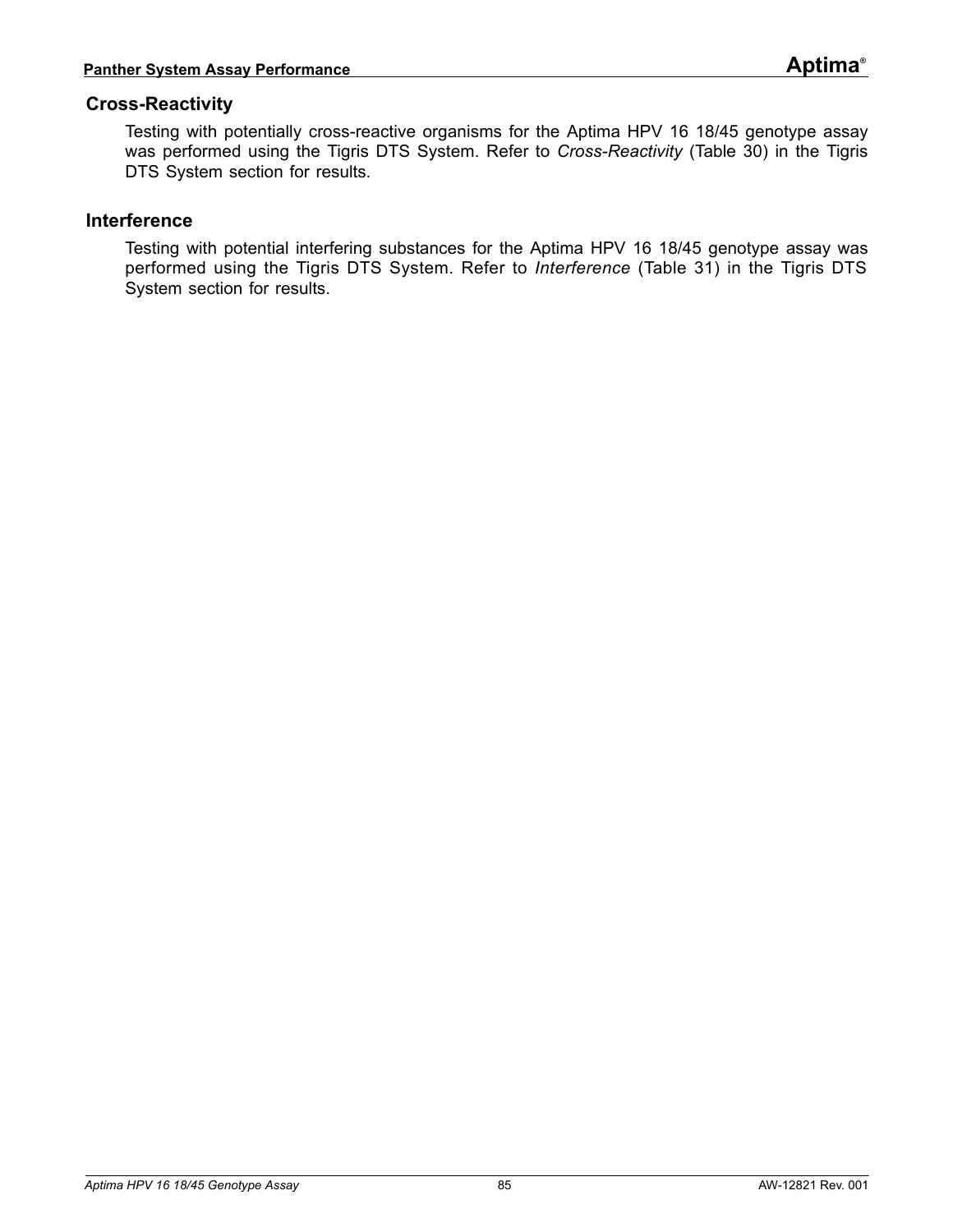### **Cross-Reactivity**

Testing with potentially cross-reactive organisms for the Aptima HPV 16 18/45 genotype assay was performed using the Tigris DTS System. Refer to *[Cross-Reactivity](#page-54-0)* ([Table 30\)](#page-54-1) in the Tigris DTS System section for results.

#### **Interference**

Testing with potential interfering substances for the Aptima HPV 16 18/45 genotype assay was performed using the Tigris DTS System. Refer to *[Interference](#page-56-0)* ([Table 31\)](#page-56-1) in the Tigris DTS System section for results.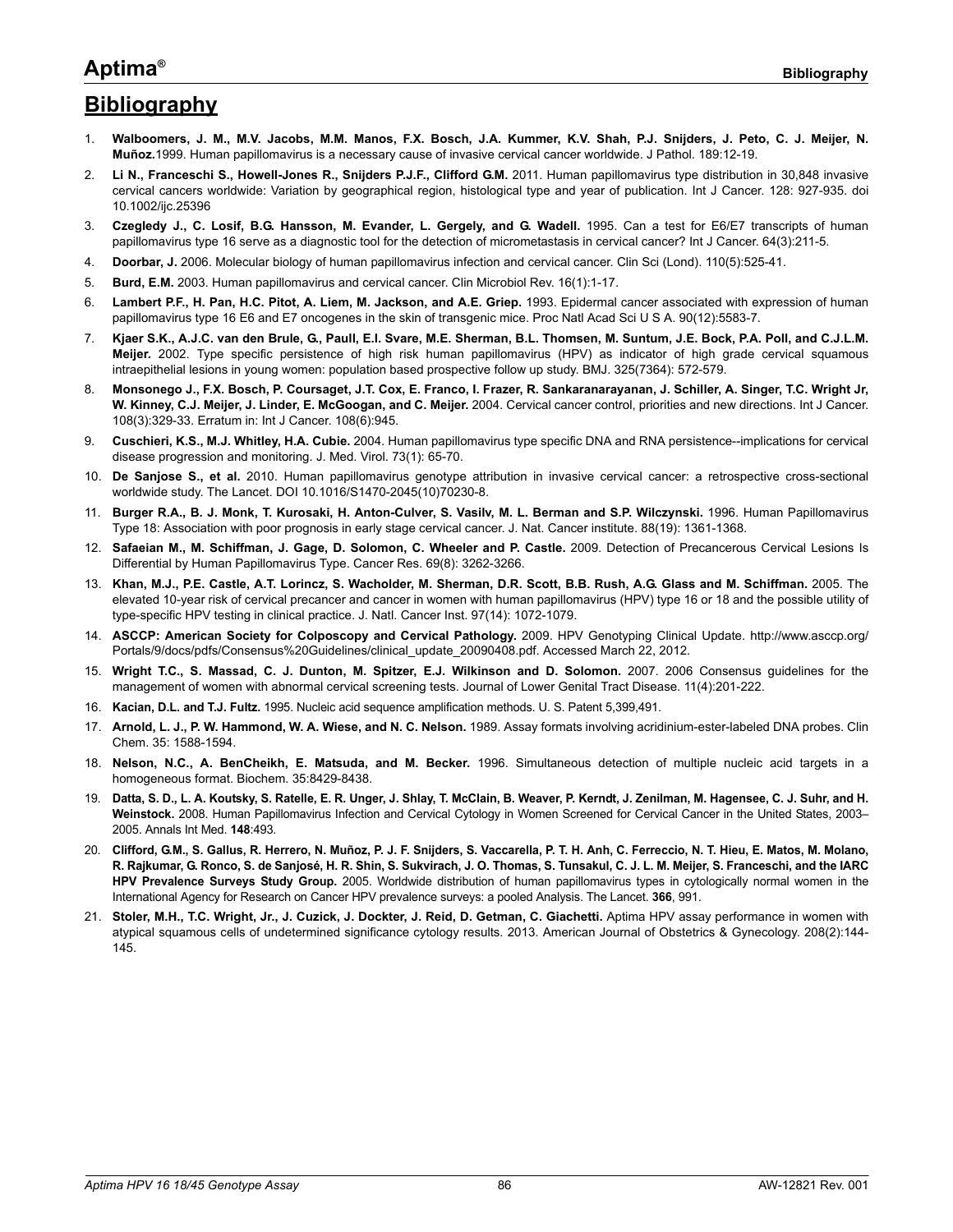### **Aptima®**

# **Bibliography**

- 1. **Walboomers, J. M., M.V. Jacobs, M.M. Manos, F.X. Bosch, J.A. Kummer, K.V. Shah, P.J. Snijders, J. Peto, C. J. Meijer, N. Muñoz.**1999. Human papillomavirus is a necessary cause of invasive cervical cancer worldwide. J Pathol. 189:12-19.
- 2. **Li N., Franceschi S., Howell-Jones R., Snijders P.J.F., Clifford G.M.** 2011. Human papillomavirus type distribution in 30,848 invasive cervical cancers worldwide: Variation by geographical region, histological type and year of publication. Int J Cancer. 128: 927-935. doi 10.1002/ijc.25396
- 3. **Czegledy J., C. Losif, B.G. Hansson, M. Evander, L. Gergely, and G. Wadell.** 1995. Can a test for E6/E7 transcripts of human papillomavirus type 16 serve as a diagnostic tool for the detection of micrometastasis in cervical cancer? Int J Cancer. 64(3):211-5.
- 4. **Doorbar, J.** 2006. Molecular biology of human papillomavirus infection and cervical cancer. Clin Sci (Lond). 110(5):525-41.
- 5. **Burd, E.M.** 2003. Human papillomavirus and cervical cancer. Clin Microbiol Rev. 16(1):1-17.
- 6. **Lambert P.F., H. Pan, H.C. Pitot, A. Liem, M. Jackson, and A.E. Griep.** 1993. Epidermal cancer associated with expression of human papillomavirus type 16 E6 and E7 oncogenes in the skin of transgenic mice. Proc Natl Acad Sci U S A. 90(12):5583-7.
- 7. **Kjaer S.K., A.J.C. van den Brule, G., Paull, E.I. Svare, M.E. Sherman, B.L. Thomsen, M. Suntum, J.E. Bock, P.A. Poll, and C.J.L.M. Meijer.** 2002. Type specific persistence of high risk human papillomavirus (HPV) as indicator of high grade cervical squamous intraepithelial lesions in young women: population based prospective follow up study. BMJ. 325(7364): 572-579.
- 8. **Monsonego J., F.X. Bosch, P. Coursaget, J.T. Cox, E. Franco, I. Frazer, R. Sankaranarayanan, J. Schiller, A. Singer, T.C. Wright Jr, W. Kinney, C.J. Meijer, J. Linder, E. McGoogan, and C. Meijer.** 2004. Cervical cancer control, priorities and new directions. Int J Cancer. 108(3):329-33. Erratum in: Int J Cancer. 108(6):945.
- 9. **Cuschieri, K.S., M.J. Whitley, H.A. Cubie.** 2004. Human papillomavirus type specific DNA and RNA persistence--implications for cervical disease progression and monitoring. J. Med. Virol. 73(1): 65-70.
- 10. **De Sanjose S., et al.** 2010. Human papillomavirus genotype attribution in invasive cervical cancer: a retrospective cross-sectional worldwide study. The Lancet. DOI 10.1016/S1470-2045(10)70230-8.
- 11. **Burger R.A., B. J. Monk, T. Kurosaki, H. Anton-Culver, S. Vasilv, M. L. Berman and S.P. Wilczynski.** 1996. Human Papillomavirus Type 18: Association with poor prognosis in early stage cervical cancer. J. Nat. Cancer institute. 88(19): 1361-1368.
- 12. **Safaeian M., M. Schiffman, J. Gage, D. Solomon, C. Wheeler and P. Castle.** 2009. Detection of Precancerous Cervical Lesions Is Differential by Human Papillomavirus Type. Cancer Res. 69(8): 3262-3266.
- 13. **Khan, M.J., P.E. Castle, A.T. Lorincz, S. Wacholder, M. Sherman, D.R. Scott, B.B. Rush, A.G. Glass and M. Schiffman.** 2005. The elevated 10-year risk of cervical precancer and cancer in women with human papillomavirus (HPV) type 16 or 18 and the possible utility of type-specific HPV testing in clinical practice. J. Natl. Cancer Inst. 97(14): 1072-1079.
- 14. **ASCCP: American Society for Colposcopy and Cervical Pathology.** 2009. HPV Genotyping Clinical Update. http://www.asccp.org/ Portals/9/docs/pdfs/Consensus%20Guidelines/clinical\_update\_20090408.pdf. Accessed March 22, 2012.
- 15. **Wright T.C., S. Massad, C. J. Dunton, M. Spitzer, E.J. Wilkinson and D. Solomon.** 2007. 2006 Consensus guidelines for the management of women with abnormal cervical screening tests. Journal of Lower Genital Tract Disease. 11(4):201-222.
- 16. **Kacian, D.L. and T.J. Fultz.** 1995. Nucleic acid sequence amplification methods. U. S. Patent 5,399,491.
- 17. **Arnold, L. J., P. W. Hammond, W. A. Wiese, and N. C. Nelson.** 1989. Assay formats involving acridinium-ester-labeled DNA probes. Clin Chem. 35: 1588-1594.
- 18. **Nelson, N.C., A. BenCheikh, E. Matsuda, and M. Becker.** 1996. Simultaneous detection of multiple nucleic acid targets in a homogeneous format. Biochem. 35:8429-8438.
- 19. **Datta, S. D., L. A. Koutsky, S. Ratelle, E. R. Unger, J. Shlay, T. McClain, B. Weaver, P. Kerndt, J. Zenilman, M. Hagensee, C. J. Suhr, and H. Weinstock.** 2008. Human Papillomavirus Infection and Cervical Cytology in Women Screened for Cervical Cancer in the United States, 2003– 2005. Annals Int Med. **148**:493.
- 20. **Clifford, G.M., S. Gallus, R. Herrero, N. Muñoz, P. J. F. Snijders, S. Vaccarella, P. T. H. Anh, C. Ferreccio, N. T. Hieu, E. Matos, M. Molano, R. Rajkumar, G. Ronco, S. de Sanjosé, H. R. Shin, S. Sukvirach, J. O. Thomas, S. Tunsakul, C. J. L. M. Meijer, S. Franceschi, and the IARC HPV Prevalence Surveys Study Group.** 2005. Worldwide distribution of human papillomavirus types in cytologically normal women in the International Agency for Research on Cancer HPV prevalence surveys: a pooled Analysis. The Lancet. **366**, 991.
- 21. **Stoler, M.H., T.C. Wright, Jr., J. Cuzick, J. Dockter, J. Reid, D. Getman, C. Giachetti.** Aptima HPV assay performance in women with atypical squamous cells of undetermined significance cytology results. 2013. American Journal of Obstetrics & Gynecology. 208(2):144- 145.